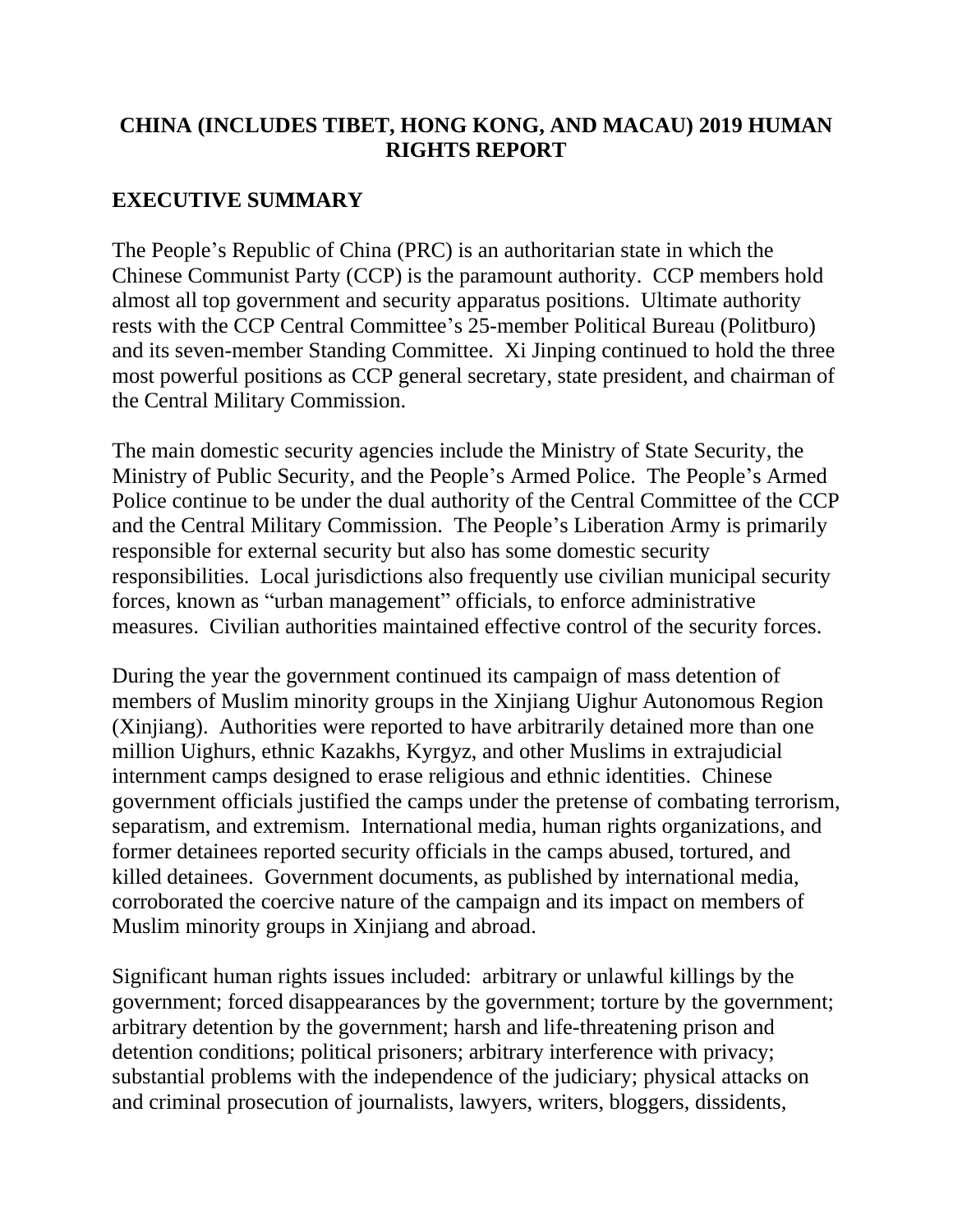# **CHINA (INCLUDES TIBET, HONG KONG, AND MACAU) 2019 HUMAN RIGHTS REPORT**

# **EXECUTIVE SUMMARY**

The People's Republic of China (PRC) is an authoritarian state in which the Chinese Communist Party (CCP) is the paramount authority. CCP members hold almost all top government and security apparatus positions. Ultimate authority rests with the CCP Central Committee's 25-member Political Bureau (Politburo) and its seven-member Standing Committee. Xi Jinping continued to hold the three most powerful positions as CCP general secretary, state president, and chairman of the Central Military Commission.

The main domestic security agencies include the Ministry of State Security, the Ministry of Public Security, and the People's Armed Police. The People's Armed Police continue to be under the dual authority of the Central Committee of the CCP and the Central Military Commission. The People's Liberation Army is primarily responsible for external security but also has some domestic security responsibilities. Local jurisdictions also frequently use civilian municipal security forces, known as "urban management" officials, to enforce administrative measures. Civilian authorities maintained effective control of the security forces.

During the year the government continued its campaign of mass detention of members of Muslim minority groups in the Xinjiang Uighur Autonomous Region (Xinjiang). Authorities were reported to have arbitrarily detained more than one million Uighurs, ethnic Kazakhs, Kyrgyz, and other Muslims in extrajudicial internment camps designed to erase religious and ethnic identities. Chinese government officials justified the camps under the pretense of combating terrorism, separatism, and extremism. International media, human rights organizations, and former detainees reported security officials in the camps abused, tortured, and killed detainees. Government documents, as published by international media, corroborated the coercive nature of the campaign and its impact on members of Muslim minority groups in Xinjiang and abroad.

Significant human rights issues included: arbitrary or unlawful killings by the government; forced disappearances by the government; torture by the government; arbitrary detention by the government; harsh and life-threatening prison and detention conditions; political prisoners; arbitrary interference with privacy; substantial problems with the independence of the judiciary; physical attacks on and criminal prosecution of journalists, lawyers, writers, bloggers, dissidents,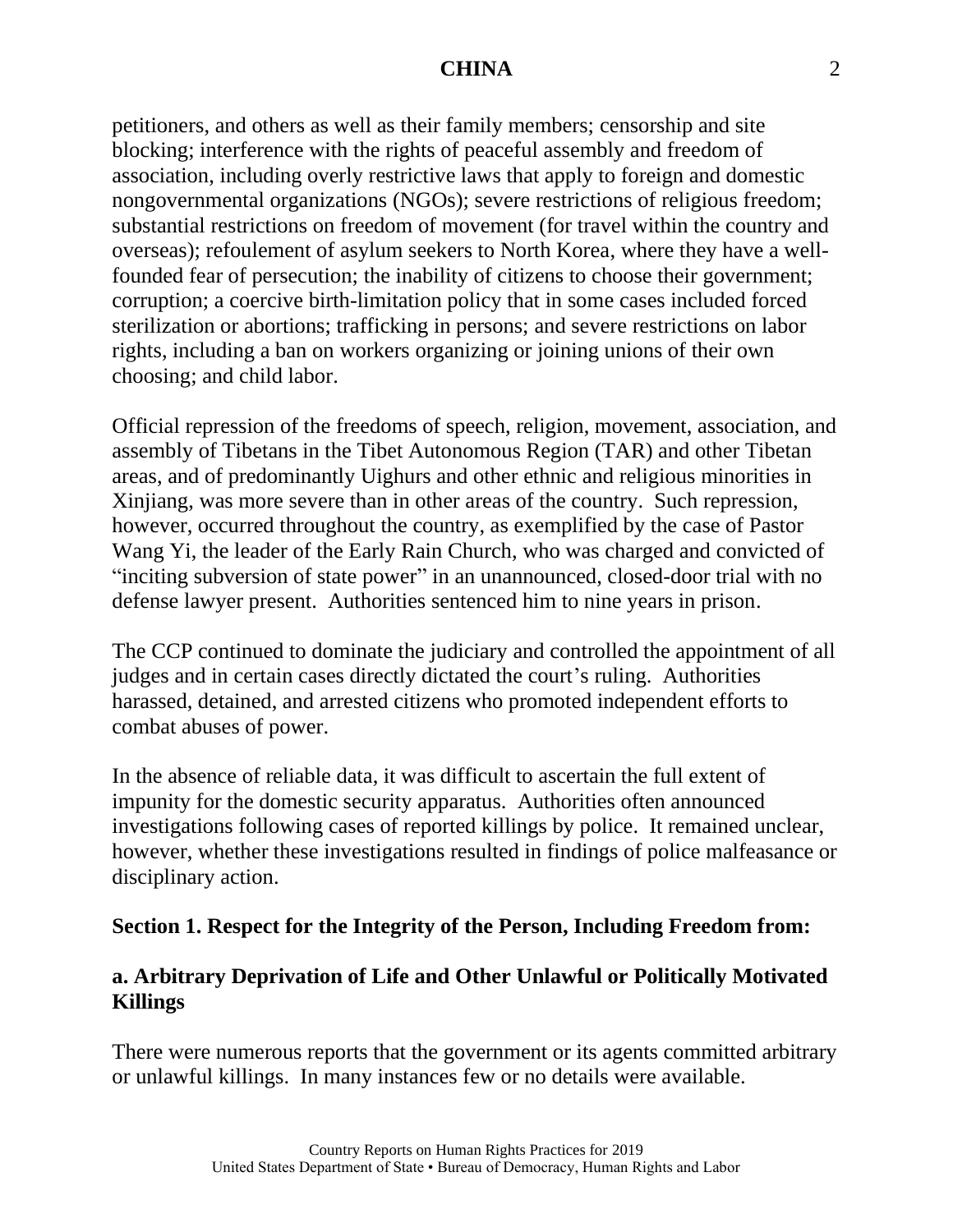petitioners, and others as well as their family members; censorship and site blocking; interference with the rights of peaceful assembly and freedom of association, including overly restrictive laws that apply to foreign and domestic nongovernmental organizations (NGOs); severe restrictions of religious freedom; substantial restrictions on freedom of movement (for travel within the country and overseas); refoulement of asylum seekers to North Korea, where they have a wellfounded fear of persecution; the inability of citizens to choose their government; corruption; a coercive birth-limitation policy that in some cases included forced sterilization or abortions; trafficking in persons; and severe restrictions on labor rights, including a ban on workers organizing or joining unions of their own choosing; and child labor.

Official repression of the freedoms of speech, religion, movement, association, and assembly of Tibetans in the Tibet Autonomous Region (TAR) and other Tibetan areas, and of predominantly Uighurs and other ethnic and religious minorities in Xinjiang, was more severe than in other areas of the country. Such repression, however, occurred throughout the country, as exemplified by the case of Pastor Wang Yi, the leader of the Early Rain Church, who was charged and convicted of "inciting subversion of state power" in an unannounced, closed-door trial with no defense lawyer present. Authorities sentenced him to nine years in prison.

The CCP continued to dominate the judiciary and controlled the appointment of all judges and in certain cases directly dictated the court's ruling. Authorities harassed, detained, and arrested citizens who promoted independent efforts to combat abuses of power.

In the absence of reliable data, it was difficult to ascertain the full extent of impunity for the domestic security apparatus. Authorities often announced investigations following cases of reported killings by police. It remained unclear, however, whether these investigations resulted in findings of police malfeasance or disciplinary action.

#### **Section 1. Respect for the Integrity of the Person, Including Freedom from:**

# **a. Arbitrary Deprivation of Life and Other Unlawful or Politically Motivated Killings**

There were numerous reports that the government or its agents committed arbitrary or unlawful killings. In many instances few or no details were available.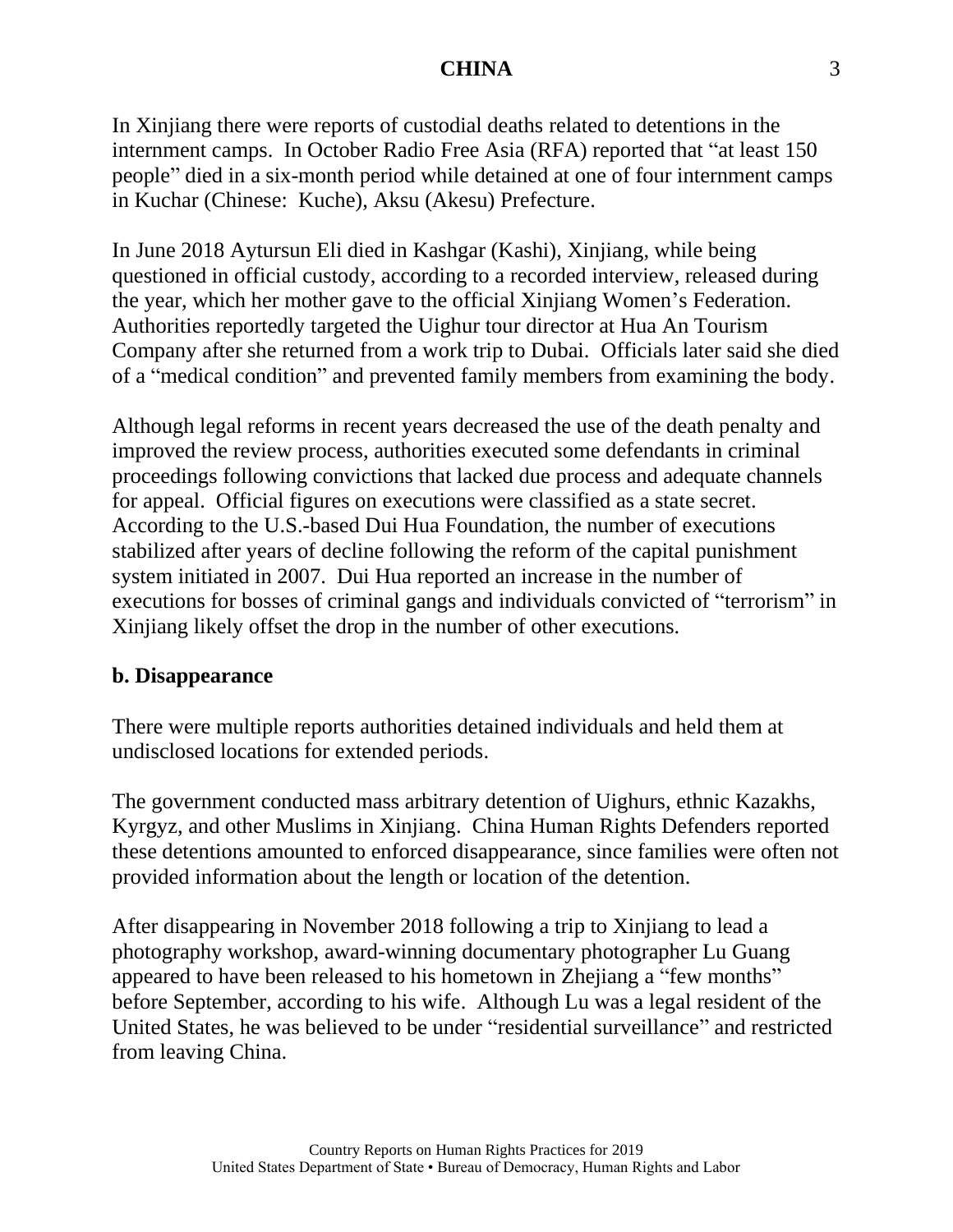In Xinjiang there were reports of custodial deaths related to detentions in the internment camps. In October Radio Free Asia (RFA) reported that "at least 150 people" died in a six-month period while detained at one of four internment camps in Kuchar (Chinese: Kuche), Aksu (Akesu) Prefecture.

In June 2018 Aytursun Eli died in Kashgar (Kashi), Xinjiang, while being questioned in official custody, according to a recorded interview, released during the year, which her mother gave to the official Xinjiang Women's Federation. Authorities reportedly targeted the Uighur tour director at Hua An Tourism Company after she returned from a work trip to Dubai. Officials later said she died of a "medical condition" and prevented family members from examining the body.

Although legal reforms in recent years decreased the use of the death penalty and improved the review process, authorities executed some defendants in criminal proceedings following convictions that lacked due process and adequate channels for appeal. Official figures on executions were classified as a state secret. According to the U.S.-based Dui Hua Foundation, the number of executions stabilized after years of decline following the reform of the capital punishment system initiated in 2007. Dui Hua reported an increase in the number of executions for bosses of criminal gangs and individuals convicted of "terrorism" in Xinjiang likely offset the drop in the number of other executions.

#### **b. Disappearance**

There were multiple reports authorities detained individuals and held them at undisclosed locations for extended periods.

The government conducted mass arbitrary detention of Uighurs, ethnic Kazakhs, Kyrgyz, and other Muslims in Xinjiang. China Human Rights Defenders reported these detentions amounted to enforced disappearance, since families were often not provided information about the length or location of the detention.

After disappearing in November 2018 following a trip to Xinjiang to lead a photography workshop, award-winning documentary photographer Lu Guang appeared to have been released to his hometown in Zhejiang a "few months" before September, according to his wife. Although Lu was a legal resident of the United States, he was believed to be under "residential surveillance" and restricted from leaving China.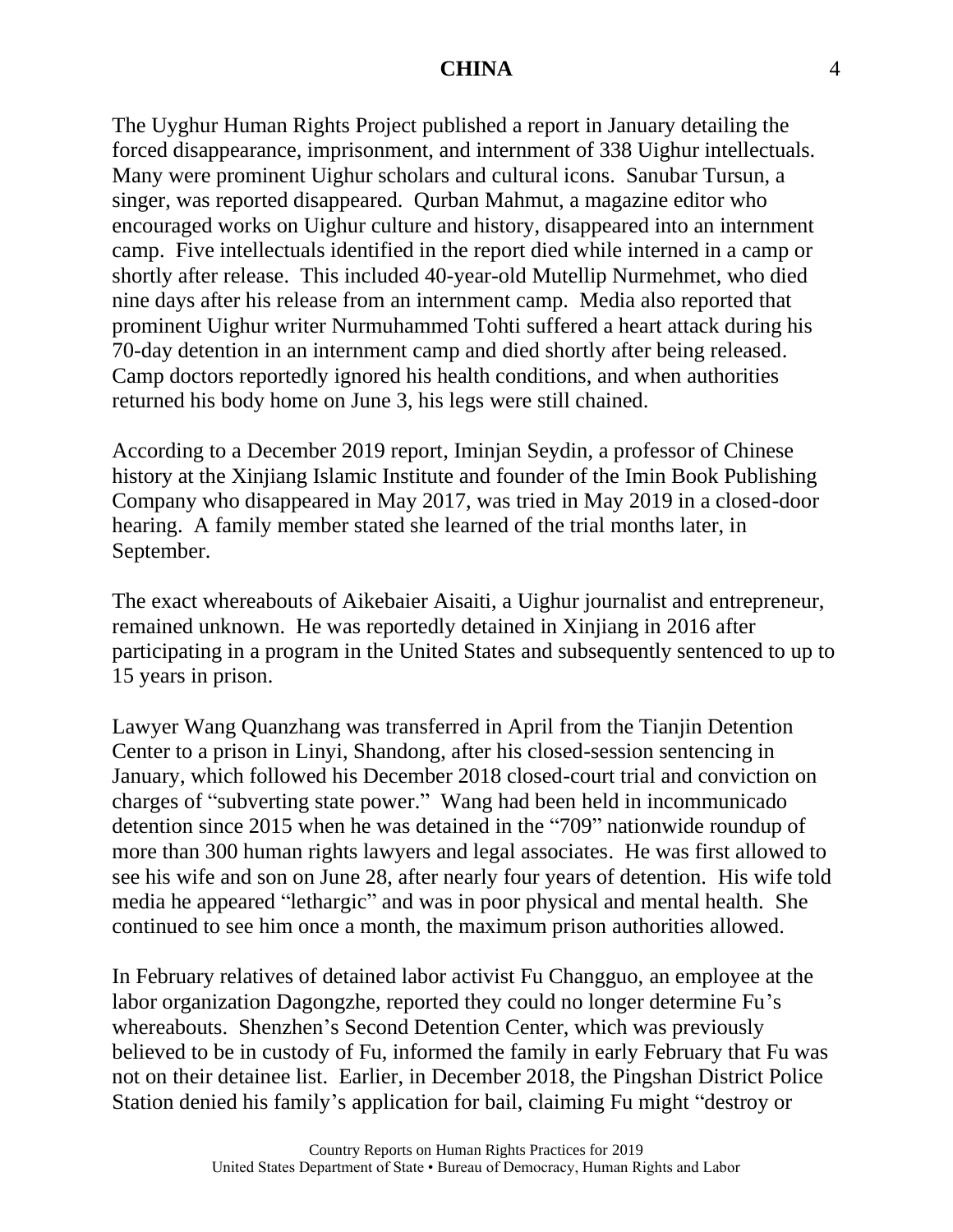The Uyghur Human Rights Project published a report in January detailing the forced disappearance, imprisonment, and internment of 338 Uighur intellectuals. Many were prominent Uighur scholars and cultural icons. Sanubar Tursun, a singer, was reported disappeared. Qurban Mahmut, a magazine editor who encouraged works on Uighur culture and history, disappeared into an internment camp. Five intellectuals identified in the report died while interned in a camp or shortly after release. This included 40-year-old Mutellip Nurmehmet, who died nine days after his release from an internment camp. Media also reported that prominent Uighur writer Nurmuhammed Tohti suffered a heart attack during his 70-day detention in an internment camp and died shortly after being released. Camp doctors reportedly ignored his health conditions, and when authorities returned his body home on June 3, his legs were still chained.

According to a December 2019 report, Iminjan Seydin, a professor of Chinese history at the Xinjiang Islamic Institute and founder of the Imin Book Publishing Company who disappeared in May 2017, was tried in May 2019 in a closed-door hearing. A family member stated she learned of the trial months later, in September.

The exact whereabouts of Aikebaier Aisaiti, a Uighur journalist and entrepreneur, remained unknown. He was reportedly detained in Xinjiang in 2016 after participating in a program in the United States and subsequently sentenced to up to 15 years in prison.

Lawyer Wang Quanzhang was transferred in April from the Tianjin Detention Center to a prison in Linyi, Shandong, after his closed-session sentencing in January, which followed his December 2018 closed-court trial and conviction on charges of "subverting state power." Wang had been held in incommunicado detention since 2015 when he was detained in the "709" nationwide roundup of more than 300 human rights lawyers and legal associates. He was first allowed to see his wife and son on June 28, after nearly four years of detention. His wife told media he appeared "lethargic" and was in poor physical and mental health. She continued to see him once a month, the maximum prison authorities allowed.

In February relatives of detained labor activist Fu Changguo, an employee at the labor organization Dagongzhe, reported they could no longer determine Fu's whereabouts. Shenzhen's Second Detention Center, which was previously believed to be in custody of Fu, informed the family in early February that Fu was not on their detainee list. Earlier, in December 2018, the Pingshan District Police Station denied his family's application for bail, claiming Fu might "destroy or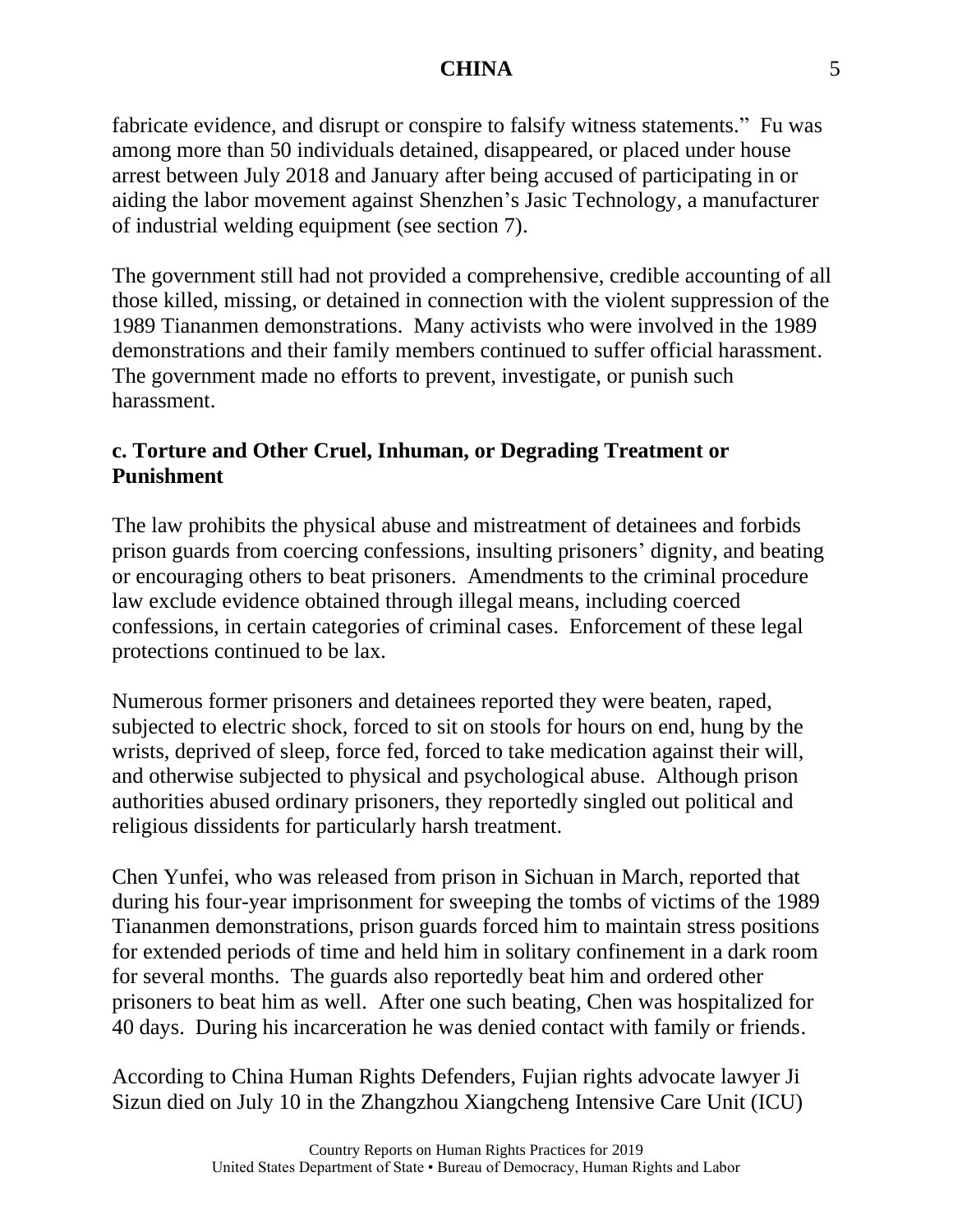fabricate evidence, and disrupt or conspire to falsify witness statements." Fu was among more than 50 individuals detained, disappeared, or placed under house arrest between July 2018 and January after being accused of participating in or aiding the labor movement against Shenzhen's Jasic Technology, a manufacturer of industrial welding equipment (see section 7).

The government still had not provided a comprehensive, credible accounting of all those killed, missing, or detained in connection with the violent suppression of the 1989 Tiananmen demonstrations. Many activists who were involved in the 1989 demonstrations and their family members continued to suffer official harassment. The government made no efforts to prevent, investigate, or punish such harassment.

# **c. Torture and Other Cruel, Inhuman, or Degrading Treatment or Punishment**

The law prohibits the physical abuse and mistreatment of detainees and forbids prison guards from coercing confessions, insulting prisoners' dignity, and beating or encouraging others to beat prisoners. Amendments to the criminal procedure law exclude evidence obtained through illegal means, including coerced confessions, in certain categories of criminal cases. Enforcement of these legal protections continued to be lax.

Numerous former prisoners and detainees reported they were beaten, raped, subjected to electric shock, forced to sit on stools for hours on end, hung by the wrists, deprived of sleep, force fed, forced to take medication against their will, and otherwise subjected to physical and psychological abuse. Although prison authorities abused ordinary prisoners, they reportedly singled out political and religious dissidents for particularly harsh treatment.

Chen Yunfei, who was released from prison in Sichuan in March, reported that during his four-year imprisonment for sweeping the tombs of victims of the 1989 Tiananmen demonstrations, prison guards forced him to maintain stress positions for extended periods of time and held him in solitary confinement in a dark room for several months. The guards also reportedly beat him and ordered other prisoners to beat him as well. After one such beating, Chen was hospitalized for 40 days. During his incarceration he was denied contact with family or friends.

According to China Human Rights Defenders, Fujian rights advocate lawyer Ji Sizun died on July 10 in the Zhangzhou Xiangcheng Intensive Care Unit (ICU)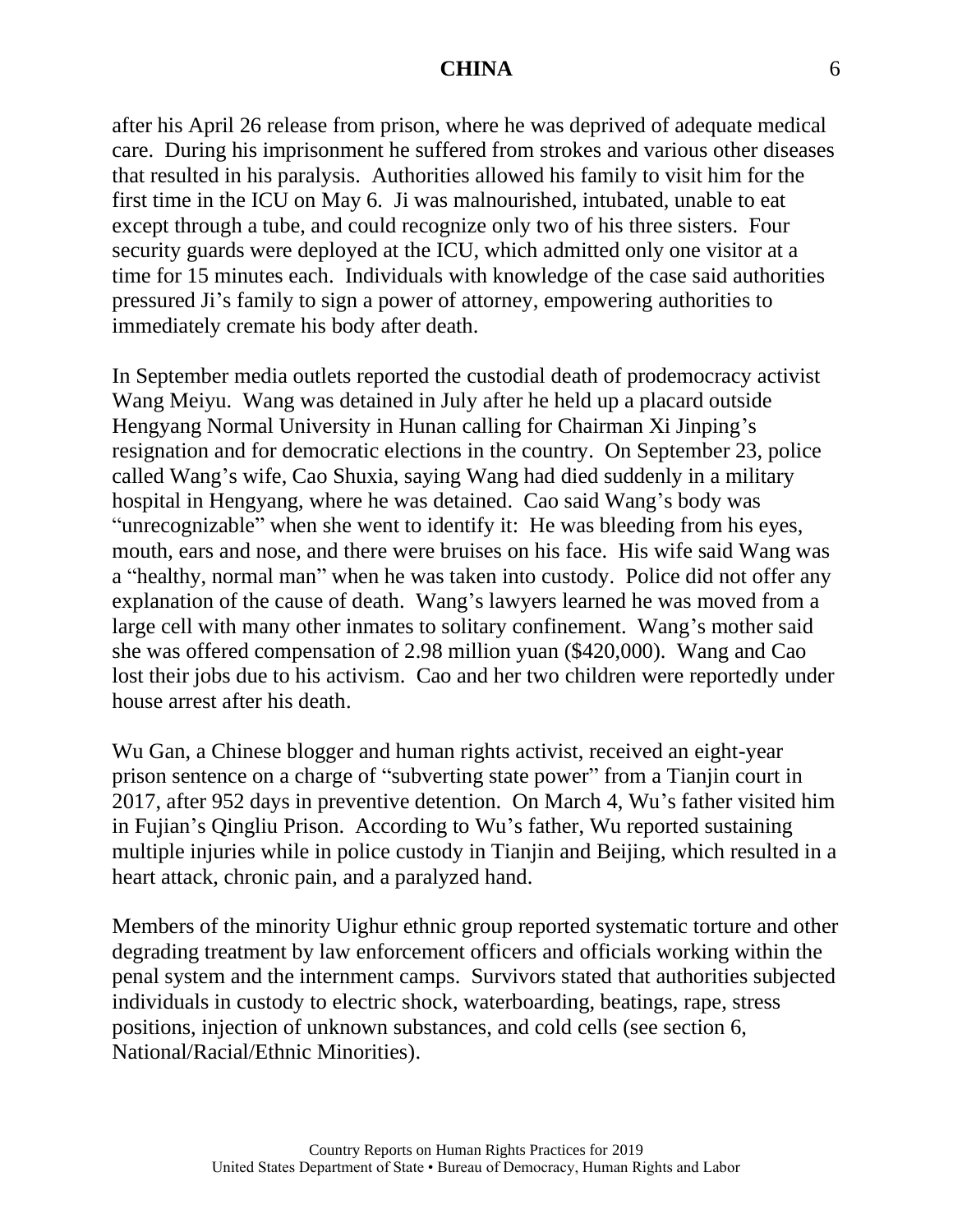after his April 26 release from prison, where he was deprived of adequate medical care. During his imprisonment he suffered from strokes and various other diseases that resulted in his paralysis. Authorities allowed his family to visit him for the first time in the ICU on May 6. Ji was malnourished, intubated, unable to eat except through a tube, and could recognize only two of his three sisters. Four security guards were deployed at the ICU, which admitted only one visitor at a time for 15 minutes each. Individuals with knowledge of the case said authorities pressured Ji's family to sign a power of attorney, empowering authorities to immediately cremate his body after death.

In September media outlets reported the custodial death of prodemocracy activist Wang Meiyu. Wang was detained in July after he held up a placard outside Hengyang Normal University in Hunan calling for Chairman Xi Jinping's resignation and for democratic elections in the country. On September 23, police called Wang's wife, Cao Shuxia, saying Wang had died suddenly in a military hospital in Hengyang, where he was detained. Cao said Wang's body was "unrecognizable" when she went to identify it: He was bleeding from his eyes, mouth, ears and nose, and there were bruises on his face. His wife said Wang was a "healthy, normal man" when he was taken into custody. Police did not offer any explanation of the cause of death. Wang's lawyers learned he was moved from a large cell with many other inmates to solitary confinement. Wang's mother said she was offered compensation of 2.98 million yuan (\$420,000). Wang and Cao lost their jobs due to his activism. Cao and her two children were reportedly under house arrest after his death.

Wu Gan, a Chinese blogger and human rights activist, received an eight-year prison sentence on a charge of "subverting state power" from a Tianjin court in 2017, after 952 days in preventive detention. On March 4, Wu's father visited him in Fujian's Qingliu Prison. According to Wu's father, Wu reported sustaining multiple injuries while in police custody in Tianjin and Beijing, which resulted in a heart attack, chronic pain, and a paralyzed hand.

Members of the minority Uighur ethnic group reported systematic torture and other degrading treatment by law enforcement officers and officials working within the penal system and the internment camps. Survivors stated that authorities subjected individuals in custody to electric shock, waterboarding, beatings, rape, stress positions, injection of unknown substances, and cold cells (see section 6, National/Racial/Ethnic Minorities).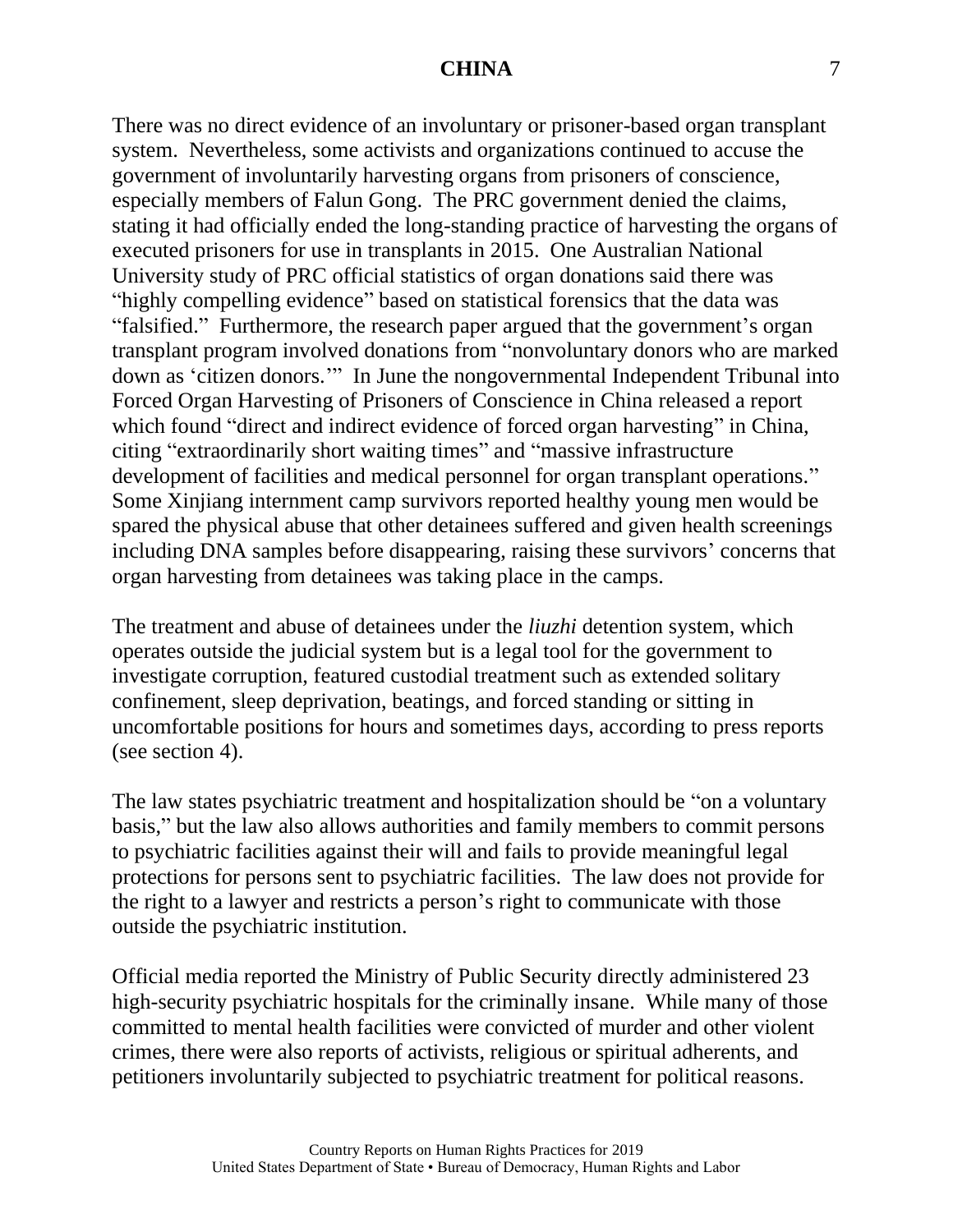There was no direct evidence of an involuntary or prisoner-based organ transplant system. Nevertheless, some activists and organizations continued to accuse the government of involuntarily harvesting organs from prisoners of conscience, especially members of Falun Gong. The PRC government denied the claims, stating it had officially ended the long-standing practice of harvesting the organs of executed prisoners for use in transplants in 2015. One Australian National University study of PRC official statistics of organ donations said there was "highly compelling evidence" based on statistical forensics that the data was "falsified." Furthermore, the research paper argued that the government's organ transplant program involved donations from "nonvoluntary donors who are marked down as 'citizen donors.'" In June the nongovernmental Independent Tribunal into Forced Organ Harvesting of Prisoners of Conscience in China released a report which found "direct and indirect evidence of forced organ harvesting" in China, citing "extraordinarily short waiting times" and "massive infrastructure development of facilities and medical personnel for organ transplant operations." Some Xinjiang internment camp survivors reported healthy young men would be spared the physical abuse that other detainees suffered and given health screenings including DNA samples before disappearing, raising these survivors' concerns that organ harvesting from detainees was taking place in the camps.

The treatment and abuse of detainees under the *liuzhi* detention system, which operates outside the judicial system but is a legal tool for the government to investigate corruption, featured custodial treatment such as extended solitary confinement, sleep deprivation, beatings, and forced standing or sitting in uncomfortable positions for hours and sometimes days, according to press reports (see section 4).

The law states psychiatric treatment and hospitalization should be "on a voluntary basis," but the law also allows authorities and family members to commit persons to psychiatric facilities against their will and fails to provide meaningful legal protections for persons sent to psychiatric facilities. The law does not provide for the right to a lawyer and restricts a person's right to communicate with those outside the psychiatric institution.

Official media reported the Ministry of Public Security directly administered 23 high-security psychiatric hospitals for the criminally insane. While many of those committed to mental health facilities were convicted of murder and other violent crimes, there were also reports of activists, religious or spiritual adherents, and petitioners involuntarily subjected to psychiatric treatment for political reasons.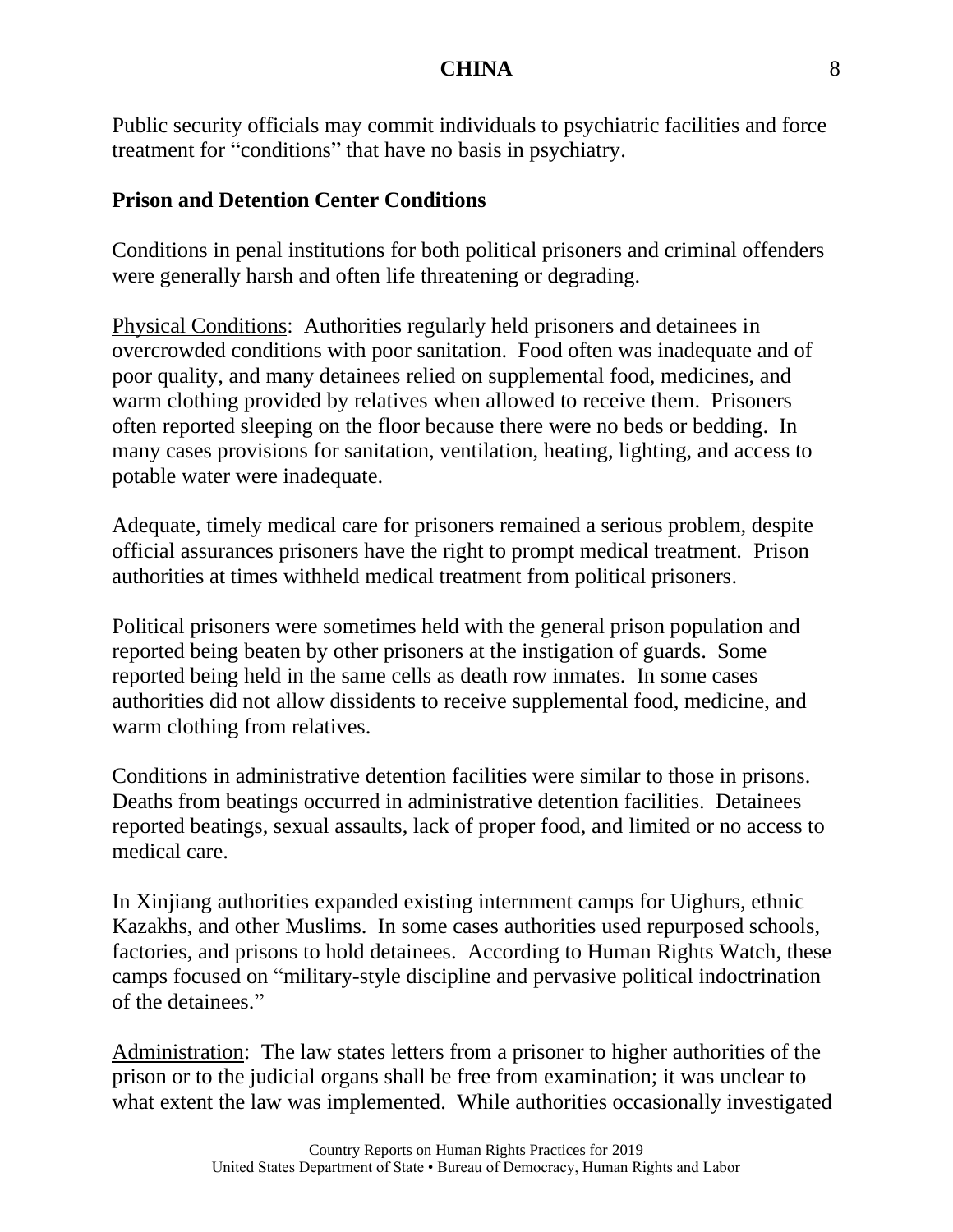Public security officials may commit individuals to psychiatric facilities and force treatment for "conditions" that have no basis in psychiatry.

# **Prison and Detention Center Conditions**

Conditions in penal institutions for both political prisoners and criminal offenders were generally harsh and often life threatening or degrading.

Physical Conditions: Authorities regularly held prisoners and detainees in overcrowded conditions with poor sanitation. Food often was inadequate and of poor quality, and many detainees relied on supplemental food, medicines, and warm clothing provided by relatives when allowed to receive them. Prisoners often reported sleeping on the floor because there were no beds or bedding. In many cases provisions for sanitation, ventilation, heating, lighting, and access to potable water were inadequate.

Adequate, timely medical care for prisoners remained a serious problem, despite official assurances prisoners have the right to prompt medical treatment. Prison authorities at times withheld medical treatment from political prisoners.

Political prisoners were sometimes held with the general prison population and reported being beaten by other prisoners at the instigation of guards. Some reported being held in the same cells as death row inmates. In some cases authorities did not allow dissidents to receive supplemental food, medicine, and warm clothing from relatives.

Conditions in administrative detention facilities were similar to those in prisons. Deaths from beatings occurred in administrative detention facilities. Detainees reported beatings, sexual assaults, lack of proper food, and limited or no access to medical care.

In Xinjiang authorities expanded existing internment camps for Uighurs, ethnic Kazakhs, and other Muslims. In some cases authorities used repurposed schools, factories, and prisons to hold detainees. According to Human Rights Watch, these camps focused on "military-style discipline and pervasive political indoctrination of the detainees."

Administration: The law states letters from a prisoner to higher authorities of the prison or to the judicial organs shall be free from examination; it was unclear to what extent the law was implemented. While authorities occasionally investigated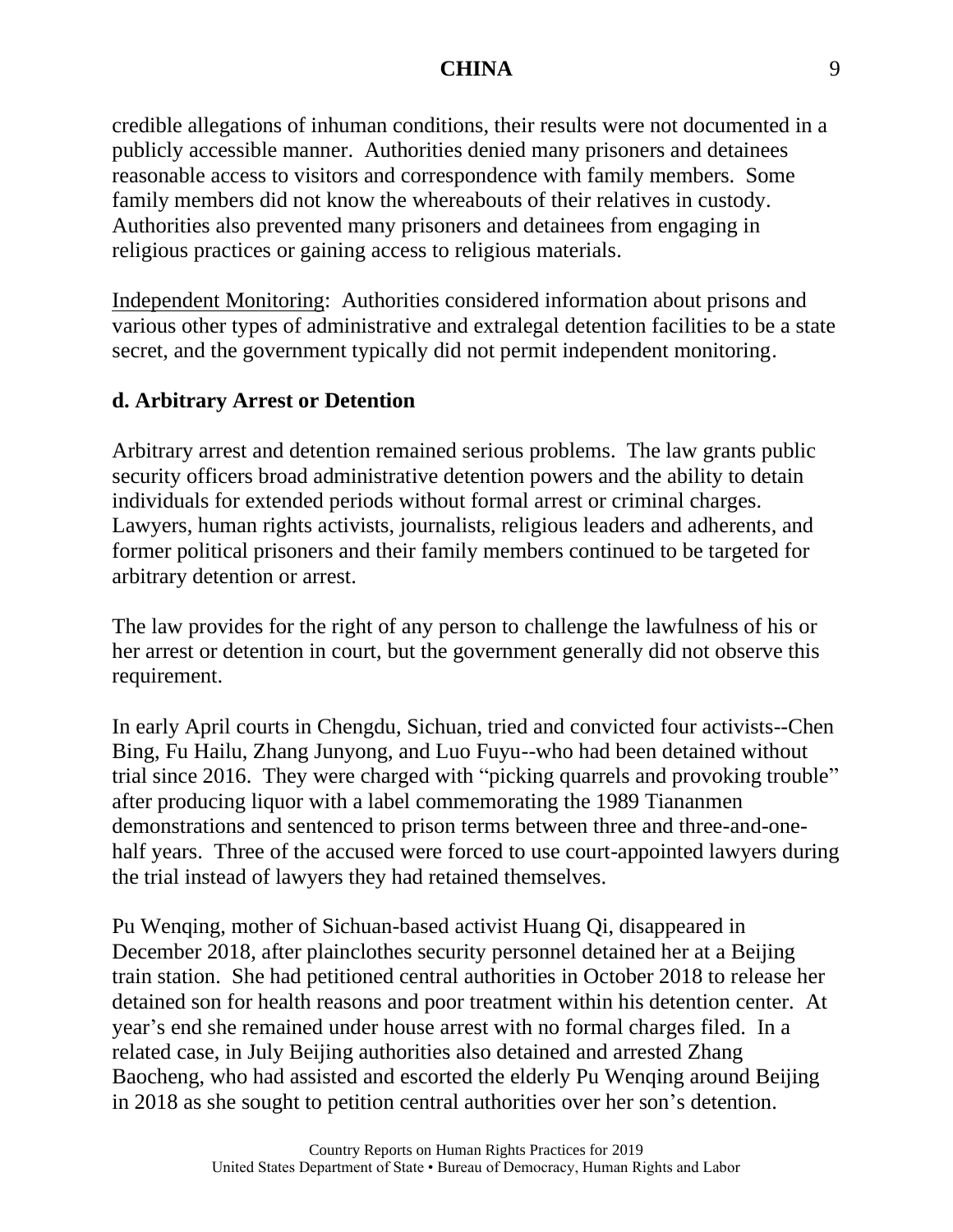credible allegations of inhuman conditions, their results were not documented in a publicly accessible manner. Authorities denied many prisoners and detainees reasonable access to visitors and correspondence with family members. Some family members did not know the whereabouts of their relatives in custody. Authorities also prevented many prisoners and detainees from engaging in religious practices or gaining access to religious materials.

Independent Monitoring: Authorities considered information about prisons and various other types of administrative and extralegal detention facilities to be a state secret, and the government typically did not permit independent monitoring.

# **d. Arbitrary Arrest or Detention**

Arbitrary arrest and detention remained serious problems. The law grants public security officers broad administrative detention powers and the ability to detain individuals for extended periods without formal arrest or criminal charges. Lawyers, human rights activists, journalists, religious leaders and adherents, and former political prisoners and their family members continued to be targeted for arbitrary detention or arrest.

The law provides for the right of any person to challenge the lawfulness of his or her arrest or detention in court, but the government generally did not observe this requirement.

In early April courts in Chengdu, Sichuan, tried and convicted four activists--Chen Bing, Fu Hailu, Zhang Junyong, and Luo Fuyu--who had been detained without trial since 2016. They were charged with "picking quarrels and provoking trouble" after producing liquor with a label commemorating the 1989 Tiananmen demonstrations and sentenced to prison terms between three and three-and-onehalf years. Three of the accused were forced to use court-appointed lawyers during the trial instead of lawyers they had retained themselves.

Pu Wenqing, mother of Sichuan-based activist Huang Qi, disappeared in December 2018, after plainclothes security personnel detained her at a Beijing train station. She had petitioned central authorities in October 2018 to release her detained son for health reasons and poor treatment within his detention center. At year's end she remained under house arrest with no formal charges filed. In a related case, in July Beijing authorities also detained and arrested Zhang Baocheng, who had assisted and escorted the elderly Pu Wenqing around Beijing in 2018 as she sought to petition central authorities over her son's detention.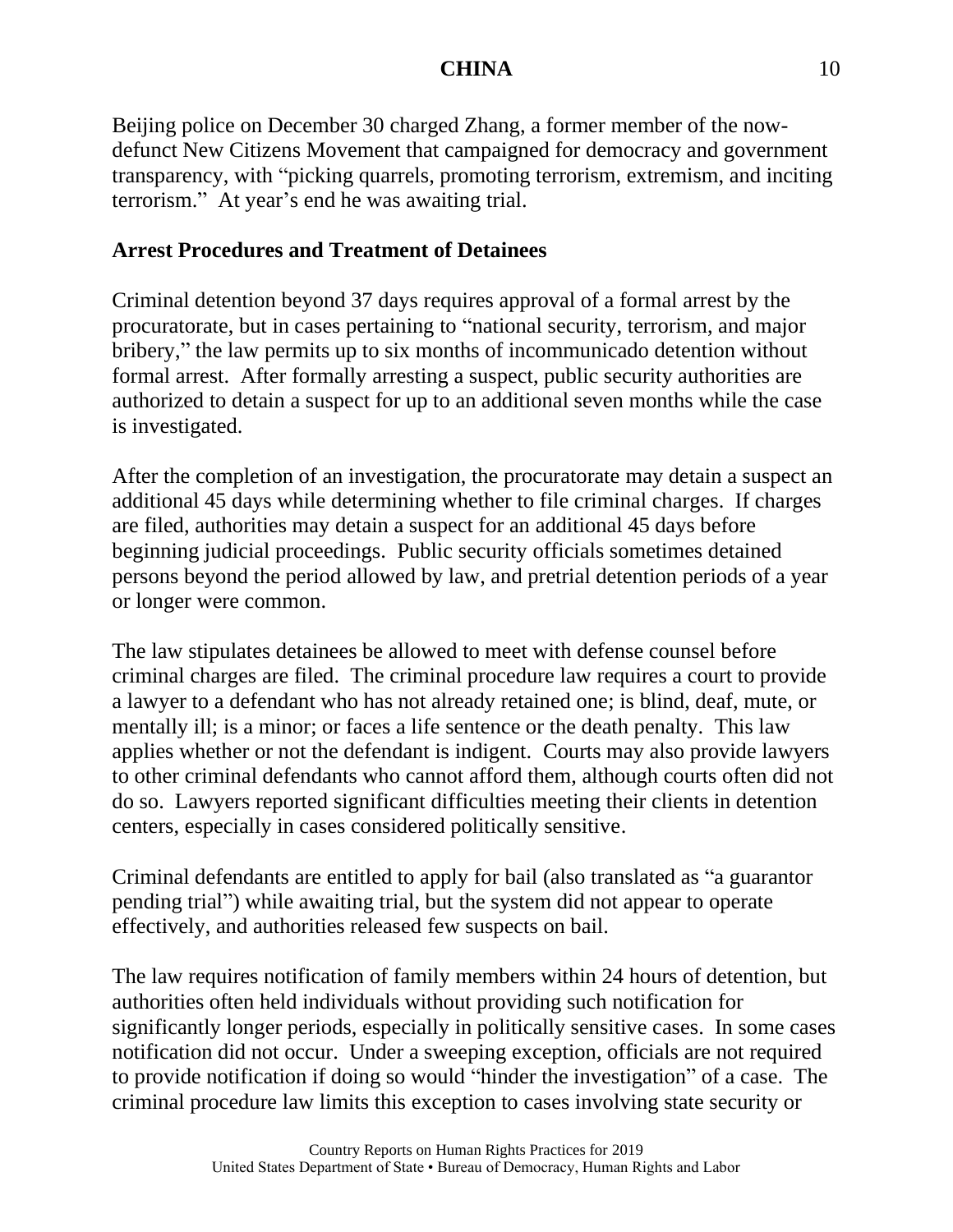Beijing police on December 30 charged Zhang, a former member of the nowdefunct New Citizens Movement that campaigned for democracy and government transparency, with "picking quarrels, promoting terrorism, extremism, and inciting terrorism." At year's end he was awaiting trial.

# **Arrest Procedures and Treatment of Detainees**

Criminal detention beyond 37 days requires approval of a formal arrest by the procuratorate, but in cases pertaining to "national security, terrorism, and major bribery," the law permits up to six months of incommunicado detention without formal arrest. After formally arresting a suspect, public security authorities are authorized to detain a suspect for up to an additional seven months while the case is investigated.

After the completion of an investigation, the procuratorate may detain a suspect an additional 45 days while determining whether to file criminal charges. If charges are filed, authorities may detain a suspect for an additional 45 days before beginning judicial proceedings. Public security officials sometimes detained persons beyond the period allowed by law, and pretrial detention periods of a year or longer were common.

The law stipulates detainees be allowed to meet with defense counsel before criminal charges are filed. The criminal procedure law requires a court to provide a lawyer to a defendant who has not already retained one; is blind, deaf, mute, or mentally ill; is a minor; or faces a life sentence or the death penalty. This law applies whether or not the defendant is indigent. Courts may also provide lawyers to other criminal defendants who cannot afford them, although courts often did not do so. Lawyers reported significant difficulties meeting their clients in detention centers, especially in cases considered politically sensitive.

Criminal defendants are entitled to apply for bail (also translated as "a guarantor pending trial") while awaiting trial, but the system did not appear to operate effectively, and authorities released few suspects on bail.

The law requires notification of family members within 24 hours of detention, but authorities often held individuals without providing such notification for significantly longer periods, especially in politically sensitive cases. In some cases notification did not occur. Under a sweeping exception, officials are not required to provide notification if doing so would "hinder the investigation" of a case. The criminal procedure law limits this exception to cases involving state security or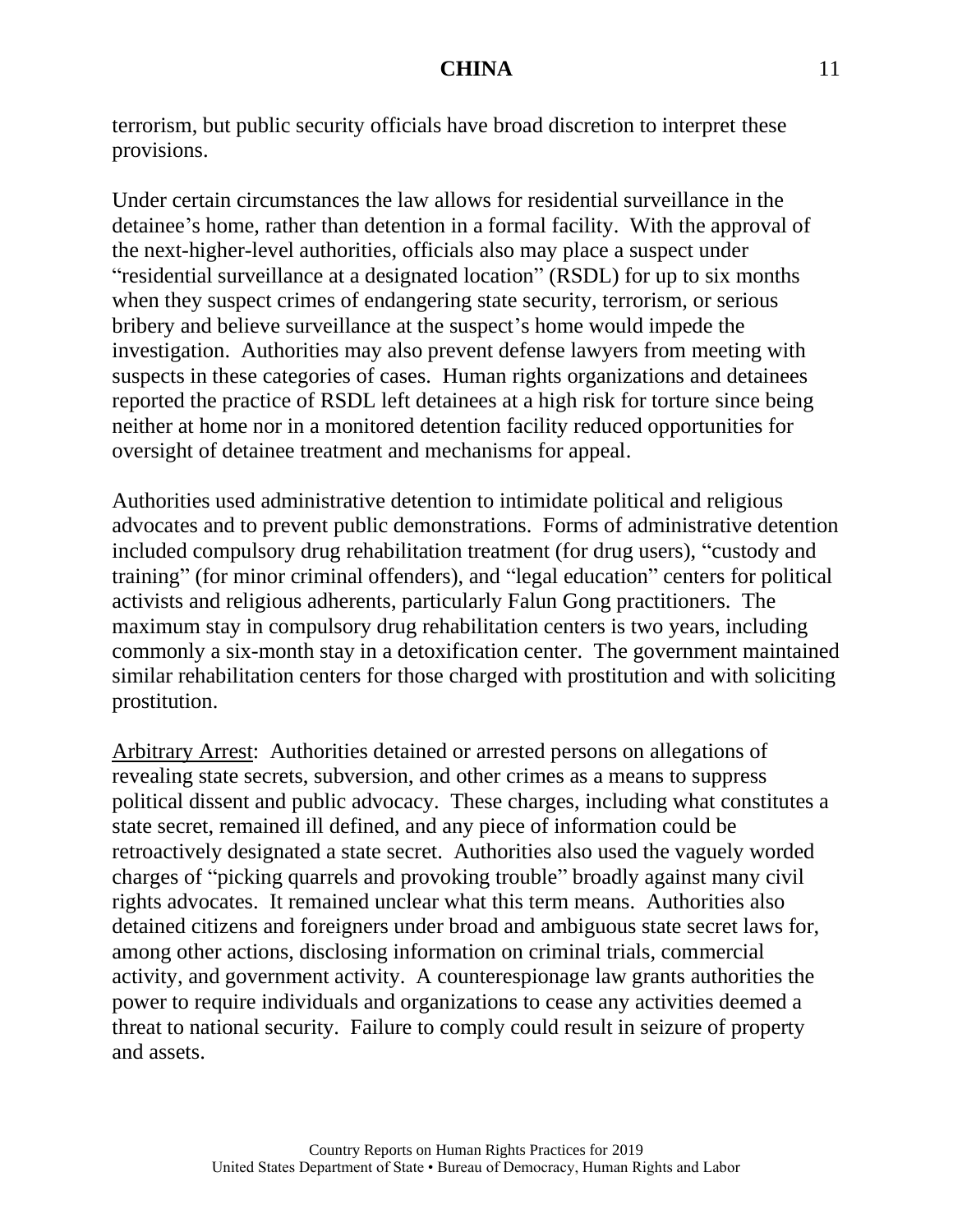terrorism, but public security officials have broad discretion to interpret these provisions.

Under certain circumstances the law allows for residential surveillance in the detainee's home, rather than detention in a formal facility. With the approval of the next-higher-level authorities, officials also may place a suspect under "residential surveillance at a designated location" (RSDL) for up to six months when they suspect crimes of endangering state security, terrorism, or serious bribery and believe surveillance at the suspect's home would impede the investigation. Authorities may also prevent defense lawyers from meeting with suspects in these categories of cases. Human rights organizations and detainees reported the practice of RSDL left detainees at a high risk for torture since being neither at home nor in a monitored detention facility reduced opportunities for oversight of detainee treatment and mechanisms for appeal.

Authorities used administrative detention to intimidate political and religious advocates and to prevent public demonstrations. Forms of administrative detention included compulsory drug rehabilitation treatment (for drug users), "custody and training" (for minor criminal offenders), and "legal education" centers for political activists and religious adherents, particularly Falun Gong practitioners. The maximum stay in compulsory drug rehabilitation centers is two years, including commonly a six-month stay in a detoxification center. The government maintained similar rehabilitation centers for those charged with prostitution and with soliciting prostitution.

Arbitrary Arrest: Authorities detained or arrested persons on allegations of revealing state secrets, subversion, and other crimes as a means to suppress political dissent and public advocacy. These charges, including what constitutes a state secret, remained ill defined, and any piece of information could be retroactively designated a state secret. Authorities also used the vaguely worded charges of "picking quarrels and provoking trouble" broadly against many civil rights advocates. It remained unclear what this term means. Authorities also detained citizens and foreigners under broad and ambiguous state secret laws for, among other actions, disclosing information on criminal trials, commercial activity, and government activity. A counterespionage law grants authorities the power to require individuals and organizations to cease any activities deemed a threat to national security. Failure to comply could result in seizure of property and assets.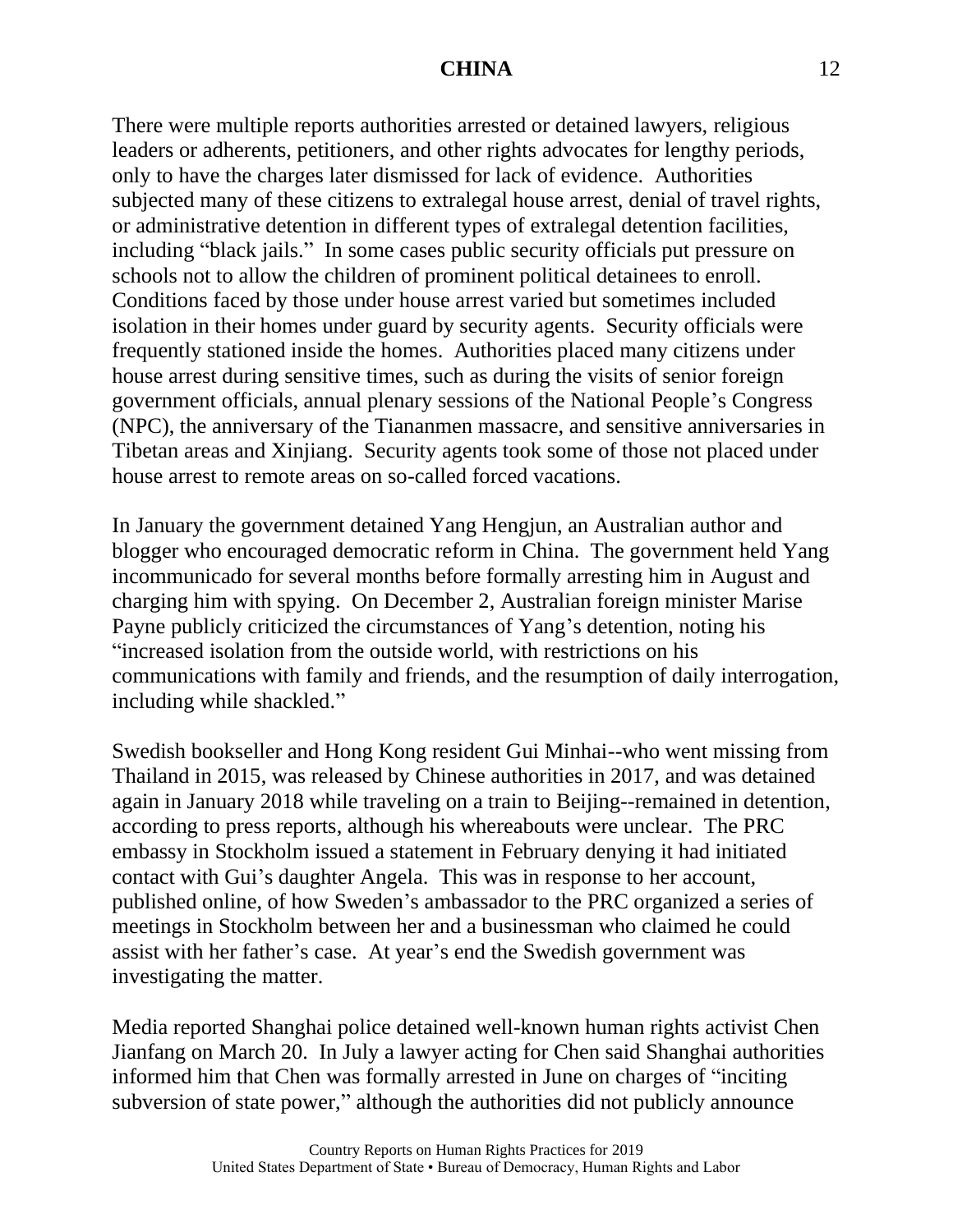There were multiple reports authorities arrested or detained lawyers, religious leaders or adherents, petitioners, and other rights advocates for lengthy periods, only to have the charges later dismissed for lack of evidence. Authorities subjected many of these citizens to extralegal house arrest, denial of travel rights, or administrative detention in different types of extralegal detention facilities, including "black jails." In some cases public security officials put pressure on schools not to allow the children of prominent political detainees to enroll. Conditions faced by those under house arrest varied but sometimes included isolation in their homes under guard by security agents. Security officials were frequently stationed inside the homes. Authorities placed many citizens under house arrest during sensitive times, such as during the visits of senior foreign government officials, annual plenary sessions of the National People's Congress (NPC), the anniversary of the Tiananmen massacre, and sensitive anniversaries in Tibetan areas and Xinjiang. Security agents took some of those not placed under house arrest to remote areas on so-called forced vacations.

In January the government detained Yang Hengjun, an Australian author and blogger who encouraged democratic reform in China. The government held Yang incommunicado for several months before formally arresting him in August and charging him with spying. On December 2, Australian foreign minister Marise Payne publicly criticized the circumstances of Yang's detention, noting his "increased isolation from the outside world, with restrictions on his communications with family and friends, and the resumption of daily interrogation, including while shackled."

Swedish bookseller and Hong Kong resident Gui Minhai--who went missing from Thailand in 2015, was released by Chinese authorities in 2017, and was detained again in January 2018 while traveling on a train to Beijing--remained in detention, according to press reports, although his whereabouts were unclear. The PRC embassy in Stockholm issued a statement in February denying it had initiated contact with Gui's daughter Angela. This was in response to her account, published online, of how Sweden's ambassador to the PRC organized a series of meetings in Stockholm between her and a businessman who claimed he could assist with her father's case. At year's end the Swedish government was investigating the matter.

Media reported Shanghai police detained well-known human rights activist Chen Jianfang on March 20. In July a lawyer acting for Chen said Shanghai authorities informed him that Chen was formally arrested in June on charges of "inciting subversion of state power," although the authorities did not publicly announce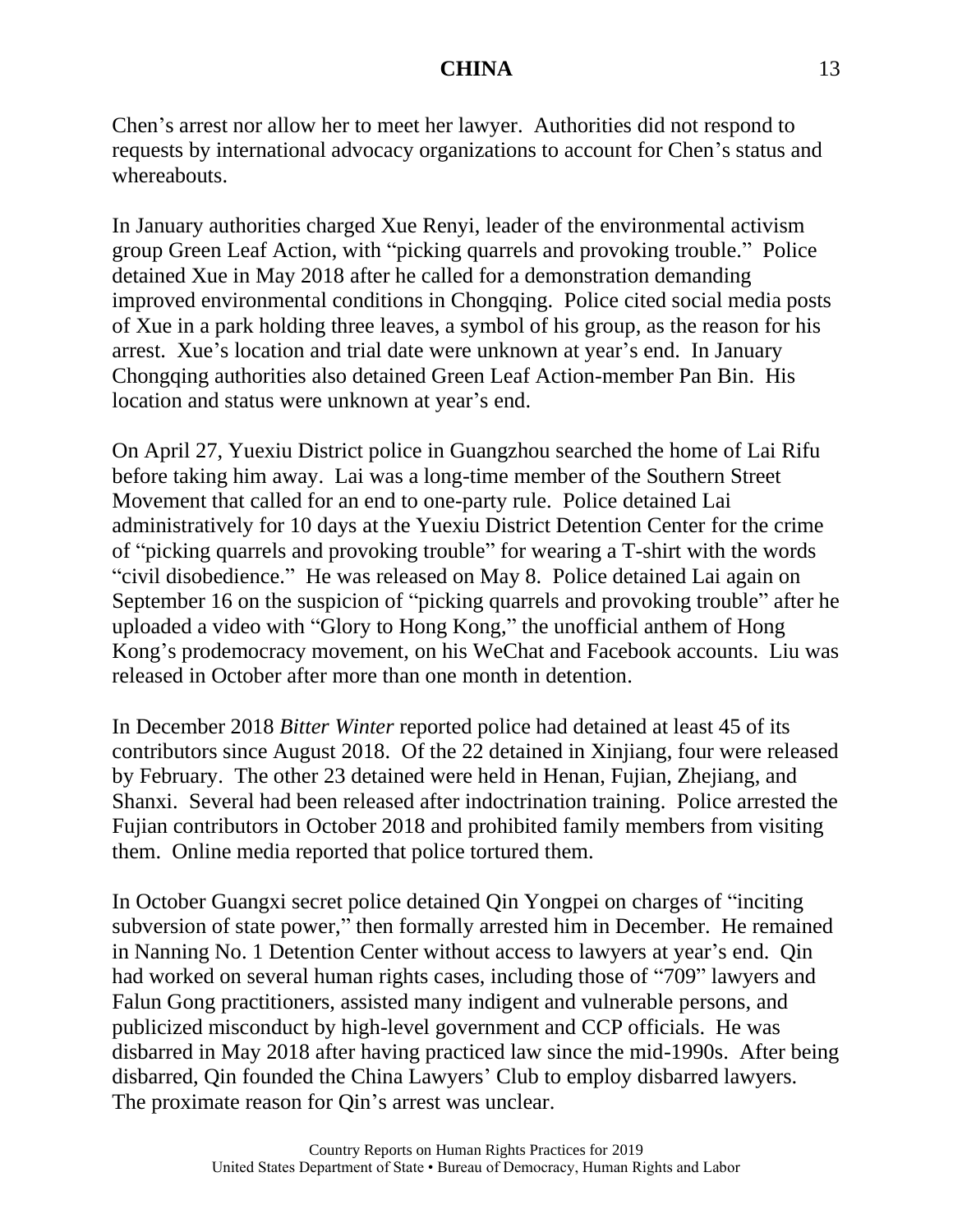Chen's arrest nor allow her to meet her lawyer. Authorities did not respond to requests by international advocacy organizations to account for Chen's status and whereabouts.

In January authorities charged Xue Renyi, leader of the environmental activism group Green Leaf Action, with "picking quarrels and provoking trouble." Police detained Xue in May 2018 after he called for a demonstration demanding improved environmental conditions in Chongqing. Police cited social media posts of Xue in a park holding three leaves, a symbol of his group, as the reason for his arrest. Xue's location and trial date were unknown at year's end. In January Chongqing authorities also detained Green Leaf Action-member Pan Bin. His location and status were unknown at year's end.

On April 27, Yuexiu District police in Guangzhou searched the home of Lai Rifu before taking him away. Lai was a long-time member of the Southern Street Movement that called for an end to one-party rule. Police detained Lai administratively for 10 days at the Yuexiu District Detention Center for the crime of "picking quarrels and provoking trouble" for wearing a T-shirt with the words "civil disobedience." He was released on May 8. Police detained Lai again on September 16 on the suspicion of "picking quarrels and provoking trouble" after he uploaded a video with "Glory to Hong Kong," the unofficial anthem of Hong Kong's prodemocracy movement, on his WeChat and Facebook accounts. Liu was released in October after more than one month in detention.

In December 2018 *Bitter Winter* reported police had detained at least 45 of its contributors since August 2018. Of the 22 detained in Xinjiang, four were released by February. The other 23 detained were held in Henan, Fujian, Zhejiang, and Shanxi. Several had been released after indoctrination training. Police arrested the Fujian contributors in October 2018 and prohibited family members from visiting them. Online media reported that police tortured them.

In October Guangxi secret police detained Qin Yongpei on charges of "inciting subversion of state power," then formally arrested him in December. He remained in Nanning No. 1 Detention Center without access to lawyers at year's end. Qin had worked on several human rights cases, including those of "709" lawyers and Falun Gong practitioners, assisted many indigent and vulnerable persons, and publicized misconduct by high-level government and CCP officials. He was disbarred in May 2018 after having practiced law since the mid-1990s. After being disbarred, Qin founded the China Lawyers' Club to employ disbarred lawyers. The proximate reason for Qin's arrest was unclear.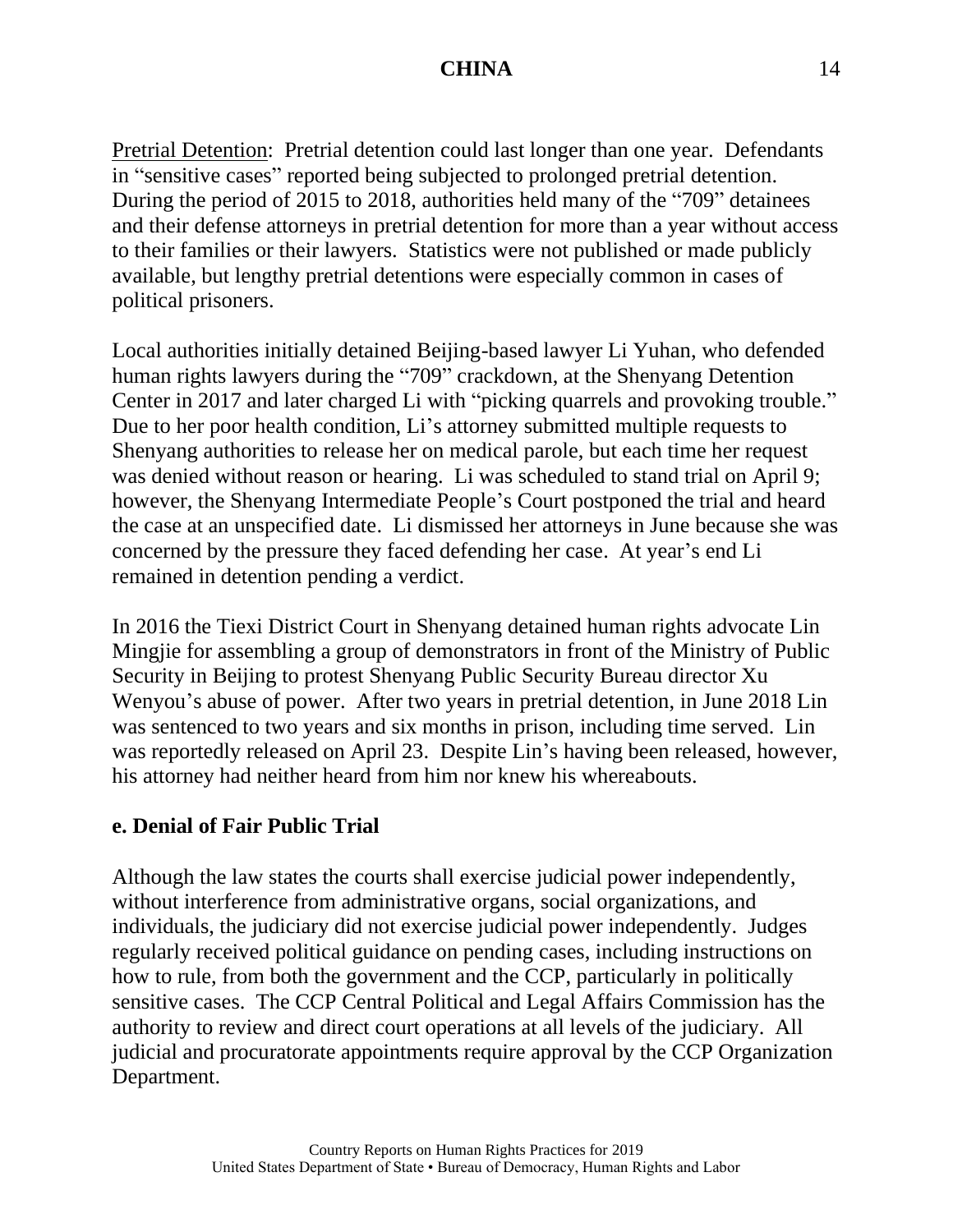Pretrial Detention: Pretrial detention could last longer than one year. Defendants in "sensitive cases" reported being subjected to prolonged pretrial detention. During the period of 2015 to 2018, authorities held many of the "709" detainees and their defense attorneys in pretrial detention for more than a year without access to their families or their lawyers. Statistics were not published or made publicly available, but lengthy pretrial detentions were especially common in cases of political prisoners.

Local authorities initially detained Beijing-based lawyer Li Yuhan, who defended human rights lawyers during the "709" crackdown, at the Shenyang Detention Center in 2017 and later charged Li with "picking quarrels and provoking trouble." Due to her poor health condition, Li's attorney submitted multiple requests to Shenyang authorities to release her on medical parole, but each time her request was denied without reason or hearing. Li was scheduled to stand trial on April 9; however, the Shenyang Intermediate People's Court postponed the trial and heard the case at an unspecified date. Li dismissed her attorneys in June because she was concerned by the pressure they faced defending her case. At year's end Li remained in detention pending a verdict.

In 2016 the Tiexi District Court in Shenyang detained human rights advocate Lin Mingjie for assembling a group of demonstrators in front of the Ministry of Public Security in Beijing to protest Shenyang Public Security Bureau director Xu Wenyou's abuse of power. After two years in pretrial detention, in June 2018 Lin was sentenced to two years and six months in prison, including time served. Lin was reportedly released on April 23. Despite Lin's having been released, however, his attorney had neither heard from him nor knew his whereabouts.

## **e. Denial of Fair Public Trial**

Although the law states the courts shall exercise judicial power independently, without interference from administrative organs, social organizations, and individuals, the judiciary did not exercise judicial power independently. Judges regularly received political guidance on pending cases, including instructions on how to rule, from both the government and the CCP, particularly in politically sensitive cases. The CCP Central Political and Legal Affairs Commission has the authority to review and direct court operations at all levels of the judiciary. All judicial and procuratorate appointments require approval by the CCP Organization Department.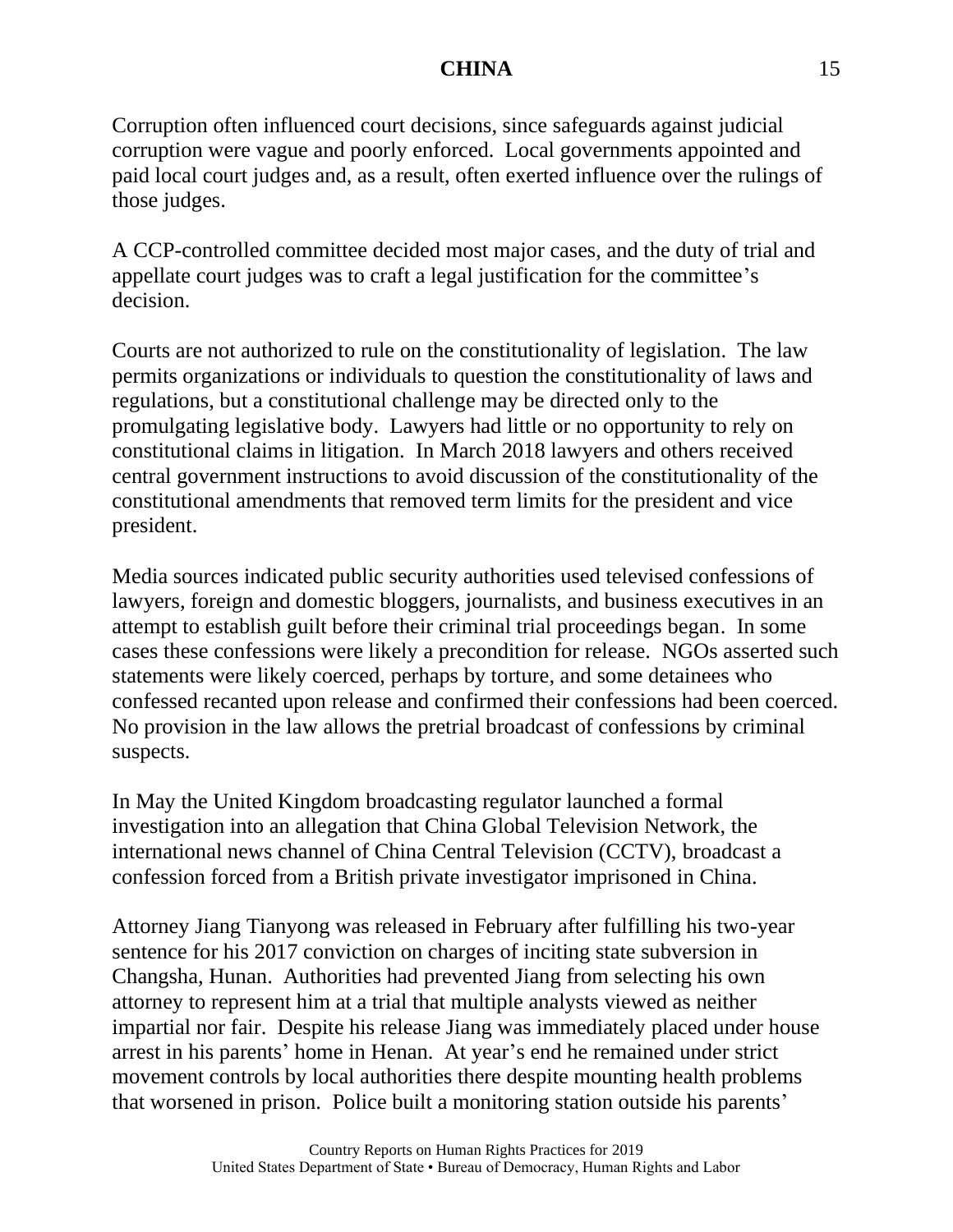Corruption often influenced court decisions, since safeguards against judicial corruption were vague and poorly enforced. Local governments appointed and paid local court judges and, as a result, often exerted influence over the rulings of those judges.

A CCP-controlled committee decided most major cases, and the duty of trial and appellate court judges was to craft a legal justification for the committee's decision.

Courts are not authorized to rule on the constitutionality of legislation. The law permits organizations or individuals to question the constitutionality of laws and regulations, but a constitutional challenge may be directed only to the promulgating legislative body. Lawyers had little or no opportunity to rely on constitutional claims in litigation. In March 2018 lawyers and others received central government instructions to avoid discussion of the constitutionality of the constitutional amendments that removed term limits for the president and vice president.

Media sources indicated public security authorities used televised confessions of lawyers, foreign and domestic bloggers, journalists, and business executives in an attempt to establish guilt before their criminal trial proceedings began. In some cases these confessions were likely a precondition for release. NGOs asserted such statements were likely coerced, perhaps by torture, and some detainees who confessed recanted upon release and confirmed their confessions had been coerced. No provision in the law allows the pretrial broadcast of confessions by criminal suspects.

In May the United Kingdom broadcasting regulator launched a formal investigation into an allegation that China Global Television Network, the international news channel of China Central Television (CCTV), broadcast a confession forced from a British private investigator imprisoned in China.

Attorney Jiang Tianyong was released in February after fulfilling his two-year sentence for his 2017 conviction on charges of inciting state subversion in Changsha, Hunan. Authorities had prevented Jiang from selecting his own attorney to represent him at a trial that multiple analysts viewed as neither impartial nor fair. Despite his release Jiang was immediately placed under house arrest in his parents' home in Henan. At year's end he remained under strict movement controls by local authorities there despite mounting health problems that worsened in prison. Police built a monitoring station outside his parents'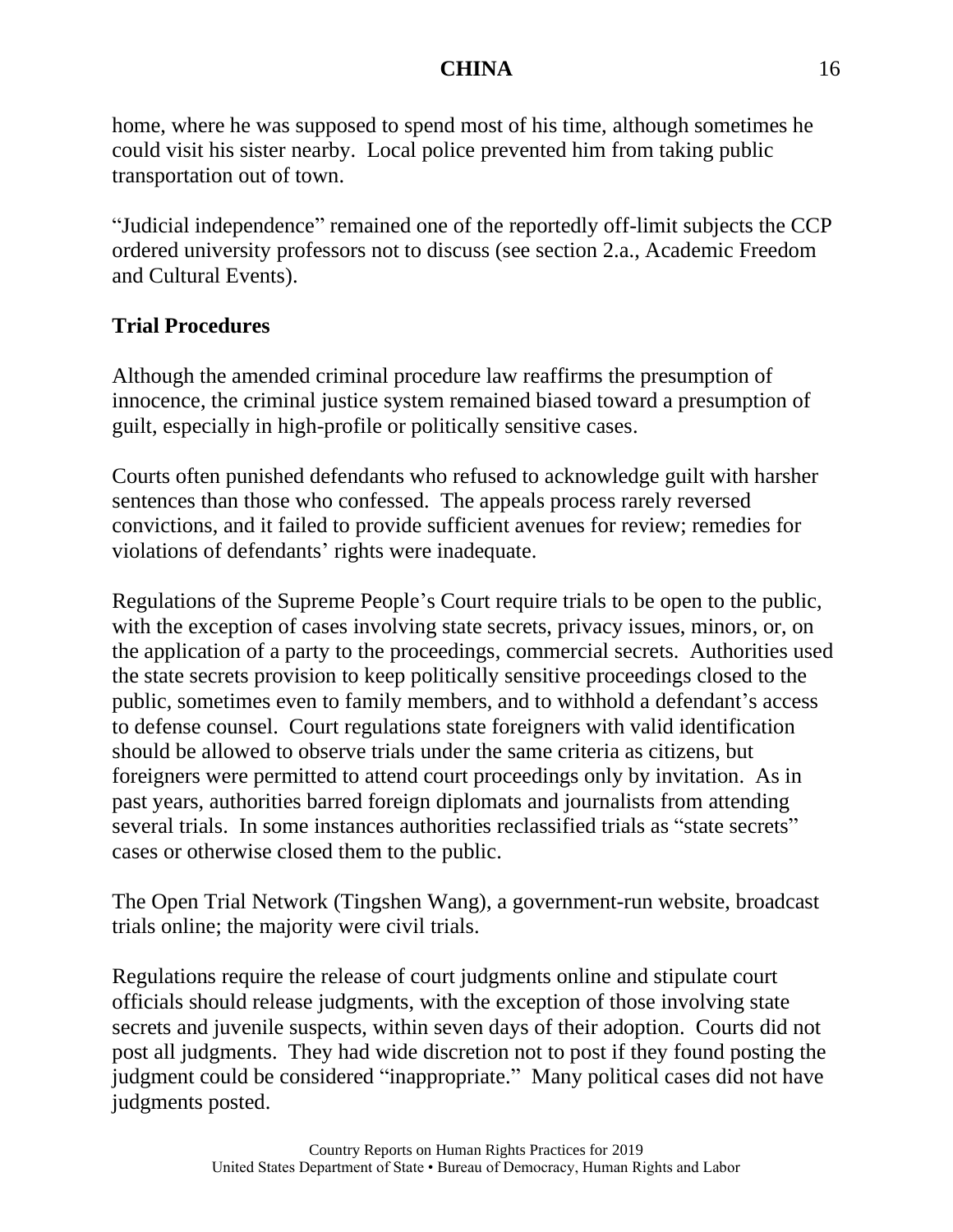home, where he was supposed to spend most of his time, although sometimes he could visit his sister nearby. Local police prevented him from taking public transportation out of town.

"Judicial independence" remained one of the reportedly off-limit subjects the CCP ordered university professors not to discuss (see section 2.a., Academic Freedom and Cultural Events).

# **Trial Procedures**

Although the amended criminal procedure law reaffirms the presumption of innocence, the criminal justice system remained biased toward a presumption of guilt, especially in high-profile or politically sensitive cases.

Courts often punished defendants who refused to acknowledge guilt with harsher sentences than those who confessed. The appeals process rarely reversed convictions, and it failed to provide sufficient avenues for review; remedies for violations of defendants' rights were inadequate.

Regulations of the Supreme People's Court require trials to be open to the public, with the exception of cases involving state secrets, privacy issues, minors, or, on the application of a party to the proceedings, commercial secrets. Authorities used the state secrets provision to keep politically sensitive proceedings closed to the public, sometimes even to family members, and to withhold a defendant's access to defense counsel. Court regulations state foreigners with valid identification should be allowed to observe trials under the same criteria as citizens, but foreigners were permitted to attend court proceedings only by invitation. As in past years, authorities barred foreign diplomats and journalists from attending several trials. In some instances authorities reclassified trials as "state secrets" cases or otherwise closed them to the public.

The Open Trial Network (Tingshen Wang), a government-run website, broadcast trials online; the majority were civil trials.

Regulations require the release of court judgments online and stipulate court officials should release judgments, with the exception of those involving state secrets and juvenile suspects, within seven days of their adoption. Courts did not post all judgments. They had wide discretion not to post if they found posting the judgment could be considered "inappropriate." Many political cases did not have judgments posted.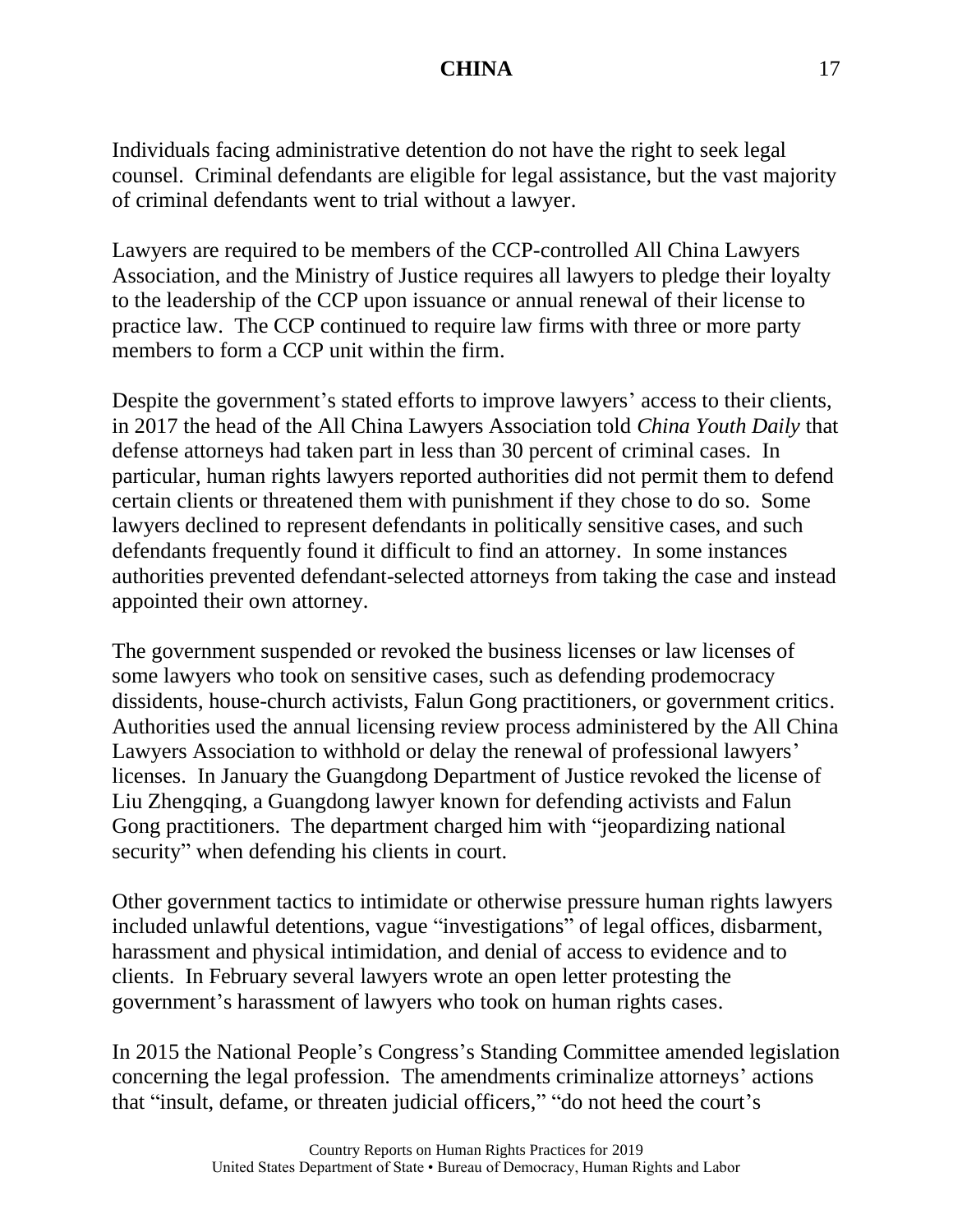Individuals facing administrative detention do not have the right to seek legal counsel. Criminal defendants are eligible for legal assistance, but the vast majority of criminal defendants went to trial without a lawyer.

Lawyers are required to be members of the CCP-controlled All China Lawyers Association, and the Ministry of Justice requires all lawyers to pledge their loyalty to the leadership of the CCP upon issuance or annual renewal of their license to practice law. The CCP continued to require law firms with three or more party members to form a CCP unit within the firm.

Despite the government's stated efforts to improve lawyers' access to their clients, in 2017 the head of the All China Lawyers Association told *China Youth Daily* that defense attorneys had taken part in less than 30 percent of criminal cases. In particular, human rights lawyers reported authorities did not permit them to defend certain clients or threatened them with punishment if they chose to do so. Some lawyers declined to represent defendants in politically sensitive cases, and such defendants frequently found it difficult to find an attorney. In some instances authorities prevented defendant-selected attorneys from taking the case and instead appointed their own attorney.

The government suspended or revoked the business licenses or law licenses of some lawyers who took on sensitive cases, such as defending prodemocracy dissidents, house-church activists, Falun Gong practitioners, or government critics. Authorities used the annual licensing review process administered by the All China Lawyers Association to withhold or delay the renewal of professional lawyers' licenses. In January the Guangdong Department of Justice revoked the license of Liu Zhengqing, a Guangdong lawyer known for defending activists and Falun Gong practitioners. The department charged him with "jeopardizing national security" when defending his clients in court.

Other government tactics to intimidate or otherwise pressure human rights lawyers included unlawful detentions, vague "investigations" of legal offices, disbarment, harassment and physical intimidation, and denial of access to evidence and to clients. In February several lawyers wrote an open letter protesting the government's harassment of lawyers who took on human rights cases.

In 2015 the National People's Congress's Standing Committee amended legislation concerning the legal profession. The amendments criminalize attorneys' actions that "insult, defame, or threaten judicial officers," "do not heed the court's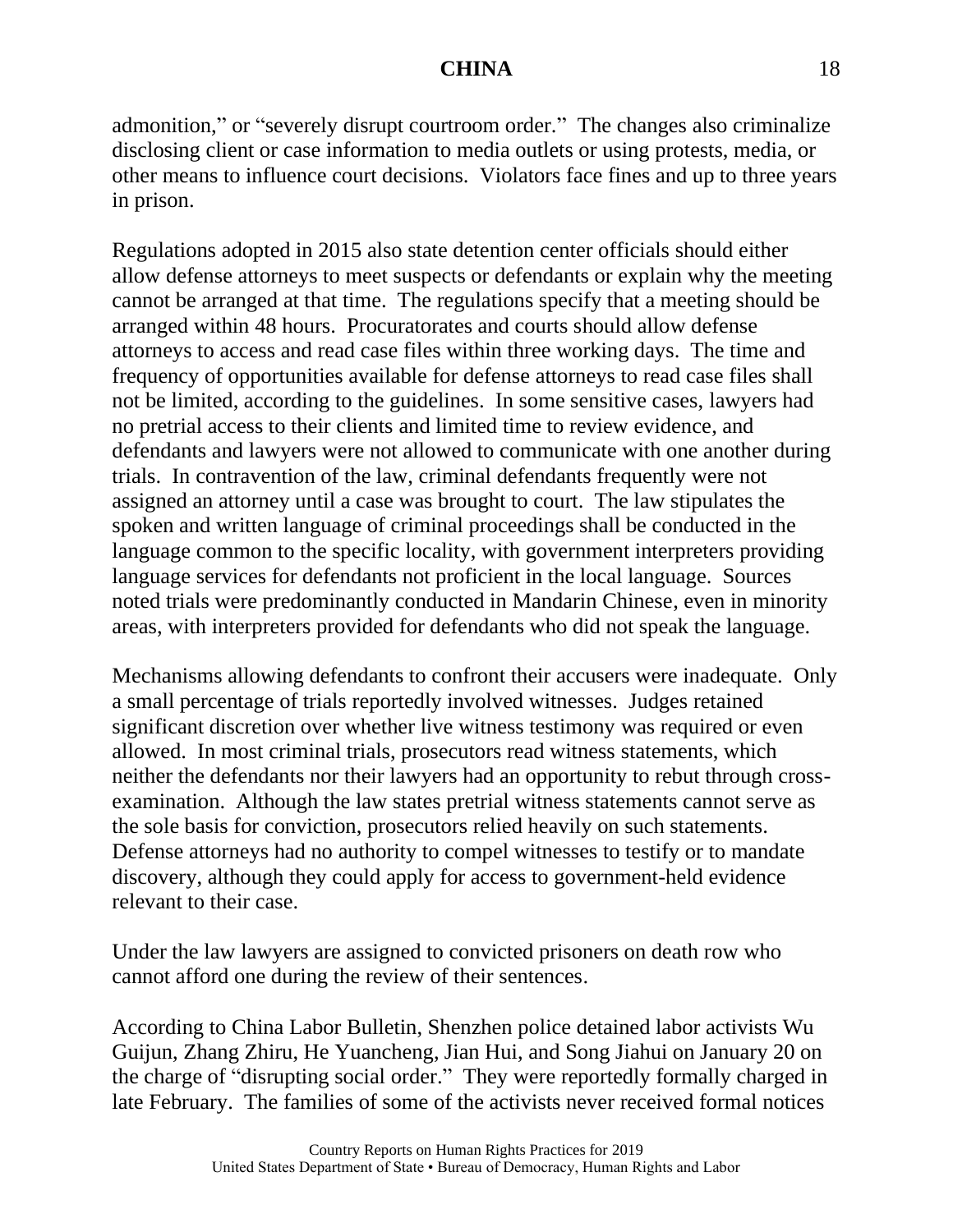admonition," or "severely disrupt courtroom order." The changes also criminalize disclosing client or case information to media outlets or using protests, media, or other means to influence court decisions. Violators face fines and up to three years in prison.

Regulations adopted in 2015 also state detention center officials should either allow defense attorneys to meet suspects or defendants or explain why the meeting cannot be arranged at that time. The regulations specify that a meeting should be arranged within 48 hours. Procuratorates and courts should allow defense attorneys to access and read case files within three working days. The time and frequency of opportunities available for defense attorneys to read case files shall not be limited, according to the guidelines. In some sensitive cases, lawyers had no pretrial access to their clients and limited time to review evidence, and defendants and lawyers were not allowed to communicate with one another during trials. In contravention of the law, criminal defendants frequently were not assigned an attorney until a case was brought to court. The law stipulates the spoken and written language of criminal proceedings shall be conducted in the language common to the specific locality, with government interpreters providing language services for defendants not proficient in the local language. Sources noted trials were predominantly conducted in Mandarin Chinese, even in minority areas, with interpreters provided for defendants who did not speak the language.

Mechanisms allowing defendants to confront their accusers were inadequate. Only a small percentage of trials reportedly involved witnesses. Judges retained significant discretion over whether live witness testimony was required or even allowed. In most criminal trials, prosecutors read witness statements, which neither the defendants nor their lawyers had an opportunity to rebut through crossexamination. Although the law states pretrial witness statements cannot serve as the sole basis for conviction, prosecutors relied heavily on such statements. Defense attorneys had no authority to compel witnesses to testify or to mandate discovery, although they could apply for access to government-held evidence relevant to their case.

Under the law lawyers are assigned to convicted prisoners on death row who cannot afford one during the review of their sentences.

According to China Labor Bulletin, Shenzhen police detained labor activists Wu Guijun, Zhang Zhiru, He Yuancheng, Jian Hui, and Song Jiahui on January 20 on the charge of "disrupting social order." They were reportedly formally charged in late February. The families of some of the activists never received formal notices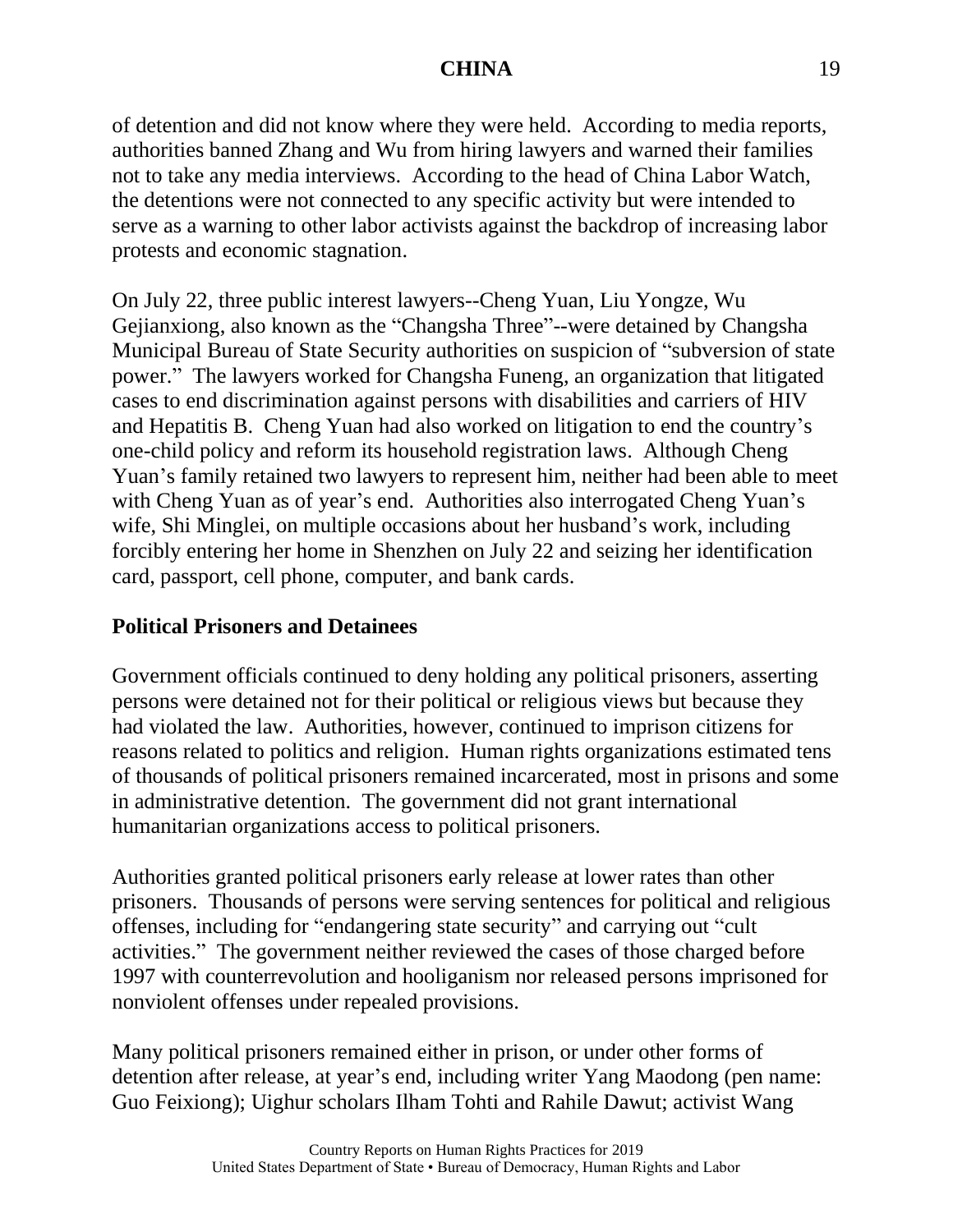of detention and did not know where they were held. According to media reports, authorities banned Zhang and Wu from hiring lawyers and warned their families not to take any media interviews. According to the head of China Labor Watch, the detentions were not connected to any specific activity but were intended to serve as a warning to other labor activists against the backdrop of increasing labor protests and economic stagnation.

On July 22, three public interest lawyers--Cheng Yuan, Liu Yongze, Wu Gejianxiong, also known as the "Changsha Three"--were detained by Changsha Municipal Bureau of State Security authorities on suspicion of "subversion of state power." The lawyers worked for Changsha Funeng, an organization that litigated cases to end discrimination against persons with disabilities and carriers of HIV and Hepatitis B. Cheng Yuan had also worked on litigation to end the country's one-child policy and reform its household registration laws. Although Cheng Yuan's family retained two lawyers to represent him, neither had been able to meet with Cheng Yuan as of year's end. Authorities also interrogated Cheng Yuan's wife, Shi Minglei, on multiple occasions about her husband's work, including forcibly entering her home in Shenzhen on July 22 and seizing her identification card, passport, cell phone, computer, and bank cards.

# **Political Prisoners and Detainees**

Government officials continued to deny holding any political prisoners, asserting persons were detained not for their political or religious views but because they had violated the law. Authorities, however, continued to imprison citizens for reasons related to politics and religion. Human rights organizations estimated tens of thousands of political prisoners remained incarcerated, most in prisons and some in administrative detention. The government did not grant international humanitarian organizations access to political prisoners.

Authorities granted political prisoners early release at lower rates than other prisoners. Thousands of persons were serving sentences for political and religious offenses, including for "endangering state security" and carrying out "cult activities." The government neither reviewed the cases of those charged before 1997 with counterrevolution and hooliganism nor released persons imprisoned for nonviolent offenses under repealed provisions.

Many political prisoners remained either in prison, or under other forms of detention after release, at year's end, including writer Yang Maodong (pen name: Guo Feixiong); Uighur scholars Ilham Tohti and Rahile Dawut; activist Wang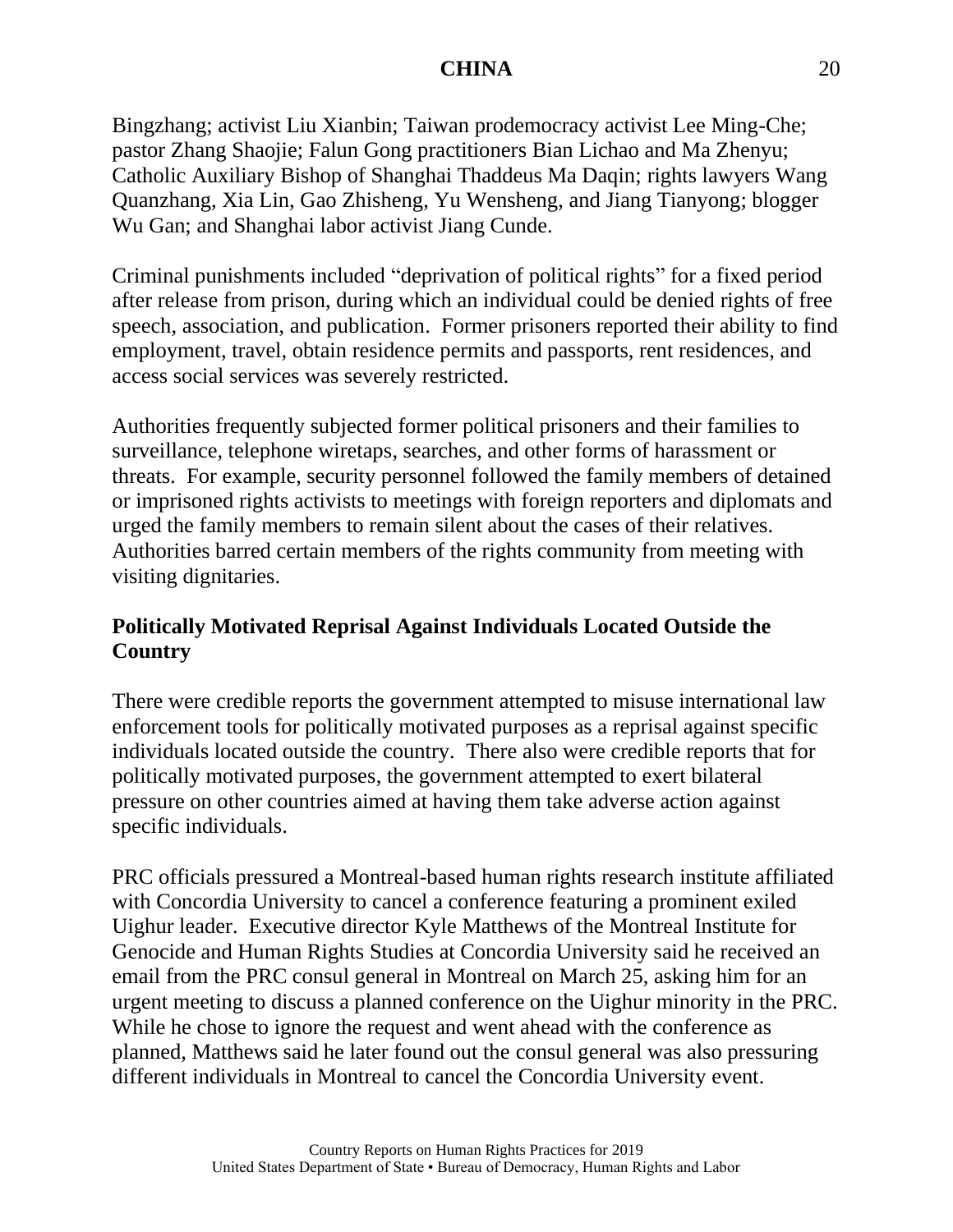Bingzhang; activist Liu Xianbin; Taiwan prodemocracy activist Lee Ming-Che; pastor Zhang Shaojie; Falun Gong practitioners Bian Lichao and Ma Zhenyu; Catholic Auxiliary Bishop of Shanghai Thaddeus Ma Daqin; rights lawyers Wang Quanzhang, Xia Lin, Gao Zhisheng, Yu Wensheng, and Jiang Tianyong; blogger Wu Gan; and Shanghai labor activist Jiang Cunde.

Criminal punishments included "deprivation of political rights" for a fixed period after release from prison, during which an individual could be denied rights of free speech, association, and publication. Former prisoners reported their ability to find employment, travel, obtain residence permits and passports, rent residences, and access social services was severely restricted.

Authorities frequently subjected former political prisoners and their families to surveillance, telephone wiretaps, searches, and other forms of harassment or threats. For example, security personnel followed the family members of detained or imprisoned rights activists to meetings with foreign reporters and diplomats and urged the family members to remain silent about the cases of their relatives. Authorities barred certain members of the rights community from meeting with visiting dignitaries.

# **Politically Motivated Reprisal Against Individuals Located Outside the Country**

There were credible reports the government attempted to misuse international law enforcement tools for politically motivated purposes as a reprisal against specific individuals located outside the country. There also were credible reports that for politically motivated purposes, the government attempted to exert bilateral pressure on other countries aimed at having them take adverse action against specific individuals.

PRC officials pressured a Montreal-based human rights research institute affiliated with Concordia University to cancel a conference featuring a prominent exiled Uighur leader. Executive director Kyle Matthews of the Montreal Institute for Genocide and Human Rights Studies at Concordia University said he received an email from the PRC consul general in Montreal on March 25, asking him for an urgent meeting to discuss a planned conference on the Uighur minority in the PRC. While he chose to ignore the request and went ahead with the conference as planned, Matthews said he later found out the consul general was also pressuring different individuals in Montreal to cancel the Concordia University event.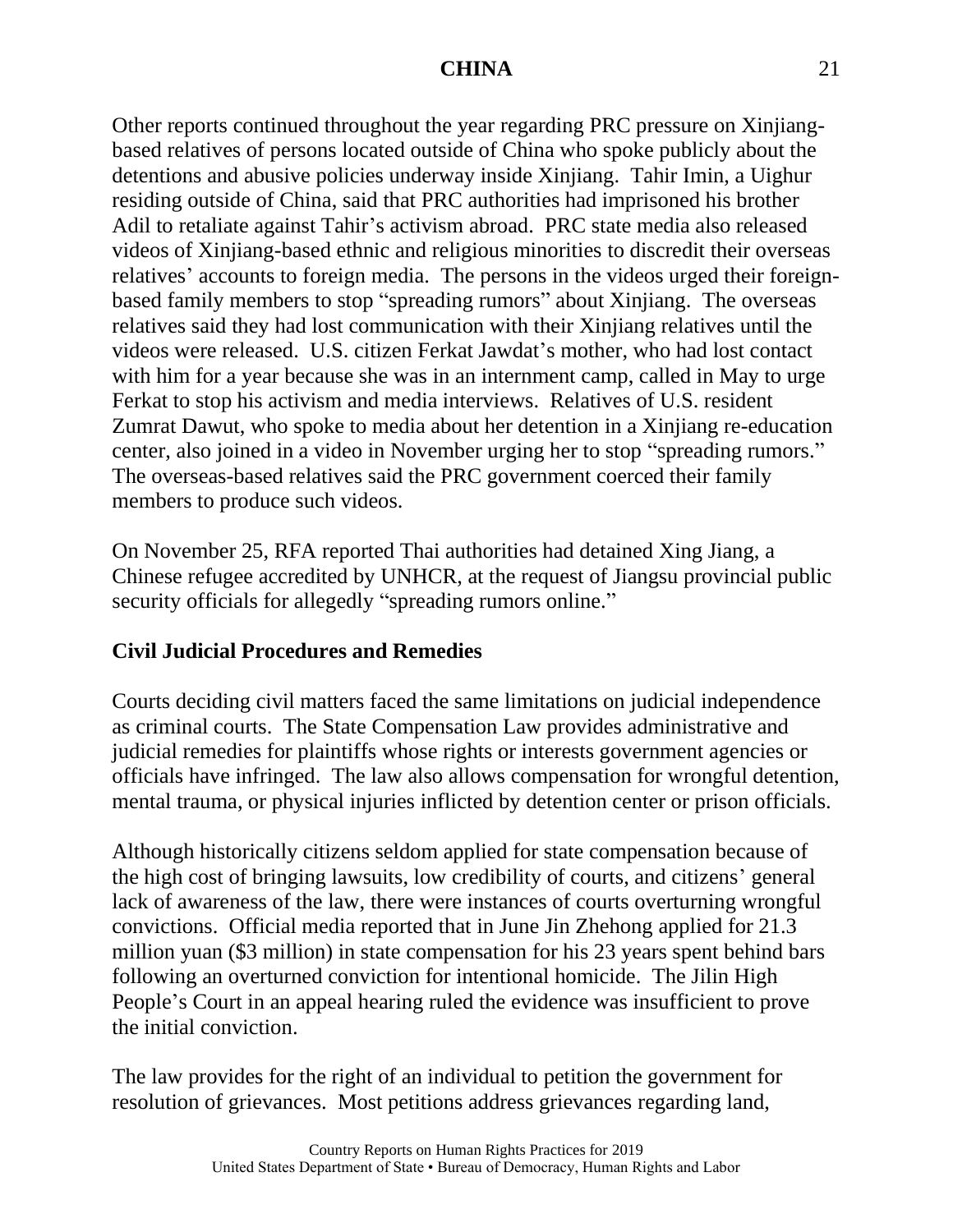Other reports continued throughout the year regarding PRC pressure on Xinjiangbased relatives of persons located outside of China who spoke publicly about the detentions and abusive policies underway inside Xinjiang. Tahir Imin, a Uighur residing outside of China, said that PRC authorities had imprisoned his brother Adil to retaliate against Tahir's activism abroad. PRC state media also released videos of Xinjiang-based ethnic and religious minorities to discredit their overseas relatives' accounts to foreign media. The persons in the videos urged their foreignbased family members to stop "spreading rumors" about Xinjiang. The overseas relatives said they had lost communication with their Xinjiang relatives until the videos were released. U.S. citizen Ferkat Jawdat's mother, who had lost contact with him for a year because she was in an internment camp, called in May to urge Ferkat to stop his activism and media interviews. Relatives of U.S. resident Zumrat Dawut, who spoke to media about her detention in a Xinjiang re-education center, also joined in a video in November urging her to stop "spreading rumors." The overseas-based relatives said the PRC government coerced their family members to produce such videos.

On November 25, RFA reported Thai authorities had detained Xing Jiang, a Chinese refugee accredited by UNHCR, at the request of Jiangsu provincial public security officials for allegedly "spreading rumors online."

# **Civil Judicial Procedures and Remedies**

Courts deciding civil matters faced the same limitations on judicial independence as criminal courts. The State Compensation Law provides administrative and judicial remedies for plaintiffs whose rights or interests government agencies or officials have infringed. The law also allows compensation for wrongful detention, mental trauma, or physical injuries inflicted by detention center or prison officials.

Although historically citizens seldom applied for state compensation because of the high cost of bringing lawsuits, low credibility of courts, and citizens' general lack of awareness of the law, there were instances of courts overturning wrongful convictions. Official media reported that in June Jin Zhehong applied for 21.3 million yuan (\$3 million) in state compensation for his 23 years spent behind bars following an overturned conviction for intentional homicide. The Jilin High People's Court in an appeal hearing ruled the evidence was insufficient to prove the initial conviction.

The law provides for the right of an individual to petition the government for resolution of grievances. Most petitions address grievances regarding land,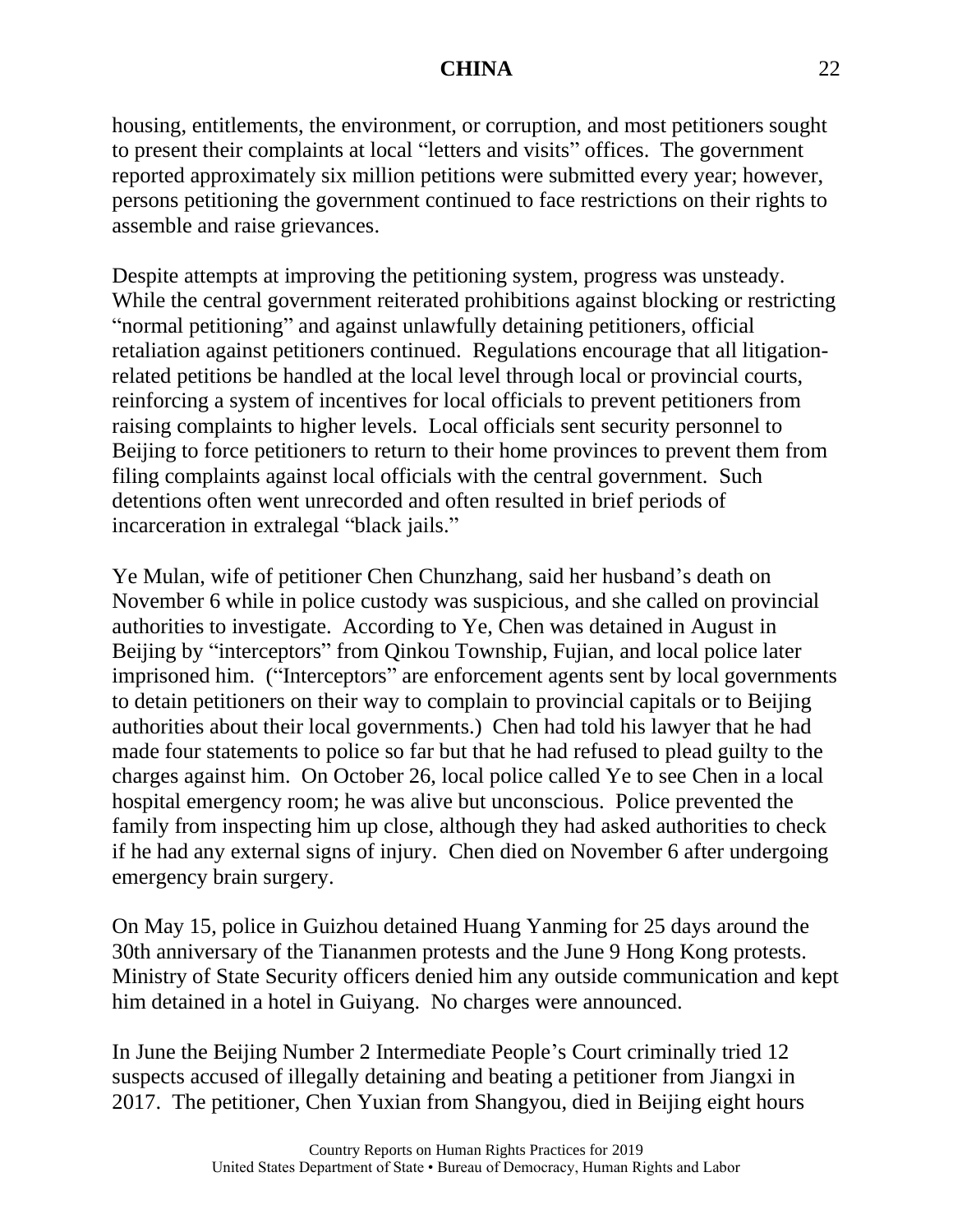housing, entitlements, the environment, or corruption, and most petitioners sought to present their complaints at local "letters and visits" offices. The government reported approximately six million petitions were submitted every year; however, persons petitioning the government continued to face restrictions on their rights to assemble and raise grievances.

Despite attempts at improving the petitioning system, progress was unsteady. While the central government reiterated prohibitions against blocking or restricting "normal petitioning" and against unlawfully detaining petitioners, official retaliation against petitioners continued. Regulations encourage that all litigationrelated petitions be handled at the local level through local or provincial courts, reinforcing a system of incentives for local officials to prevent petitioners from raising complaints to higher levels. Local officials sent security personnel to Beijing to force petitioners to return to their home provinces to prevent them from filing complaints against local officials with the central government. Such detentions often went unrecorded and often resulted in brief periods of incarceration in extralegal "black jails."

Ye Mulan, wife of petitioner Chen Chunzhang, said her husband's death on November 6 while in police custody was suspicious, and she called on provincial authorities to investigate. According to Ye, Chen was detained in August in Beijing by "interceptors" from Qinkou Township, Fujian, and local police later imprisoned him. ("Interceptors" are enforcement agents sent by local governments to detain petitioners on their way to complain to provincial capitals or to Beijing authorities about their local governments.) Chen had told his lawyer that he had made four statements to police so far but that he had refused to plead guilty to the charges against him. On October 26, local police called Ye to see Chen in a local hospital emergency room; he was alive but unconscious. Police prevented the family from inspecting him up close, although they had asked authorities to check if he had any external signs of injury. Chen died on November 6 after undergoing emergency brain surgery.

On May 15, police in Guizhou detained Huang Yanming for 25 days around the 30th anniversary of the Tiananmen protests and the June 9 Hong Kong protests. Ministry of State Security officers denied him any outside communication and kept him detained in a hotel in Guiyang. No charges were announced.

In June the Beijing Number 2 Intermediate People's Court criminally tried 12 suspects accused of illegally detaining and beating a petitioner from Jiangxi in 2017. The petitioner, Chen Yuxian from Shangyou, died in Beijing eight hours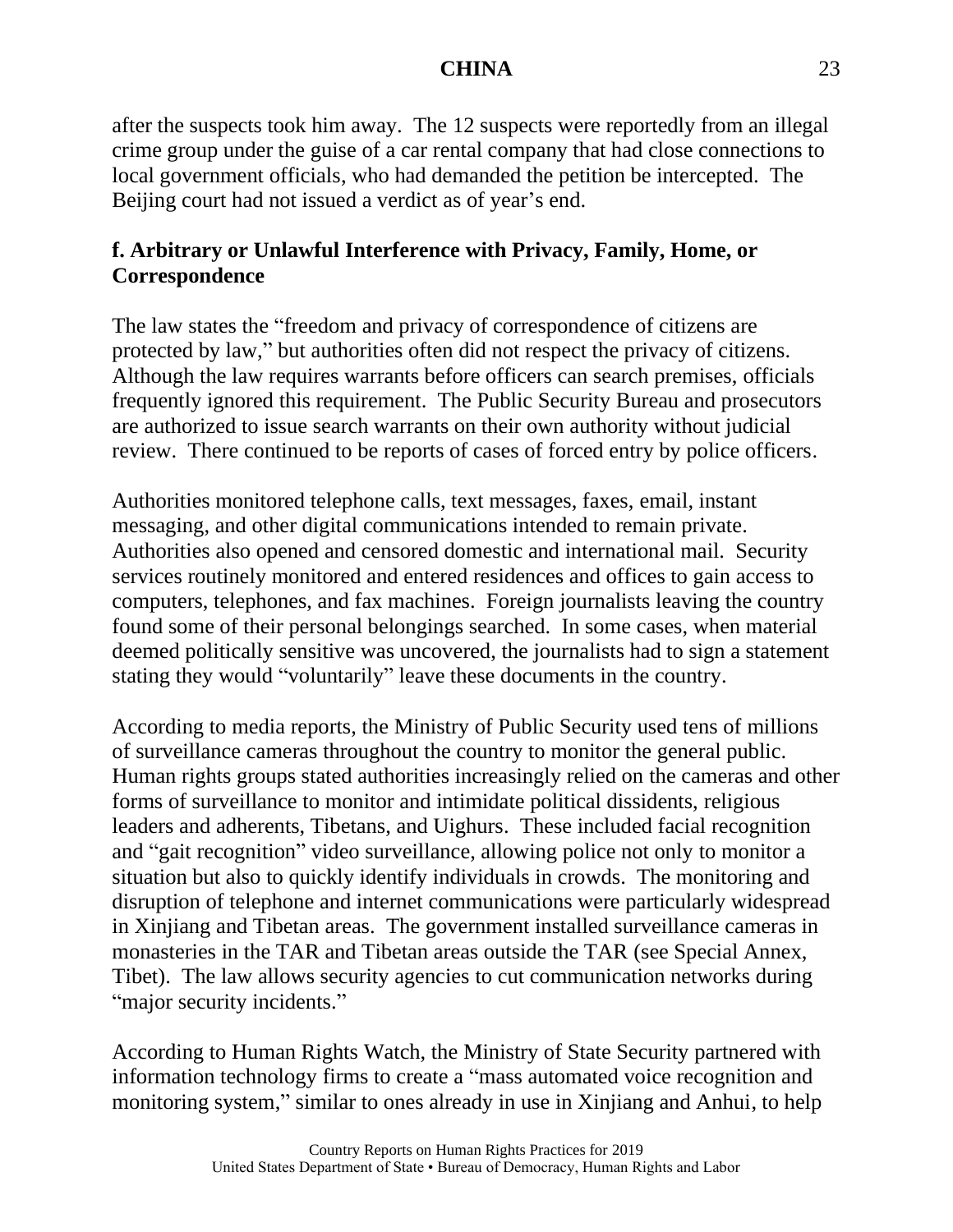after the suspects took him away. The 12 suspects were reportedly from an illegal crime group under the guise of a car rental company that had close connections to local government officials, who had demanded the petition be intercepted. The Beijing court had not issued a verdict as of year's end.

# **f. Arbitrary or Unlawful Interference with Privacy, Family, Home, or Correspondence**

The law states the "freedom and privacy of correspondence of citizens are protected by law," but authorities often did not respect the privacy of citizens. Although the law requires warrants before officers can search premises, officials frequently ignored this requirement. The Public Security Bureau and prosecutors are authorized to issue search warrants on their own authority without judicial review. There continued to be reports of cases of forced entry by police officers.

Authorities monitored telephone calls, text messages, faxes, email, instant messaging, and other digital communications intended to remain private. Authorities also opened and censored domestic and international mail. Security services routinely monitored and entered residences and offices to gain access to computers, telephones, and fax machines. Foreign journalists leaving the country found some of their personal belongings searched. In some cases, when material deemed politically sensitive was uncovered, the journalists had to sign a statement stating they would "voluntarily" leave these documents in the country.

According to media reports, the Ministry of Public Security used tens of millions of surveillance cameras throughout the country to monitor the general public. Human rights groups stated authorities increasingly relied on the cameras and other forms of surveillance to monitor and intimidate political dissidents, religious leaders and adherents, Tibetans, and Uighurs. These included facial recognition and "gait recognition" video surveillance, allowing police not only to monitor a situation but also to quickly identify individuals in crowds. The monitoring and disruption of telephone and internet communications were particularly widespread in Xinjiang and Tibetan areas. The government installed surveillance cameras in monasteries in the TAR and Tibetan areas outside the TAR (see Special Annex, Tibet). The law allows security agencies to cut communication networks during "major security incidents."

According to Human Rights Watch, the Ministry of State Security partnered with information technology firms to create a "mass automated voice recognition and monitoring system," similar to ones already in use in Xinjiang and Anhui, to help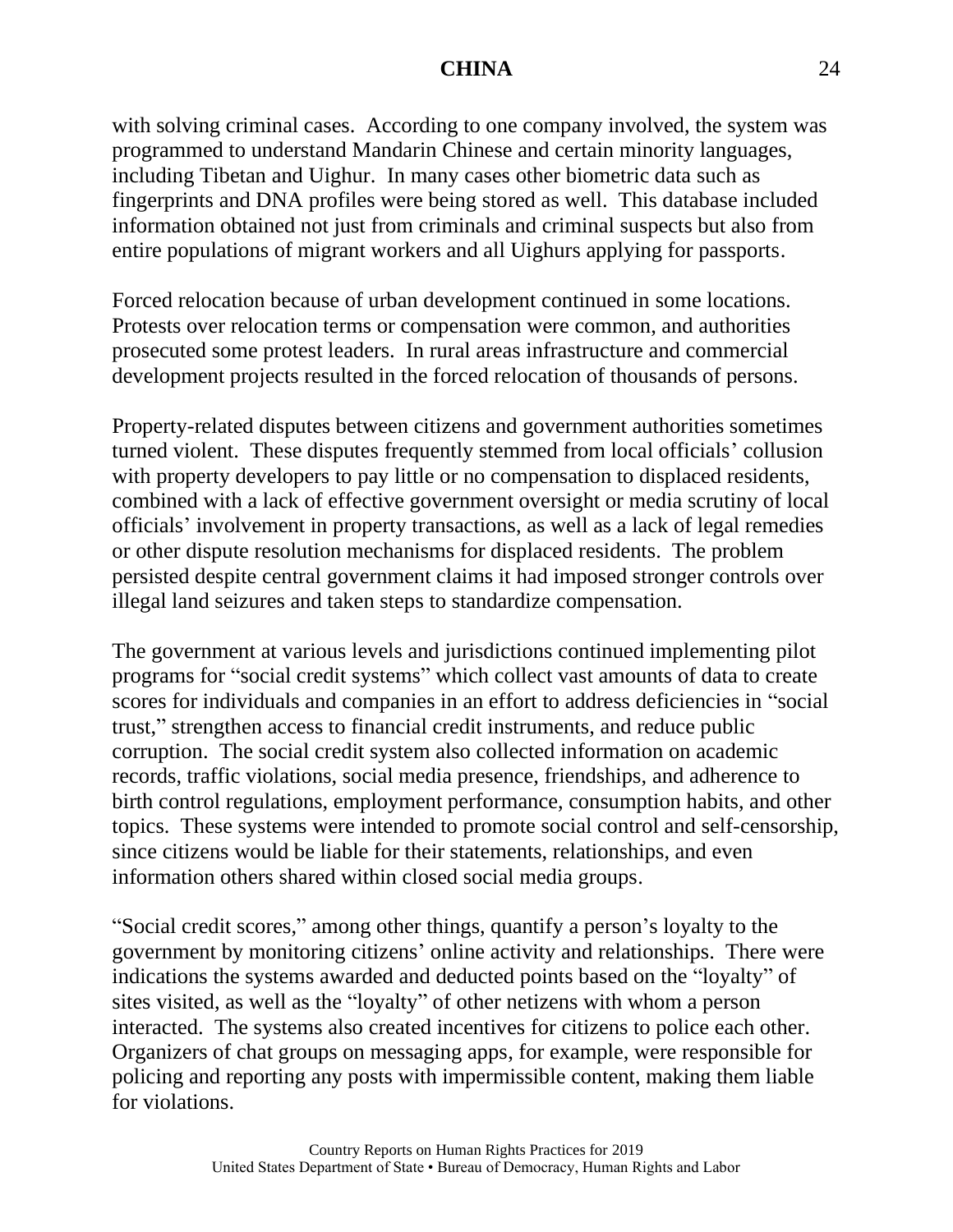with solving criminal cases. According to one company involved, the system was programmed to understand Mandarin Chinese and certain minority languages, including Tibetan and Uighur. In many cases other biometric data such as fingerprints and DNA profiles were being stored as well. This database included information obtained not just from criminals and criminal suspects but also from entire populations of migrant workers and all Uighurs applying for passports.

Forced relocation because of urban development continued in some locations. Protests over relocation terms or compensation were common, and authorities prosecuted some protest leaders. In rural areas infrastructure and commercial development projects resulted in the forced relocation of thousands of persons.

Property-related disputes between citizens and government authorities sometimes turned violent. These disputes frequently stemmed from local officials' collusion with property developers to pay little or no compensation to displaced residents, combined with a lack of effective government oversight or media scrutiny of local officials' involvement in property transactions, as well as a lack of legal remedies or other dispute resolution mechanisms for displaced residents. The problem persisted despite central government claims it had imposed stronger controls over illegal land seizures and taken steps to standardize compensation.

The government at various levels and jurisdictions continued implementing pilot programs for "social credit systems" which collect vast amounts of data to create scores for individuals and companies in an effort to address deficiencies in "social trust," strengthen access to financial credit instruments, and reduce public corruption. The social credit system also collected information on academic records, traffic violations, social media presence, friendships, and adherence to birth control regulations, employment performance, consumption habits, and other topics. These systems were intended to promote social control and self-censorship, since citizens would be liable for their statements, relationships, and even information others shared within closed social media groups.

"Social credit scores," among other things, quantify a person's loyalty to the government by monitoring citizens' online activity and relationships. There were indications the systems awarded and deducted points based on the "loyalty" of sites visited, as well as the "loyalty" of other netizens with whom a person interacted. The systems also created incentives for citizens to police each other. Organizers of chat groups on messaging apps, for example, were responsible for policing and reporting any posts with impermissible content, making them liable for violations.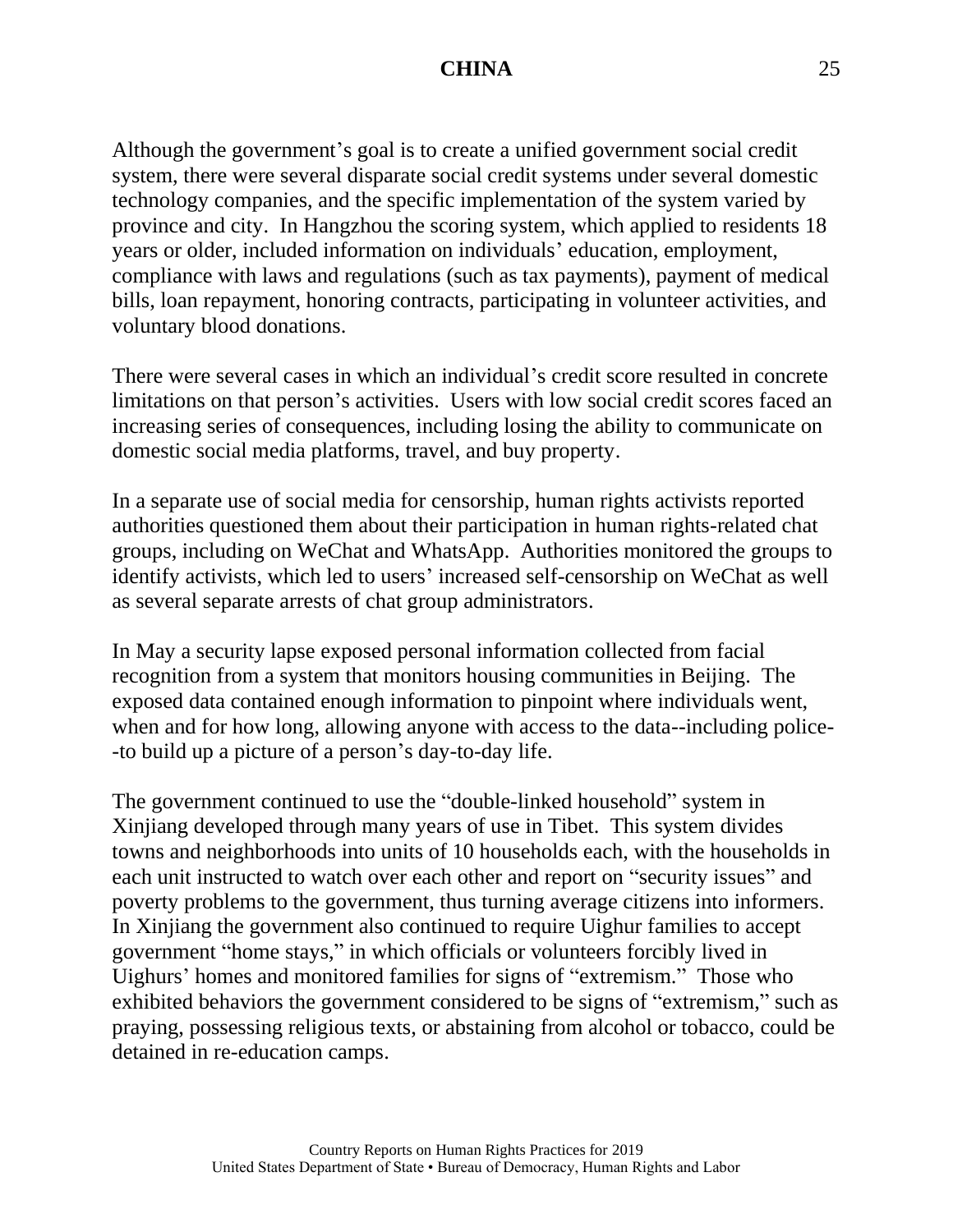Although the government's goal is to create a unified government social credit system, there were several disparate social credit systems under several domestic technology companies, and the specific implementation of the system varied by province and city. In Hangzhou the scoring system, which applied to residents 18 years or older, included information on individuals' education, employment, compliance with laws and regulations (such as tax payments), payment of medical bills, loan repayment, honoring contracts, participating in volunteer activities, and voluntary blood donations.

There were several cases in which an individual's credit score resulted in concrete limitations on that person's activities. Users with low social credit scores faced an increasing series of consequences, including losing the ability to communicate on domestic social media platforms, travel, and buy property.

In a separate use of social media for censorship, human rights activists reported authorities questioned them about their participation in human rights-related chat groups, including on WeChat and WhatsApp. Authorities monitored the groups to identify activists, which led to users' increased self-censorship on WeChat as well as several separate arrests of chat group administrators.

In May a security lapse exposed personal information collected from facial recognition from a system that monitors housing communities in Beijing. The exposed data contained enough information to pinpoint where individuals went, when and for how long, allowing anyone with access to the data--including police--to build up a picture of a person's day-to-day life.

The government continued to use the "double-linked household" system in Xinjiang developed through many years of use in Tibet. This system divides towns and neighborhoods into units of 10 households each, with the households in each unit instructed to watch over each other and report on "security issues" and poverty problems to the government, thus turning average citizens into informers. In Xinjiang the government also continued to require Uighur families to accept government "home stays," in which officials or volunteers forcibly lived in Uighurs' homes and monitored families for signs of "extremism." Those who exhibited behaviors the government considered to be signs of "extremism," such as praying, possessing religious texts, or abstaining from alcohol or tobacco, could be detained in re-education camps.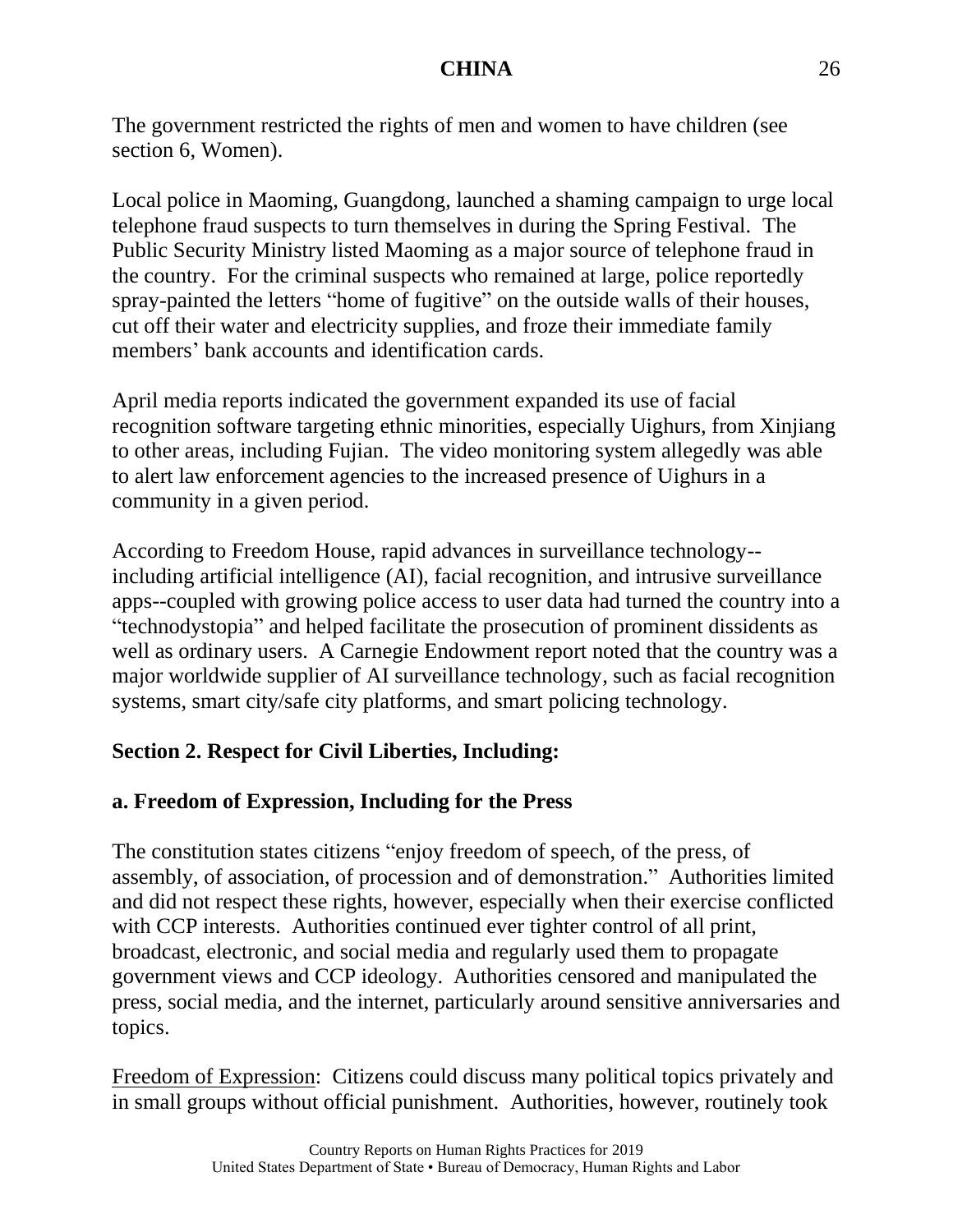The government restricted the rights of men and women to have children (see section 6, Women).

Local police in Maoming, Guangdong, launched a shaming campaign to urge local telephone fraud suspects to turn themselves in during the Spring Festival. The Public Security Ministry listed Maoming as a major source of telephone fraud in the country. For the criminal suspects who remained at large, police reportedly spray-painted the letters "home of fugitive" on the outside walls of their houses, cut off their water and electricity supplies, and froze their immediate family members' bank accounts and identification cards.

April media reports indicated the government expanded its use of facial recognition software targeting ethnic minorities, especially Uighurs, from Xinjiang to other areas, including Fujian. The video monitoring system allegedly was able to alert law enforcement agencies to the increased presence of Uighurs in a community in a given period.

According to Freedom House, rapid advances in surveillance technology- including artificial intelligence (AI), facial recognition, and intrusive surveillance apps--coupled with growing police access to user data had turned the country into a "technodystopia" and helped facilitate the prosecution of prominent dissidents as well as ordinary users. A Carnegie Endowment report noted that the country was a major worldwide supplier of AI surveillance technology, such as facial recognition systems, smart city/safe city platforms, and smart policing technology.

# **Section 2. Respect for Civil Liberties, Including:**

# **a. Freedom of Expression, Including for the Press**

The constitution states citizens "enjoy freedom of speech, of the press, of assembly, of association, of procession and of demonstration." Authorities limited and did not respect these rights, however, especially when their exercise conflicted with CCP interests. Authorities continued ever tighter control of all print, broadcast, electronic, and social media and regularly used them to propagate government views and CCP ideology. Authorities censored and manipulated the press, social media, and the internet, particularly around sensitive anniversaries and topics.

Freedom of Expression: Citizens could discuss many political topics privately and in small groups without official punishment. Authorities, however, routinely took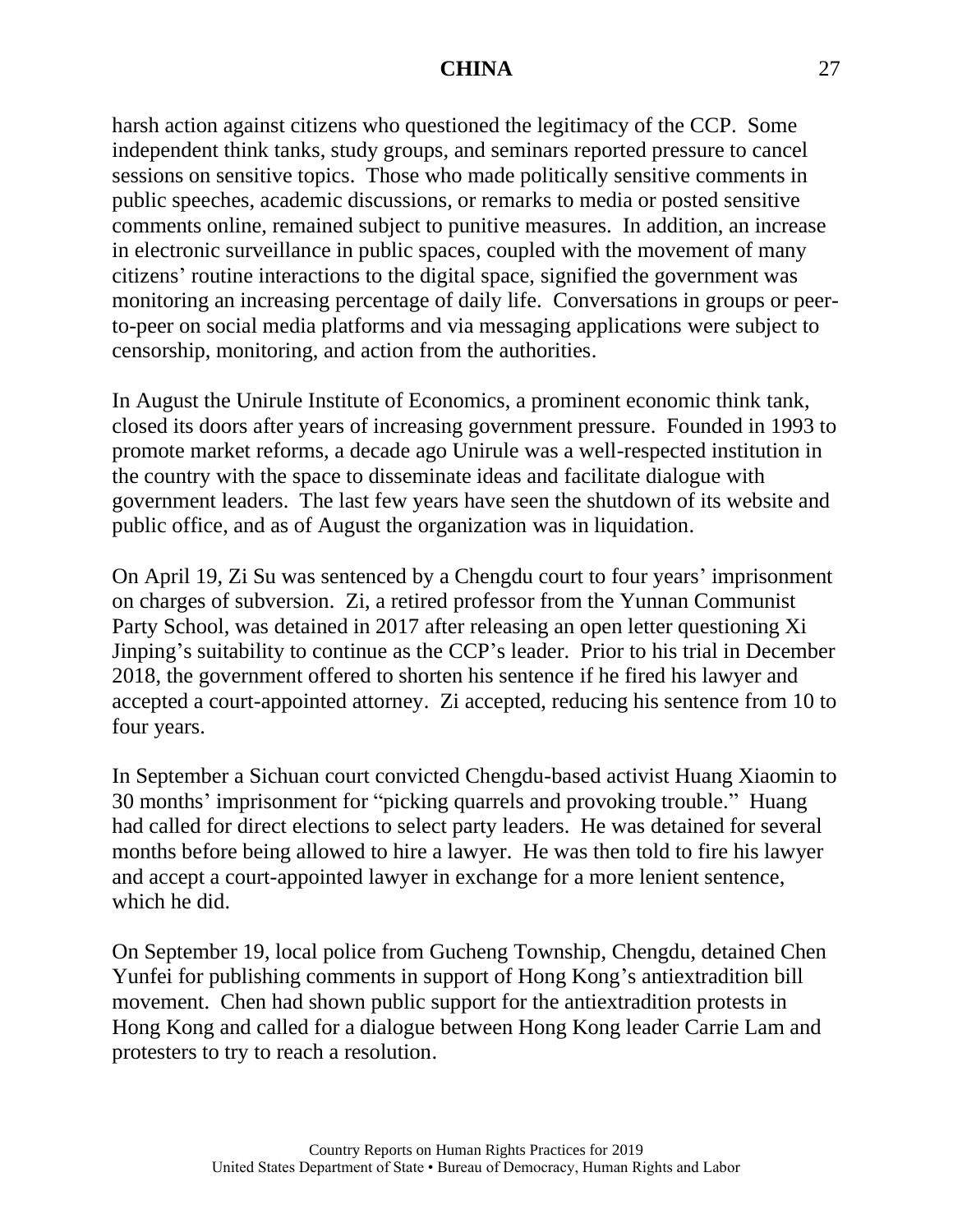harsh action against citizens who questioned the legitimacy of the CCP. Some independent think tanks, study groups, and seminars reported pressure to cancel sessions on sensitive topics. Those who made politically sensitive comments in public speeches, academic discussions, or remarks to media or posted sensitive comments online, remained subject to punitive measures. In addition, an increase in electronic surveillance in public spaces, coupled with the movement of many citizens' routine interactions to the digital space, signified the government was monitoring an increasing percentage of daily life. Conversations in groups or peerto-peer on social media platforms and via messaging applications were subject to censorship, monitoring, and action from the authorities.

In August the Unirule Institute of Economics, a prominent economic think tank, closed its doors after years of increasing government pressure. Founded in 1993 to promote market reforms, a decade ago Unirule was a well-respected institution in the country with the space to disseminate ideas and facilitate dialogue with government leaders. The last few years have seen the shutdown of its website and public office, and as of August the organization was in liquidation.

On April 19, Zi Su was sentenced by a Chengdu court to four years' imprisonment on charges of subversion. Zi, a retired professor from the Yunnan Communist Party School, was detained in 2017 after releasing an open letter questioning Xi Jinping's suitability to continue as the CCP's leader. Prior to his trial in December 2018, the government offered to shorten his sentence if he fired his lawyer and accepted a court-appointed attorney. Zi accepted, reducing his sentence from 10 to four years.

In September a Sichuan court convicted Chengdu-based activist Huang Xiaomin to 30 months' imprisonment for "picking quarrels and provoking trouble." Huang had called for direct elections to select party leaders. He was detained for several months before being allowed to hire a lawyer. He was then told to fire his lawyer and accept a court-appointed lawyer in exchange for a more lenient sentence, which he did.

On September 19, local police from Gucheng Township, Chengdu, detained Chen Yunfei for publishing comments in support of Hong Kong's antiextradition bill movement. Chen had shown public support for the antiextradition protests in Hong Kong and called for a dialogue between Hong Kong leader Carrie Lam and protesters to try to reach a resolution.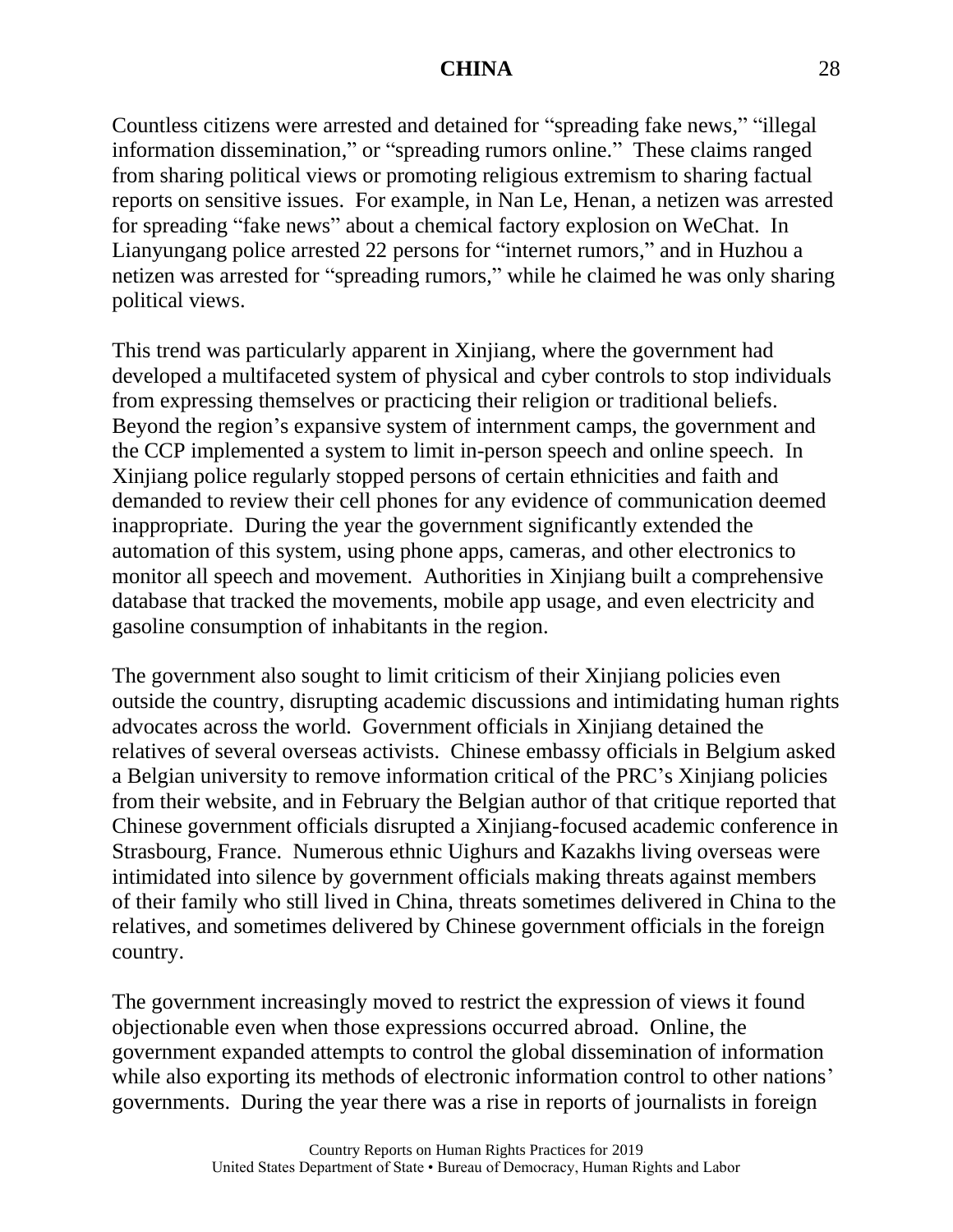Countless citizens were arrested and detained for "spreading fake news," "illegal information dissemination," or "spreading rumors online." These claims ranged from sharing political views or promoting religious extremism to sharing factual reports on sensitive issues. For example, in Nan Le, Henan, a netizen was arrested for spreading "fake news" about a chemical factory explosion on WeChat. In Lianyungang police arrested 22 persons for "internet rumors," and in Huzhou a netizen was arrested for "spreading rumors," while he claimed he was only sharing political views.

This trend was particularly apparent in Xinjiang, where the government had developed a multifaceted system of physical and cyber controls to stop individuals from expressing themselves or practicing their religion or traditional beliefs. Beyond the region's expansive system of internment camps, the government and the CCP implemented a system to limit in-person speech and online speech. In Xinjiang police regularly stopped persons of certain ethnicities and faith and demanded to review their cell phones for any evidence of communication deemed inappropriate. During the year the government significantly extended the automation of this system, using phone apps, cameras, and other electronics to monitor all speech and movement. Authorities in Xinjiang built a comprehensive database that tracked the movements, mobile app usage, and even electricity and gasoline consumption of inhabitants in the region.

The government also sought to limit criticism of their Xinjiang policies even outside the country, disrupting academic discussions and intimidating human rights advocates across the world. Government officials in Xinjiang detained the relatives of several overseas activists. Chinese embassy officials in Belgium asked a Belgian university to remove information critical of the PRC's Xinjiang policies from their website, and in February the Belgian author of that critique reported that Chinese government officials disrupted a Xinjiang-focused academic conference in Strasbourg, France. Numerous ethnic Uighurs and Kazakhs living overseas were intimidated into silence by government officials making threats against members of their family who still lived in China, threats sometimes delivered in China to the relatives, and sometimes delivered by Chinese government officials in the foreign country.

The government increasingly moved to restrict the expression of views it found objectionable even when those expressions occurred abroad. Online, the government expanded attempts to control the global dissemination of information while also exporting its methods of electronic information control to other nations' governments. During the year there was a rise in reports of journalists in foreign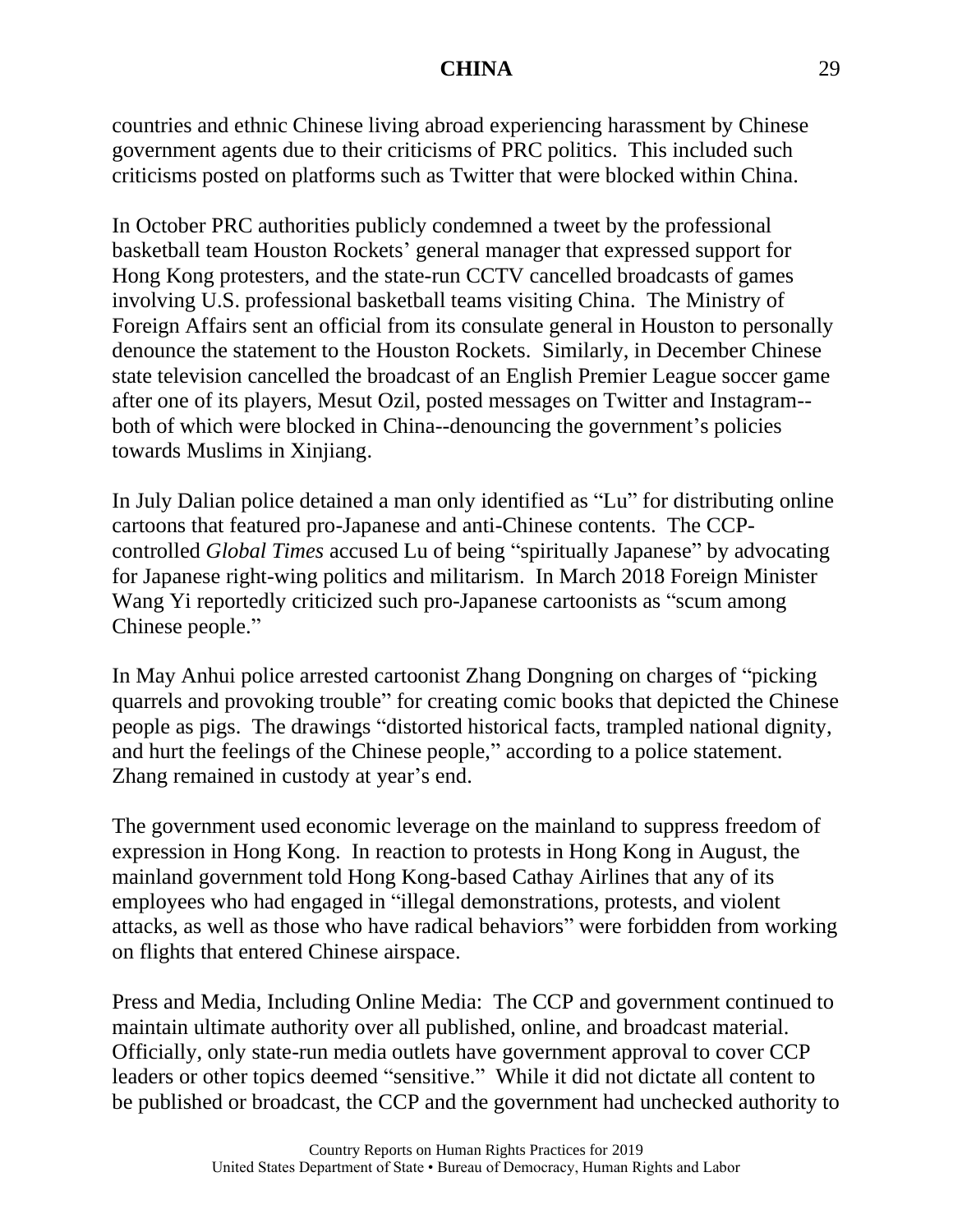countries and ethnic Chinese living abroad experiencing harassment by Chinese government agents due to their criticisms of PRC politics. This included such criticisms posted on platforms such as Twitter that were blocked within China.

In October PRC authorities publicly condemned a tweet by the professional basketball team Houston Rockets' general manager that expressed support for Hong Kong protesters, and the state-run CCTV cancelled broadcasts of games involving U.S. professional basketball teams visiting China. The Ministry of Foreign Affairs sent an official from its consulate general in Houston to personally denounce the statement to the Houston Rockets. Similarly, in December Chinese state television cancelled the broadcast of an English Premier League soccer game after one of its players, Mesut Ozil, posted messages on Twitter and Instagram- both of which were blocked in China--denouncing the government's policies towards Muslims in Xinjiang.

In July Dalian police detained a man only identified as "Lu" for distributing online cartoons that featured pro-Japanese and anti-Chinese contents. The CCPcontrolled *Global Times* accused Lu of being "spiritually Japanese" by advocating for Japanese right-wing politics and militarism. In March 2018 Foreign Minister Wang Yi reportedly criticized such pro-Japanese cartoonists as "scum among Chinese people."

In May Anhui police arrested cartoonist Zhang Dongning on charges of "picking quarrels and provoking trouble" for creating comic books that depicted the Chinese people as pigs. The drawings "distorted historical facts, trampled national dignity, and hurt the feelings of the Chinese people," according to a police statement. Zhang remained in custody at year's end.

The government used economic leverage on the mainland to suppress freedom of expression in Hong Kong. In reaction to protests in Hong Kong in August, the mainland government told Hong Kong-based Cathay Airlines that any of its employees who had engaged in "illegal demonstrations, protests, and violent attacks, as well as those who have radical behaviors" were forbidden from working on flights that entered Chinese airspace.

Press and Media, Including Online Media: The CCP and government continued to maintain ultimate authority over all published, online, and broadcast material. Officially, only state-run media outlets have government approval to cover CCP leaders or other topics deemed "sensitive." While it did not dictate all content to be published or broadcast, the CCP and the government had unchecked authority to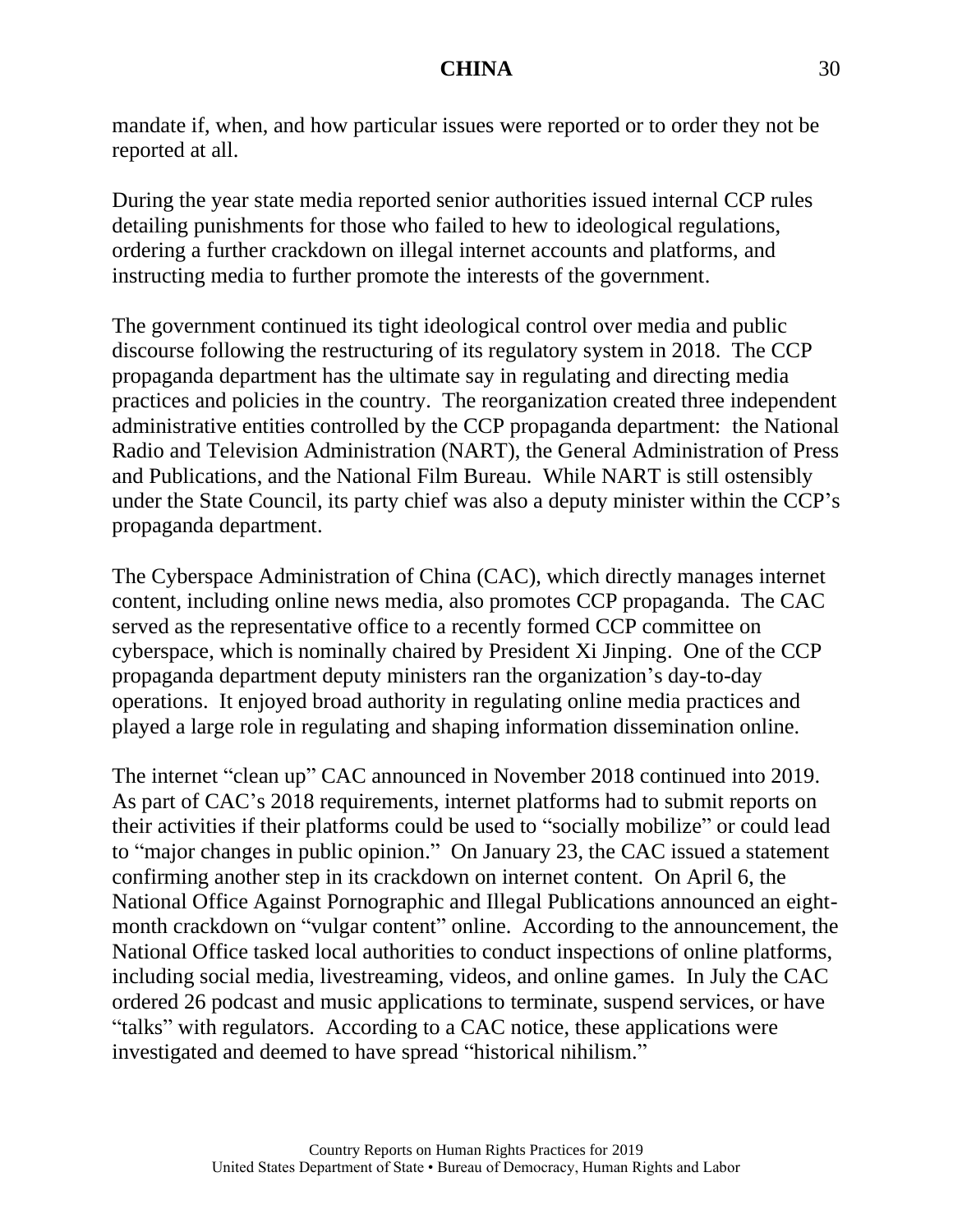mandate if, when, and how particular issues were reported or to order they not be reported at all.

During the year state media reported senior authorities issued internal CCP rules detailing punishments for those who failed to hew to ideological regulations, ordering a further crackdown on illegal internet accounts and platforms, and instructing media to further promote the interests of the government.

The government continued its tight ideological control over media and public discourse following the restructuring of its regulatory system in 2018. The CCP propaganda department has the ultimate say in regulating and directing media practices and policies in the country. The reorganization created three independent administrative entities controlled by the CCP propaganda department: the National Radio and Television Administration (NART), the General Administration of Press and Publications, and the National Film Bureau. While NART is still ostensibly under the State Council, its party chief was also a deputy minister within the CCP's propaganda department.

The Cyberspace Administration of China (CAC), which directly manages internet content, including online news media, also promotes CCP propaganda. The CAC served as the representative office to a recently formed CCP committee on cyberspace, which is nominally chaired by President Xi Jinping. One of the CCP propaganda department deputy ministers ran the organization's day-to-day operations. It enjoyed broad authority in regulating online media practices and played a large role in regulating and shaping information dissemination online.

The internet "clean up" CAC announced in November 2018 continued into 2019. As part of CAC's 2018 requirements, internet platforms had to submit reports on their activities if their platforms could be used to "socially mobilize" or could lead to "major changes in public opinion." On January 23, the CAC issued a statement confirming another step in its crackdown on internet content. On April 6, the National Office Against Pornographic and Illegal Publications announced an eightmonth crackdown on "vulgar content" online. According to the announcement, the National Office tasked local authorities to conduct inspections of online platforms, including social media, livestreaming, videos, and online games. In July the CAC ordered 26 podcast and music applications to terminate, suspend services, or have "talks" with regulators. According to a CAC notice, these applications were investigated and deemed to have spread "historical nihilism."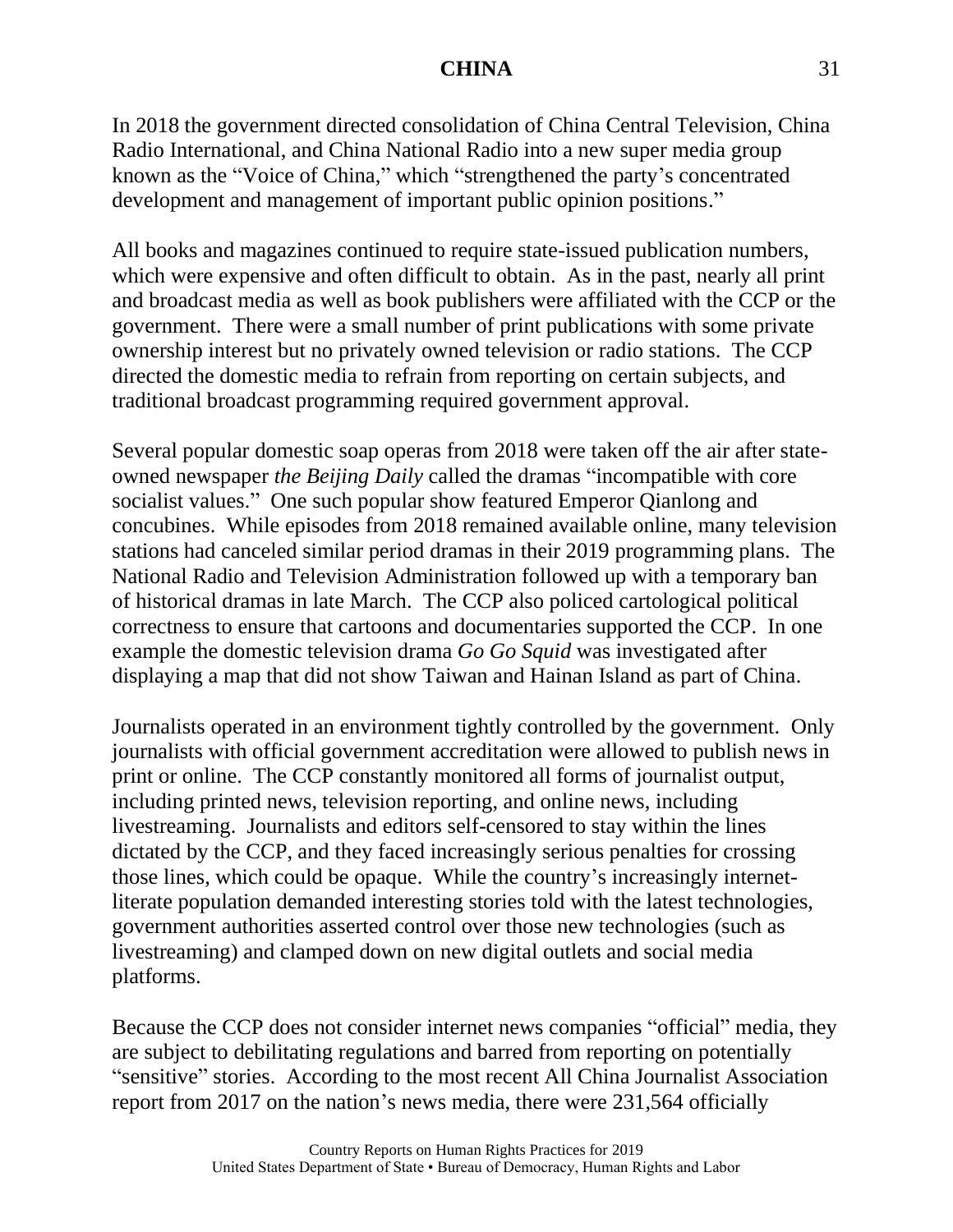In 2018 the government directed consolidation of China Central Television, China Radio International, and China National Radio into a new super media group known as the "Voice of China," which "strengthened the party's concentrated development and management of important public opinion positions."

All books and magazines continued to require state-issued publication numbers, which were expensive and often difficult to obtain. As in the past, nearly all print and broadcast media as well as book publishers were affiliated with the CCP or the government. There were a small number of print publications with some private ownership interest but no privately owned television or radio stations. The CCP directed the domestic media to refrain from reporting on certain subjects, and traditional broadcast programming required government approval.

Several popular domestic soap operas from 2018 were taken off the air after stateowned newspaper *the Beijing Daily* called the dramas "incompatible with core socialist values." One such popular show featured Emperor Qianlong and concubines. While episodes from 2018 remained available online, many television stations had canceled similar period dramas in their 2019 programming plans. The National Radio and Television Administration followed up with a temporary ban of historical dramas in late March. The CCP also policed cartological political correctness to ensure that cartoons and documentaries supported the CCP. In one example the domestic television drama *Go Go Squid* was investigated after displaying a map that did not show Taiwan and Hainan Island as part of China.

Journalists operated in an environment tightly controlled by the government. Only journalists with official government accreditation were allowed to publish news in print or online. The CCP constantly monitored all forms of journalist output, including printed news, television reporting, and online news, including livestreaming. Journalists and editors self-censored to stay within the lines dictated by the CCP, and they faced increasingly serious penalties for crossing those lines, which could be opaque. While the country's increasingly internetliterate population demanded interesting stories told with the latest technologies, government authorities asserted control over those new technologies (such as livestreaming) and clamped down on new digital outlets and social media platforms.

Because the CCP does not consider internet news companies "official" media, they are subject to debilitating regulations and barred from reporting on potentially "sensitive" stories. According to the most recent All China Journalist Association report from 2017 on the nation's news media, there were 231,564 officially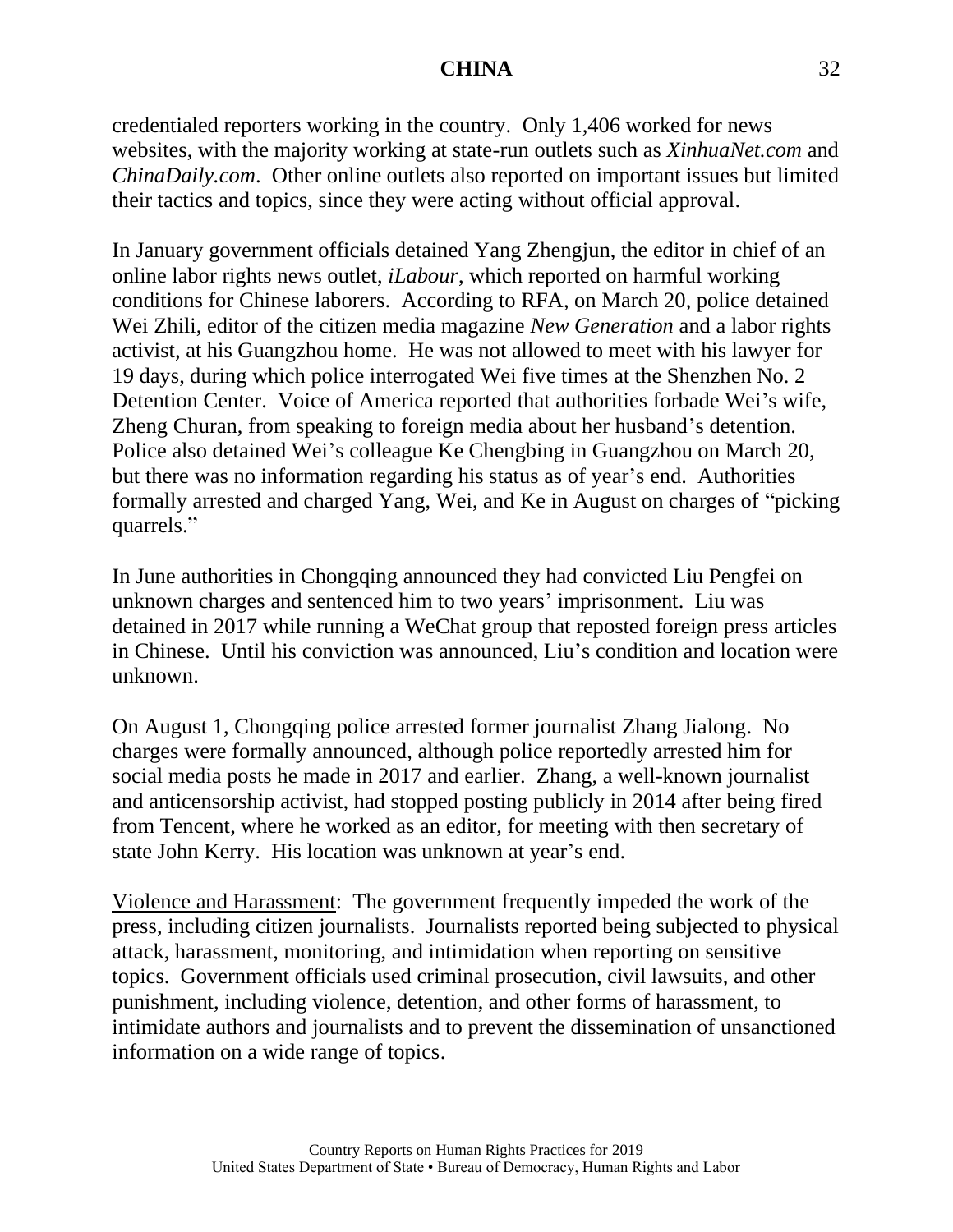credentialed reporters working in the country. Only 1,406 worked for news websites, with the majority working at state-run outlets such as *XinhuaNet.com* and *ChinaDaily.com*. Other online outlets also reported on important issues but limited their tactics and topics, since they were acting without official approval.

In January government officials detained Yang Zhengjun, the editor in chief of an online labor rights news outlet, *iLabour*, which reported on harmful working conditions for Chinese laborers. According to RFA, on March 20, police detained Wei Zhili, editor of the citizen media magazine *New Generation* and a labor rights activist, at his Guangzhou home. He was not allowed to meet with his lawyer for 19 days, during which police interrogated Wei five times at the Shenzhen No. 2 Detention Center. Voice of America reported that authorities forbade Wei's wife, Zheng Churan, from speaking to foreign media about her husband's detention. Police also detained Wei's colleague Ke Chengbing in Guangzhou on March 20, but there was no information regarding his status as of year's end. Authorities formally arrested and charged Yang, Wei, and Ke in August on charges of "picking quarrels."

In June authorities in Chongqing announced they had convicted Liu Pengfei on unknown charges and sentenced him to two years' imprisonment. Liu was detained in 2017 while running a WeChat group that reposted foreign press articles in Chinese. Until his conviction was announced, Liu's condition and location were unknown.

On August 1, Chongqing police arrested former journalist Zhang Jialong. No charges were formally announced, although police reportedly arrested him for social media posts he made in 2017 and earlier. Zhang, a well-known journalist and anticensorship activist, had stopped posting publicly in 2014 after being fired from Tencent, where he worked as an editor, for meeting with then secretary of state John Kerry. His location was unknown at year's end.

Violence and Harassment: The government frequently impeded the work of the press, including citizen journalists. Journalists reported being subjected to physical attack, harassment, monitoring, and intimidation when reporting on sensitive topics. Government officials used criminal prosecution, civil lawsuits, and other punishment, including violence, detention, and other forms of harassment, to intimidate authors and journalists and to prevent the dissemination of unsanctioned information on a wide range of topics.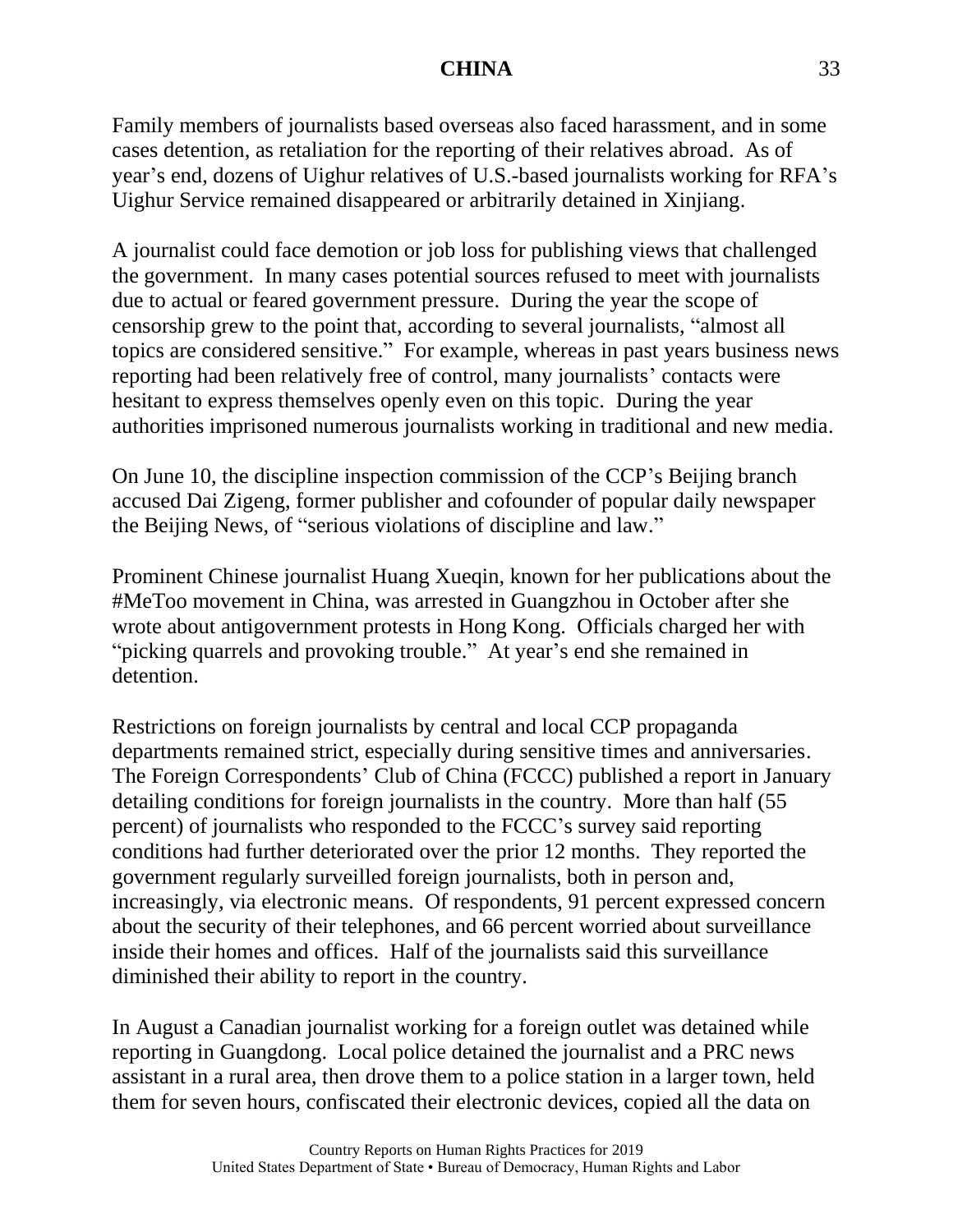Family members of journalists based overseas also faced harassment, and in some cases detention, as retaliation for the reporting of their relatives abroad. As of year's end, dozens of Uighur relatives of U.S.-based journalists working for RFA's Uighur Service remained disappeared or arbitrarily detained in Xinjiang.

A journalist could face demotion or job loss for publishing views that challenged the government. In many cases potential sources refused to meet with journalists due to actual or feared government pressure. During the year the scope of censorship grew to the point that, according to several journalists, "almost all topics are considered sensitive." For example, whereas in past years business news reporting had been relatively free of control, many journalists' contacts were hesitant to express themselves openly even on this topic. During the year authorities imprisoned numerous journalists working in traditional and new media.

On June 10, the discipline inspection commission of the CCP's Beijing branch accused Dai Zigeng, former publisher and cofounder of popular daily newspaper the Beijing News, of "serious violations of discipline and law."

Prominent Chinese journalist Huang Xueqin, known for her publications about the #MeToo movement in China, was arrested in Guangzhou in October after she wrote about antigovernment protests in Hong Kong. Officials charged her with "picking quarrels and provoking trouble." At year's end she remained in detention.

Restrictions on foreign journalists by central and local CCP propaganda departments remained strict, especially during sensitive times and anniversaries. The Foreign Correspondents' Club of China (FCCC) published a report in January detailing conditions for foreign journalists in the country. More than half (55 percent) of journalists who responded to the FCCC's survey said reporting conditions had further deteriorated over the prior 12 months. They reported the government regularly surveilled foreign journalists, both in person and, increasingly, via electronic means. Of respondents, 91 percent expressed concern about the security of their telephones, and 66 percent worried about surveillance inside their homes and offices. Half of the journalists said this surveillance diminished their ability to report in the country.

In August a Canadian journalist working for a foreign outlet was detained while reporting in Guangdong. Local police detained the journalist and a PRC news assistant in a rural area, then drove them to a police station in a larger town, held them for seven hours, confiscated their electronic devices, copied all the data on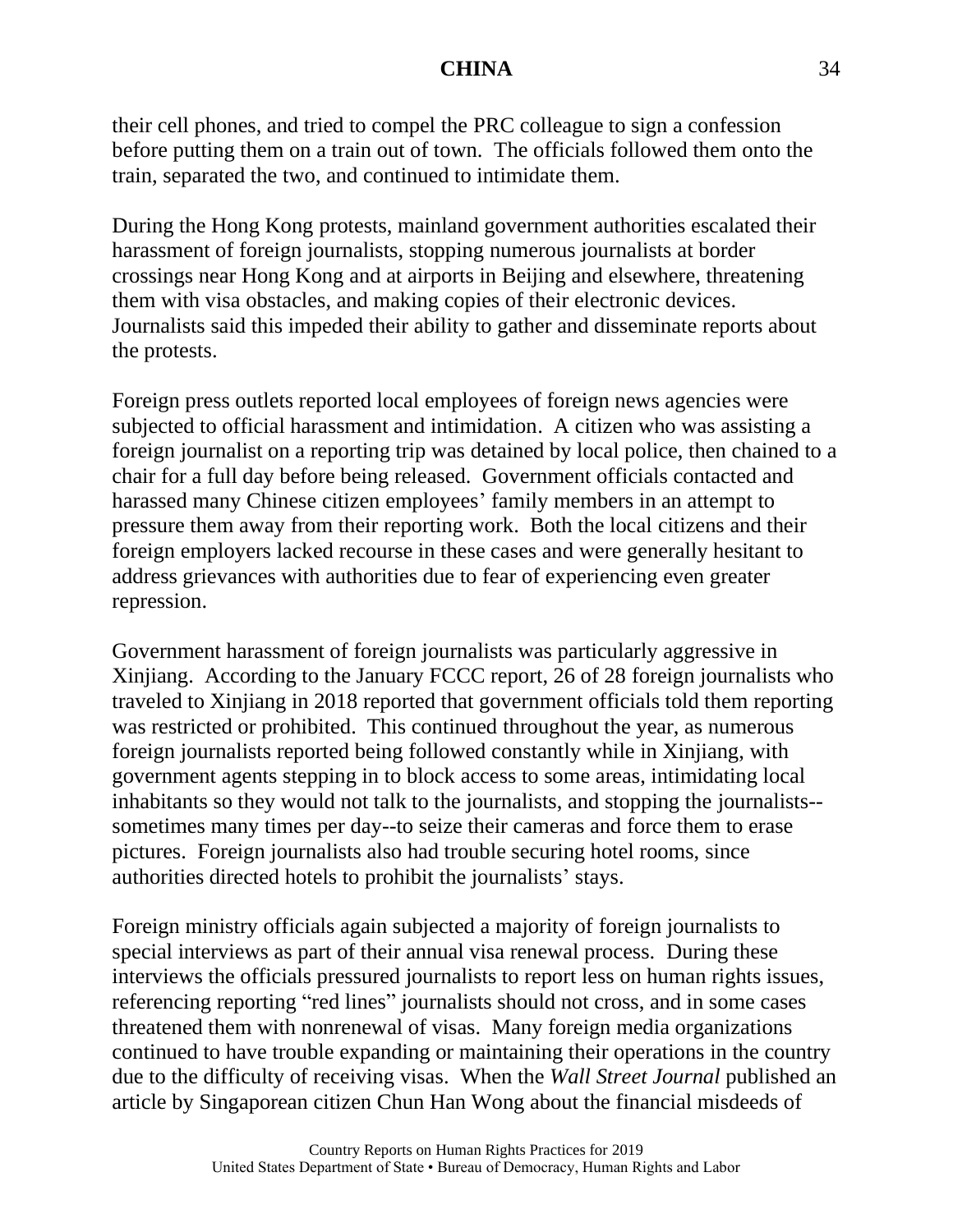their cell phones, and tried to compel the PRC colleague to sign a confession before putting them on a train out of town. The officials followed them onto the train, separated the two, and continued to intimidate them.

During the Hong Kong protests, mainland government authorities escalated their harassment of foreign journalists, stopping numerous journalists at border crossings near Hong Kong and at airports in Beijing and elsewhere, threatening them with visa obstacles, and making copies of their electronic devices. Journalists said this impeded their ability to gather and disseminate reports about the protests.

Foreign press outlets reported local employees of foreign news agencies were subjected to official harassment and intimidation. A citizen who was assisting a foreign journalist on a reporting trip was detained by local police, then chained to a chair for a full day before being released. Government officials contacted and harassed many Chinese citizen employees' family members in an attempt to pressure them away from their reporting work. Both the local citizens and their foreign employers lacked recourse in these cases and were generally hesitant to address grievances with authorities due to fear of experiencing even greater repression.

Government harassment of foreign journalists was particularly aggressive in Xinjiang. According to the January FCCC report, 26 of 28 foreign journalists who traveled to Xinjiang in 2018 reported that government officials told them reporting was restricted or prohibited. This continued throughout the year, as numerous foreign journalists reported being followed constantly while in Xinjiang, with government agents stepping in to block access to some areas, intimidating local inhabitants so they would not talk to the journalists, and stopping the journalists- sometimes many times per day--to seize their cameras and force them to erase pictures. Foreign journalists also had trouble securing hotel rooms, since authorities directed hotels to prohibit the journalists' stays.

Foreign ministry officials again subjected a majority of foreign journalists to special interviews as part of their annual visa renewal process. During these interviews the officials pressured journalists to report less on human rights issues, referencing reporting "red lines" journalists should not cross, and in some cases threatened them with nonrenewal of visas. Many foreign media organizations continued to have trouble expanding or maintaining their operations in the country due to the difficulty of receiving visas. When the *Wall Street Journal* published an article by Singaporean citizen Chun Han Wong about the financial misdeeds of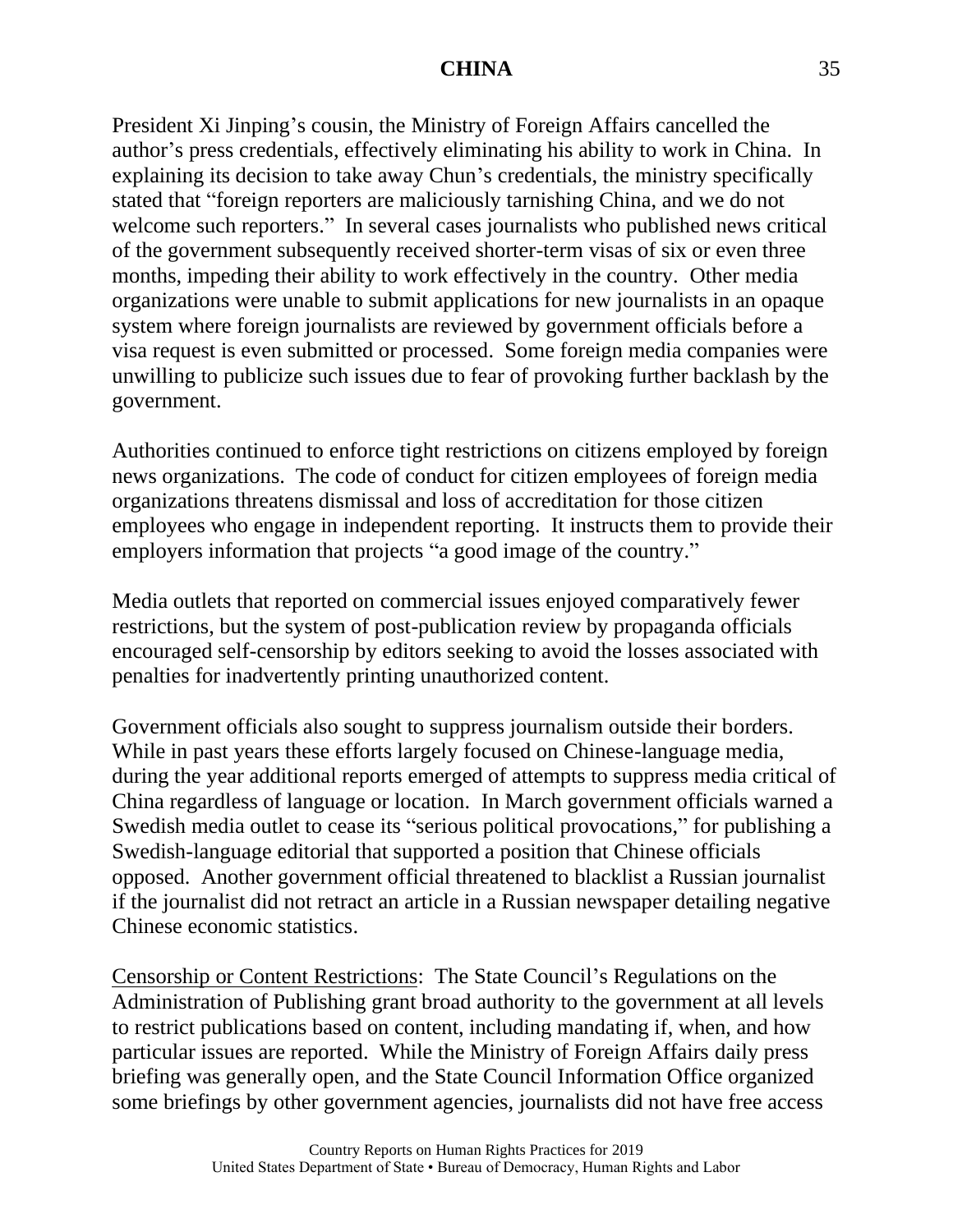President Xi Jinping's cousin, the Ministry of Foreign Affairs cancelled the author's press credentials, effectively eliminating his ability to work in China. In explaining its decision to take away Chun's credentials, the ministry specifically stated that "foreign reporters are maliciously tarnishing China, and we do not welcome such reporters." In several cases journalists who published news critical of the government subsequently received shorter-term visas of six or even three months, impeding their ability to work effectively in the country. Other media organizations were unable to submit applications for new journalists in an opaque system where foreign journalists are reviewed by government officials before a visa request is even submitted or processed. Some foreign media companies were unwilling to publicize such issues due to fear of provoking further backlash by the government.

Authorities continued to enforce tight restrictions on citizens employed by foreign news organizations. The code of conduct for citizen employees of foreign media organizations threatens dismissal and loss of accreditation for those citizen employees who engage in independent reporting. It instructs them to provide their employers information that projects "a good image of the country."

Media outlets that reported on commercial issues enjoyed comparatively fewer restrictions, but the system of post-publication review by propaganda officials encouraged self-censorship by editors seeking to avoid the losses associated with penalties for inadvertently printing unauthorized content.

Government officials also sought to suppress journalism outside their borders. While in past years these efforts largely focused on Chinese-language media, during the year additional reports emerged of attempts to suppress media critical of China regardless of language or location. In March government officials warned a Swedish media outlet to cease its "serious political provocations," for publishing a Swedish-language editorial that supported a position that Chinese officials opposed. Another government official threatened to blacklist a Russian journalist if the journalist did not retract an article in a Russian newspaper detailing negative Chinese economic statistics.

Censorship or Content Restrictions: The State Council's Regulations on the Administration of Publishing grant broad authority to the government at all levels to restrict publications based on content, including mandating if, when, and how particular issues are reported. While the Ministry of Foreign Affairs daily press briefing was generally open, and the State Council Information Office organized some briefings by other government agencies, journalists did not have free access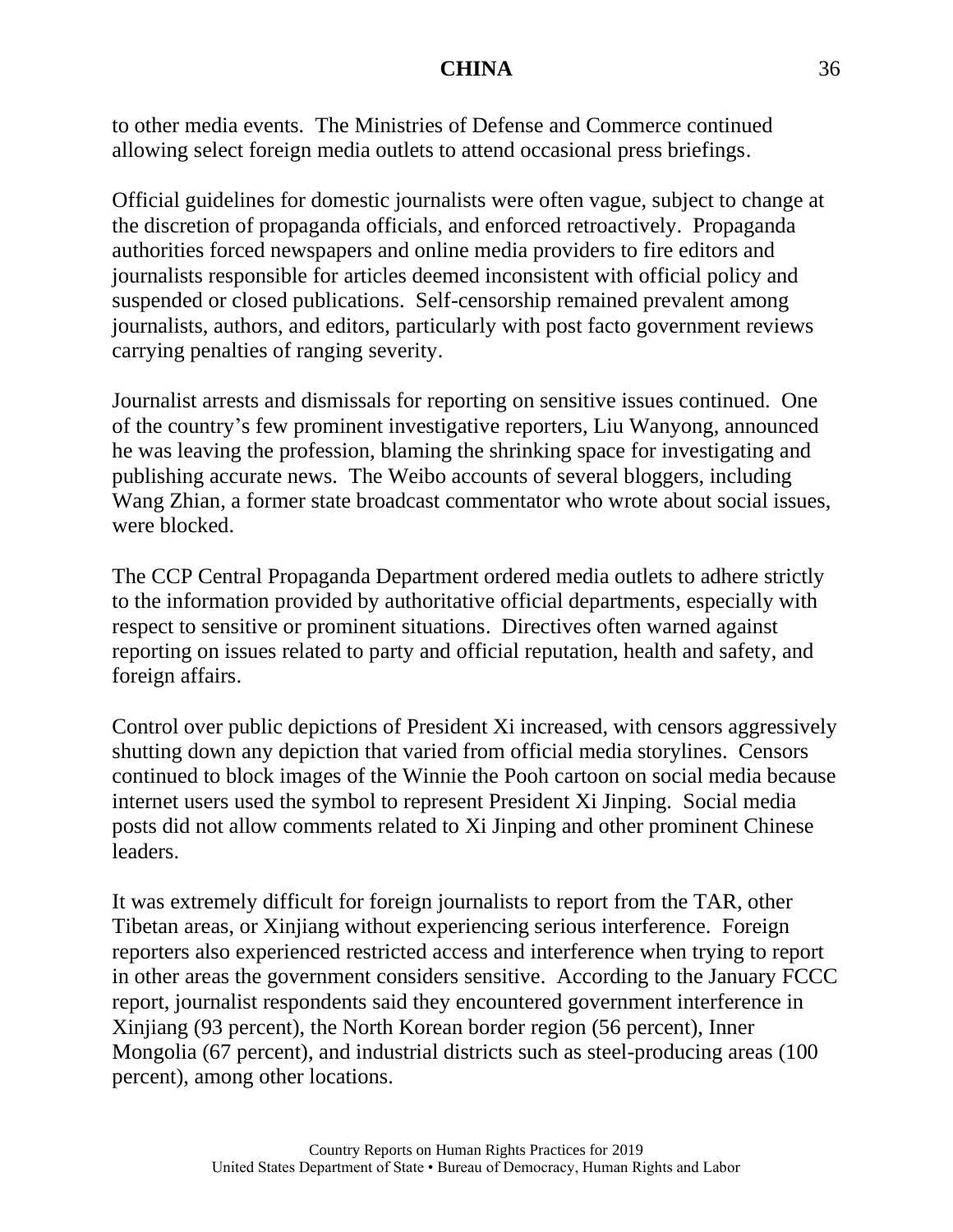to other media events. The Ministries of Defense and Commerce continued allowing select foreign media outlets to attend occasional press briefings.

Official guidelines for domestic journalists were often vague, subject to change at the discretion of propaganda officials, and enforced retroactively. Propaganda authorities forced newspapers and online media providers to fire editors and journalists responsible for articles deemed inconsistent with official policy and suspended or closed publications. Self-censorship remained prevalent among journalists, authors, and editors, particularly with post facto government reviews carrying penalties of ranging severity.

Journalist arrests and dismissals for reporting on sensitive issues continued. One of the country's few prominent investigative reporters, Liu Wanyong, announced he was leaving the profession, blaming the shrinking space for investigating and publishing accurate news. The Weibo accounts of several bloggers, including Wang Zhian, a former state broadcast commentator who wrote about social issues, were blocked.

The CCP Central Propaganda Department ordered media outlets to adhere strictly to the information provided by authoritative official departments, especially with respect to sensitive or prominent situations. Directives often warned against reporting on issues related to party and official reputation, health and safety, and foreign affairs.

Control over public depictions of President Xi increased, with censors aggressively shutting down any depiction that varied from official media storylines. Censors continued to block images of the Winnie the Pooh cartoon on social media because internet users used the symbol to represent President Xi Jinping. Social media posts did not allow comments related to Xi Jinping and other prominent Chinese leaders.

It was extremely difficult for foreign journalists to report from the TAR, other Tibetan areas, or Xinjiang without experiencing serious interference. Foreign reporters also experienced restricted access and interference when trying to report in other areas the government considers sensitive. According to the January FCCC report, journalist respondents said they encountered government interference in Xinjiang (93 percent), the North Korean border region (56 percent), Inner Mongolia (67 percent), and industrial districts such as steel-producing areas (100 percent), among other locations.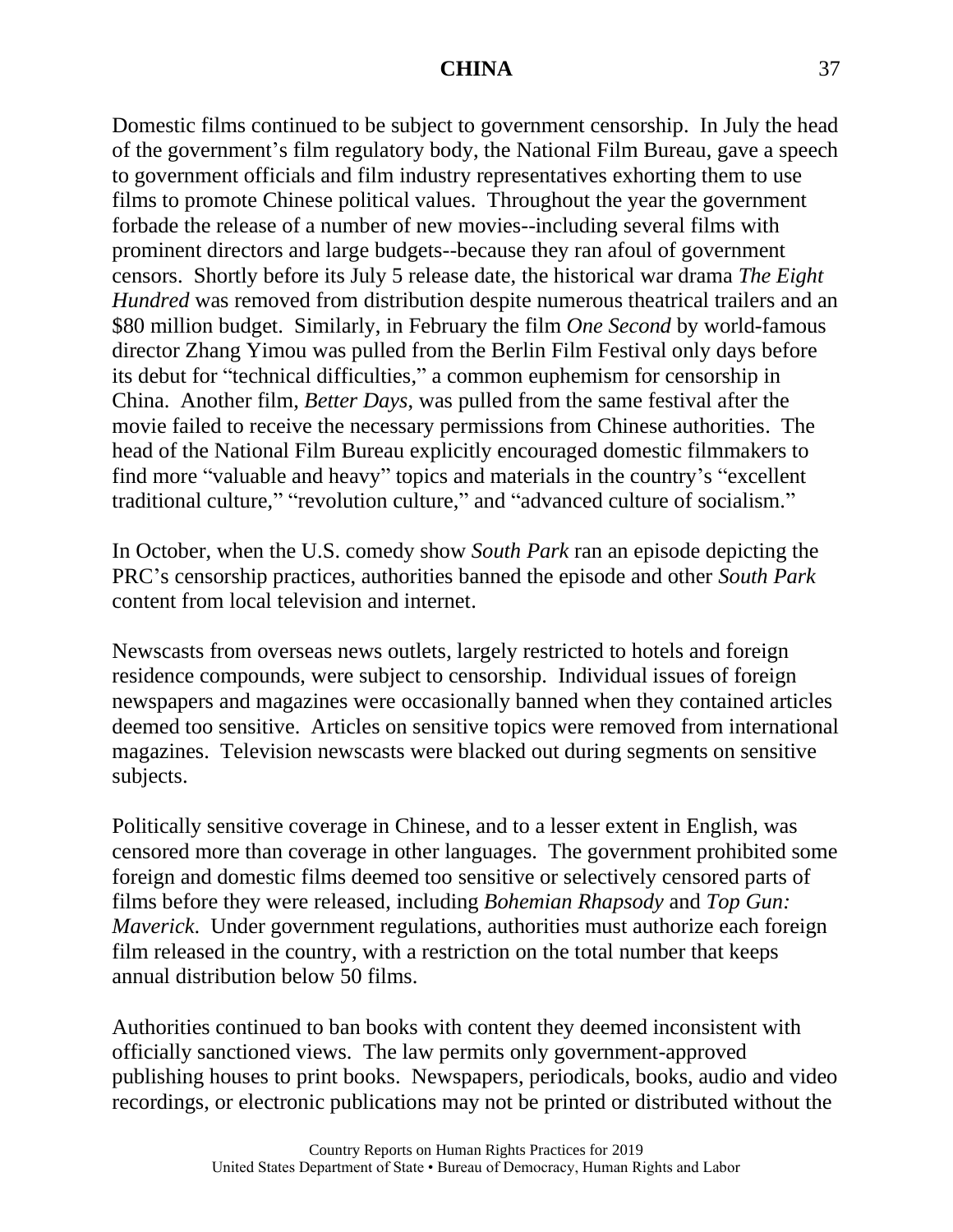Domestic films continued to be subject to government censorship. In July the head of the government's film regulatory body, the National Film Bureau, gave a speech to government officials and film industry representatives exhorting them to use films to promote Chinese political values. Throughout the year the government forbade the release of a number of new movies--including several films with prominent directors and large budgets--because they ran afoul of government censors. Shortly before its July 5 release date, the historical war drama *The Eight Hundred* was removed from distribution despite numerous theatrical trailers and an \$80 million budget. Similarly, in February the film *One Second* by world-famous director Zhang Yimou was pulled from the Berlin Film Festival only days before its debut for "technical difficulties," a common euphemism for censorship in China. Another film, *Better Days*, was pulled from the same festival after the movie failed to receive the necessary permissions from Chinese authorities. The head of the National Film Bureau explicitly encouraged domestic filmmakers to find more "valuable and heavy" topics and materials in the country's "excellent traditional culture," "revolution culture," and "advanced culture of socialism."

In October, when the U.S. comedy show *South Park* ran an episode depicting the PRC's censorship practices, authorities banned the episode and other *South Park* content from local television and internet.

Newscasts from overseas news outlets, largely restricted to hotels and foreign residence compounds, were subject to censorship. Individual issues of foreign newspapers and magazines were occasionally banned when they contained articles deemed too sensitive. Articles on sensitive topics were removed from international magazines. Television newscasts were blacked out during segments on sensitive subjects.

Politically sensitive coverage in Chinese, and to a lesser extent in English, was censored more than coverage in other languages. The government prohibited some foreign and domestic films deemed too sensitive or selectively censored parts of films before they were released, including *Bohemian Rhapsody* and *Top Gun: Maverick*. Under government regulations, authorities must authorize each foreign film released in the country, with a restriction on the total number that keeps annual distribution below 50 films.

Authorities continued to ban books with content they deemed inconsistent with officially sanctioned views. The law permits only government-approved publishing houses to print books. Newspapers, periodicals, books, audio and video recordings, or electronic publications may not be printed or distributed without the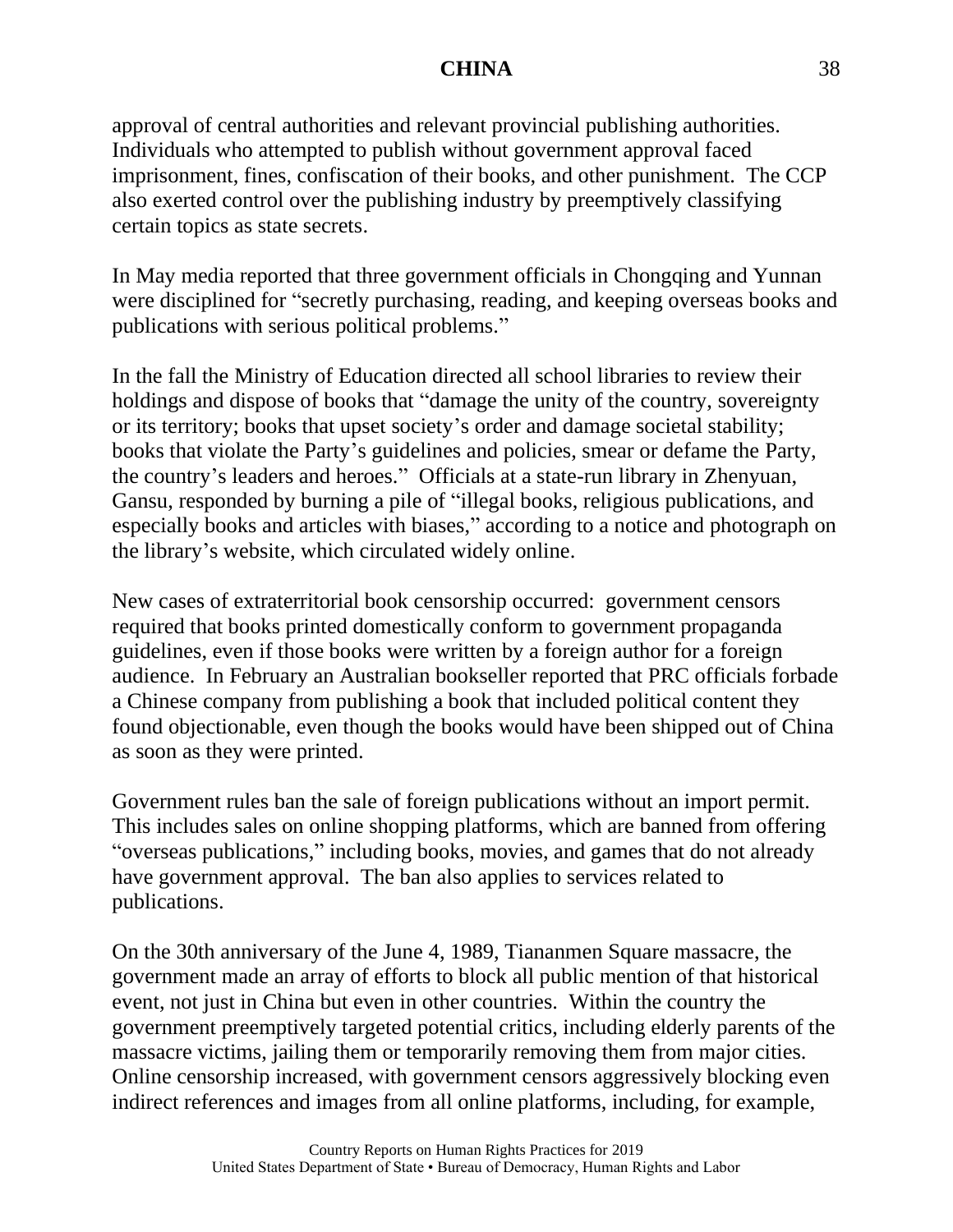approval of central authorities and relevant provincial publishing authorities. Individuals who attempted to publish without government approval faced imprisonment, fines, confiscation of their books, and other punishment. The CCP also exerted control over the publishing industry by preemptively classifying certain topics as state secrets.

In May media reported that three government officials in Chongqing and Yunnan were disciplined for "secretly purchasing, reading, and keeping overseas books and publications with serious political problems."

In the fall the Ministry of Education directed all school libraries to review their holdings and dispose of books that "damage the unity of the country, sovereignty or its territory; books that upset society's order and damage societal stability; books that violate the Party's guidelines and policies, smear or defame the Party, the country's leaders and heroes." Officials at a state-run library in Zhenyuan, Gansu, responded by burning a pile of "illegal books, religious publications, and especially books and articles with biases," according to a notice and photograph on the library's website, which circulated widely online.

New cases of extraterritorial book censorship occurred: government censors required that books printed domestically conform to government propaganda guidelines, even if those books were written by a foreign author for a foreign audience. In February an Australian bookseller reported that PRC officials forbade a Chinese company from publishing a book that included political content they found objectionable, even though the books would have been shipped out of China as soon as they were printed.

Government rules ban the sale of foreign publications without an import permit. This includes sales on online shopping platforms, which are banned from offering "overseas publications," including books, movies, and games that do not already have government approval. The ban also applies to services related to publications.

On the 30th anniversary of the June 4, 1989, Tiananmen Square massacre, the government made an array of efforts to block all public mention of that historical event, not just in China but even in other countries. Within the country the government preemptively targeted potential critics, including elderly parents of the massacre victims, jailing them or temporarily removing them from major cities. Online censorship increased, with government censors aggressively blocking even indirect references and images from all online platforms, including, for example,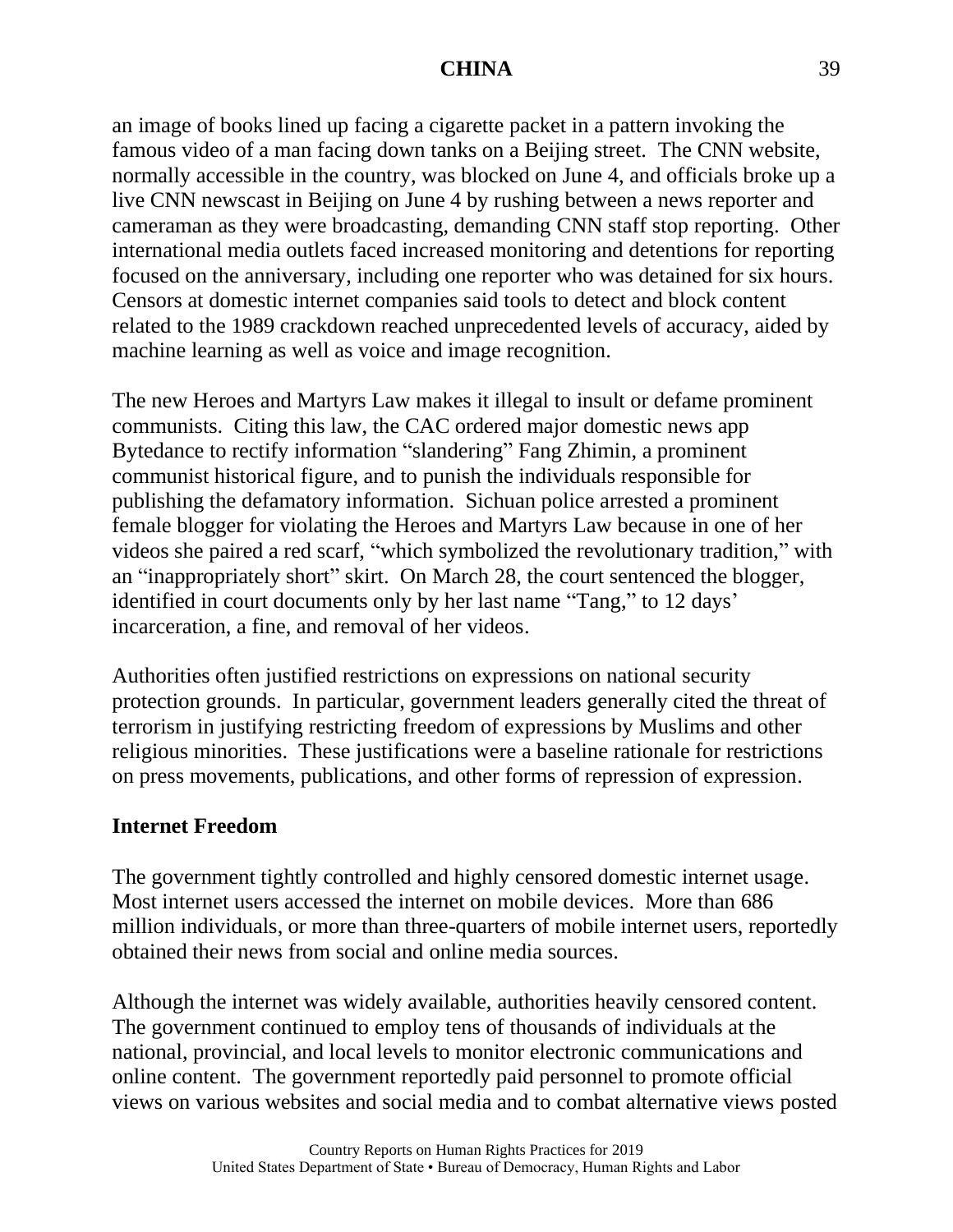an image of books lined up facing a cigarette packet in a pattern invoking the famous video of a man facing down tanks on a Beijing street. The CNN website, normally accessible in the country, was blocked on June 4, and officials broke up a live CNN newscast in Beijing on June 4 by rushing between a news reporter and cameraman as they were broadcasting, demanding CNN staff stop reporting. Other international media outlets faced increased monitoring and detentions for reporting focused on the anniversary, including one reporter who was detained for six hours. Censors at domestic internet companies said tools to detect and block content related to the 1989 crackdown reached unprecedented levels of accuracy, aided by machine learning as well as voice and image recognition.

The new Heroes and Martyrs Law makes it illegal to insult or defame prominent communists. Citing this law, the CAC ordered major domestic news app Bytedance to rectify information "slandering" Fang Zhimin, a prominent communist historical figure, and to punish the individuals responsible for publishing the defamatory information. Sichuan police arrested a prominent female blogger for violating the Heroes and Martyrs Law because in one of her videos she paired a red scarf, "which symbolized the revolutionary tradition," with an "inappropriately short" skirt. On March 28, the court sentenced the blogger, identified in court documents only by her last name "Tang," to 12 days' incarceration, a fine, and removal of her videos.

Authorities often justified restrictions on expressions on national security protection grounds. In particular, government leaders generally cited the threat of terrorism in justifying restricting freedom of expressions by Muslims and other religious minorities. These justifications were a baseline rationale for restrictions on press movements, publications, and other forms of repression of expression.

## **Internet Freedom**

The government tightly controlled and highly censored domestic internet usage. Most internet users accessed the internet on mobile devices. More than 686 million individuals, or more than three-quarters of mobile internet users, reportedly obtained their news from social and online media sources.

Although the internet was widely available, authorities heavily censored content. The government continued to employ tens of thousands of individuals at the national, provincial, and local levels to monitor electronic communications and online content. The government reportedly paid personnel to promote official views on various websites and social media and to combat alternative views posted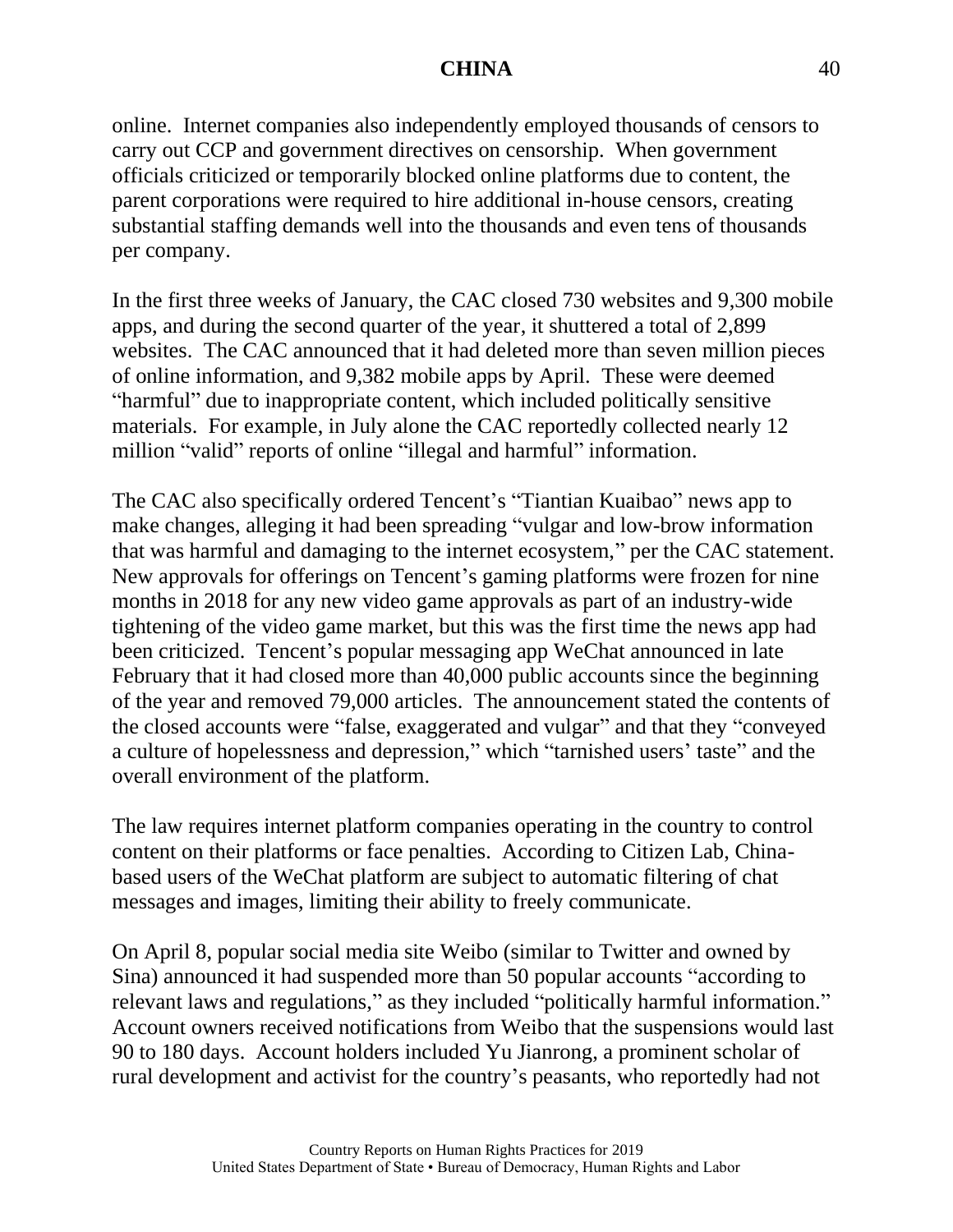online. Internet companies also independently employed thousands of censors to carry out CCP and government directives on censorship. When government officials criticized or temporarily blocked online platforms due to content, the parent corporations were required to hire additional in-house censors, creating substantial staffing demands well into the thousands and even tens of thousands per company.

In the first three weeks of January, the CAC closed 730 websites and 9,300 mobile apps, and during the second quarter of the year, it shuttered a total of 2,899 websites. The CAC announced that it had deleted more than seven million pieces of online information, and 9,382 mobile apps by April. These were deemed "harmful" due to inappropriate content, which included politically sensitive materials. For example, in July alone the CAC reportedly collected nearly 12 million "valid" reports of online "illegal and harmful" information.

The CAC also specifically ordered Tencent's "Tiantian Kuaibao" news app to make changes, alleging it had been spreading "vulgar and low-brow information that was harmful and damaging to the internet ecosystem," per the CAC statement. New approvals for offerings on Tencent's gaming platforms were frozen for nine months in 2018 for any new video game approvals as part of an industry-wide tightening of the video game market, but this was the first time the news app had been criticized. Tencent's popular messaging app WeChat announced in late February that it had closed more than 40,000 public accounts since the beginning of the year and removed 79,000 articles. The announcement stated the contents of the closed accounts were "false, exaggerated and vulgar" and that they "conveyed a culture of hopelessness and depression," which "tarnished users' taste" and the overall environment of the platform.

The law requires internet platform companies operating in the country to control content on their platforms or face penalties. According to Citizen Lab, Chinabased users of the WeChat platform are subject to automatic filtering of chat messages and images, limiting their ability to freely communicate.

On April 8, popular social media site Weibo (similar to Twitter and owned by Sina) announced it had suspended more than 50 popular accounts "according to relevant laws and regulations," as they included "politically harmful information." Account owners received notifications from Weibo that the suspensions would last 90 to 180 days. Account holders included Yu Jianrong, a prominent scholar of rural development and activist for the country's peasants, who reportedly had not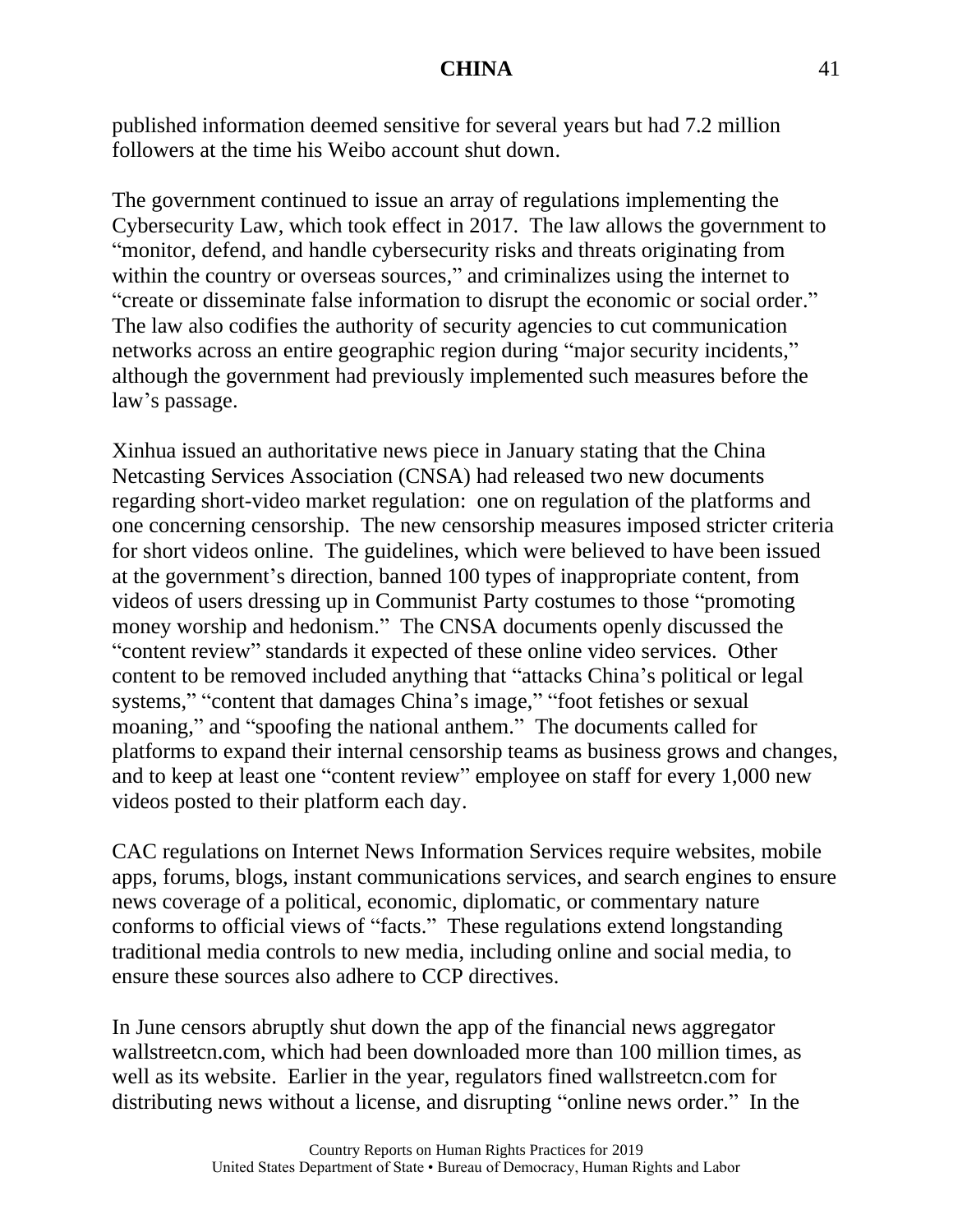published information deemed sensitive for several years but had 7.2 million followers at the time his Weibo account shut down.

The government continued to issue an array of regulations implementing the Cybersecurity Law, which took effect in 2017. The law allows the government to "monitor, defend, and handle cybersecurity risks and threats originating from within the country or overseas sources," and criminalizes using the internet to "create or disseminate false information to disrupt the economic or social order." The law also codifies the authority of security agencies to cut communication networks across an entire geographic region during "major security incidents," although the government had previously implemented such measures before the law's passage.

Xinhua issued an authoritative news piece in January stating that the China Netcasting Services Association (CNSA) had released two new documents regarding short-video market regulation: one on regulation of the platforms and one concerning censorship. The new censorship measures imposed stricter criteria for short videos online. The guidelines, which were believed to have been issued at the government's direction, banned 100 types of inappropriate content, from videos of users dressing up in Communist Party costumes to those "promoting money worship and hedonism." The CNSA documents openly discussed the "content review" standards it expected of these online video services. Other content to be removed included anything that "attacks China's political or legal systems," "content that damages China's image," "foot fetishes or sexual moaning," and "spoofing the national anthem." The documents called for platforms to expand their internal censorship teams as business grows and changes, and to keep at least one "content review" employee on staff for every 1,000 new videos posted to their platform each day.

CAC regulations on Internet News Information Services require websites, mobile apps, forums, blogs, instant communications services, and search engines to ensure news coverage of a political, economic, diplomatic, or commentary nature conforms to official views of "facts." These regulations extend longstanding traditional media controls to new media, including online and social media, to ensure these sources also adhere to CCP directives.

In June censors abruptly shut down the app of the financial news aggregator wallstreetcn.com, which had been downloaded more than 100 million times, as well as its website. Earlier in the year, regulators fined wallstreetcn.com for distributing news without a license, and disrupting "online news order." In the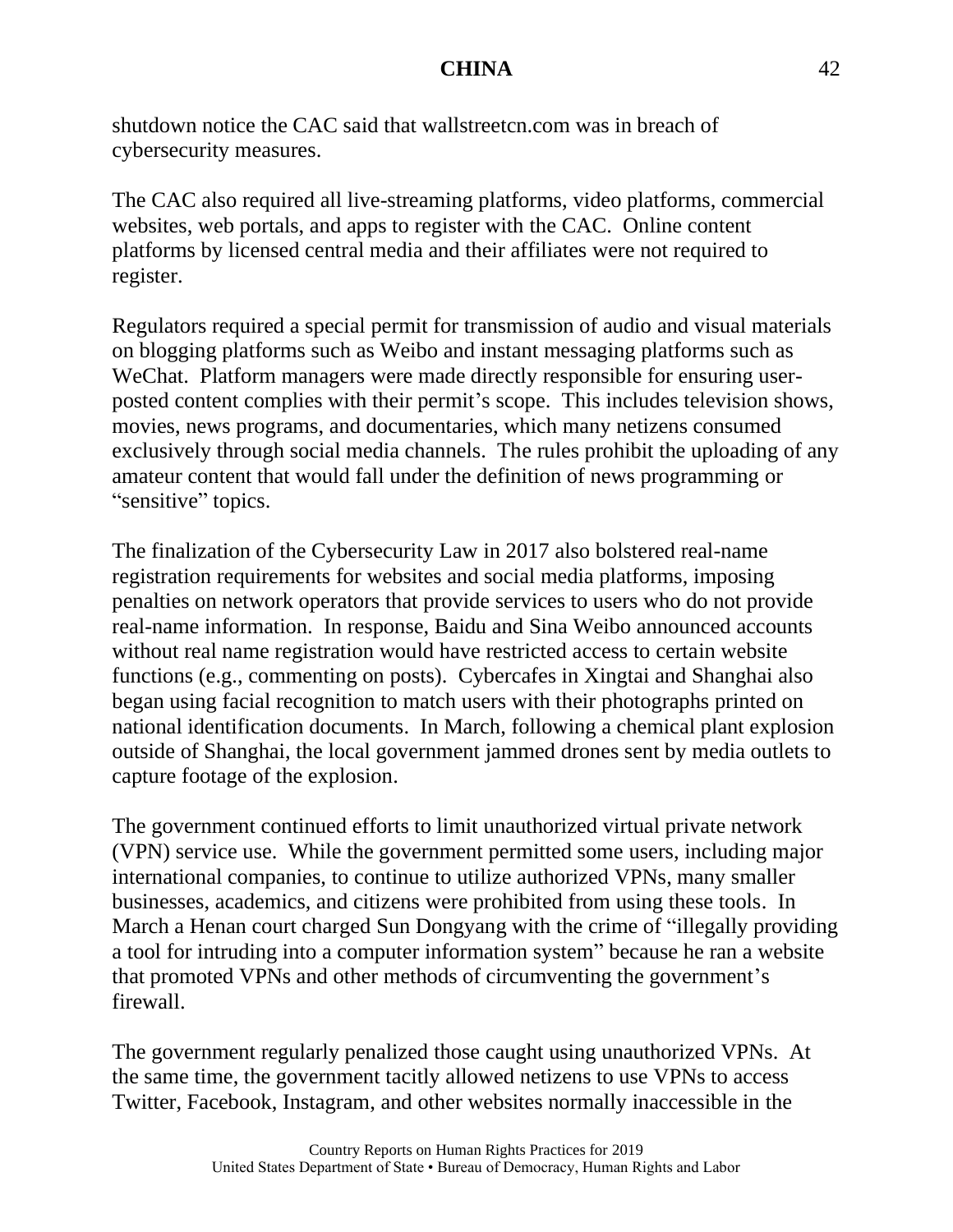shutdown notice the CAC said that wallstreetcn.com was in breach of cybersecurity measures.

The CAC also required all live-streaming platforms, video platforms, commercial websites, web portals, and apps to register with the CAC. Online content platforms by licensed central media and their affiliates were not required to register.

Regulators required a special permit for transmission of audio and visual materials on blogging platforms such as Weibo and instant messaging platforms such as WeChat. Platform managers were made directly responsible for ensuring userposted content complies with their permit's scope. This includes television shows, movies, news programs, and documentaries, which many netizens consumed exclusively through social media channels. The rules prohibit the uploading of any amateur content that would fall under the definition of news programming or "sensitive" topics.

The finalization of the Cybersecurity Law in 2017 also bolstered real-name registration requirements for websites and social media platforms, imposing penalties on network operators that provide services to users who do not provide real-name information. In response, Baidu and Sina Weibo announced accounts without real name registration would have restricted access to certain website functions (e.g., commenting on posts). Cybercafes in Xingtai and Shanghai also began using facial recognition to match users with their photographs printed on national identification documents. In March, following a chemical plant explosion outside of Shanghai, the local government jammed drones sent by media outlets to capture footage of the explosion.

The government continued efforts to limit unauthorized virtual private network (VPN) service use. While the government permitted some users, including major international companies, to continue to utilize authorized VPNs, many smaller businesses, academics, and citizens were prohibited from using these tools. In March a Henan court charged Sun Dongyang with the crime of "illegally providing a tool for intruding into a computer information system" because he ran a website that promoted VPNs and other methods of circumventing the government's firewall.

The government regularly penalized those caught using unauthorized VPNs. At the same time, the government tacitly allowed netizens to use VPNs to access Twitter, Facebook, Instagram, and other websites normally inaccessible in the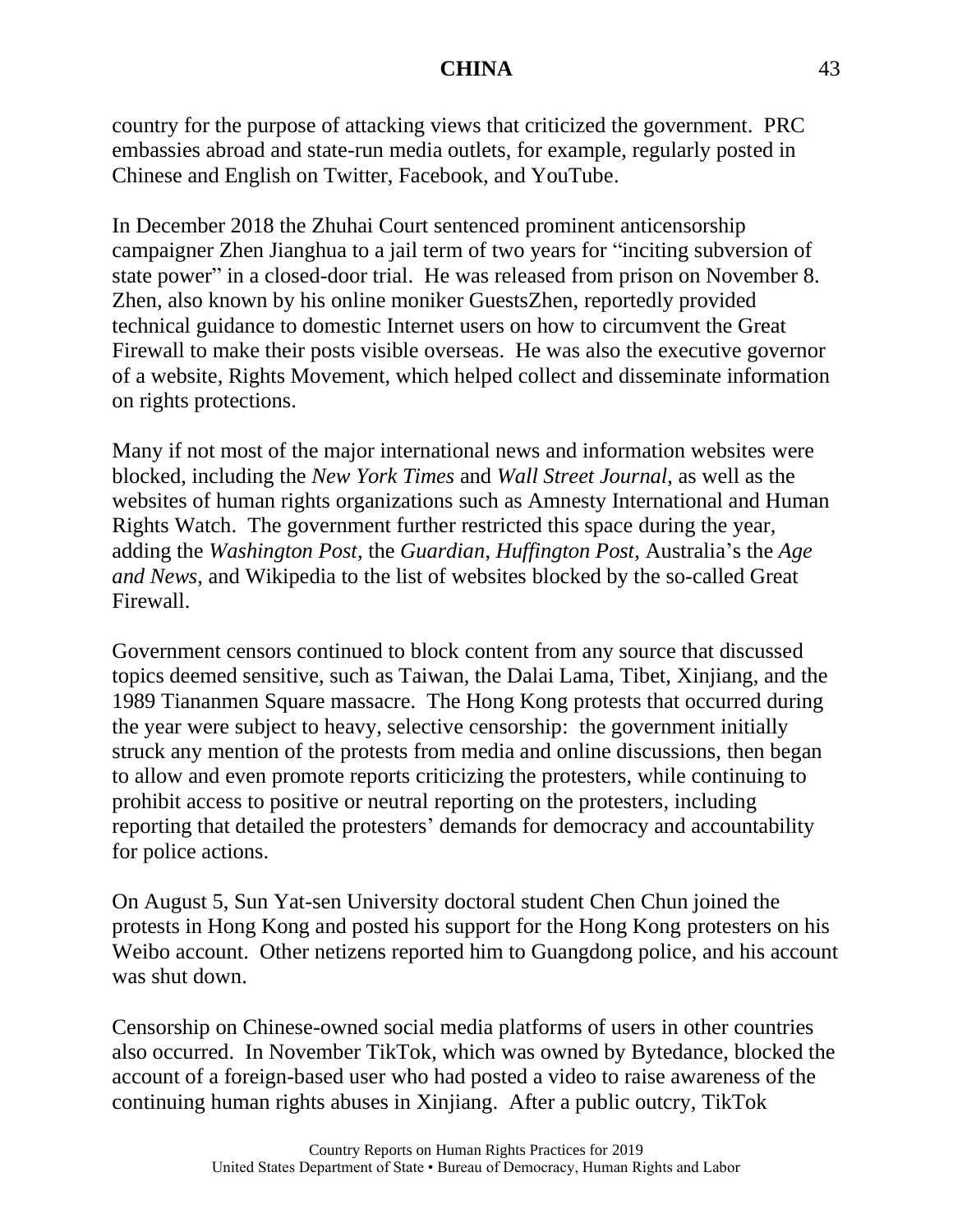country for the purpose of attacking views that criticized the government. PRC embassies abroad and state-run media outlets, for example, regularly posted in Chinese and English on Twitter, Facebook, and YouTube.

In December 2018 the Zhuhai Court sentenced prominent anticensorship campaigner Zhen Jianghua to a jail term of two years for "inciting subversion of state power" in a closed-door trial. He was released from prison on November 8. Zhen, also known by his online moniker GuestsZhen, reportedly provided technical guidance to domestic Internet users on how to circumvent the Great Firewall to make their posts visible overseas. He was also the executive governor of a website, Rights Movement, which helped collect and disseminate information on rights protections.

Many if not most of the major international news and information websites were blocked, including the *New York Times* and *Wall Street Journal*, as well as the websites of human rights organizations such as Amnesty International and Human Rights Watch. The government further restricted this space during the year, adding the *Washington Post*, the *Guardian*, *Huffington Post*, Australia's the *Age and News*, and Wikipedia to the list of websites blocked by the so-called Great Firewall.

Government censors continued to block content from any source that discussed topics deemed sensitive, such as Taiwan, the Dalai Lama, Tibet, Xinjiang, and the 1989 Tiananmen Square massacre. The Hong Kong protests that occurred during the year were subject to heavy, selective censorship: the government initially struck any mention of the protests from media and online discussions, then began to allow and even promote reports criticizing the protesters, while continuing to prohibit access to positive or neutral reporting on the protesters, including reporting that detailed the protesters' demands for democracy and accountability for police actions.

On August 5, Sun Yat-sen University doctoral student Chen Chun joined the protests in Hong Kong and posted his support for the Hong Kong protesters on his Weibo account. Other netizens reported him to Guangdong police, and his account was shut down.

Censorship on Chinese-owned social media platforms of users in other countries also occurred. In November TikTok, which was owned by Bytedance, blocked the account of a foreign-based user who had posted a video to raise awareness of the continuing human rights abuses in Xinjiang. After a public outcry, TikTok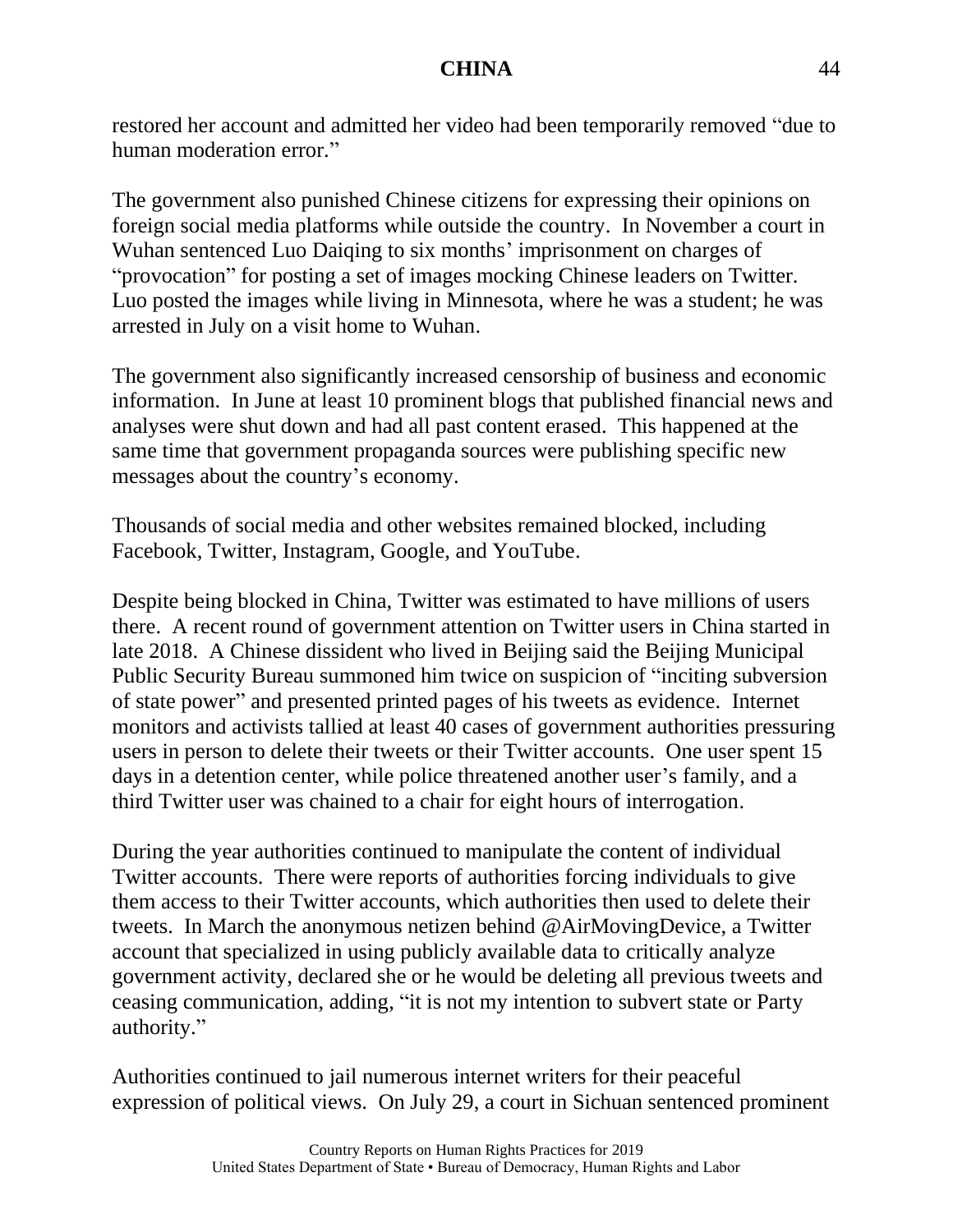restored her account and admitted her video had been temporarily removed "due to human moderation error."

The government also punished Chinese citizens for expressing their opinions on foreign social media platforms while outside the country. In November a court in Wuhan sentenced Luo Daiqing to six months' imprisonment on charges of "provocation" for posting a set of images mocking Chinese leaders on Twitter. Luo posted the images while living in Minnesota, where he was a student; he was arrested in July on a visit home to Wuhan.

The government also significantly increased censorship of business and economic information. In June at least 10 prominent blogs that published financial news and analyses were shut down and had all past content erased. This happened at the same time that government propaganda sources were publishing specific new messages about the country's economy.

Thousands of social media and other websites remained blocked, including Facebook, Twitter, Instagram, Google, and YouTube.

Despite being blocked in China, Twitter was estimated to have millions of users there. A recent round of government attention on Twitter users in China started in late 2018. A Chinese dissident who lived in Beijing said the Beijing Municipal Public Security Bureau summoned him twice on suspicion of "inciting subversion of state power" and presented printed pages of his tweets as evidence. Internet monitors and activists tallied at least 40 cases of government authorities pressuring users in person to delete their tweets or their Twitter accounts. One user spent 15 days in a detention center, while police threatened another user's family, and a third Twitter user was chained to a chair for eight hours of interrogation.

During the year authorities continued to manipulate the content of individual Twitter accounts. There were reports of authorities forcing individuals to give them access to their Twitter accounts, which authorities then used to delete their tweets. In March the anonymous netizen behind @AirMovingDevice, a Twitter account that specialized in using publicly available data to critically analyze government activity, declared she or he would be deleting all previous tweets and ceasing communication, adding, "it is not my intention to subvert state or Party authority."

Authorities continued to jail numerous internet writers for their peaceful expression of political views. On July 29, a court in Sichuan sentenced prominent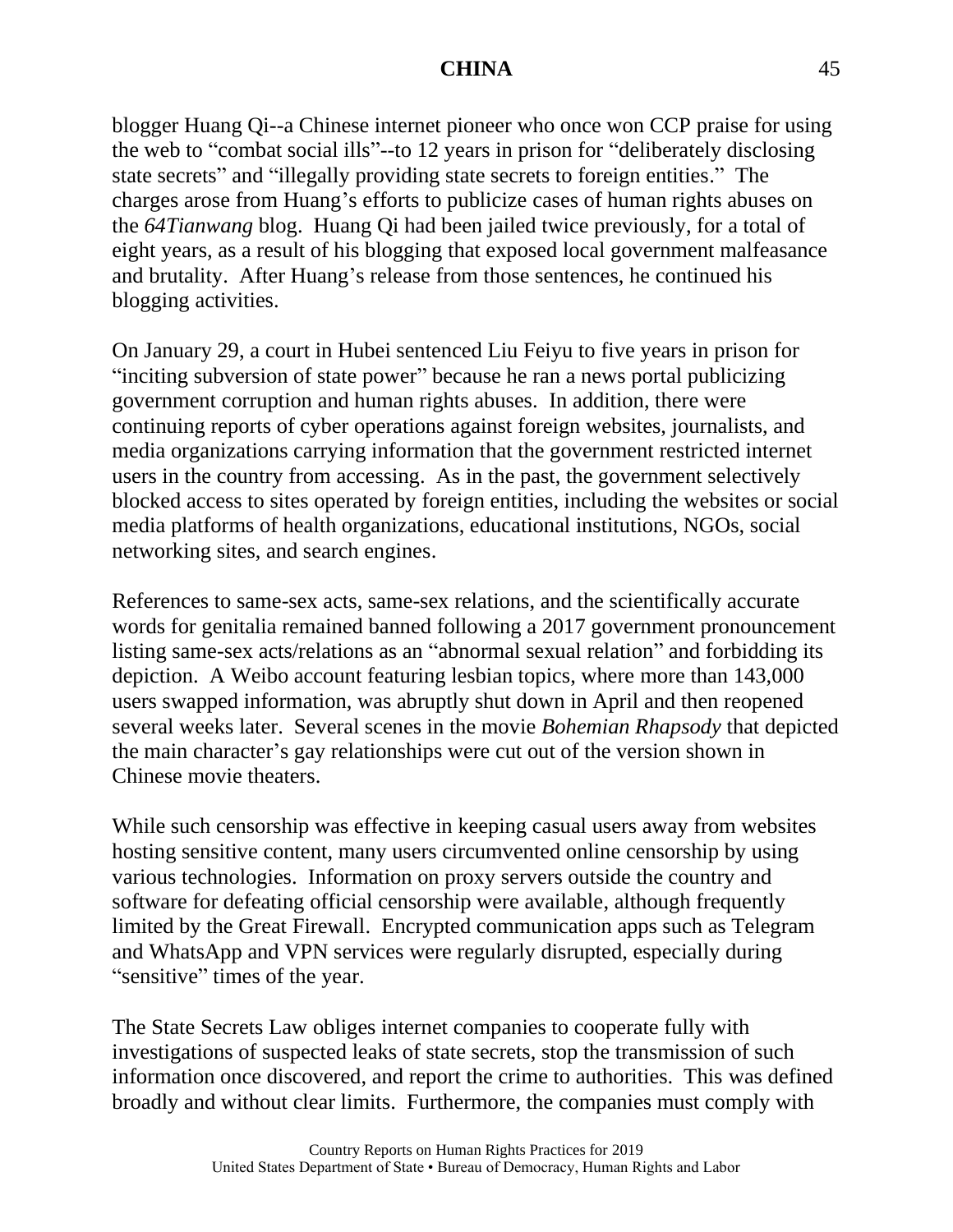blogger Huang Qi--a Chinese internet pioneer who once won CCP praise for using the web to "combat social ills"--to 12 years in prison for "deliberately disclosing state secrets" and "illegally providing state secrets to foreign entities." The charges arose from Huang's efforts to publicize cases of human rights abuses on the *64Tianwang* blog. Huang Qi had been jailed twice previously, for a total of eight years, as a result of his blogging that exposed local government malfeasance and brutality. After Huang's release from those sentences, he continued his blogging activities.

On January 29, a court in Hubei sentenced Liu Feiyu to five years in prison for "inciting subversion of state power" because he ran a news portal publicizing government corruption and human rights abuses. In addition, there were continuing reports of cyber operations against foreign websites, journalists, and media organizations carrying information that the government restricted internet users in the country from accessing. As in the past, the government selectively blocked access to sites operated by foreign entities, including the websites or social media platforms of health organizations, educational institutions, NGOs, social networking sites, and search engines.

References to same-sex acts, same-sex relations, and the scientifically accurate words for genitalia remained banned following a 2017 government pronouncement listing same-sex acts/relations as an "abnormal sexual relation" and forbidding its depiction. A Weibo account featuring lesbian topics, where more than 143,000 users swapped information, was abruptly shut down in April and then reopened several weeks later. Several scenes in the movie *Bohemian Rhapsody* that depicted the main character's gay relationships were cut out of the version shown in Chinese movie theaters.

While such censorship was effective in keeping casual users away from websites hosting sensitive content, many users circumvented online censorship by using various technologies. Information on proxy servers outside the country and software for defeating official censorship were available, although frequently limited by the Great Firewall. Encrypted communication apps such as Telegram and WhatsApp and VPN services were regularly disrupted, especially during "sensitive" times of the year.

The State Secrets Law obliges internet companies to cooperate fully with investigations of suspected leaks of state secrets, stop the transmission of such information once discovered, and report the crime to authorities. This was defined broadly and without clear limits. Furthermore, the companies must comply with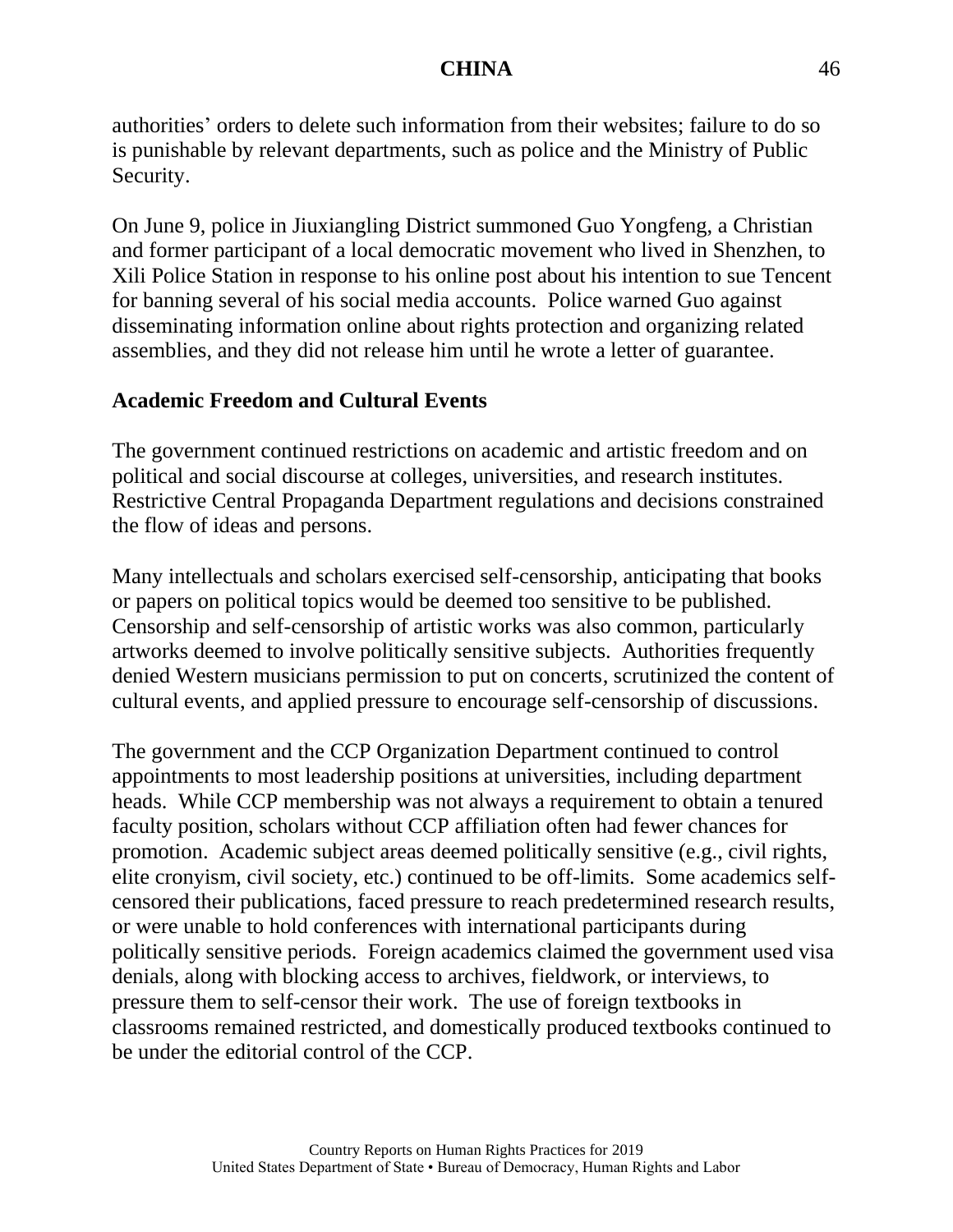authorities' orders to delete such information from their websites; failure to do so is punishable by relevant departments, such as police and the Ministry of Public Security.

On June 9, police in Jiuxiangling District summoned Guo Yongfeng, a Christian and former participant of a local democratic movement who lived in Shenzhen, to Xili Police Station in response to his online post about his intention to sue Tencent for banning several of his social media accounts. Police warned Guo against disseminating information online about rights protection and organizing related assemblies, and they did not release him until he wrote a letter of guarantee.

# **Academic Freedom and Cultural Events**

The government continued restrictions on academic and artistic freedom and on political and social discourse at colleges, universities, and research institutes. Restrictive Central Propaganda Department regulations and decisions constrained the flow of ideas and persons.

Many intellectuals and scholars exercised self-censorship, anticipating that books or papers on political topics would be deemed too sensitive to be published. Censorship and self-censorship of artistic works was also common, particularly artworks deemed to involve politically sensitive subjects. Authorities frequently denied Western musicians permission to put on concerts, scrutinized the content of cultural events, and applied pressure to encourage self-censorship of discussions.

The government and the CCP Organization Department continued to control appointments to most leadership positions at universities, including department heads. While CCP membership was not always a requirement to obtain a tenured faculty position, scholars without CCP affiliation often had fewer chances for promotion. Academic subject areas deemed politically sensitive (e.g., civil rights, elite cronyism, civil society, etc.) continued to be off-limits. Some academics selfcensored their publications, faced pressure to reach predetermined research results, or were unable to hold conferences with international participants during politically sensitive periods. Foreign academics claimed the government used visa denials, along with blocking access to archives, fieldwork, or interviews, to pressure them to self-censor their work. The use of foreign textbooks in classrooms remained restricted, and domestically produced textbooks continued to be under the editorial control of the CCP.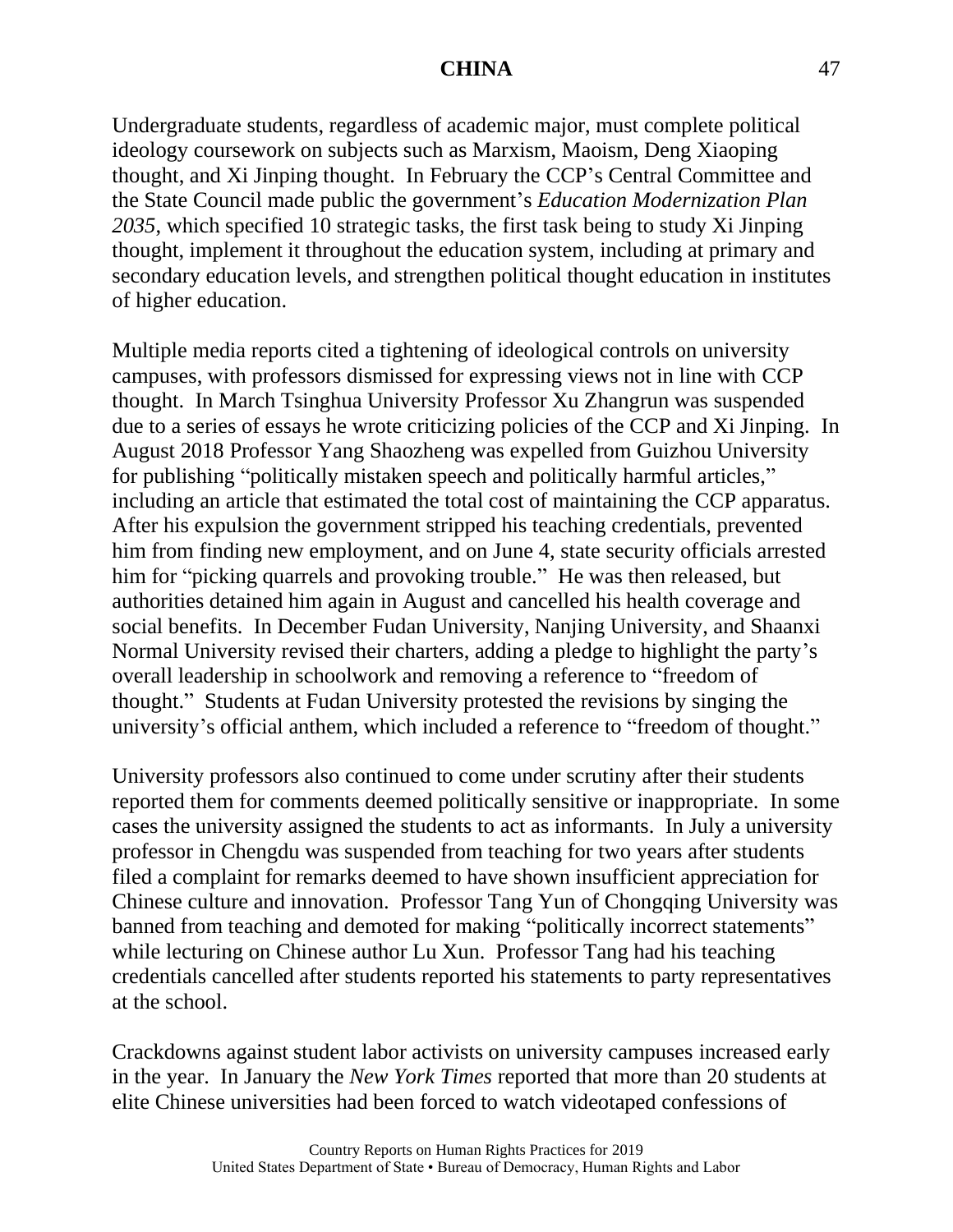Undergraduate students, regardless of academic major, must complete political ideology coursework on subjects such as Marxism, Maoism, Deng Xiaoping thought, and Xi Jinping thought. In February the CCP's Central Committee and the State Council made public the government's *Education Modernization Plan 2035*, which specified 10 strategic tasks, the first task being to study Xi Jinping thought, implement it throughout the education system, including at primary and secondary education levels, and strengthen political thought education in institutes of higher education.

Multiple media reports cited a tightening of ideological controls on university campuses, with professors dismissed for expressing views not in line with CCP thought. In March Tsinghua University Professor Xu Zhangrun was suspended due to a series of essays he wrote criticizing policies of the CCP and Xi Jinping. In August 2018 Professor Yang Shaozheng was expelled from Guizhou University for publishing "politically mistaken speech and politically harmful articles," including an article that estimated the total cost of maintaining the CCP apparatus. After his expulsion the government stripped his teaching credentials, prevented him from finding new employment, and on June 4, state security officials arrested him for "picking quarrels and provoking trouble." He was then released, but authorities detained him again in August and cancelled his health coverage and social benefits. In December Fudan University, Nanjing University, and Shaanxi Normal University revised their charters, adding a pledge to highlight the party's overall leadership in schoolwork and removing a reference to "freedom of thought." Students at Fudan University protested the revisions by singing the university's official anthem, which included a reference to "freedom of thought."

University professors also continued to come under scrutiny after their students reported them for comments deemed politically sensitive or inappropriate. In some cases the university assigned the students to act as informants. In July a university professor in Chengdu was suspended from teaching for two years after students filed a complaint for remarks deemed to have shown insufficient appreciation for Chinese culture and innovation. Professor Tang Yun of Chongqing University was banned from teaching and demoted for making "politically incorrect statements" while lecturing on Chinese author Lu Xun. Professor Tang had his teaching credentials cancelled after students reported his statements to party representatives at the school.

Crackdowns against student labor activists on university campuses increased early in the year. In January the *New York Times* reported that more than 20 students at elite Chinese universities had been forced to watch videotaped confessions of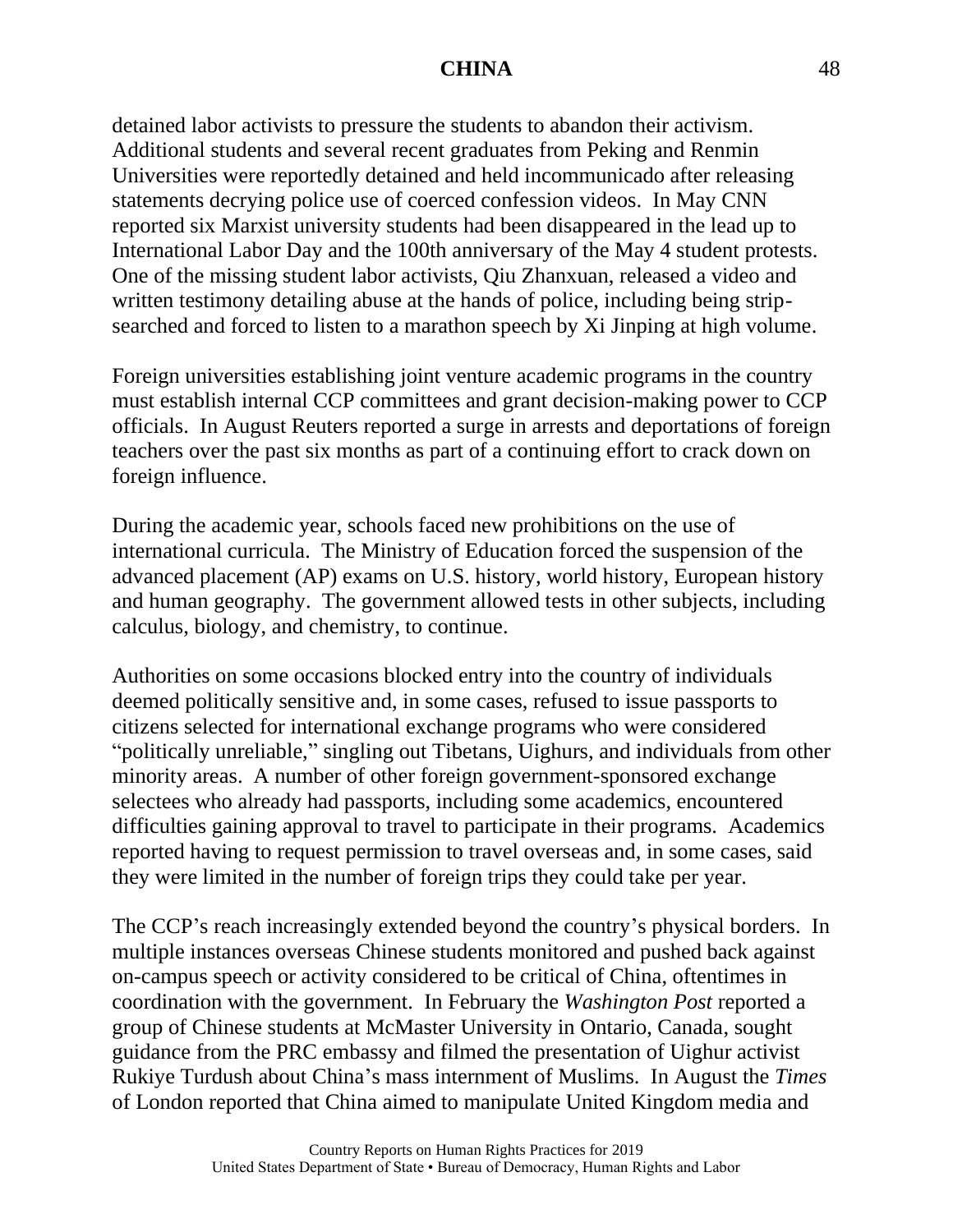detained labor activists to pressure the students to abandon their activism. Additional students and several recent graduates from Peking and Renmin Universities were reportedly detained and held incommunicado after releasing statements decrying police use of coerced confession videos. In May CNN reported six Marxist university students had been disappeared in the lead up to International Labor Day and the 100th anniversary of the May 4 student protests. One of the missing student labor activists, Qiu Zhanxuan, released a video and written testimony detailing abuse at the hands of police, including being stripsearched and forced to listen to a marathon speech by Xi Jinping at high volume.

Foreign universities establishing joint venture academic programs in the country must establish internal CCP committees and grant decision-making power to CCP officials. In August Reuters reported a surge in arrests and deportations of foreign teachers over the past six months as part of a continuing effort to crack down on foreign influence.

During the academic year, schools faced new prohibitions on the use of international curricula. The Ministry of Education forced the suspension of the advanced placement (AP) exams on U.S. history, world history, European history and human geography. The government allowed tests in other subjects, including calculus, biology, and chemistry, to continue.

Authorities on some occasions blocked entry into the country of individuals deemed politically sensitive and, in some cases, refused to issue passports to citizens selected for international exchange programs who were considered "politically unreliable," singling out Tibetans, Uighurs, and individuals from other minority areas. A number of other foreign government-sponsored exchange selectees who already had passports, including some academics, encountered difficulties gaining approval to travel to participate in their programs. Academics reported having to request permission to travel overseas and, in some cases, said they were limited in the number of foreign trips they could take per year.

The CCP's reach increasingly extended beyond the country's physical borders. In multiple instances overseas Chinese students monitored and pushed back against on-campus speech or activity considered to be critical of China, oftentimes in coordination with the government. In February the *Washington Post* reported a group of Chinese students at McMaster University in Ontario, Canada, sought guidance from the PRC embassy and filmed the presentation of Uighur activist Rukiye Turdush about China's mass internment of Muslims. In August the *Times* of London reported that China aimed to manipulate United Kingdom media and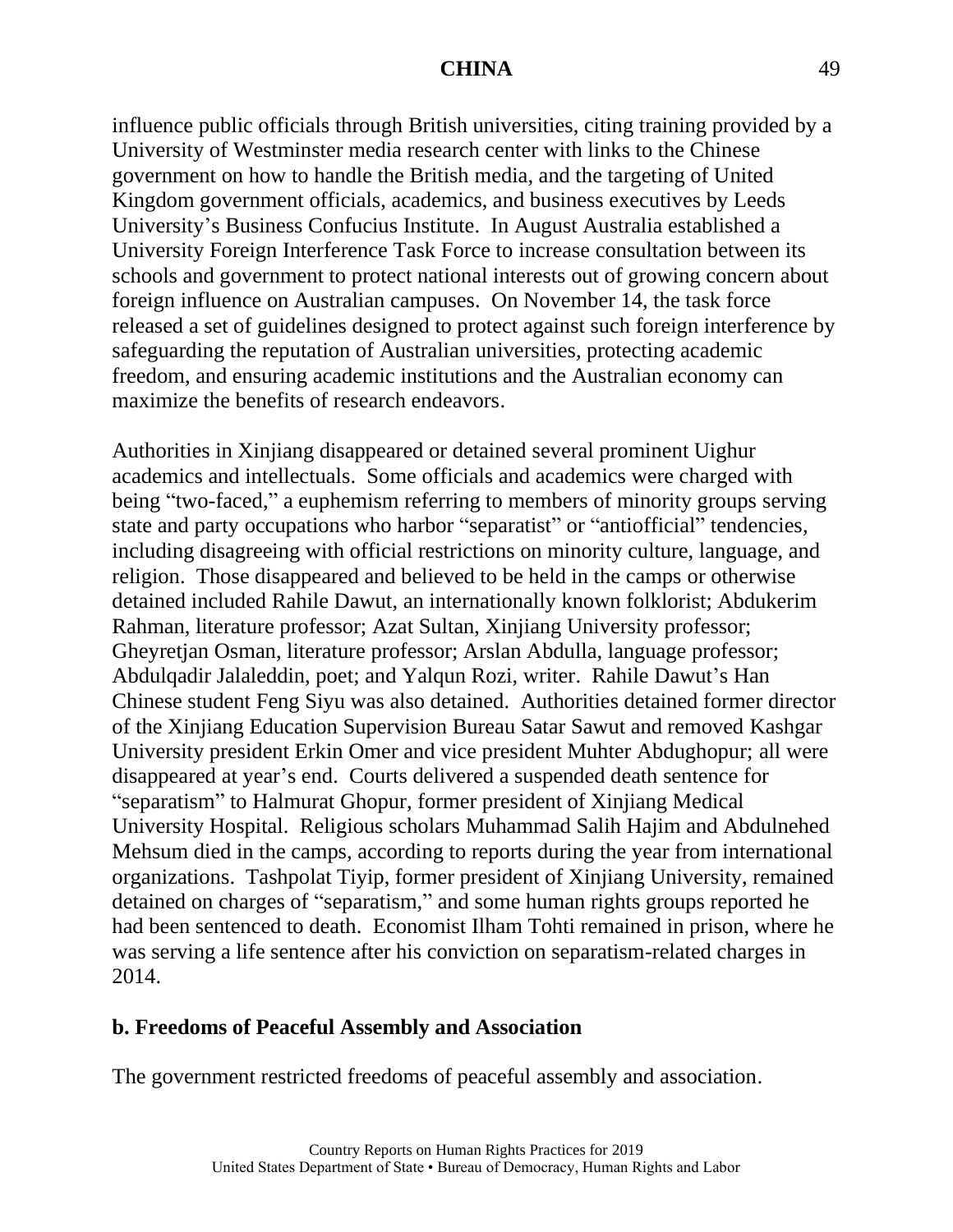influence public officials through British universities, citing training provided by a University of Westminster media research center with links to the Chinese government on how to handle the British media, and the targeting of United Kingdom government officials, academics, and business executives by Leeds University's Business Confucius Institute. In August Australia established a University Foreign Interference Task Force to increase consultation between its schools and government to protect national interests out of growing concern about foreign influence on Australian campuses. On November 14, the task force released a set of guidelines designed to protect against such foreign interference by safeguarding the reputation of Australian universities, protecting academic freedom, and ensuring academic institutions and the Australian economy can maximize the benefits of research endeavors.

Authorities in Xinjiang disappeared or detained several prominent Uighur academics and intellectuals. Some officials and academics were charged with being "two-faced," a euphemism referring to members of minority groups serving state and party occupations who harbor "separatist" or "antiofficial" tendencies, including disagreeing with official restrictions on minority culture, language, and religion. Those disappeared and believed to be held in the camps or otherwise detained included Rahile Dawut, an internationally known folklorist; Abdukerim Rahman, literature professor; Azat Sultan, Xinjiang University professor; Gheyretjan Osman, literature professor; Arslan Abdulla, language professor; Abdulqadir Jalaleddin, poet; and Yalqun Rozi, writer. Rahile Dawut's Han Chinese student Feng Siyu was also detained. Authorities detained former director of the Xinjiang Education Supervision Bureau Satar Sawut and removed Kashgar University president Erkin Omer and vice president Muhter Abdughopur; all were disappeared at year's end. Courts delivered a suspended death sentence for "separatism" to Halmurat Ghopur, former president of Xinjiang Medical University Hospital. Religious scholars Muhammad Salih Hajim and Abdulnehed Mehsum died in the camps, according to reports during the year from international organizations. Tashpolat Tiyip, former president of Xinjiang University, remained detained on charges of "separatism," and some human rights groups reported he had been sentenced to death. Economist Ilham Tohti remained in prison, where he was serving a life sentence after his conviction on separatism-related charges in 2014.

## **b. Freedoms of Peaceful Assembly and Association**

The government restricted freedoms of peaceful assembly and association.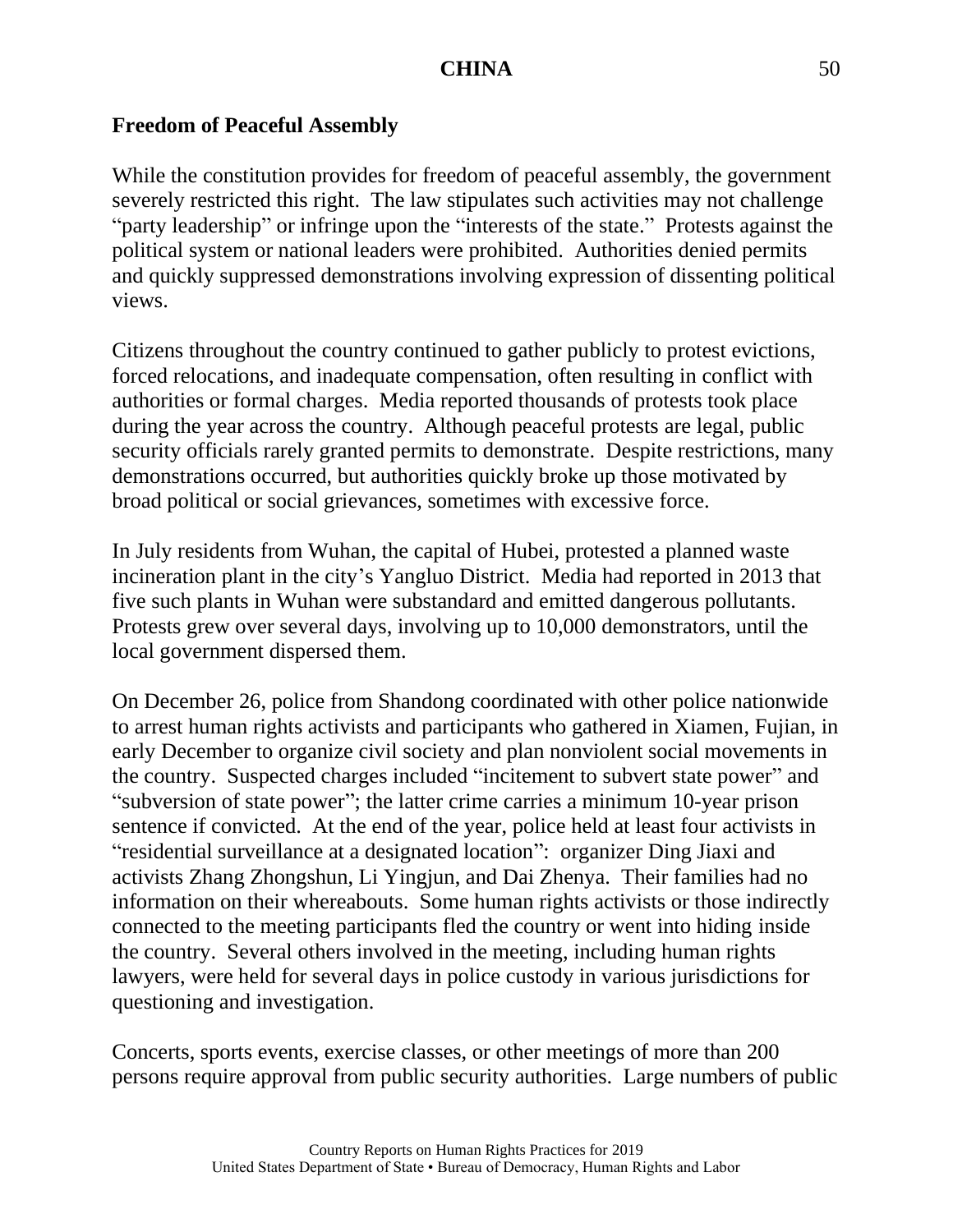#### **Freedom of Peaceful Assembly**

While the constitution provides for freedom of peaceful assembly, the government severely restricted this right. The law stipulates such activities may not challenge "party leadership" or infringe upon the "interests of the state." Protests against the political system or national leaders were prohibited. Authorities denied permits and quickly suppressed demonstrations involving expression of dissenting political views.

Citizens throughout the country continued to gather publicly to protest evictions, forced relocations, and inadequate compensation, often resulting in conflict with authorities or formal charges. Media reported thousands of protests took place during the year across the country. Although peaceful protests are legal, public security officials rarely granted permits to demonstrate. Despite restrictions, many demonstrations occurred, but authorities quickly broke up those motivated by broad political or social grievances, sometimes with excessive force.

In July residents from Wuhan, the capital of Hubei, protested a planned waste incineration plant in the city's Yangluo District. Media had reported in 2013 that five such plants in Wuhan were substandard and emitted dangerous pollutants. Protests grew over several days, involving up to 10,000 demonstrators, until the local government dispersed them.

On December 26, police from Shandong coordinated with other police nationwide to arrest human rights activists and participants who gathered in Xiamen, Fujian, in early December to organize civil society and plan nonviolent social movements in the country. Suspected charges included "incitement to subvert state power" and "subversion of state power"; the latter crime carries a minimum 10-year prison sentence if convicted. At the end of the year, police held at least four activists in "residential surveillance at a designated location": organizer Ding Jiaxi and activists Zhang Zhongshun, Li Yingjun, and Dai Zhenya. Their families had no information on their whereabouts. Some human rights activists or those indirectly connected to the meeting participants fled the country or went into hiding inside the country. Several others involved in the meeting, including human rights lawyers, were held for several days in police custody in various jurisdictions for questioning and investigation.

Concerts, sports events, exercise classes, or other meetings of more than 200 persons require approval from public security authorities. Large numbers of public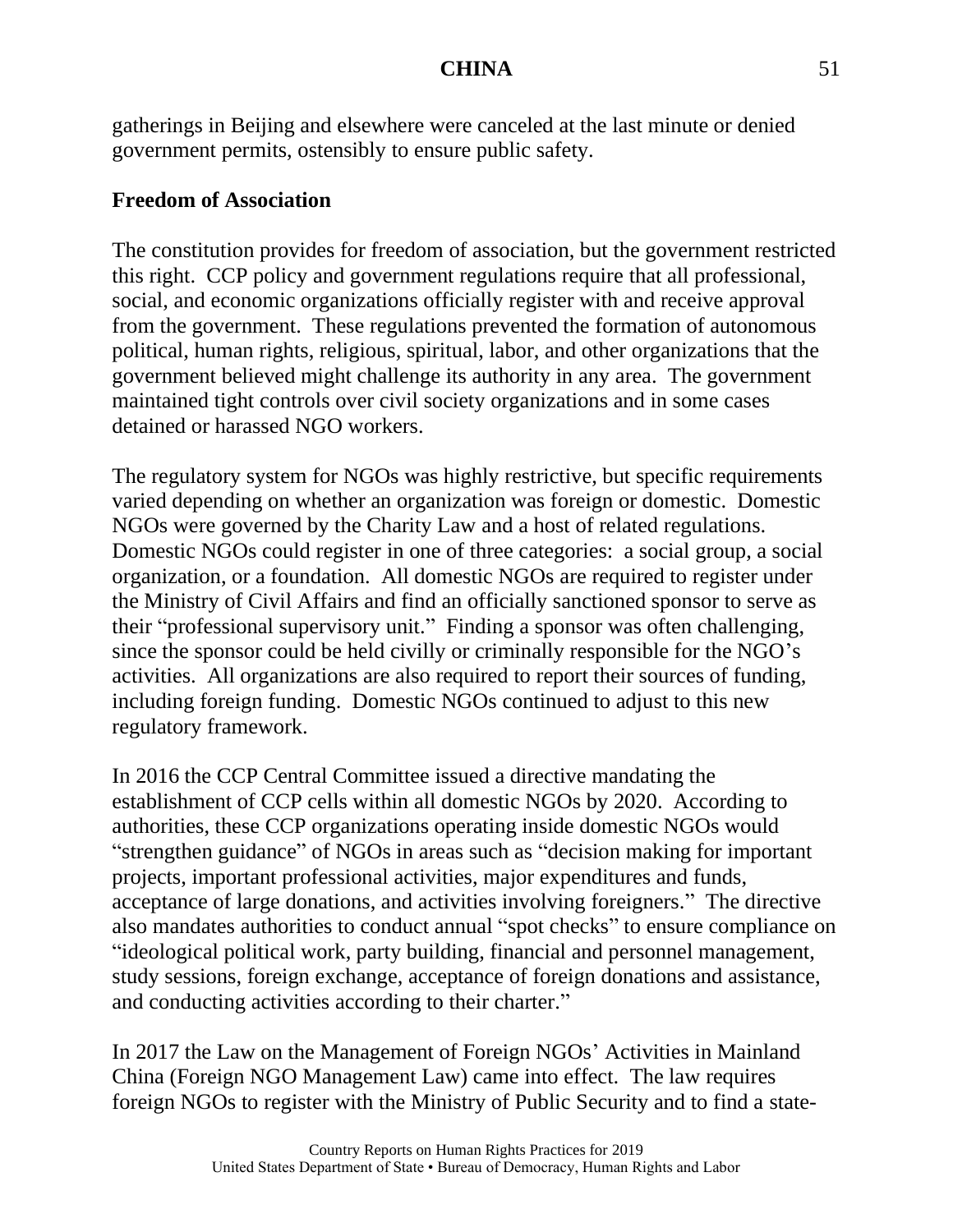gatherings in Beijing and elsewhere were canceled at the last minute or denied government permits, ostensibly to ensure public safety.

# **Freedom of Association**

The constitution provides for freedom of association, but the government restricted this right. CCP policy and government regulations require that all professional, social, and economic organizations officially register with and receive approval from the government. These regulations prevented the formation of autonomous political, human rights, religious, spiritual, labor, and other organizations that the government believed might challenge its authority in any area. The government maintained tight controls over civil society organizations and in some cases detained or harassed NGO workers.

The regulatory system for NGOs was highly restrictive, but specific requirements varied depending on whether an organization was foreign or domestic. Domestic NGOs were governed by the Charity Law and a host of related regulations. Domestic NGOs could register in one of three categories: a social group, a social organization, or a foundation. All domestic NGOs are required to register under the Ministry of Civil Affairs and find an officially sanctioned sponsor to serve as their "professional supervisory unit." Finding a sponsor was often challenging, since the sponsor could be held civilly or criminally responsible for the NGO's activities. All organizations are also required to report their sources of funding, including foreign funding. Domestic NGOs continued to adjust to this new regulatory framework.

In 2016 the CCP Central Committee issued a directive mandating the establishment of CCP cells within all domestic NGOs by 2020. According to authorities, these CCP organizations operating inside domestic NGOs would "strengthen guidance" of NGOs in areas such as "decision making for important projects, important professional activities, major expenditures and funds, acceptance of large donations, and activities involving foreigners." The directive also mandates authorities to conduct annual "spot checks" to ensure compliance on "ideological political work, party building, financial and personnel management, study sessions, foreign exchange, acceptance of foreign donations and assistance, and conducting activities according to their charter."

In 2017 the Law on the Management of Foreign NGOs' Activities in Mainland China (Foreign NGO Management Law) came into effect. The law requires foreign NGOs to register with the Ministry of Public Security and to find a state-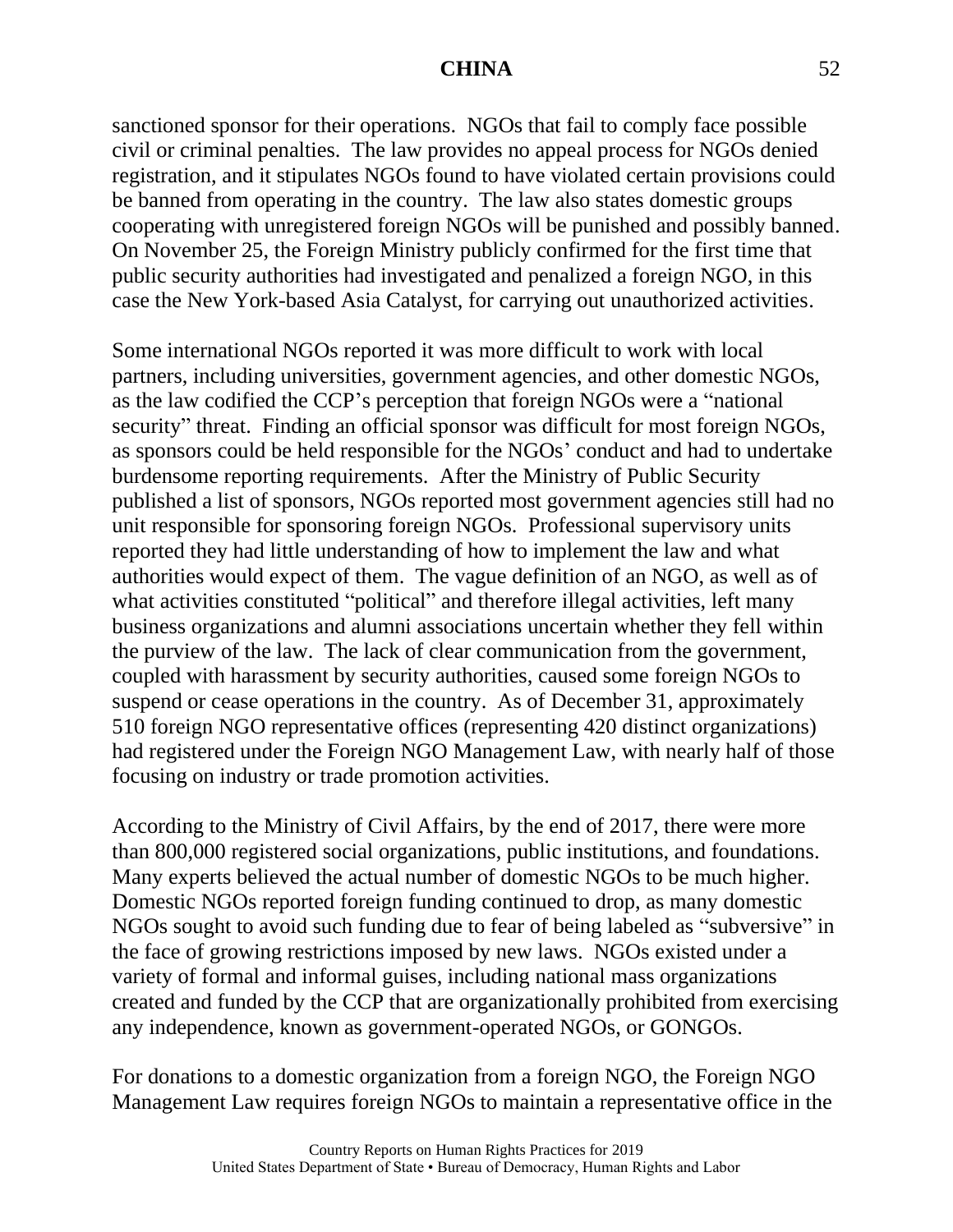sanctioned sponsor for their operations. NGOs that fail to comply face possible civil or criminal penalties. The law provides no appeal process for NGOs denied registration, and it stipulates NGOs found to have violated certain provisions could be banned from operating in the country. The law also states domestic groups cooperating with unregistered foreign NGOs will be punished and possibly banned. On November 25, the Foreign Ministry publicly confirmed for the first time that public security authorities had investigated and penalized a foreign NGO, in this case the New York-based Asia Catalyst, for carrying out unauthorized activities.

Some international NGOs reported it was more difficult to work with local partners, including universities, government agencies, and other domestic NGOs, as the law codified the CCP's perception that foreign NGOs were a "national security" threat. Finding an official sponsor was difficult for most foreign NGOs, as sponsors could be held responsible for the NGOs' conduct and had to undertake burdensome reporting requirements. After the Ministry of Public Security published a list of sponsors, NGOs reported most government agencies still had no unit responsible for sponsoring foreign NGOs. Professional supervisory units reported they had little understanding of how to implement the law and what authorities would expect of them. The vague definition of an NGO, as well as of what activities constituted "political" and therefore illegal activities, left many business organizations and alumni associations uncertain whether they fell within the purview of the law. The lack of clear communication from the government, coupled with harassment by security authorities, caused some foreign NGOs to suspend or cease operations in the country. As of December 31, approximately 510 foreign NGO representative offices (representing 420 distinct organizations) had registered under the Foreign NGO Management Law, with nearly half of those focusing on industry or trade promotion activities.

According to the Ministry of Civil Affairs, by the end of 2017, there were more than 800,000 registered social organizations, public institutions, and foundations. Many experts believed the actual number of domestic NGOs to be much higher. Domestic NGOs reported foreign funding continued to drop, as many domestic NGOs sought to avoid such funding due to fear of being labeled as "subversive" in the face of growing restrictions imposed by new laws. NGOs existed under a variety of formal and informal guises, including national mass organizations created and funded by the CCP that are organizationally prohibited from exercising any independence, known as government-operated NGOs, or GONGOs.

For donations to a domestic organization from a foreign NGO, the Foreign NGO Management Law requires foreign NGOs to maintain a representative office in the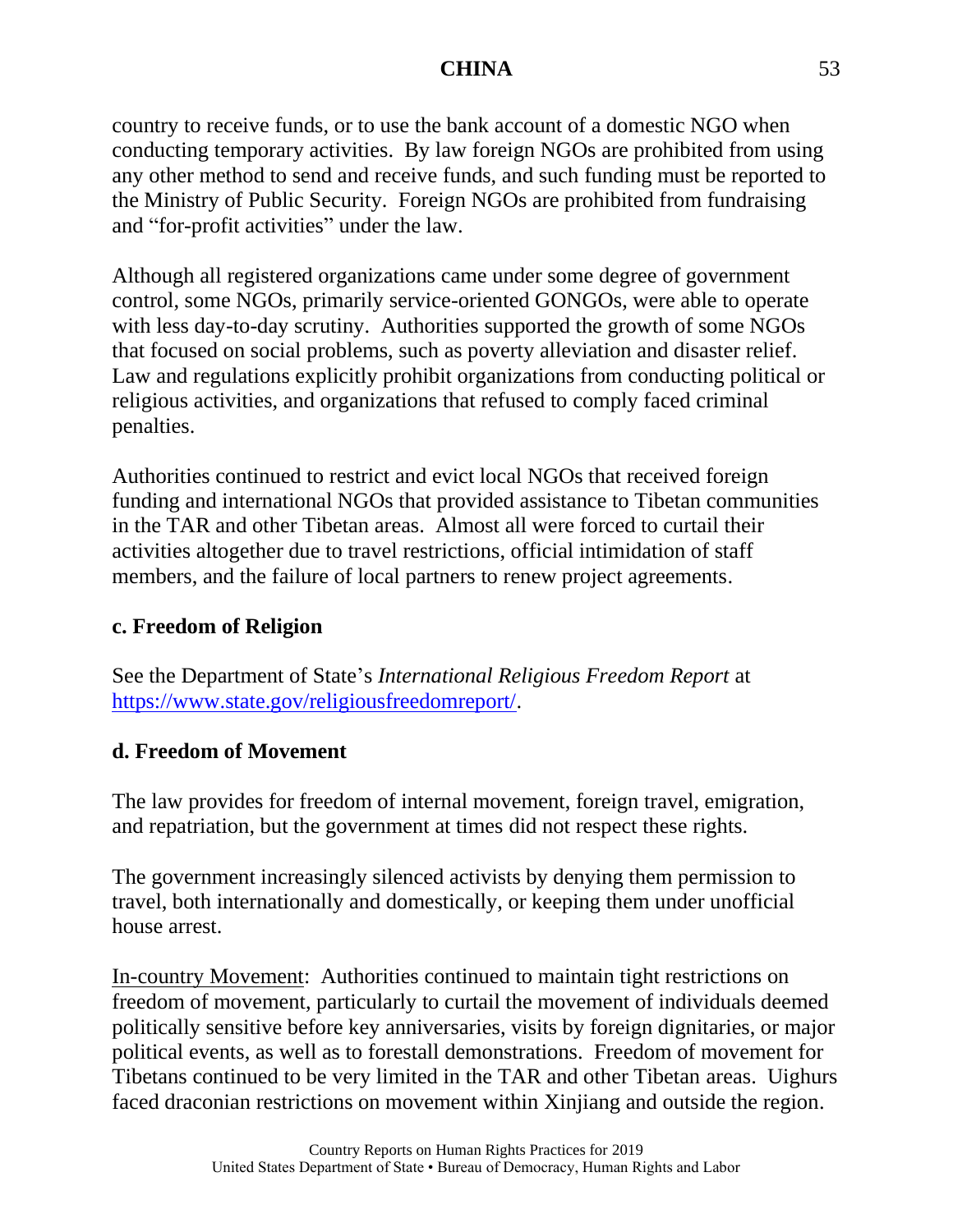country to receive funds, or to use the bank account of a domestic NGO when conducting temporary activities. By law foreign NGOs are prohibited from using any other method to send and receive funds, and such funding must be reported to the Ministry of Public Security. Foreign NGOs are prohibited from fundraising and "for-profit activities" under the law.

Although all registered organizations came under some degree of government control, some NGOs, primarily service-oriented GONGOs, were able to operate with less day-to-day scrutiny. Authorities supported the growth of some NGOs that focused on social problems, such as poverty alleviation and disaster relief. Law and regulations explicitly prohibit organizations from conducting political or religious activities, and organizations that refused to comply faced criminal penalties.

Authorities continued to restrict and evict local NGOs that received foreign funding and international NGOs that provided assistance to Tibetan communities in the TAR and other Tibetan areas. Almost all were forced to curtail their activities altogether due to travel restrictions, official intimidation of staff members, and the failure of local partners to renew project agreements.

# **c. Freedom of Religion**

See the Department of State's *International Religious Freedom Report* at [https://www.state.gov/religiousfreedomreport/.](https://www.state.gov/religiousfreedomreport/)

# **d. Freedom of Movement**

The law provides for freedom of internal movement, foreign travel, emigration, and repatriation, but the government at times did not respect these rights.

The government increasingly silenced activists by denying them permission to travel, both internationally and domestically, or keeping them under unofficial house arrest.

In-country Movement: Authorities continued to maintain tight restrictions on freedom of movement, particularly to curtail the movement of individuals deemed politically sensitive before key anniversaries, visits by foreign dignitaries, or major political events, as well as to forestall demonstrations. Freedom of movement for Tibetans continued to be very limited in the TAR and other Tibetan areas. Uighurs faced draconian restrictions on movement within Xinjiang and outside the region.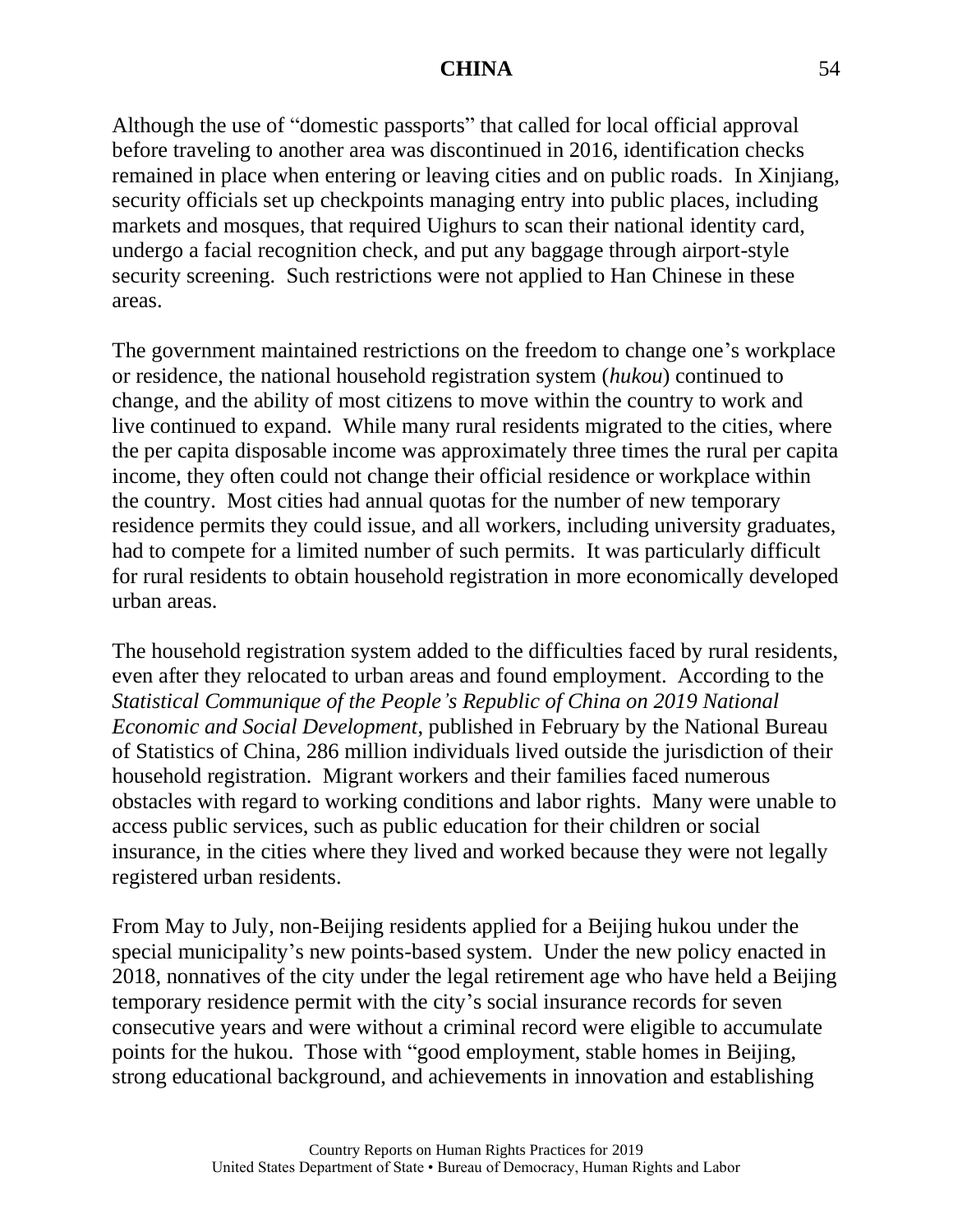Although the use of "domestic passports" that called for local official approval before traveling to another area was discontinued in 2016, identification checks remained in place when entering or leaving cities and on public roads. In Xinjiang, security officials set up checkpoints managing entry into public places, including markets and mosques, that required Uighurs to scan their national identity card, undergo a facial recognition check, and put any baggage through airport-style security screening. Such restrictions were not applied to Han Chinese in these areas.

The government maintained restrictions on the freedom to change one's workplace or residence, the national household registration system (*hukou*) continued to change, and the ability of most citizens to move within the country to work and live continued to expand. While many rural residents migrated to the cities, where the per capita disposable income was approximately three times the rural per capita income, they often could not change their official residence or workplace within the country. Most cities had annual quotas for the number of new temporary residence permits they could issue, and all workers, including university graduates, had to compete for a limited number of such permits. It was particularly difficult for rural residents to obtain household registration in more economically developed urban areas.

The household registration system added to the difficulties faced by rural residents, even after they relocated to urban areas and found employment. According to the *Statistical Communique of the People's Republic of China on 2019 National Economic and Social Development*, published in February by the National Bureau of Statistics of China, 286 million individuals lived outside the jurisdiction of their household registration. Migrant workers and their families faced numerous obstacles with regard to working conditions and labor rights. Many were unable to access public services, such as public education for their children or social insurance, in the cities where they lived and worked because they were not legally registered urban residents.

From May to July, non-Beijing residents applied for a Beijing hukou under the special municipality's new points-based system. Under the new policy enacted in 2018, nonnatives of the city under the legal retirement age who have held a Beijing temporary residence permit with the city's social insurance records for seven consecutive years and were without a criminal record were eligible to accumulate points for the hukou. Those with "good employment, stable homes in Beijing, strong educational background, and achievements in innovation and establishing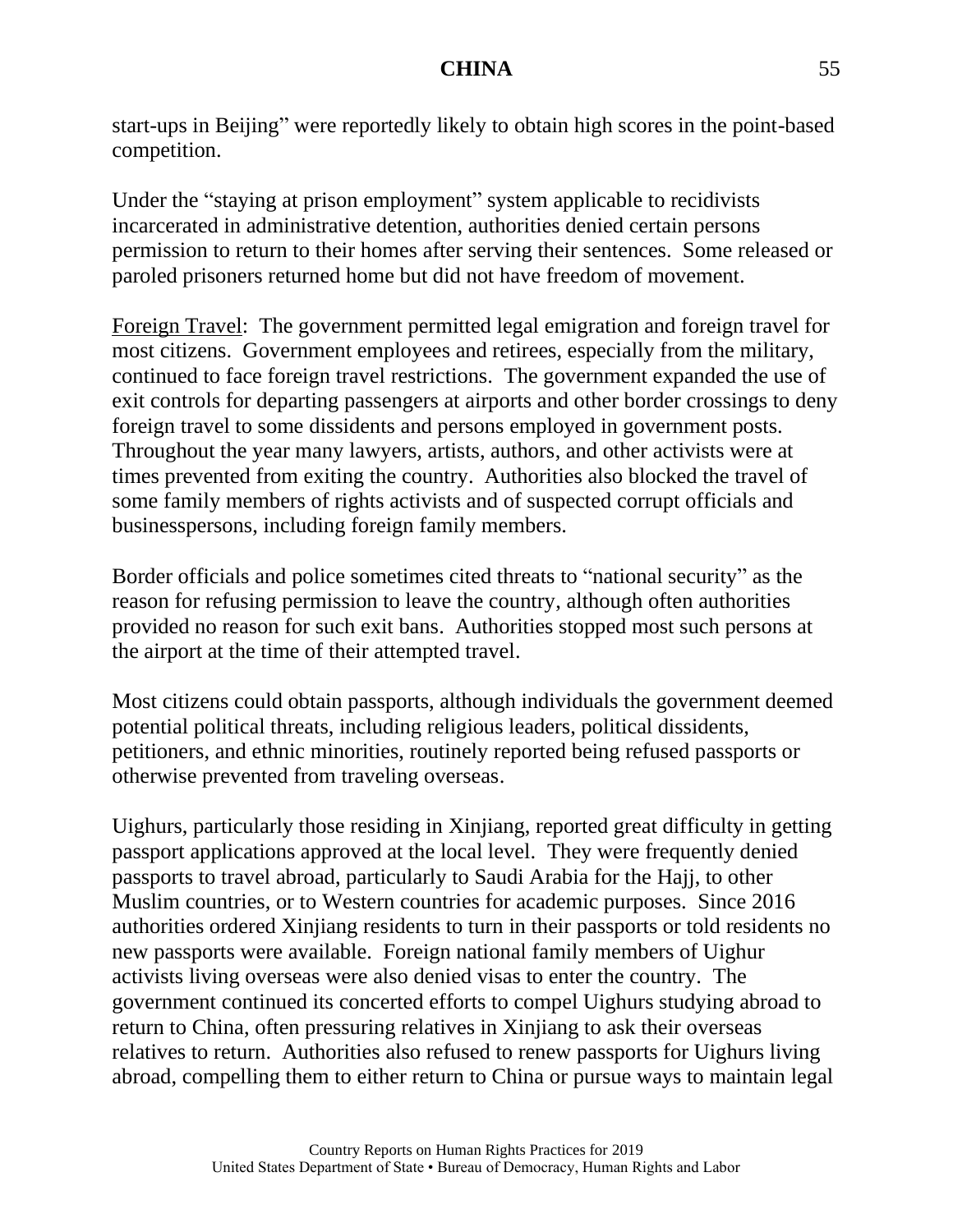start-ups in Beijing" were reportedly likely to obtain high scores in the point-based competition.

Under the "staying at prison employment" system applicable to recidivists incarcerated in administrative detention, authorities denied certain persons permission to return to their homes after serving their sentences. Some released or paroled prisoners returned home but did not have freedom of movement.

Foreign Travel: The government permitted legal emigration and foreign travel for most citizens. Government employees and retirees, especially from the military, continued to face foreign travel restrictions. The government expanded the use of exit controls for departing passengers at airports and other border crossings to deny foreign travel to some dissidents and persons employed in government posts. Throughout the year many lawyers, artists, authors, and other activists were at times prevented from exiting the country. Authorities also blocked the travel of some family members of rights activists and of suspected corrupt officials and businesspersons, including foreign family members.

Border officials and police sometimes cited threats to "national security" as the reason for refusing permission to leave the country, although often authorities provided no reason for such exit bans. Authorities stopped most such persons at the airport at the time of their attempted travel.

Most citizens could obtain passports, although individuals the government deemed potential political threats, including religious leaders, political dissidents, petitioners, and ethnic minorities, routinely reported being refused passports or otherwise prevented from traveling overseas.

Uighurs, particularly those residing in Xinjiang, reported great difficulty in getting passport applications approved at the local level. They were frequently denied passports to travel abroad, particularly to Saudi Arabia for the Hajj, to other Muslim countries, or to Western countries for academic purposes. Since 2016 authorities ordered Xinjiang residents to turn in their passports or told residents no new passports were available. Foreign national family members of Uighur activists living overseas were also denied visas to enter the country. The government continued its concerted efforts to compel Uighurs studying abroad to return to China, often pressuring relatives in Xinjiang to ask their overseas relatives to return. Authorities also refused to renew passports for Uighurs living abroad, compelling them to either return to China or pursue ways to maintain legal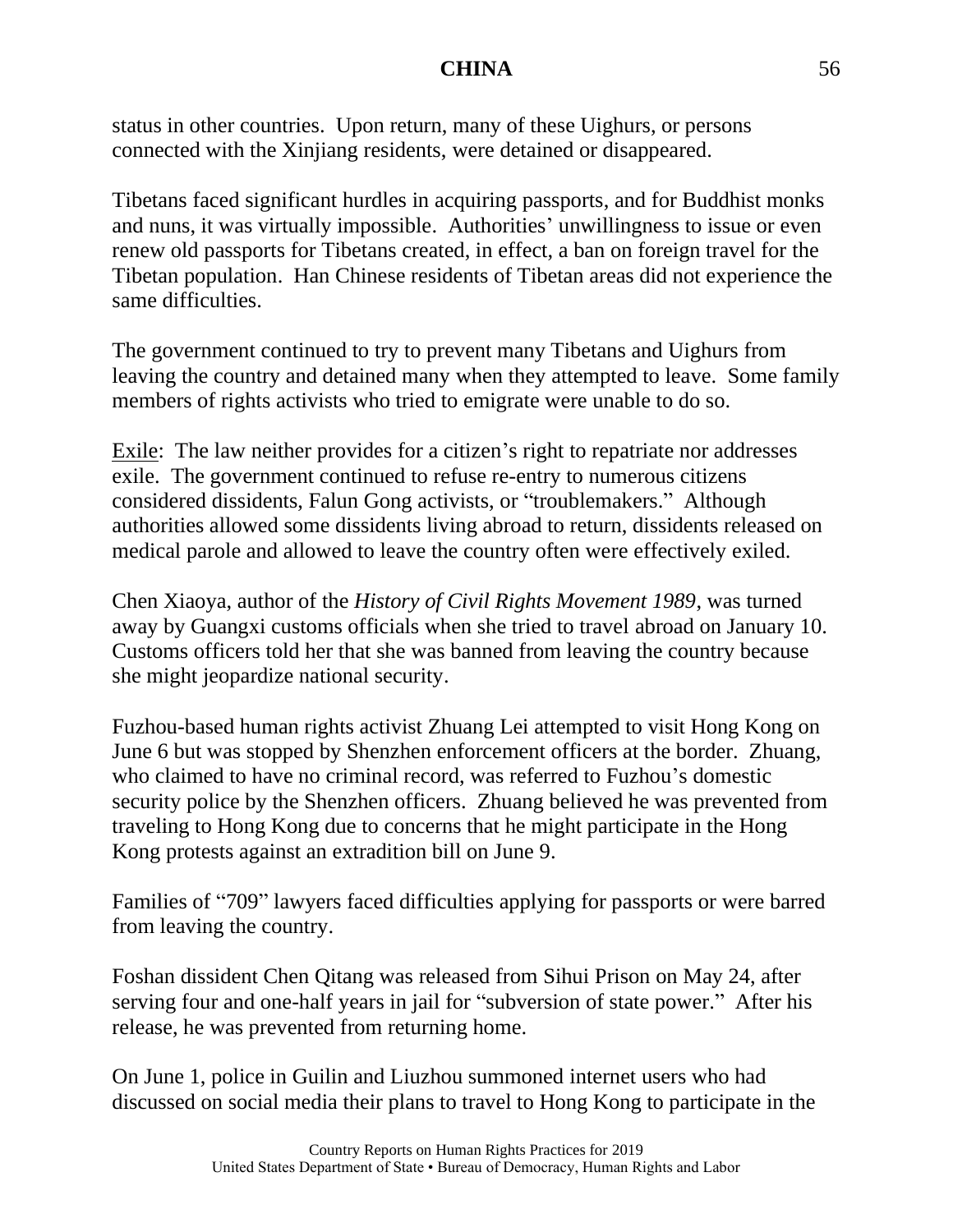status in other countries. Upon return, many of these Uighurs, or persons connected with the Xinjiang residents, were detained or disappeared.

Tibetans faced significant hurdles in acquiring passports, and for Buddhist monks and nuns, it was virtually impossible. Authorities' unwillingness to issue or even renew old passports for Tibetans created, in effect, a ban on foreign travel for the Tibetan population. Han Chinese residents of Tibetan areas did not experience the same difficulties.

The government continued to try to prevent many Tibetans and Uighurs from leaving the country and detained many when they attempted to leave. Some family members of rights activists who tried to emigrate were unable to do so.

Exile: The law neither provides for a citizen's right to repatriate nor addresses exile. The government continued to refuse re-entry to numerous citizens considered dissidents, Falun Gong activists, or "troublemakers." Although authorities allowed some dissidents living abroad to return, dissidents released on medical parole and allowed to leave the country often were effectively exiled.

Chen Xiaoya, author of the *History of Civil Rights Movement 1989*, was turned away by Guangxi customs officials when she tried to travel abroad on January 10. Customs officers told her that she was banned from leaving the country because she might jeopardize national security.

Fuzhou-based human rights activist Zhuang Lei attempted to visit Hong Kong on June 6 but was stopped by Shenzhen enforcement officers at the border. Zhuang, who claimed to have no criminal record, was referred to Fuzhou's domestic security police by the Shenzhen officers. Zhuang believed he was prevented from traveling to Hong Kong due to concerns that he might participate in the Hong Kong protests against an extradition bill on June 9.

Families of "709" lawyers faced difficulties applying for passports or were barred from leaving the country.

Foshan dissident Chen Qitang was released from Sihui Prison on May 24, after serving four and one-half years in jail for "subversion of state power." After his release, he was prevented from returning home.

On June 1, police in Guilin and Liuzhou summoned internet users who had discussed on social media their plans to travel to Hong Kong to participate in the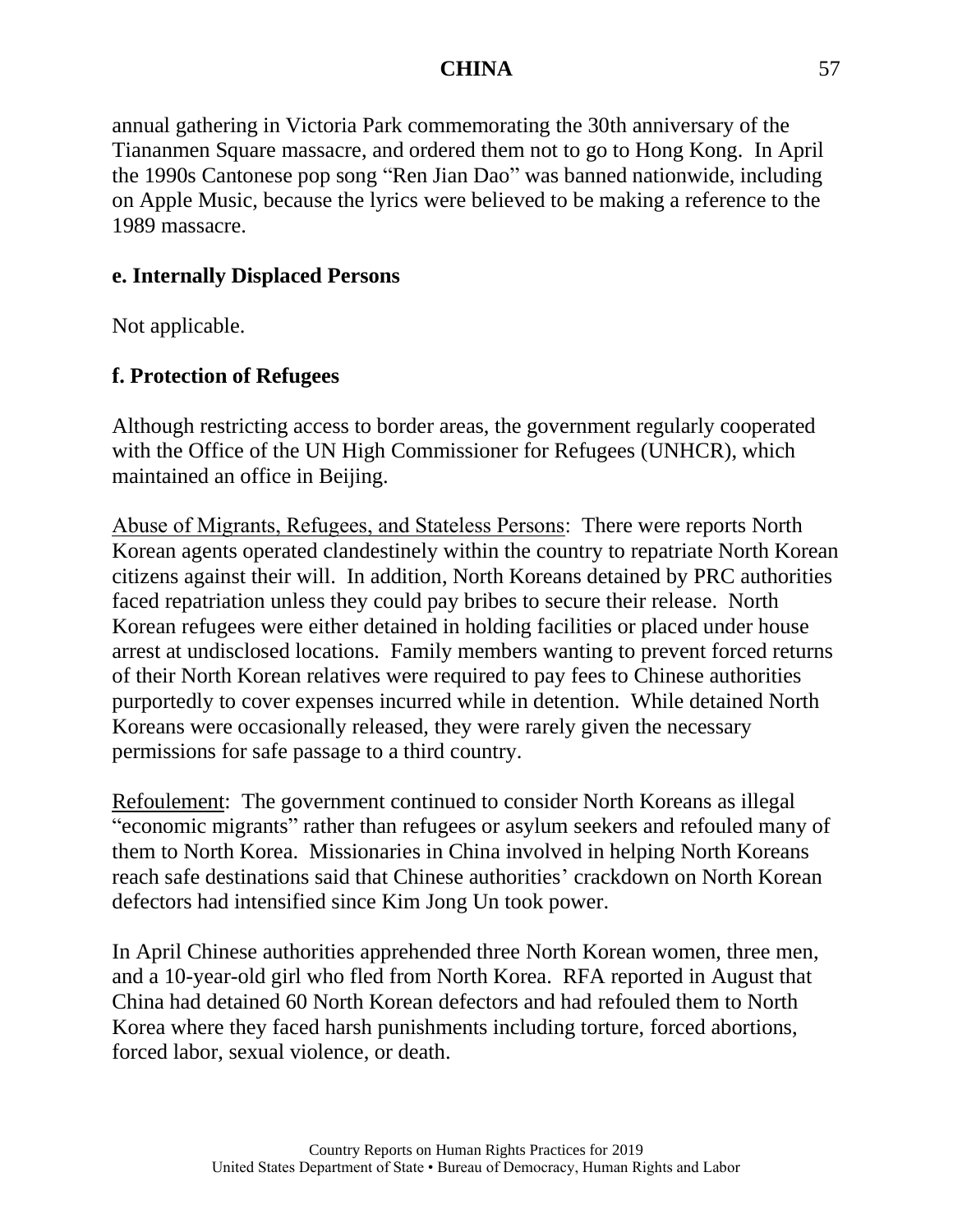annual gathering in Victoria Park commemorating the 30th anniversary of the Tiananmen Square massacre, and ordered them not to go to Hong Kong. In April the 1990s Cantonese pop song "Ren Jian Dao" was banned nationwide, including on Apple Music, because the lyrics were believed to be making a reference to the 1989 massacre.

# **e. Internally Displaced Persons**

Not applicable.

# **f. Protection of Refugees**

Although restricting access to border areas, the government regularly cooperated with the Office of the UN High Commissioner for Refugees (UNHCR), which maintained an office in Beijing.

Abuse of Migrants, Refugees, and Stateless Persons: There were reports North Korean agents operated clandestinely within the country to repatriate North Korean citizens against their will. In addition, North Koreans detained by PRC authorities faced repatriation unless they could pay bribes to secure their release. North Korean refugees were either detained in holding facilities or placed under house arrest at undisclosed locations. Family members wanting to prevent forced returns of their North Korean relatives were required to pay fees to Chinese authorities purportedly to cover expenses incurred while in detention. While detained North Koreans were occasionally released, they were rarely given the necessary permissions for safe passage to a third country.

Refoulement: The government continued to consider North Koreans as illegal "economic migrants" rather than refugees or asylum seekers and refouled many of them to North Korea. Missionaries in China involved in helping North Koreans reach safe destinations said that Chinese authorities' crackdown on North Korean defectors had intensified since Kim Jong Un took power.

In April Chinese authorities apprehended three North Korean women, three men, and a 10-year-old girl who fled from North Korea. RFA reported in August that China had detained 60 North Korean defectors and had refouled them to North Korea where they faced harsh punishments including torture, forced abortions, forced labor, sexual violence, or death.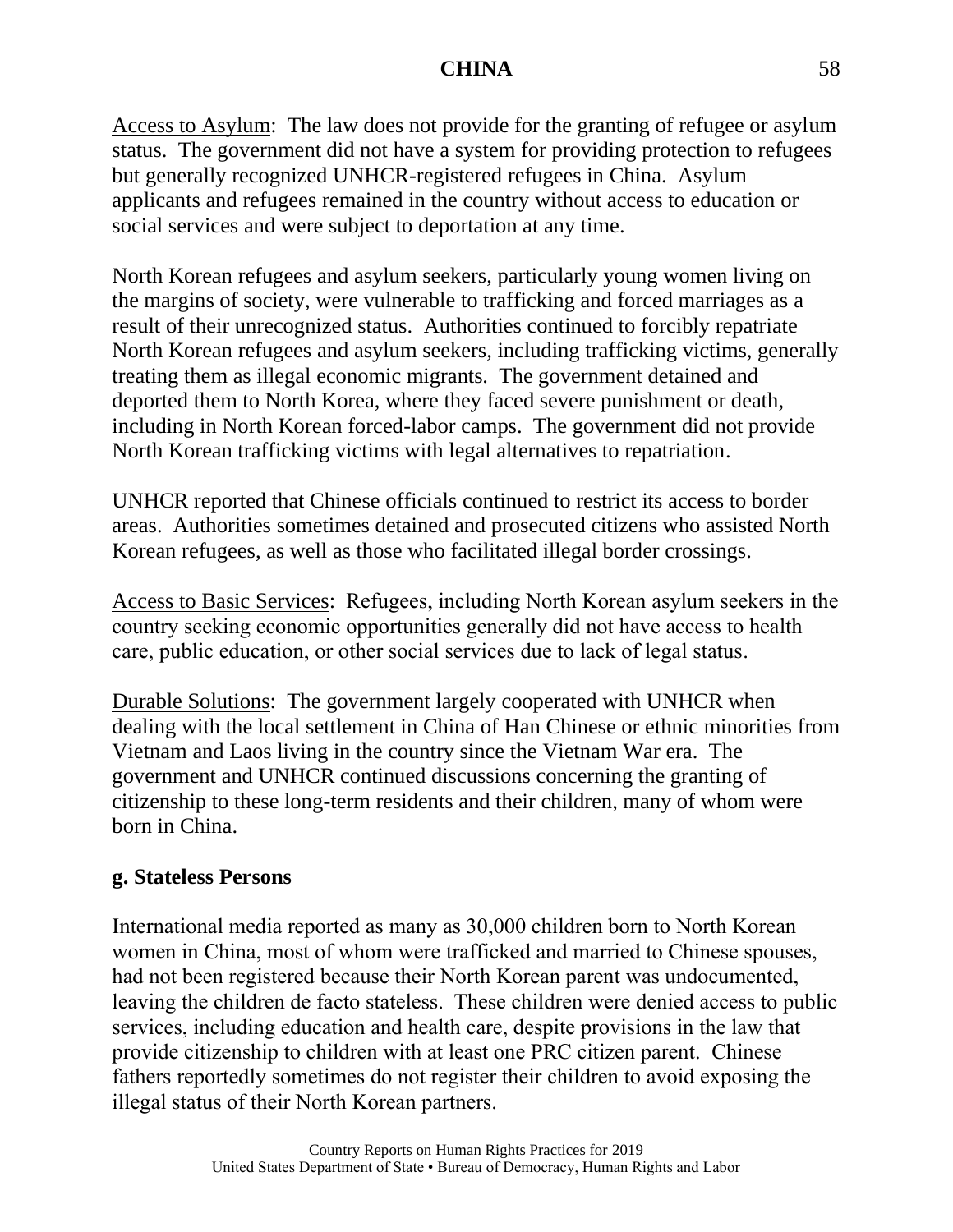Access to Asylum: The law does not provide for the granting of refugee or asylum status. The government did not have a system for providing protection to refugees but generally recognized UNHCR-registered refugees in China. Asylum applicants and refugees remained in the country without access to education or social services and were subject to deportation at any time.

North Korean refugees and asylum seekers, particularly young women living on the margins of society, were vulnerable to trafficking and forced marriages as a result of their unrecognized status. Authorities continued to forcibly repatriate North Korean refugees and asylum seekers, including trafficking victims, generally treating them as illegal economic migrants. The government detained and deported them to North Korea, where they faced severe punishment or death, including in North Korean forced-labor camps. The government did not provide North Korean trafficking victims with legal alternatives to repatriation.

UNHCR reported that Chinese officials continued to restrict its access to border areas. Authorities sometimes detained and prosecuted citizens who assisted North Korean refugees, as well as those who facilitated illegal border crossings.

Access to Basic Services: Refugees, including North Korean asylum seekers in the country seeking economic opportunities generally did not have access to health care, public education, or other social services due to lack of legal status.

Durable Solutions: The government largely cooperated with UNHCR when dealing with the local settlement in China of Han Chinese or ethnic minorities from Vietnam and Laos living in the country since the Vietnam War era. The government and UNHCR continued discussions concerning the granting of citizenship to these long-term residents and their children, many of whom were born in China.

# **g. Stateless Persons**

International media reported as many as 30,000 children born to North Korean women in China, most of whom were trafficked and married to Chinese spouses, had not been registered because their North Korean parent was undocumented, leaving the children de facto stateless. These children were denied access to public services, including education and health care, despite provisions in the law that provide citizenship to children with at least one PRC citizen parent. Chinese fathers reportedly sometimes do not register their children to avoid exposing the illegal status of their North Korean partners.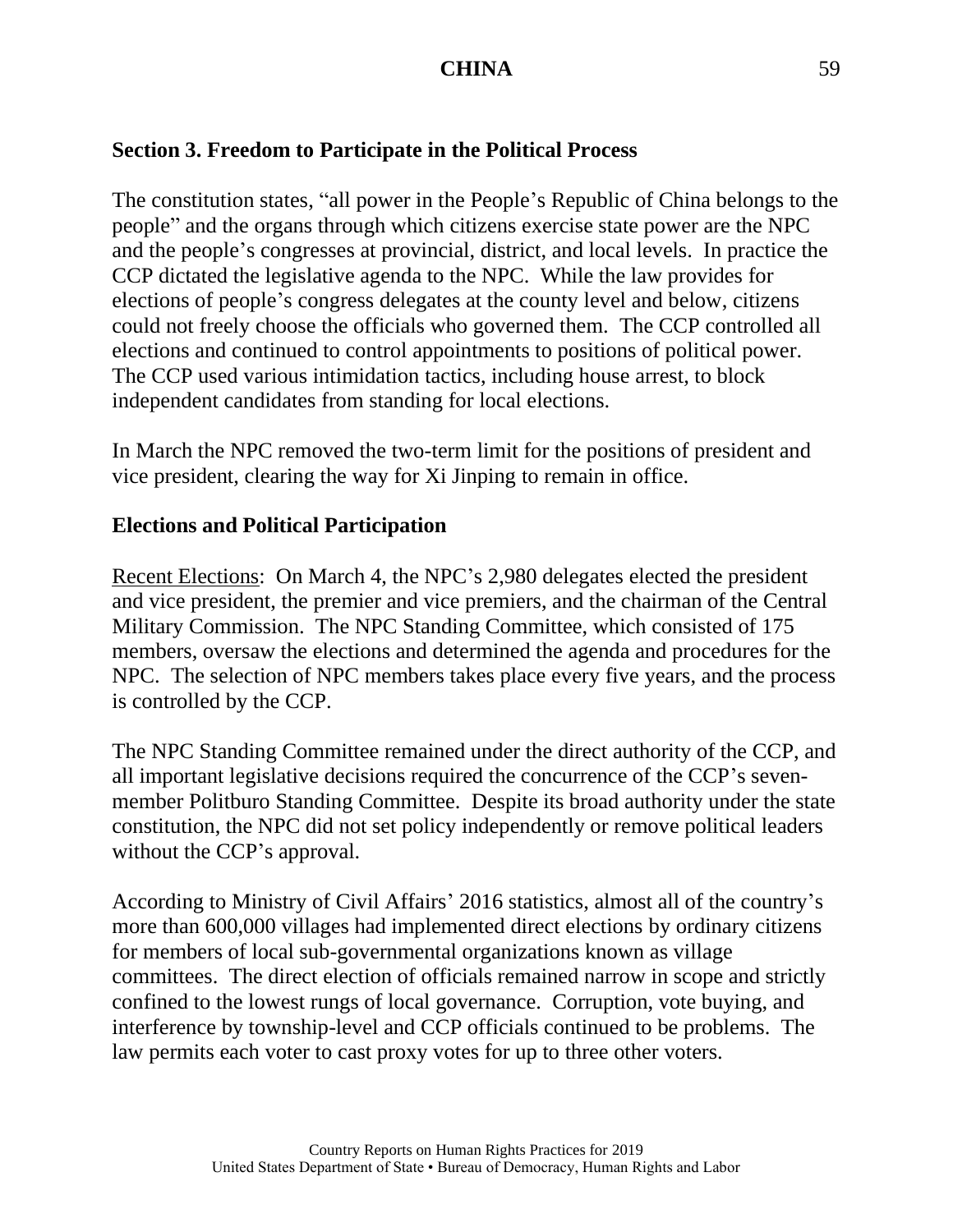# **Section 3. Freedom to Participate in the Political Process**

The constitution states, "all power in the People's Republic of China belongs to the people" and the organs through which citizens exercise state power are the NPC and the people's congresses at provincial, district, and local levels. In practice the CCP dictated the legislative agenda to the NPC. While the law provides for elections of people's congress delegates at the county level and below, citizens could not freely choose the officials who governed them. The CCP controlled all elections and continued to control appointments to positions of political power. The CCP used various intimidation tactics, including house arrest, to block independent candidates from standing for local elections.

In March the NPC removed the two-term limit for the positions of president and vice president, clearing the way for Xi Jinping to remain in office.

#### **Elections and Political Participation**

Recent Elections: On March 4, the NPC's 2,980 delegates elected the president and vice president, the premier and vice premiers, and the chairman of the Central Military Commission. The NPC Standing Committee, which consisted of 175 members, oversaw the elections and determined the agenda and procedures for the NPC. The selection of NPC members takes place every five years, and the process is controlled by the CCP.

The NPC Standing Committee remained under the direct authority of the CCP, and all important legislative decisions required the concurrence of the CCP's sevenmember Politburo Standing Committee. Despite its broad authority under the state constitution, the NPC did not set policy independently or remove political leaders without the CCP's approval.

According to Ministry of Civil Affairs' 2016 statistics, almost all of the country's more than 600,000 villages had implemented direct elections by ordinary citizens for members of local sub-governmental organizations known as village committees. The direct election of officials remained narrow in scope and strictly confined to the lowest rungs of local governance. Corruption, vote buying, and interference by township-level and CCP officials continued to be problems. The law permits each voter to cast proxy votes for up to three other voters.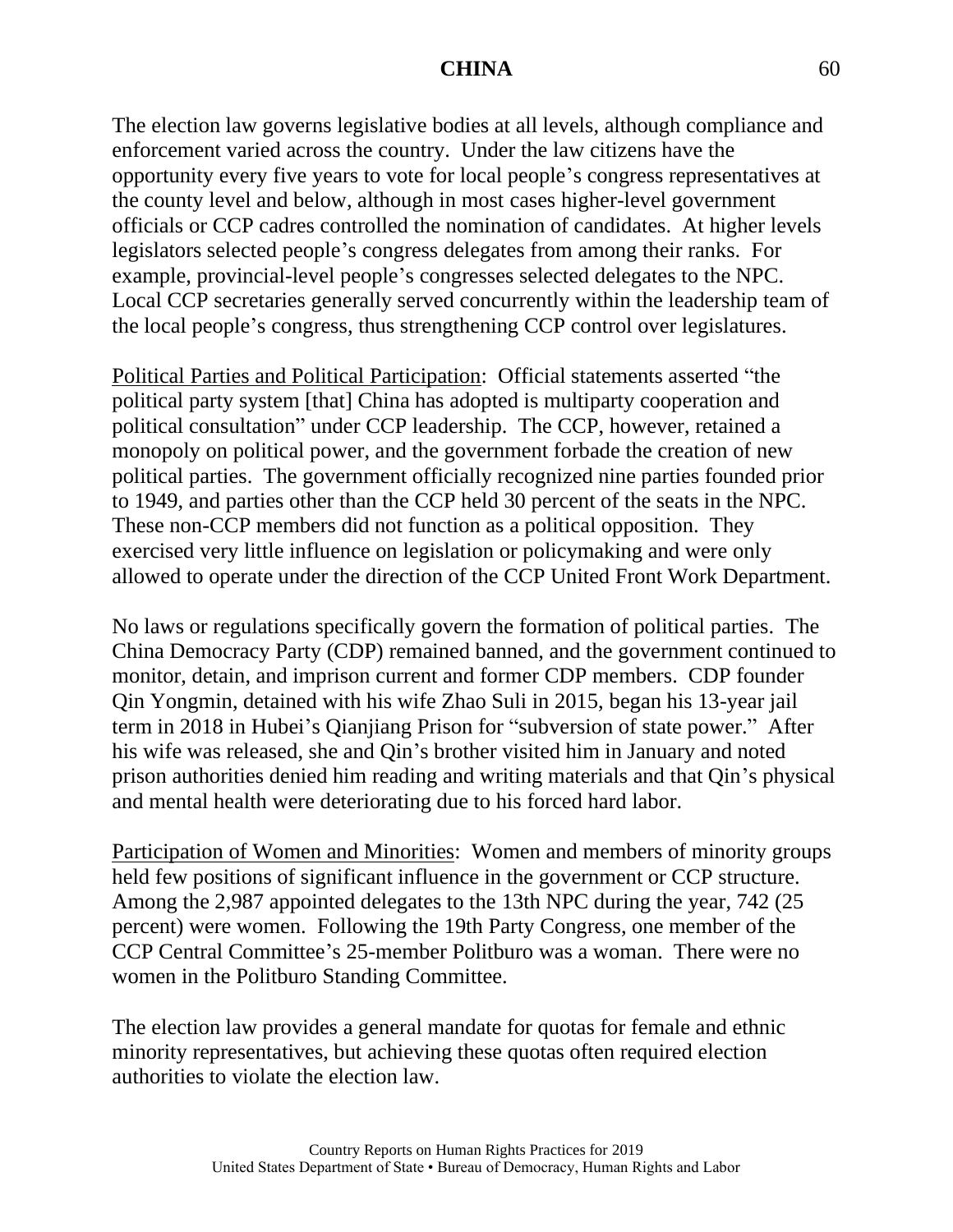The election law governs legislative bodies at all levels, although compliance and enforcement varied across the country. Under the law citizens have the opportunity every five years to vote for local people's congress representatives at the county level and below, although in most cases higher-level government officials or CCP cadres controlled the nomination of candidates. At higher levels legislators selected people's congress delegates from among their ranks. For example, provincial-level people's congresses selected delegates to the NPC. Local CCP secretaries generally served concurrently within the leadership team of the local people's congress, thus strengthening CCP control over legislatures.

Political Parties and Political Participation: Official statements asserted "the political party system [that] China has adopted is multiparty cooperation and political consultation" under CCP leadership. The CCP, however, retained a monopoly on political power, and the government forbade the creation of new political parties. The government officially recognized nine parties founded prior to 1949, and parties other than the CCP held 30 percent of the seats in the NPC. These non-CCP members did not function as a political opposition. They exercised very little influence on legislation or policymaking and were only allowed to operate under the direction of the CCP United Front Work Department.

No laws or regulations specifically govern the formation of political parties. The China Democracy Party (CDP) remained banned, and the government continued to monitor, detain, and imprison current and former CDP members. CDP founder Qin Yongmin, detained with his wife Zhao Suli in 2015, began his 13-year jail term in 2018 in Hubei's Qianjiang Prison for "subversion of state power." After his wife was released, she and Qin's brother visited him in January and noted prison authorities denied him reading and writing materials and that Qin's physical and mental health were deteriorating due to his forced hard labor.

Participation of Women and Minorities: Women and members of minority groups held few positions of significant influence in the government or CCP structure. Among the 2,987 appointed delegates to the 13th NPC during the year, 742 (25 percent) were women. Following the 19th Party Congress, one member of the CCP Central Committee's 25-member Politburo was a woman. There were no women in the Politburo Standing Committee.

The election law provides a general mandate for quotas for female and ethnic minority representatives, but achieving these quotas often required election authorities to violate the election law.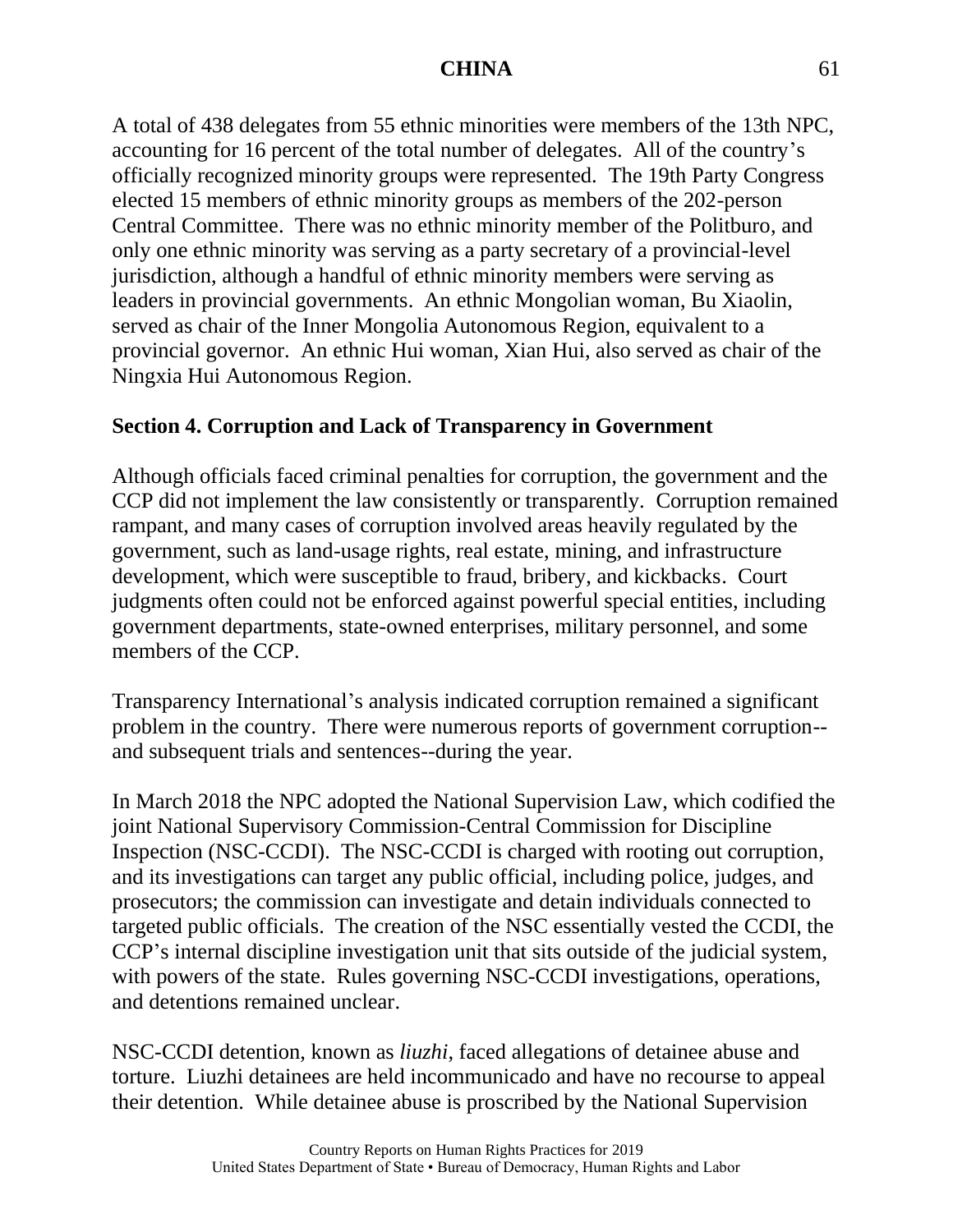A total of 438 delegates from 55 ethnic minorities were members of the 13th NPC, accounting for 16 percent of the total number of delegates. All of the country's officially recognized minority groups were represented. The 19th Party Congress elected 15 members of ethnic minority groups as members of the 202-person Central Committee. There was no ethnic minority member of the Politburo, and only one ethnic minority was serving as a party secretary of a provincial-level jurisdiction, although a handful of ethnic minority members were serving as leaders in provincial governments. An ethnic Mongolian woman, Bu Xiaolin, served as chair of the Inner Mongolia Autonomous Region, equivalent to a provincial governor. An ethnic Hui woman, Xian Hui, also served as chair of the Ningxia Hui Autonomous Region.

# **Section 4. Corruption and Lack of Transparency in Government**

Although officials faced criminal penalties for corruption, the government and the CCP did not implement the law consistently or transparently. Corruption remained rampant, and many cases of corruption involved areas heavily regulated by the government, such as land-usage rights, real estate, mining, and infrastructure development, which were susceptible to fraud, bribery, and kickbacks. Court judgments often could not be enforced against powerful special entities, including government departments, state-owned enterprises, military personnel, and some members of the CCP.

Transparency International's analysis indicated corruption remained a significant problem in the country. There were numerous reports of government corruption- and subsequent trials and sentences--during the year.

In March 2018 the NPC adopted the National Supervision Law, which codified the joint National Supervisory Commission-Central Commission for Discipline Inspection (NSC-CCDI). The NSC-CCDI is charged with rooting out corruption, and its investigations can target any public official, including police, judges, and prosecutors; the commission can investigate and detain individuals connected to targeted public officials. The creation of the NSC essentially vested the CCDI, the CCP's internal discipline investigation unit that sits outside of the judicial system, with powers of the state. Rules governing NSC-CCDI investigations, operations, and detentions remained unclear.

NSC-CCDI detention, known as *liuzhi*, faced allegations of detainee abuse and torture. Liuzhi detainees are held incommunicado and have no recourse to appeal their detention. While detainee abuse is proscribed by the National Supervision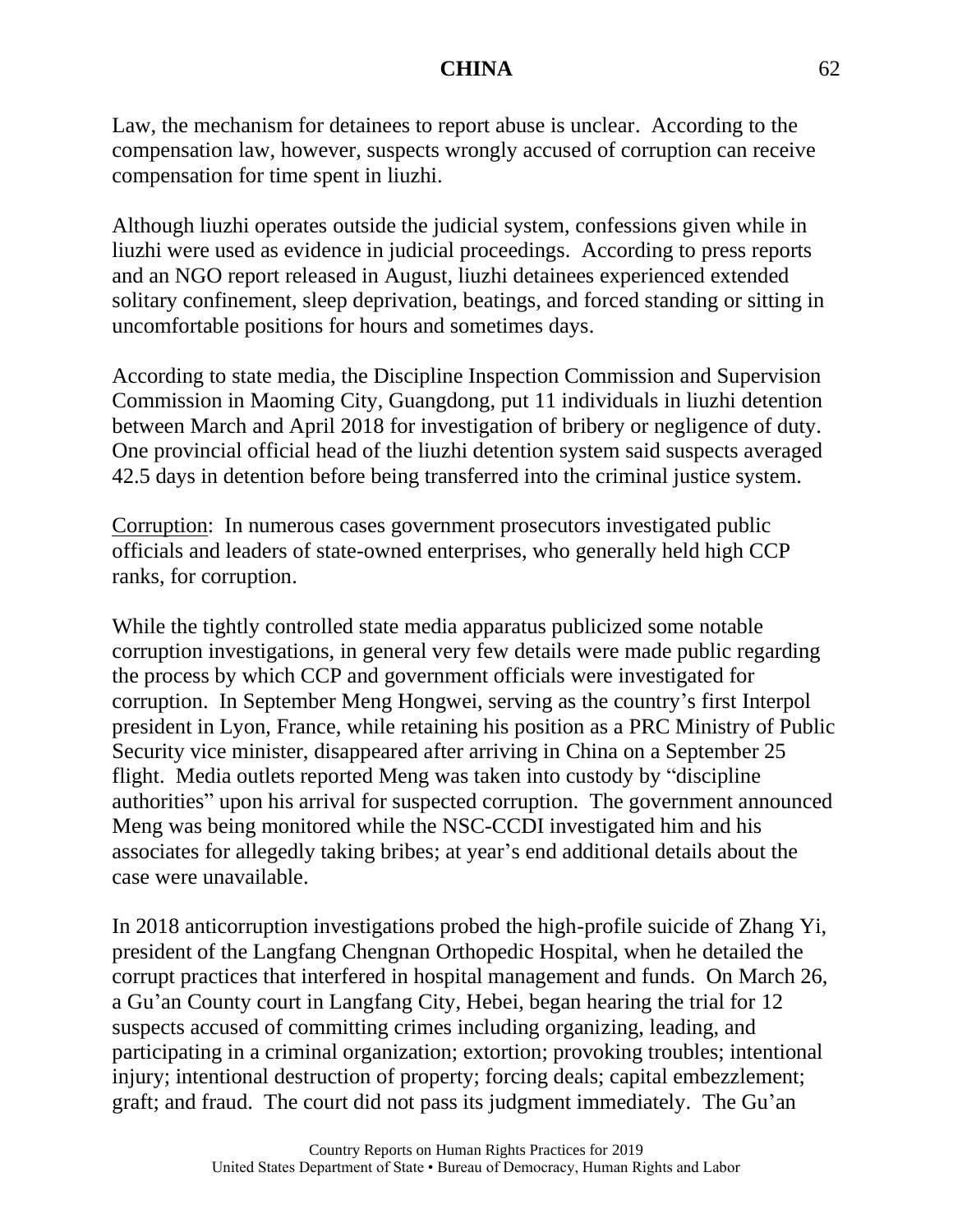Law, the mechanism for detainees to report abuse is unclear. According to the compensation law, however, suspects wrongly accused of corruption can receive compensation for time spent in liuzhi.

Although liuzhi operates outside the judicial system, confessions given while in liuzhi were used as evidence in judicial proceedings. According to press reports and an NGO report released in August, liuzhi detainees experienced extended solitary confinement, sleep deprivation, beatings, and forced standing or sitting in uncomfortable positions for hours and sometimes days.

According to state media, the Discipline Inspection Commission and Supervision Commission in Maoming City, Guangdong, put 11 individuals in liuzhi detention between March and April 2018 for investigation of bribery or negligence of duty. One provincial official head of the liuzhi detention system said suspects averaged 42.5 days in detention before being transferred into the criminal justice system.

Corruption: In numerous cases government prosecutors investigated public officials and leaders of state-owned enterprises, who generally held high CCP ranks, for corruption.

While the tightly controlled state media apparatus publicized some notable corruption investigations, in general very few details were made public regarding the process by which CCP and government officials were investigated for corruption. In September Meng Hongwei, serving as the country's first Interpol president in Lyon, France, while retaining his position as a PRC Ministry of Public Security vice minister, disappeared after arriving in China on a September 25 flight. Media outlets reported Meng was taken into custody by "discipline authorities" upon his arrival for suspected corruption. The government announced Meng was being monitored while the NSC-CCDI investigated him and his associates for allegedly taking bribes; at year's end additional details about the case were unavailable.

In 2018 anticorruption investigations probed the high-profile suicide of Zhang Yi, president of the Langfang Chengnan Orthopedic Hospital, when he detailed the corrupt practices that interfered in hospital management and funds. On March 26, a Gu'an County court in Langfang City, Hebei, began hearing the trial for 12 suspects accused of committing crimes including organizing, leading, and participating in a criminal organization; extortion; provoking troubles; intentional injury; intentional destruction of property; forcing deals; capital embezzlement; graft; and fraud. The court did not pass its judgment immediately. The Gu'an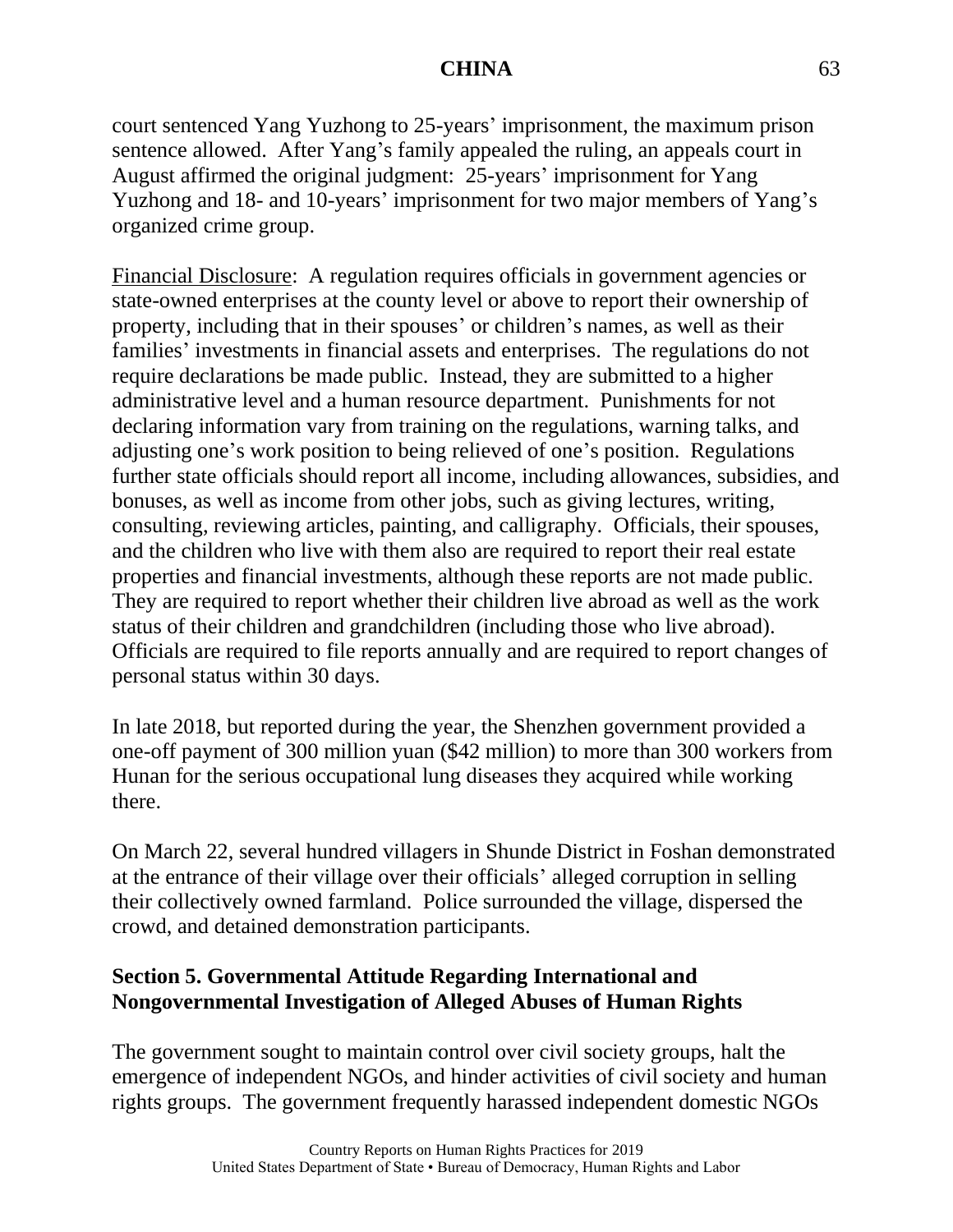court sentenced Yang Yuzhong to 25-years' imprisonment, the maximum prison sentence allowed. After Yang's family appealed the ruling, an appeals court in August affirmed the original judgment: 25-years' imprisonment for Yang Yuzhong and 18- and 10-years' imprisonment for two major members of Yang's organized crime group.

Financial Disclosure: A regulation requires officials in government agencies or state-owned enterprises at the county level or above to report their ownership of property, including that in their spouses' or children's names, as well as their families' investments in financial assets and enterprises. The regulations do not require declarations be made public. Instead, they are submitted to a higher administrative level and a human resource department. Punishments for not declaring information vary from training on the regulations, warning talks, and adjusting one's work position to being relieved of one's position. Regulations further state officials should report all income, including allowances, subsidies, and bonuses, as well as income from other jobs, such as giving lectures, writing, consulting, reviewing articles, painting, and calligraphy. Officials, their spouses, and the children who live with them also are required to report their real estate properties and financial investments, although these reports are not made public. They are required to report whether their children live abroad as well as the work status of their children and grandchildren (including those who live abroad). Officials are required to file reports annually and are required to report changes of personal status within 30 days.

In late 2018, but reported during the year, the Shenzhen government provided a one-off payment of 300 million yuan (\$42 million) to more than 300 workers from Hunan for the serious occupational lung diseases they acquired while working there.

On March 22, several hundred villagers in Shunde District in Foshan demonstrated at the entrance of their village over their officials' alleged corruption in selling their collectively owned farmland. Police surrounded the village, dispersed the crowd, and detained demonstration participants.

# **Section 5. Governmental Attitude Regarding International and Nongovernmental Investigation of Alleged Abuses of Human Rights**

The government sought to maintain control over civil society groups, halt the emergence of independent NGOs, and hinder activities of civil society and human rights groups. The government frequently harassed independent domestic NGOs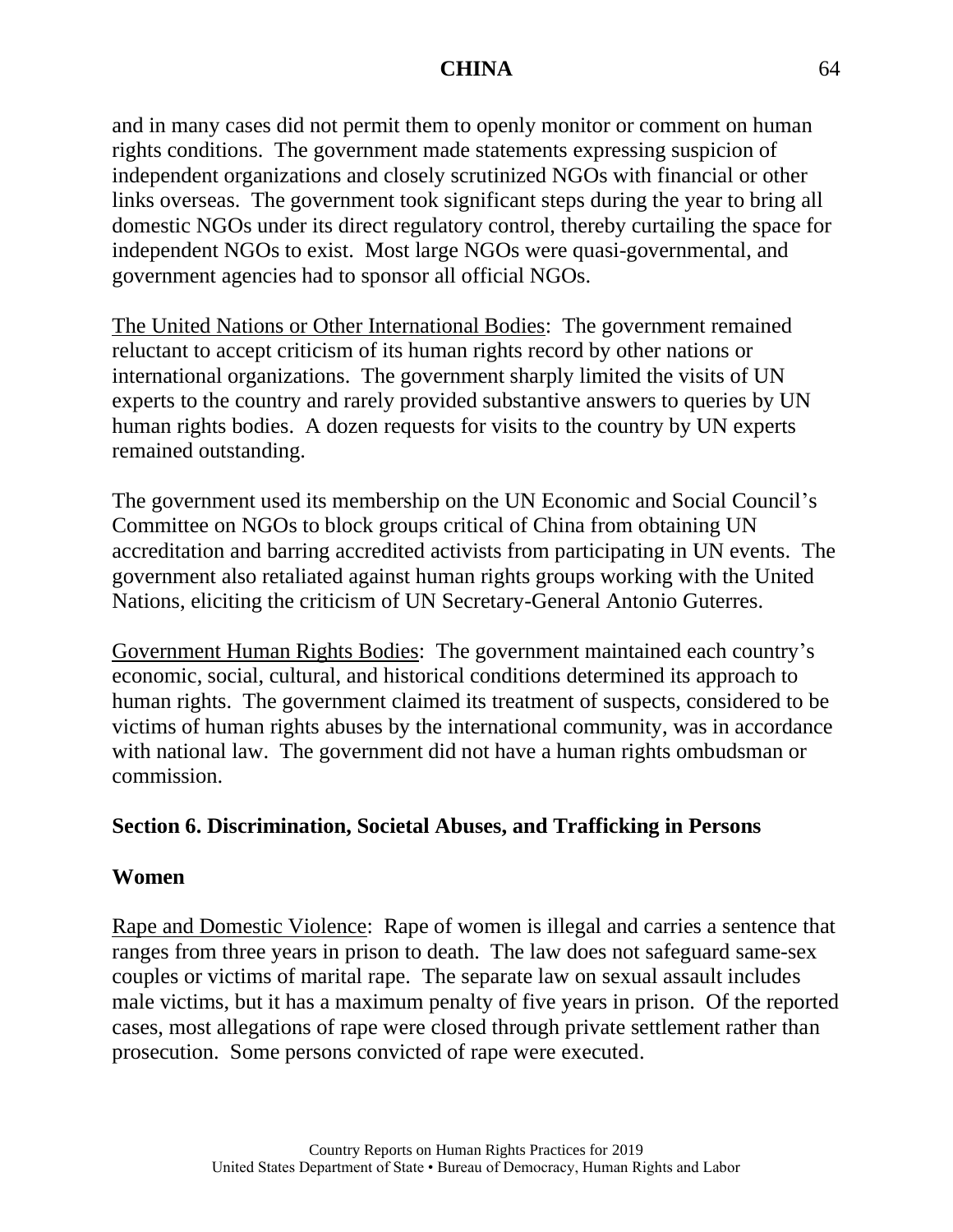and in many cases did not permit them to openly monitor or comment on human rights conditions. The government made statements expressing suspicion of independent organizations and closely scrutinized NGOs with financial or other links overseas. The government took significant steps during the year to bring all domestic NGOs under its direct regulatory control, thereby curtailing the space for independent NGOs to exist. Most large NGOs were quasi-governmental, and government agencies had to sponsor all official NGOs.

The United Nations or Other International Bodies: The government remained reluctant to accept criticism of its human rights record by other nations or international organizations. The government sharply limited the visits of UN experts to the country and rarely provided substantive answers to queries by UN human rights bodies. A dozen requests for visits to the country by UN experts remained outstanding.

The government used its membership on the UN Economic and Social Council's Committee on NGOs to block groups critical of China from obtaining UN accreditation and barring accredited activists from participating in UN events. The government also retaliated against human rights groups working with the United Nations, eliciting the criticism of UN Secretary-General Antonio Guterres.

Government Human Rights Bodies: The government maintained each country's economic, social, cultural, and historical conditions determined its approach to human rights. The government claimed its treatment of suspects, considered to be victims of human rights abuses by the international community, was in accordance with national law. The government did not have a human rights ombudsman or commission.

## **Section 6. Discrimination, Societal Abuses, and Trafficking in Persons**

#### **Women**

Rape and Domestic Violence: Rape of women is illegal and carries a sentence that ranges from three years in prison to death. The law does not safeguard same-sex couples or victims of marital rape. The separate law on sexual assault includes male victims, but it has a maximum penalty of five years in prison. Of the reported cases, most allegations of rape were closed through private settlement rather than prosecution. Some persons convicted of rape were executed.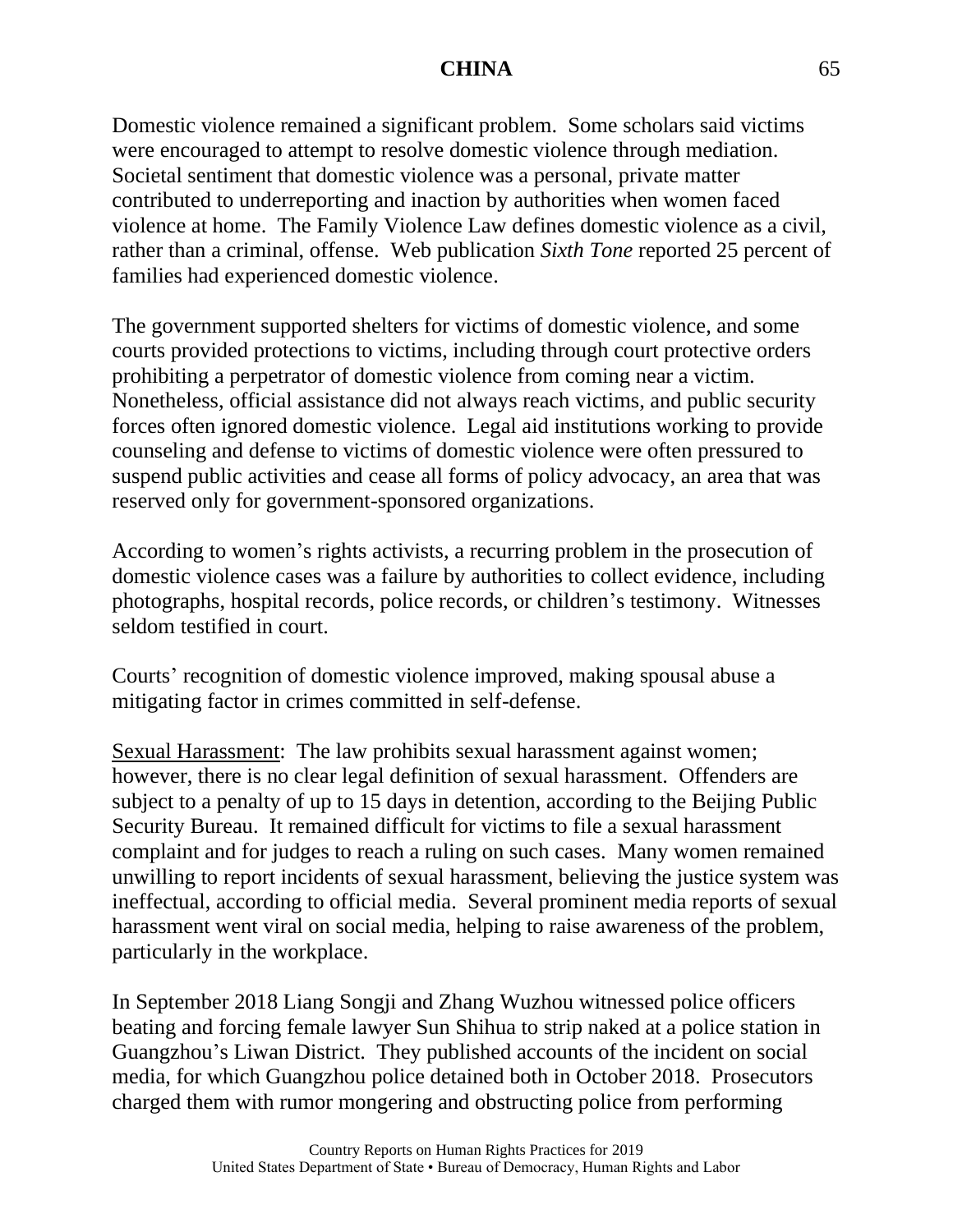Domestic violence remained a significant problem. Some scholars said victims were encouraged to attempt to resolve domestic violence through mediation. Societal sentiment that domestic violence was a personal, private matter contributed to underreporting and inaction by authorities when women faced violence at home. The Family Violence Law defines domestic violence as a civil, rather than a criminal, offense. Web publication *Sixth Tone* reported 25 percent of families had experienced domestic violence.

The government supported shelters for victims of domestic violence, and some courts provided protections to victims, including through court protective orders prohibiting a perpetrator of domestic violence from coming near a victim. Nonetheless, official assistance did not always reach victims, and public security forces often ignored domestic violence. Legal aid institutions working to provide counseling and defense to victims of domestic violence were often pressured to suspend public activities and cease all forms of policy advocacy, an area that was reserved only for government-sponsored organizations.

According to women's rights activists, a recurring problem in the prosecution of domestic violence cases was a failure by authorities to collect evidence, including photographs, hospital records, police records, or children's testimony. Witnesses seldom testified in court.

Courts' recognition of domestic violence improved, making spousal abuse a mitigating factor in crimes committed in self-defense.

Sexual Harassment: The law prohibits sexual harassment against women; however, there is no clear legal definition of sexual harassment. Offenders are subject to a penalty of up to 15 days in detention, according to the Beijing Public Security Bureau. It remained difficult for victims to file a sexual harassment complaint and for judges to reach a ruling on such cases. Many women remained unwilling to report incidents of sexual harassment, believing the justice system was ineffectual, according to official media. Several prominent media reports of sexual harassment went viral on social media, helping to raise awareness of the problem, particularly in the workplace.

In September 2018 Liang Songji and Zhang Wuzhou witnessed police officers beating and forcing female lawyer Sun Shihua to strip naked at a police station in Guangzhou's Liwan District. They published accounts of the incident on social media, for which Guangzhou police detained both in October 2018. Prosecutors charged them with rumor mongering and obstructing police from performing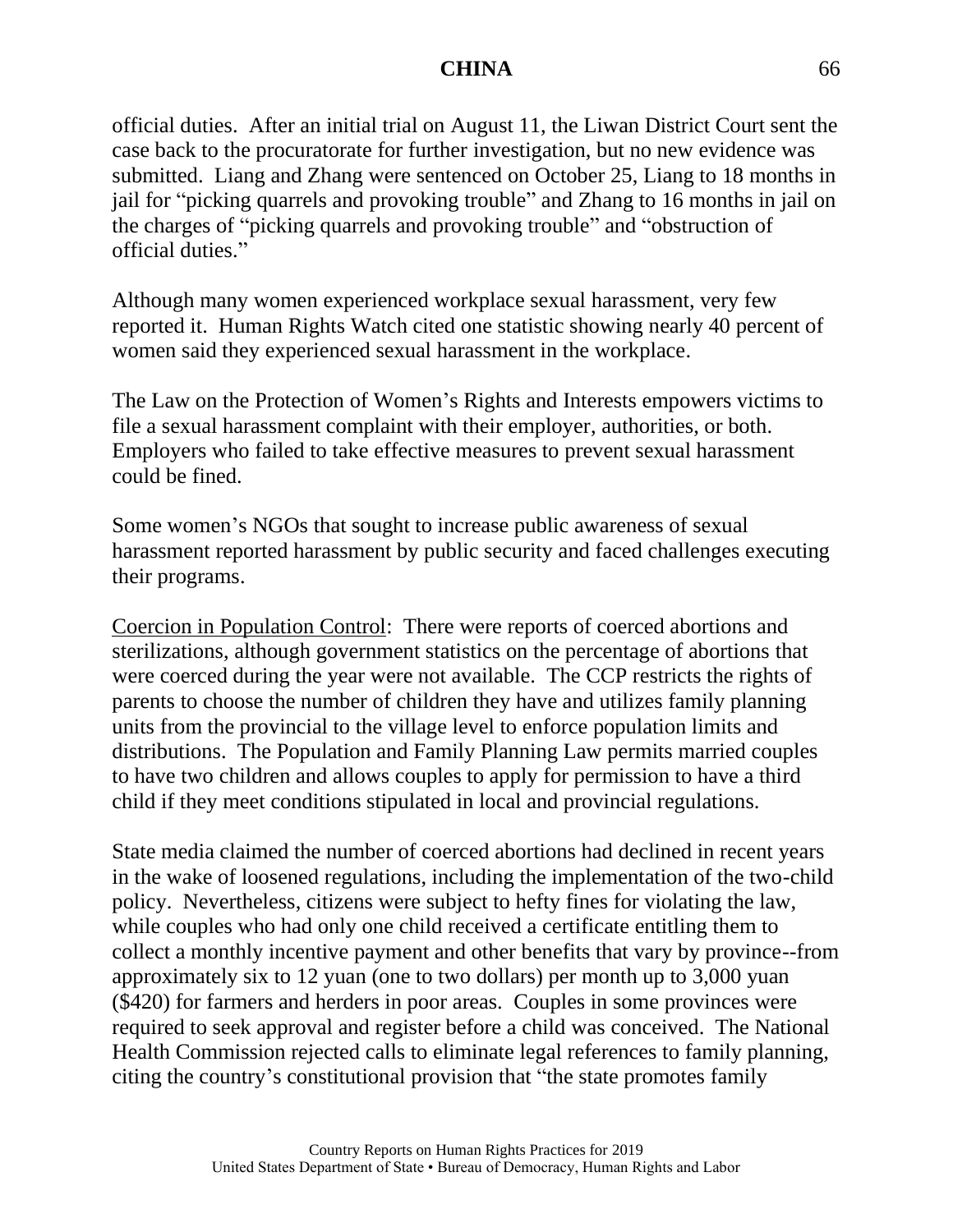official duties. After an initial trial on August 11, the Liwan District Court sent the case back to the procuratorate for further investigation, but no new evidence was submitted. Liang and Zhang were sentenced on October 25, Liang to 18 months in jail for "picking quarrels and provoking trouble" and Zhang to 16 months in jail on the charges of "picking quarrels and provoking trouble" and "obstruction of official duties."

Although many women experienced workplace sexual harassment, very few reported it. Human Rights Watch cited one statistic showing nearly 40 percent of women said they experienced sexual harassment in the workplace.

The Law on the Protection of Women's Rights and Interests empowers victims to file a sexual harassment complaint with their employer, authorities, or both. Employers who failed to take effective measures to prevent sexual harassment could be fined.

Some women's NGOs that sought to increase public awareness of sexual harassment reported harassment by public security and faced challenges executing their programs.

Coercion in Population Control: There were reports of coerced abortions and sterilizations, although government statistics on the percentage of abortions that were coerced during the year were not available. The CCP restricts the rights of parents to choose the number of children they have and utilizes family planning units from the provincial to the village level to enforce population limits and distributions. The Population and Family Planning Law permits married couples to have two children and allows couples to apply for permission to have a third child if they meet conditions stipulated in local and provincial regulations.

State media claimed the number of coerced abortions had declined in recent years in the wake of loosened regulations, including the implementation of the two-child policy. Nevertheless, citizens were subject to hefty fines for violating the law, while couples who had only one child received a certificate entitling them to collect a monthly incentive payment and other benefits that vary by province--from approximately six to 12 yuan (one to two dollars) per month up to 3,000 yuan (\$420) for farmers and herders in poor areas. Couples in some provinces were required to seek approval and register before a child was conceived. The National Health Commission rejected calls to eliminate legal references to family planning, citing the country's constitutional provision that "the state promotes family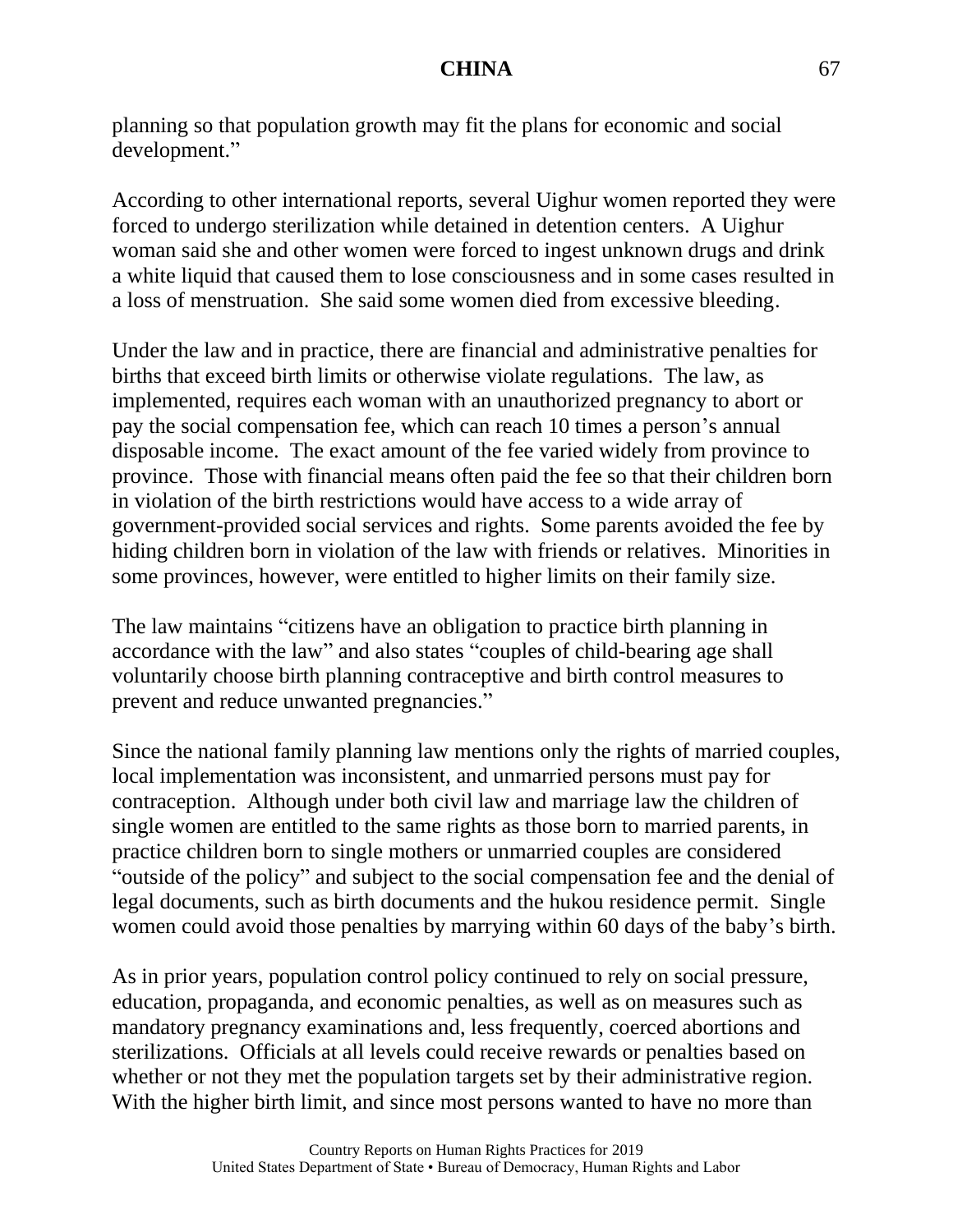planning so that population growth may fit the plans for economic and social development."

According to other international reports, several Uighur women reported they were forced to undergo sterilization while detained in detention centers. A Uighur woman said she and other women were forced to ingest unknown drugs and drink a white liquid that caused them to lose consciousness and in some cases resulted in a loss of menstruation. She said some women died from excessive bleeding.

Under the law and in practice, there are financial and administrative penalties for births that exceed birth limits or otherwise violate regulations. The law, as implemented, requires each woman with an unauthorized pregnancy to abort or pay the social compensation fee, which can reach 10 times a person's annual disposable income. The exact amount of the fee varied widely from province to province. Those with financial means often paid the fee so that their children born in violation of the birth restrictions would have access to a wide array of government-provided social services and rights. Some parents avoided the fee by hiding children born in violation of the law with friends or relatives. Minorities in some provinces, however, were entitled to higher limits on their family size.

The law maintains "citizens have an obligation to practice birth planning in accordance with the law" and also states "couples of child-bearing age shall voluntarily choose birth planning contraceptive and birth control measures to prevent and reduce unwanted pregnancies."

Since the national family planning law mentions only the rights of married couples, local implementation was inconsistent, and unmarried persons must pay for contraception. Although under both civil law and marriage law the children of single women are entitled to the same rights as those born to married parents, in practice children born to single mothers or unmarried couples are considered "outside of the policy" and subject to the social compensation fee and the denial of legal documents, such as birth documents and the hukou residence permit. Single women could avoid those penalties by marrying within 60 days of the baby's birth.

As in prior years, population control policy continued to rely on social pressure, education, propaganda, and economic penalties, as well as on measures such as mandatory pregnancy examinations and, less frequently, coerced abortions and sterilizations. Officials at all levels could receive rewards or penalties based on whether or not they met the population targets set by their administrative region. With the higher birth limit, and since most persons wanted to have no more than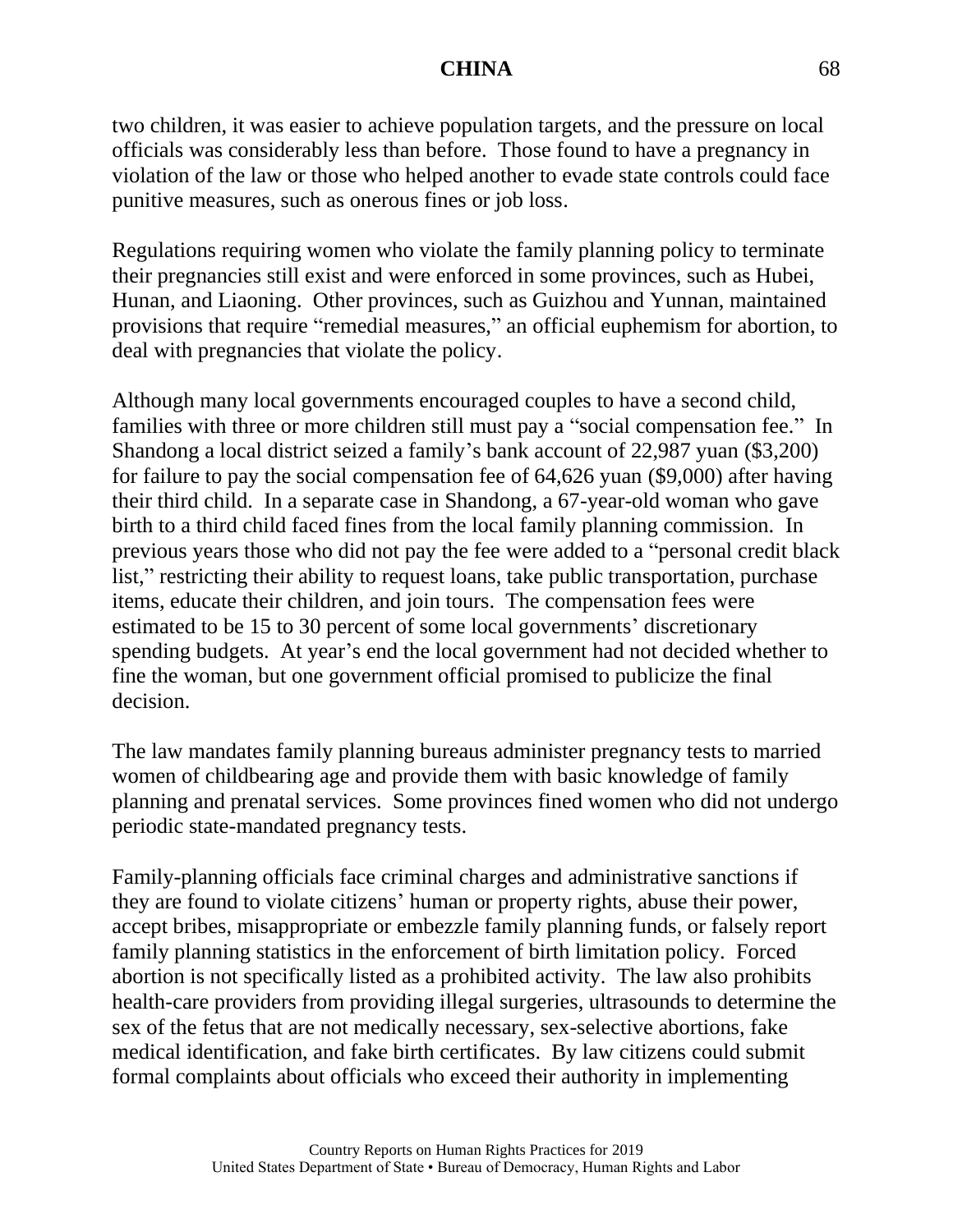two children, it was easier to achieve population targets, and the pressure on local officials was considerably less than before. Those found to have a pregnancy in violation of the law or those who helped another to evade state controls could face punitive measures, such as onerous fines or job loss.

Regulations requiring women who violate the family planning policy to terminate their pregnancies still exist and were enforced in some provinces, such as Hubei, Hunan, and Liaoning. Other provinces, such as Guizhou and Yunnan, maintained provisions that require "remedial measures," an official euphemism for abortion, to deal with pregnancies that violate the policy.

Although many local governments encouraged couples to have a second child, families with three or more children still must pay a "social compensation fee." In Shandong a local district seized a family's bank account of 22,987 yuan (\$3,200) for failure to pay the social compensation fee of 64,626 yuan (\$9,000) after having their third child. In a separate case in Shandong, a 67-year-old woman who gave birth to a third child faced fines from the local family planning commission. In previous years those who did not pay the fee were added to a "personal credit black list," restricting their ability to request loans, take public transportation, purchase items, educate their children, and join tours. The compensation fees were estimated to be 15 to 30 percent of some local governments' discretionary spending budgets. At year's end the local government had not decided whether to fine the woman, but one government official promised to publicize the final decision.

The law mandates family planning bureaus administer pregnancy tests to married women of childbearing age and provide them with basic knowledge of family planning and prenatal services. Some provinces fined women who did not undergo periodic state-mandated pregnancy tests.

Family-planning officials face criminal charges and administrative sanctions if they are found to violate citizens' human or property rights, abuse their power, accept bribes, misappropriate or embezzle family planning funds, or falsely report family planning statistics in the enforcement of birth limitation policy. Forced abortion is not specifically listed as a prohibited activity. The law also prohibits health-care providers from providing illegal surgeries, ultrasounds to determine the sex of the fetus that are not medically necessary, sex-selective abortions, fake medical identification, and fake birth certificates. By law citizens could submit formal complaints about officials who exceed their authority in implementing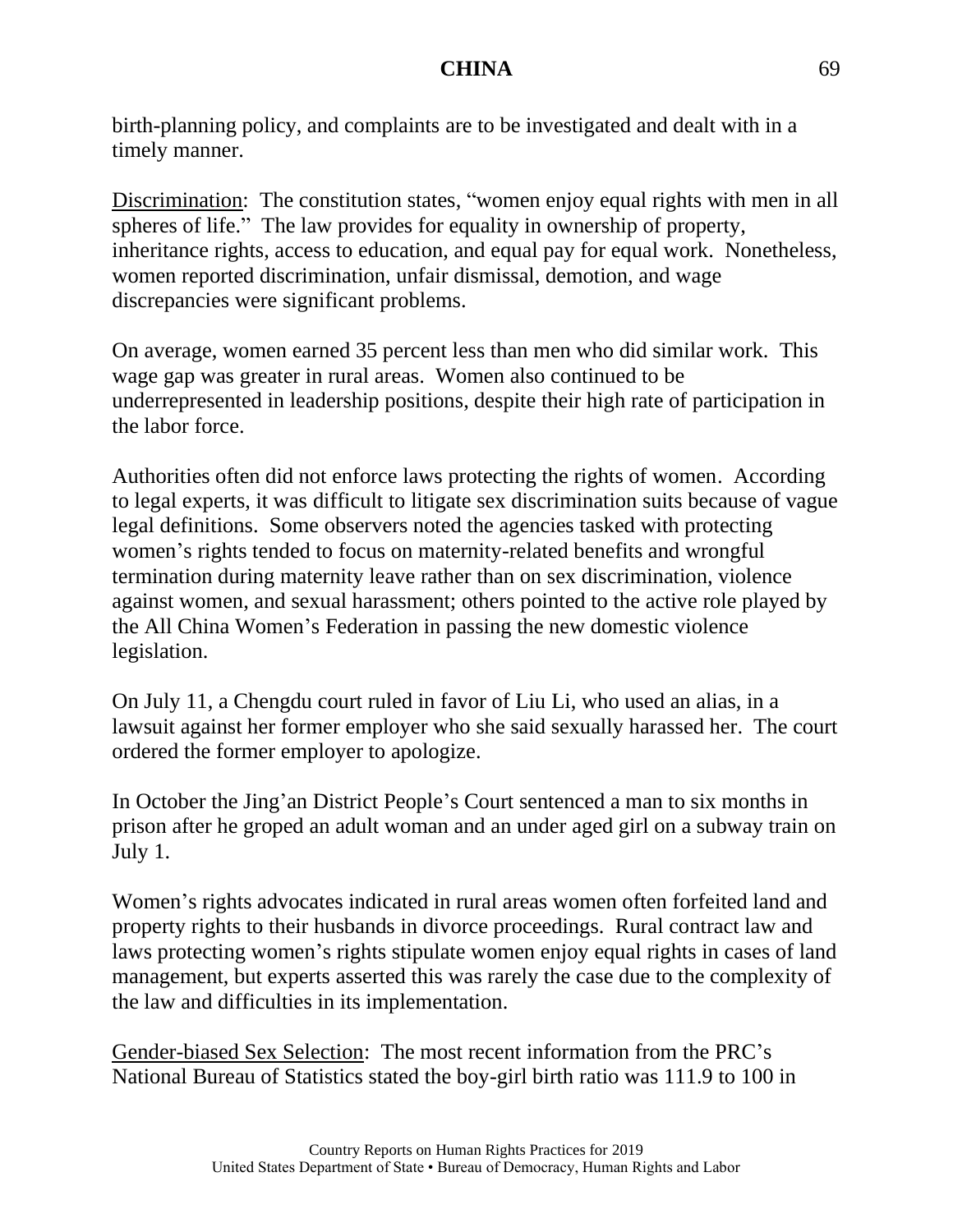birth-planning policy, and complaints are to be investigated and dealt with in a timely manner.

Discrimination: The constitution states, "women enjoy equal rights with men in all spheres of life." The law provides for equality in ownership of property, inheritance rights, access to education, and equal pay for equal work. Nonetheless, women reported discrimination, unfair dismissal, demotion, and wage discrepancies were significant problems.

On average, women earned 35 percent less than men who did similar work. This wage gap was greater in rural areas. Women also continued to be underrepresented in leadership positions, despite their high rate of participation in the labor force.

Authorities often did not enforce laws protecting the rights of women. According to legal experts, it was difficult to litigate sex discrimination suits because of vague legal definitions. Some observers noted the agencies tasked with protecting women's rights tended to focus on maternity-related benefits and wrongful termination during maternity leave rather than on sex discrimination, violence against women, and sexual harassment; others pointed to the active role played by the All China Women's Federation in passing the new domestic violence legislation.

On July 11, a Chengdu court ruled in favor of Liu Li, who used an alias, in a lawsuit against her former employer who she said sexually harassed her. The court ordered the former employer to apologize.

In October the Jing'an District People's Court sentenced a man to six months in prison after he groped an adult woman and an under aged girl on a subway train on July 1.

Women's rights advocates indicated in rural areas women often forfeited land and property rights to their husbands in divorce proceedings. Rural contract law and laws protecting women's rights stipulate women enjoy equal rights in cases of land management, but experts asserted this was rarely the case due to the complexity of the law and difficulties in its implementation.

Gender-biased Sex Selection: The most recent information from the PRC's National Bureau of Statistics stated the boy-girl birth ratio was 111.9 to 100 in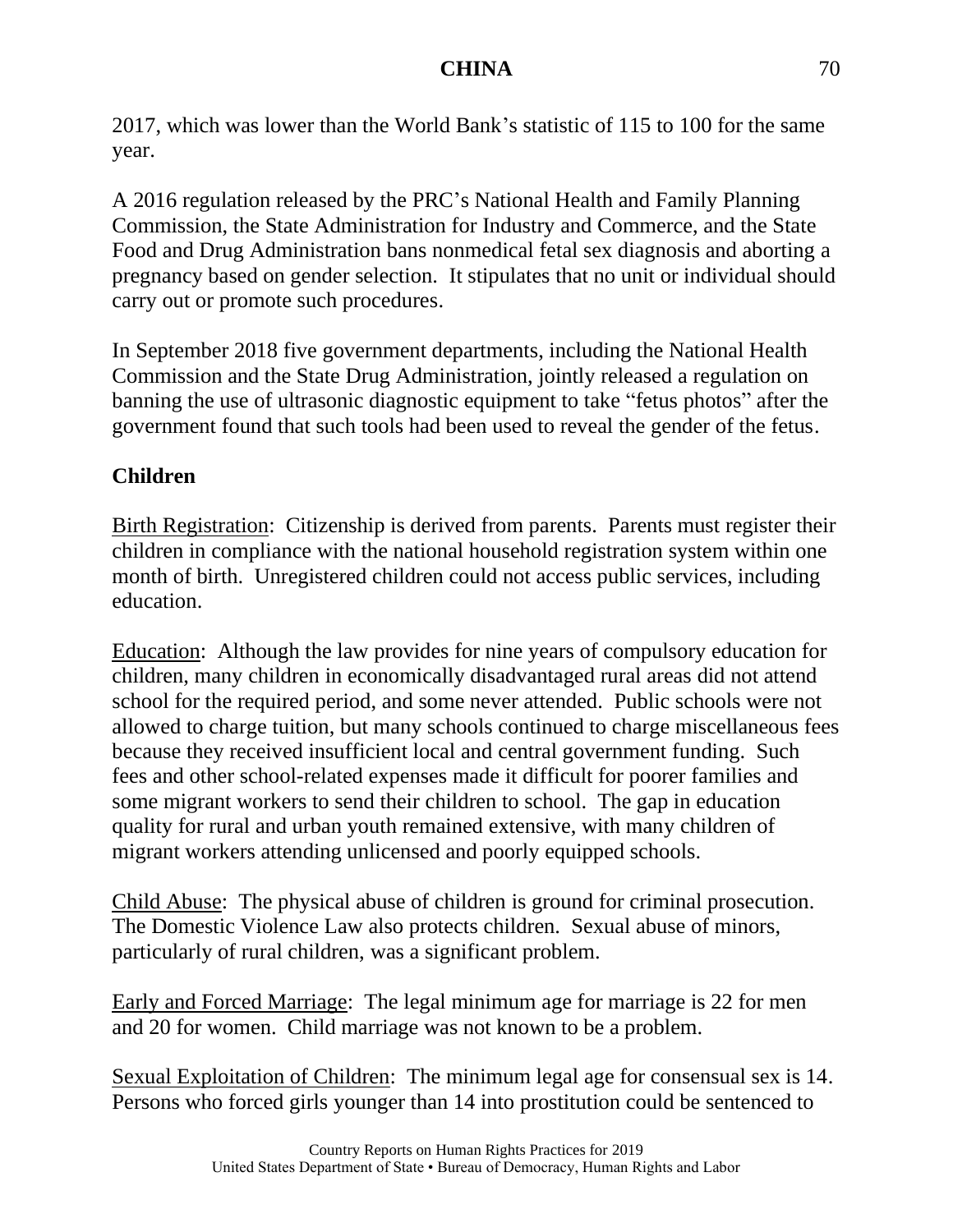2017, which was lower than the World Bank's statistic of 115 to 100 for the same year.

A 2016 regulation released by the PRC's National Health and Family Planning Commission, the State Administration for Industry and Commerce, and the State Food and Drug Administration bans nonmedical fetal sex diagnosis and aborting a pregnancy based on gender selection. It stipulates that no unit or individual should carry out or promote such procedures.

In September 2018 five government departments, including the National Health Commission and the State Drug Administration, jointly released a regulation on banning the use of ultrasonic diagnostic equipment to take "fetus photos" after the government found that such tools had been used to reveal the gender of the fetus.

# **Children**

Birth Registration: Citizenship is derived from parents. Parents must register their children in compliance with the national household registration system within one month of birth. Unregistered children could not access public services, including education.

Education: Although the law provides for nine years of compulsory education for children, many children in economically disadvantaged rural areas did not attend school for the required period, and some never attended. Public schools were not allowed to charge tuition, but many schools continued to charge miscellaneous fees because they received insufficient local and central government funding. Such fees and other school-related expenses made it difficult for poorer families and some migrant workers to send their children to school. The gap in education quality for rural and urban youth remained extensive, with many children of migrant workers attending unlicensed and poorly equipped schools.

Child Abuse: The physical abuse of children is ground for criminal prosecution. The Domestic Violence Law also protects children. Sexual abuse of minors, particularly of rural children, was a significant problem.

Early and Forced Marriage: The legal minimum age for marriage is 22 for men and 20 for women. Child marriage was not known to be a problem.

Sexual Exploitation of Children: The minimum legal age for consensual sex is 14. Persons who forced girls younger than 14 into prostitution could be sentenced to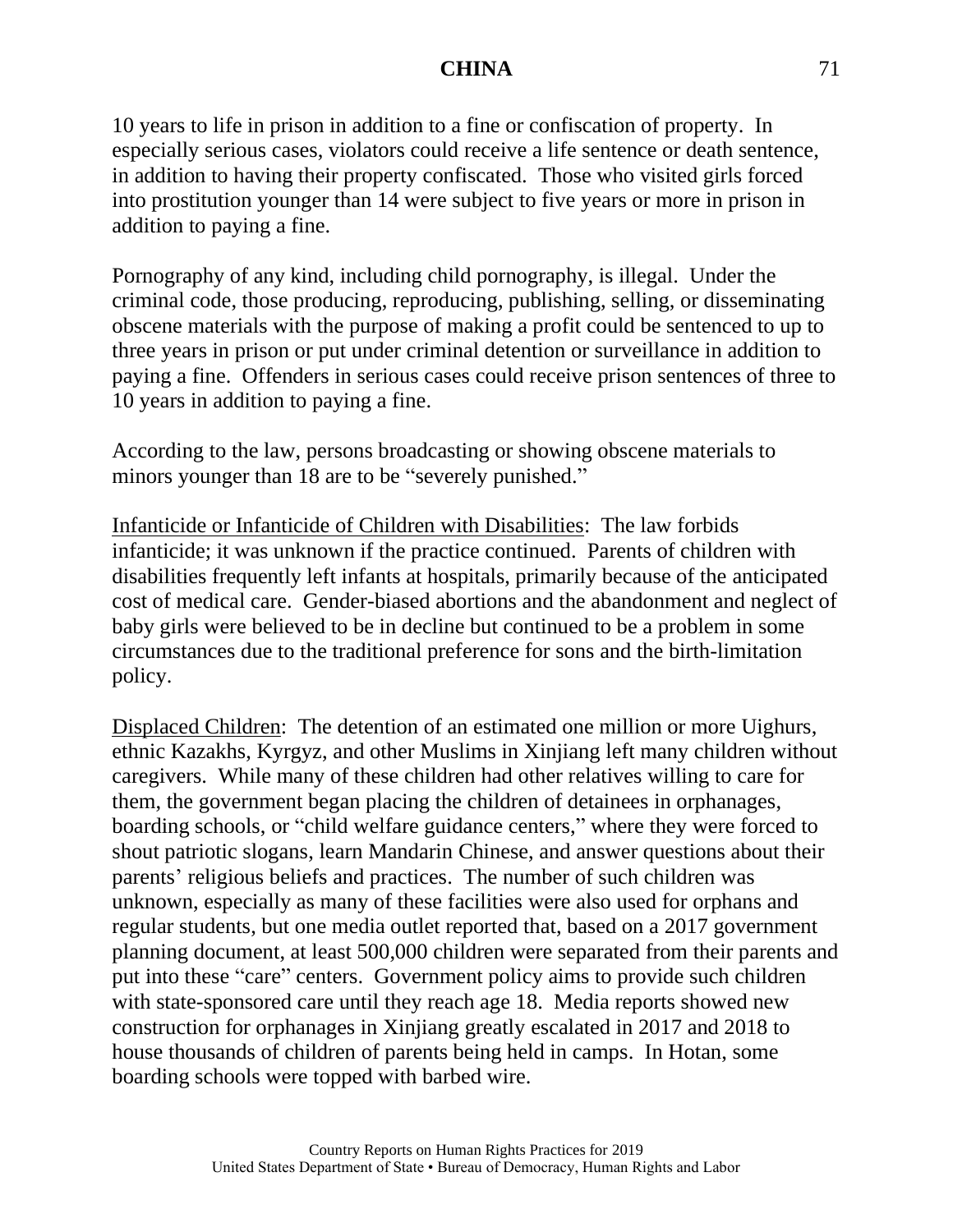10 years to life in prison in addition to a fine or confiscation of property. In especially serious cases, violators could receive a life sentence or death sentence, in addition to having their property confiscated. Those who visited girls forced into prostitution younger than 14 were subject to five years or more in prison in addition to paying a fine.

Pornography of any kind, including child pornography, is illegal. Under the criminal code, those producing, reproducing, publishing, selling, or disseminating obscene materials with the purpose of making a profit could be sentenced to up to three years in prison or put under criminal detention or surveillance in addition to paying a fine. Offenders in serious cases could receive prison sentences of three to 10 years in addition to paying a fine.

According to the law, persons broadcasting or showing obscene materials to minors younger than 18 are to be "severely punished."

Infanticide or Infanticide of Children with Disabilities: The law forbids infanticide; it was unknown if the practice continued. Parents of children with disabilities frequently left infants at hospitals, primarily because of the anticipated cost of medical care. Gender-biased abortions and the abandonment and neglect of baby girls were believed to be in decline but continued to be a problem in some circumstances due to the traditional preference for sons and the birth-limitation policy.

Displaced Children: The detention of an estimated one million or more Uighurs, ethnic Kazakhs, Kyrgyz, and other Muslims in Xinjiang left many children without caregivers. While many of these children had other relatives willing to care for them, the government began placing the children of detainees in orphanages, boarding schools, or "child welfare guidance centers," where they were forced to shout patriotic slogans, learn Mandarin Chinese, and answer questions about their parents' religious beliefs and practices. The number of such children was unknown, especially as many of these facilities were also used for orphans and regular students, but one media outlet reported that, based on a 2017 government planning document, at least 500,000 children were separated from their parents and put into these "care" centers. Government policy aims to provide such children with state-sponsored care until they reach age 18. Media reports showed new construction for orphanages in Xinjiang greatly escalated in 2017 and 2018 to house thousands of children of parents being held in camps. In Hotan, some boarding schools were topped with barbed wire.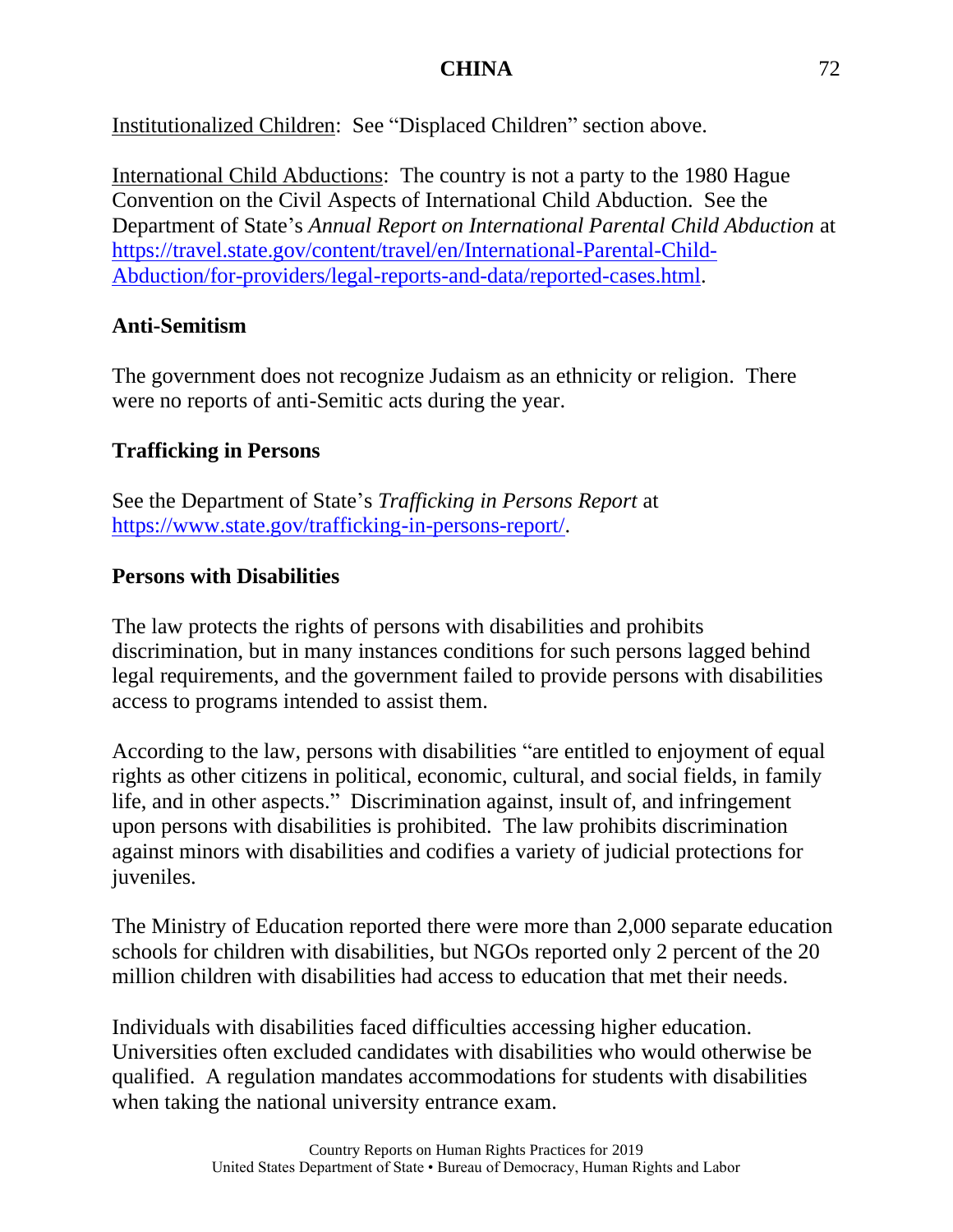Institutionalized Children: See "Displaced Children" section above.

International Child Abductions: The country is not a party to the 1980 Hague Convention on the Civil Aspects of International Child Abduction. See the Department of State's *Annual Report on International Parental Child Abduction* at [https://travel.state.gov/content/travel/en/International-Parental-Child-](https://travel.state.gov/content/travel/en/International-Parental-Child-Abduction/for-providers/legal-reports-and-data/reported-cases.html)[Abduction/for-providers/legal-reports-and-data/reported-cases.html.](https://travel.state.gov/content/travel/en/International-Parental-Child-Abduction/for-providers/legal-reports-and-data/reported-cases.html)

# **Anti-Semitism**

The government does not recognize Judaism as an ethnicity or religion. There were no reports of anti-Semitic acts during the year.

# **Trafficking in Persons**

See the Department of State's *Trafficking in Persons Report* at [https://www.state.gov/trafficking-in-persons-report/.](https://www.state.gov/trafficking-in-persons-report/)

# **Persons with Disabilities**

The law protects the rights of persons with disabilities and prohibits discrimination, but in many instances conditions for such persons lagged behind legal requirements, and the government failed to provide persons with disabilities access to programs intended to assist them.

According to the law, persons with disabilities "are entitled to enjoyment of equal rights as other citizens in political, economic, cultural, and social fields, in family life, and in other aspects." Discrimination against, insult of, and infringement upon persons with disabilities is prohibited. The law prohibits discrimination against minors with disabilities and codifies a variety of judicial protections for juveniles.

The Ministry of Education reported there were more than 2,000 separate education schools for children with disabilities, but NGOs reported only 2 percent of the 20 million children with disabilities had access to education that met their needs.

Individuals with disabilities faced difficulties accessing higher education. Universities often excluded candidates with disabilities who would otherwise be qualified. A regulation mandates accommodations for students with disabilities when taking the national university entrance exam.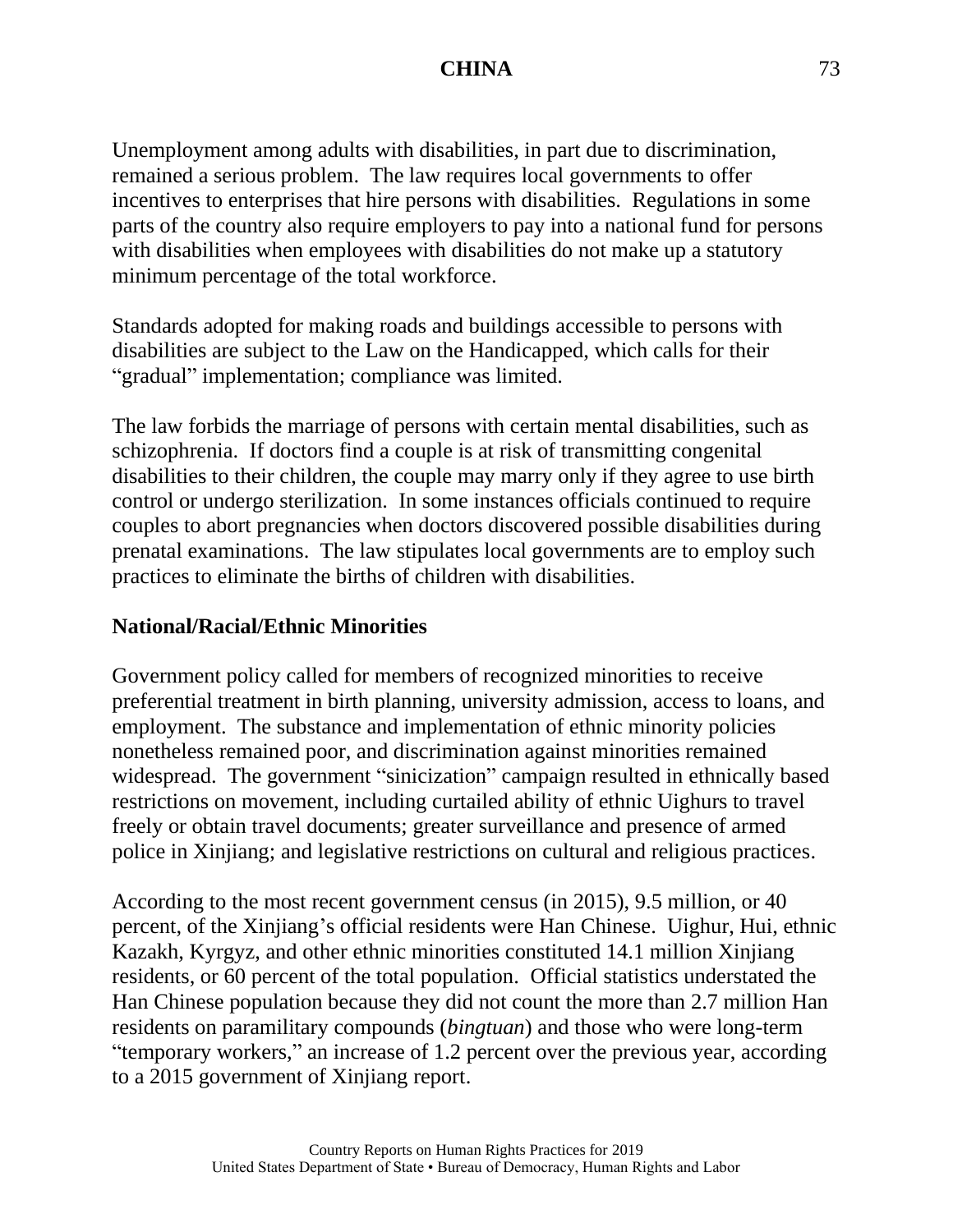Unemployment among adults with disabilities, in part due to discrimination, remained a serious problem. The law requires local governments to offer incentives to enterprises that hire persons with disabilities. Regulations in some parts of the country also require employers to pay into a national fund for persons with disabilities when employees with disabilities do not make up a statutory minimum percentage of the total workforce.

Standards adopted for making roads and buildings accessible to persons with disabilities are subject to the Law on the Handicapped, which calls for their "gradual" implementation; compliance was limited.

The law forbids the marriage of persons with certain mental disabilities, such as schizophrenia. If doctors find a couple is at risk of transmitting congenital disabilities to their children, the couple may marry only if they agree to use birth control or undergo sterilization. In some instances officials continued to require couples to abort pregnancies when doctors discovered possible disabilities during prenatal examinations. The law stipulates local governments are to employ such practices to eliminate the births of children with disabilities.

#### **National/Racial/Ethnic Minorities**

Government policy called for members of recognized minorities to receive preferential treatment in birth planning, university admission, access to loans, and employment. The substance and implementation of ethnic minority policies nonetheless remained poor, and discrimination against minorities remained widespread. The government "sinicization" campaign resulted in ethnically based restrictions on movement, including curtailed ability of ethnic Uighurs to travel freely or obtain travel documents; greater surveillance and presence of armed police in Xinjiang; and legislative restrictions on cultural and religious practices.

According to the most recent government census (in 2015), 9.5 million, or 40 percent, of the Xinjiang's official residents were Han Chinese. Uighur, Hui, ethnic Kazakh, Kyrgyz, and other ethnic minorities constituted 14.1 million Xinjiang residents, or 60 percent of the total population. Official statistics understated the Han Chinese population because they did not count the more than 2.7 million Han residents on paramilitary compounds (*bingtuan*) and those who were long-term "temporary workers," an increase of 1.2 percent over the previous year, according to a 2015 government of Xinjiang report.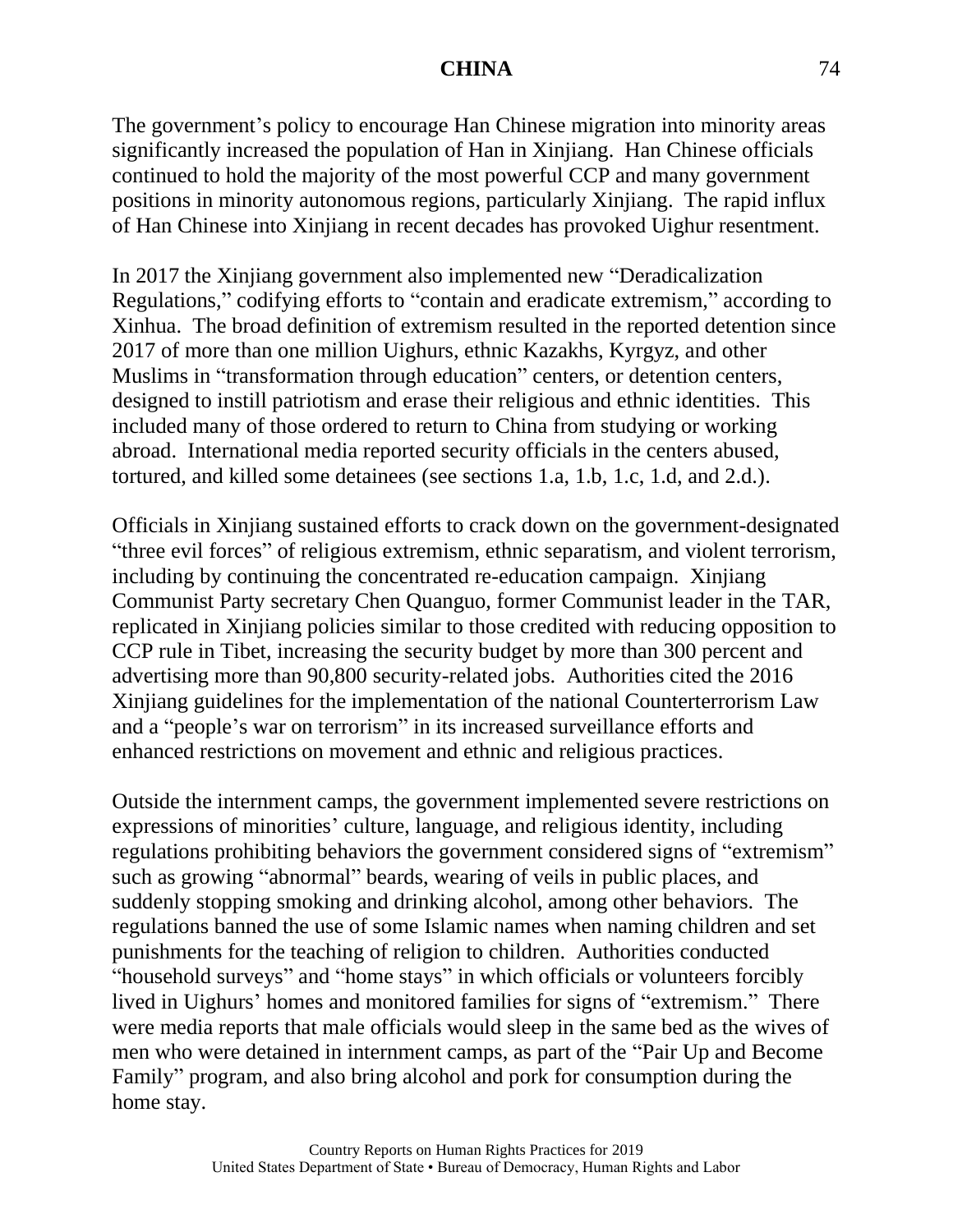The government's policy to encourage Han Chinese migration into minority areas significantly increased the population of Han in Xinjiang. Han Chinese officials continued to hold the majority of the most powerful CCP and many government positions in minority autonomous regions, particularly Xinjiang. The rapid influx of Han Chinese into Xinjiang in recent decades has provoked Uighur resentment.

In 2017 the Xinjiang government also implemented new "Deradicalization Regulations," codifying efforts to "contain and eradicate extremism," according to Xinhua. The broad definition of extremism resulted in the reported detention since 2017 of more than one million Uighurs, ethnic Kazakhs, Kyrgyz, and other Muslims in "transformation through education" centers, or detention centers, designed to instill patriotism and erase their religious and ethnic identities. This included many of those ordered to return to China from studying or working abroad. International media reported security officials in the centers abused, tortured, and killed some detainees (see sections 1.a, 1.b, 1.c, 1.d, and 2.d.).

Officials in Xinjiang sustained efforts to crack down on the government-designated "three evil forces" of religious extremism, ethnic separatism, and violent terrorism, including by continuing the concentrated re-education campaign. Xinjiang Communist Party secretary Chen Quanguo, former Communist leader in the TAR, replicated in Xinjiang policies similar to those credited with reducing opposition to CCP rule in Tibet, increasing the security budget by more than 300 percent and advertising more than 90,800 security-related jobs. Authorities cited the 2016 Xinjiang guidelines for the implementation of the national Counterterrorism Law and a "people's war on terrorism" in its increased surveillance efforts and enhanced restrictions on movement and ethnic and religious practices.

Outside the internment camps, the government implemented severe restrictions on expressions of minorities' culture, language, and religious identity, including regulations prohibiting behaviors the government considered signs of "extremism" such as growing "abnormal" beards, wearing of veils in public places, and suddenly stopping smoking and drinking alcohol, among other behaviors. The regulations banned the use of some Islamic names when naming children and set punishments for the teaching of religion to children. Authorities conducted "household surveys" and "home stays" in which officials or volunteers forcibly lived in Uighurs' homes and monitored families for signs of "extremism." There were media reports that male officials would sleep in the same bed as the wives of men who were detained in internment camps, as part of the "Pair Up and Become Family" program, and also bring alcohol and pork for consumption during the home stay.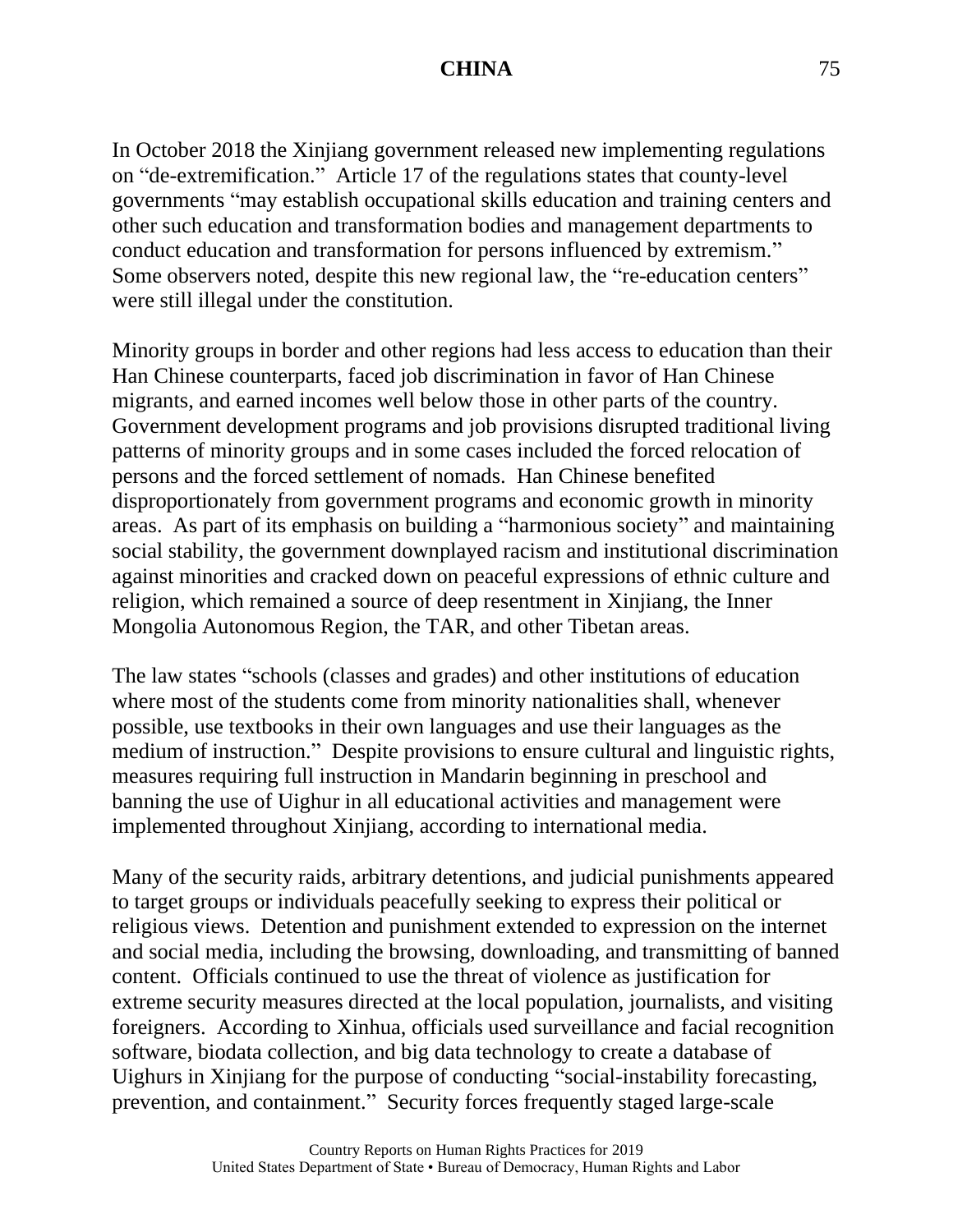In October 2018 the Xinjiang government released new implementing regulations on "de-extremification." Article 17 of the regulations states that county-level governments "may establish occupational skills education and training centers and other such education and transformation bodies and management departments to conduct education and transformation for persons influenced by extremism." Some observers noted, despite this new regional law, the "re-education centers" were still illegal under the constitution.

Minority groups in border and other regions had less access to education than their Han Chinese counterparts, faced job discrimination in favor of Han Chinese migrants, and earned incomes well below those in other parts of the country. Government development programs and job provisions disrupted traditional living patterns of minority groups and in some cases included the forced relocation of persons and the forced settlement of nomads. Han Chinese benefited disproportionately from government programs and economic growth in minority areas. As part of its emphasis on building a "harmonious society" and maintaining social stability, the government downplayed racism and institutional discrimination against minorities and cracked down on peaceful expressions of ethnic culture and religion, which remained a source of deep resentment in Xinjiang, the Inner Mongolia Autonomous Region, the TAR, and other Tibetan areas.

The law states "schools (classes and grades) and other institutions of education where most of the students come from minority nationalities shall, whenever possible, use textbooks in their own languages and use their languages as the medium of instruction." Despite provisions to ensure cultural and linguistic rights, measures requiring full instruction in Mandarin beginning in preschool and banning the use of Uighur in all educational activities and management were implemented throughout Xinjiang, according to international media.

Many of the security raids, arbitrary detentions, and judicial punishments appeared to target groups or individuals peacefully seeking to express their political or religious views. Detention and punishment extended to expression on the internet and social media, including the browsing, downloading, and transmitting of banned content. Officials continued to use the threat of violence as justification for extreme security measures directed at the local population, journalists, and visiting foreigners. According to Xinhua, officials used surveillance and facial recognition software, biodata collection, and big data technology to create a database of Uighurs in Xinjiang for the purpose of conducting "social-instability forecasting, prevention, and containment." Security forces frequently staged large-scale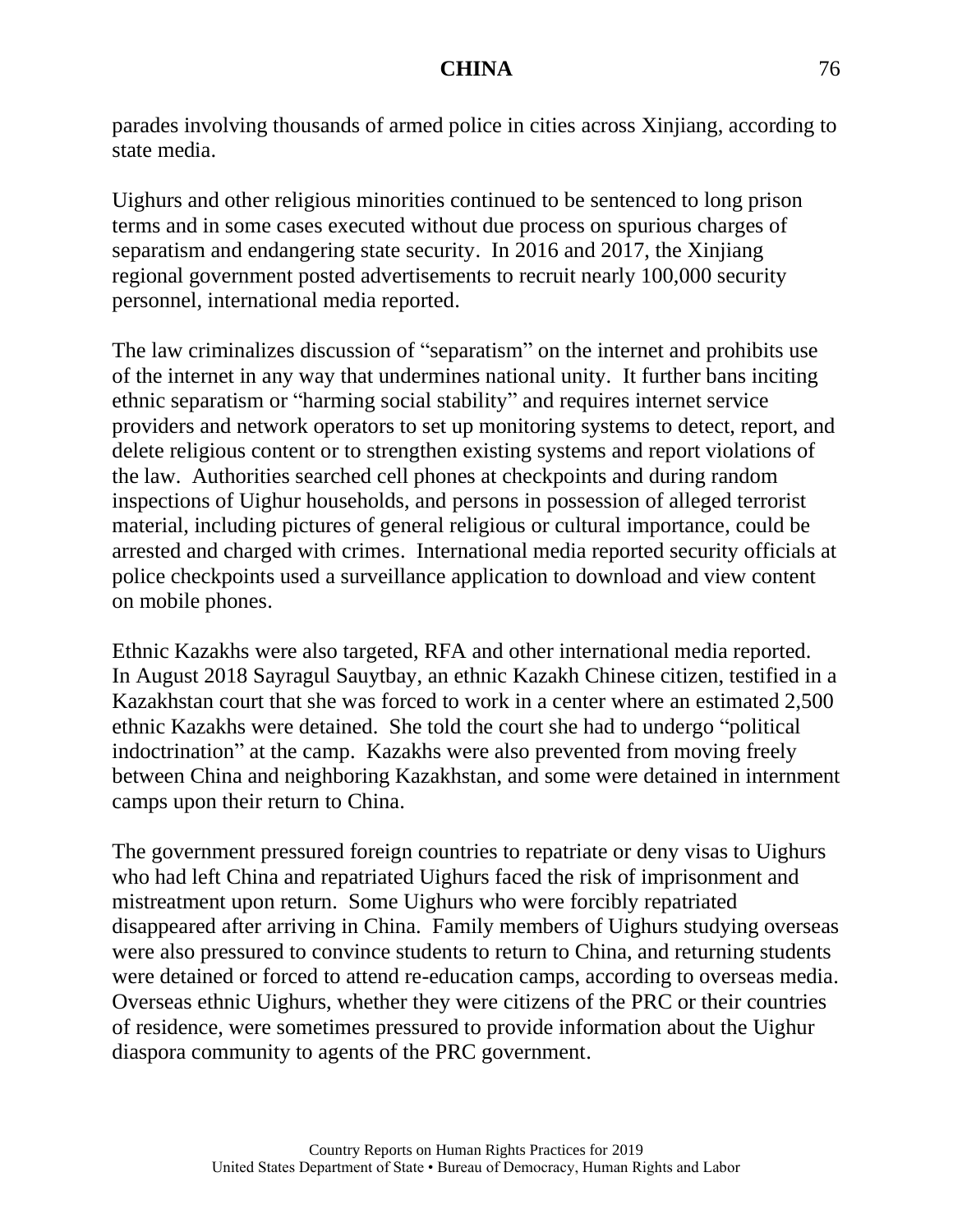parades involving thousands of armed police in cities across Xinjiang, according to state media.

Uighurs and other religious minorities continued to be sentenced to long prison terms and in some cases executed without due process on spurious charges of separatism and endangering state security. In 2016 and 2017, the Xinjiang regional government posted advertisements to recruit nearly 100,000 security personnel, international media reported.

The law criminalizes discussion of "separatism" on the internet and prohibits use of the internet in any way that undermines national unity. It further bans inciting ethnic separatism or "harming social stability" and requires internet service providers and network operators to set up monitoring systems to detect, report, and delete religious content or to strengthen existing systems and report violations of the law. Authorities searched cell phones at checkpoints and during random inspections of Uighur households, and persons in possession of alleged terrorist material, including pictures of general religious or cultural importance, could be arrested and charged with crimes. International media reported security officials at police checkpoints used a surveillance application to download and view content on mobile phones.

Ethnic Kazakhs were also targeted, RFA and other international media reported. In August 2018 Sayragul Sauytbay, an ethnic Kazakh Chinese citizen, testified in a Kazakhstan court that she was forced to work in a center where an estimated 2,500 ethnic Kazakhs were detained. She told the court she had to undergo "political indoctrination" at the camp. Kazakhs were also prevented from moving freely between China and neighboring Kazakhstan, and some were detained in internment camps upon their return to China.

The government pressured foreign countries to repatriate or deny visas to Uighurs who had left China and repatriated Uighurs faced the risk of imprisonment and mistreatment upon return. Some Uighurs who were forcibly repatriated disappeared after arriving in China. Family members of Uighurs studying overseas were also pressured to convince students to return to China, and returning students were detained or forced to attend re-education camps, according to overseas media. Overseas ethnic Uighurs, whether they were citizens of the PRC or their countries of residence, were sometimes pressured to provide information about the Uighur diaspora community to agents of the PRC government.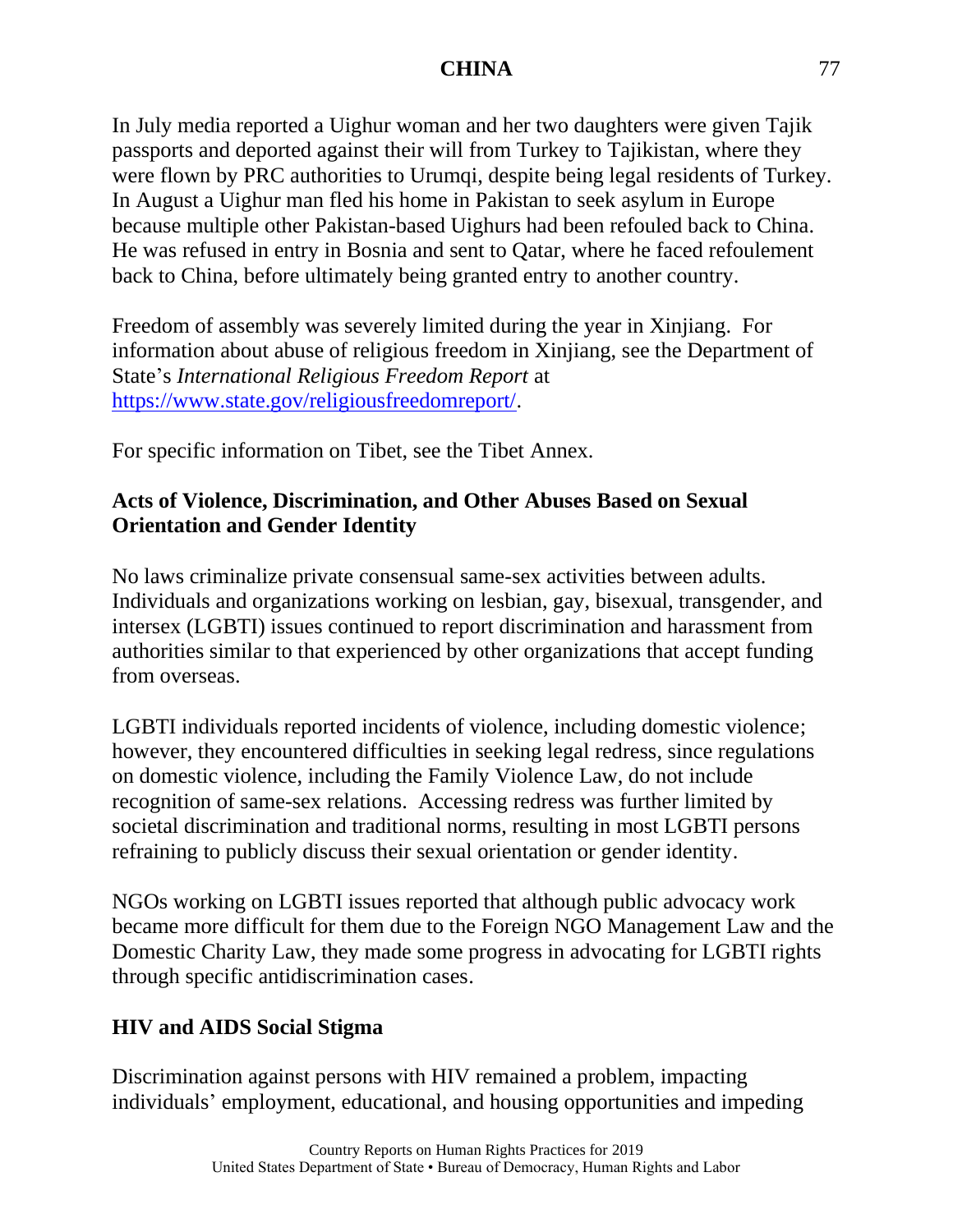In July media reported a Uighur woman and her two daughters were given Tajik passports and deported against their will from Turkey to Tajikistan, where they were flown by PRC authorities to Urumqi, despite being legal residents of Turkey. In August a Uighur man fled his home in Pakistan to seek asylum in Europe because multiple other Pakistan-based Uighurs had been refouled back to China. He was refused in entry in Bosnia and sent to Qatar, where he faced refoulement back to China, before ultimately being granted entry to another country.

Freedom of assembly was severely limited during the year in Xinjiang. For information about abuse of religious freedom in Xinjiang, see the Department of State's *International Religious Freedom Report* at [https://www.state.gov/religiousfreedomreport/.](https://www.state.gov/religiousfreedomreport/)

For specific information on Tibet, see the Tibet Annex.

# **Acts of Violence, Discrimination, and Other Abuses Based on Sexual Orientation and Gender Identity**

No laws criminalize private consensual same-sex activities between adults. Individuals and organizations working on lesbian, gay, bisexual, transgender, and intersex (LGBTI) issues continued to report discrimination and harassment from authorities similar to that experienced by other organizations that accept funding from overseas.

LGBTI individuals reported incidents of violence, including domestic violence; however, they encountered difficulties in seeking legal redress, since regulations on domestic violence, including the Family Violence Law, do not include recognition of same-sex relations. Accessing redress was further limited by societal discrimination and traditional norms, resulting in most LGBTI persons refraining to publicly discuss their sexual orientation or gender identity.

NGOs working on LGBTI issues reported that although public advocacy work became more difficult for them due to the Foreign NGO Management Law and the Domestic Charity Law, they made some progress in advocating for LGBTI rights through specific antidiscrimination cases.

# **HIV and AIDS Social Stigma**

Discrimination against persons with HIV remained a problem, impacting individuals' employment, educational, and housing opportunities and impeding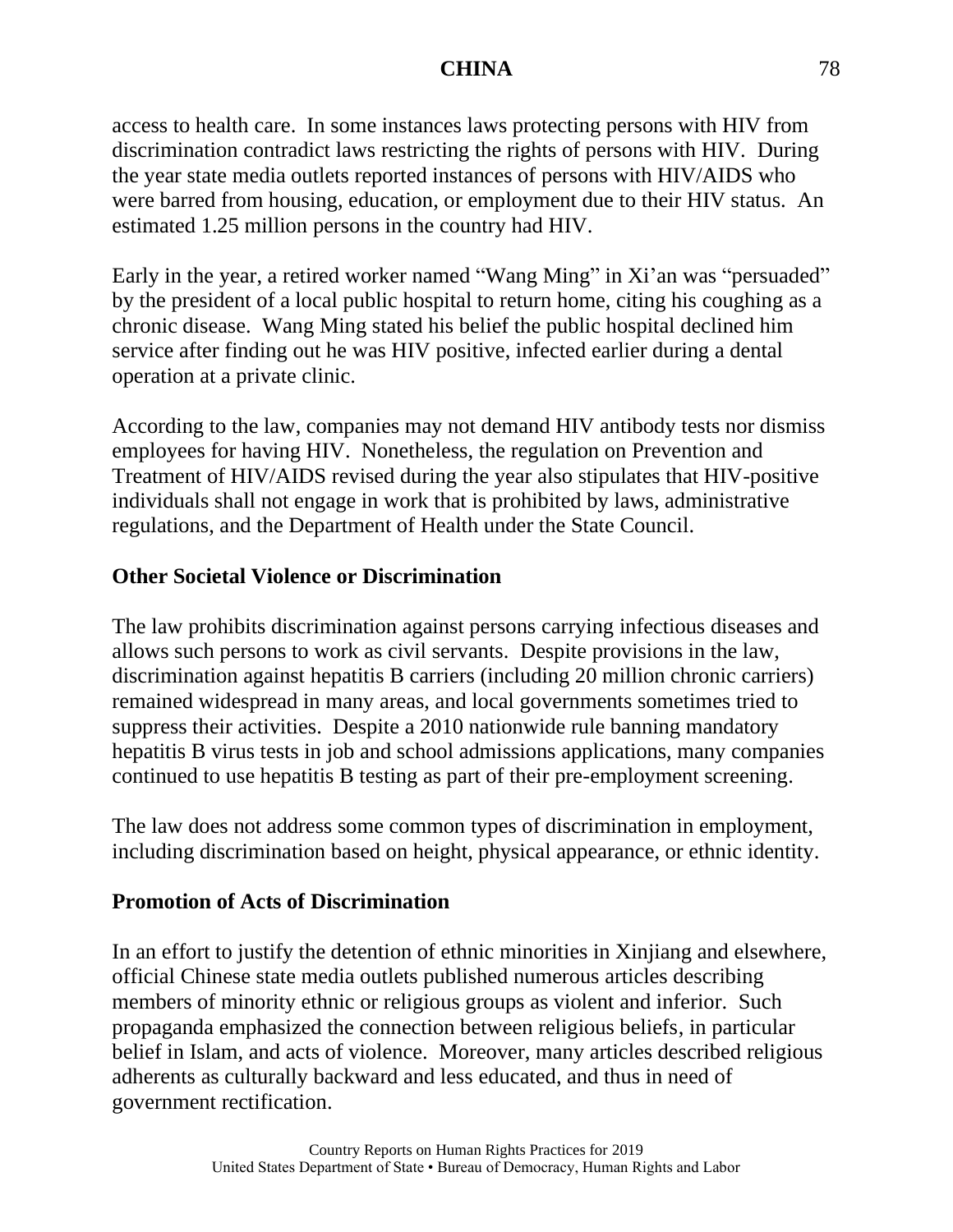access to health care. In some instances laws protecting persons with HIV from discrimination contradict laws restricting the rights of persons with HIV. During the year state media outlets reported instances of persons with HIV/AIDS who were barred from housing, education, or employment due to their HIV status. An estimated 1.25 million persons in the country had HIV.

Early in the year, a retired worker named "Wang Ming" in Xi'an was "persuaded" by the president of a local public hospital to return home, citing his coughing as a chronic disease. Wang Ming stated his belief the public hospital declined him service after finding out he was HIV positive, infected earlier during a dental operation at a private clinic.

According to the law, companies may not demand HIV antibody tests nor dismiss employees for having HIV. Nonetheless, the regulation on Prevention and Treatment of HIV/AIDS revised during the year also stipulates that HIV-positive individuals shall not engage in work that is prohibited by laws, administrative regulations, and the Department of Health under the State Council.

# **Other Societal Violence or Discrimination**

The law prohibits discrimination against persons carrying infectious diseases and allows such persons to work as civil servants. Despite provisions in the law, discrimination against hepatitis B carriers (including 20 million chronic carriers) remained widespread in many areas, and local governments sometimes tried to suppress their activities. Despite a 2010 nationwide rule banning mandatory hepatitis B virus tests in job and school admissions applications, many companies continued to use hepatitis B testing as part of their pre-employment screening.

The law does not address some common types of discrimination in employment, including discrimination based on height, physical appearance, or ethnic identity.

# **Promotion of Acts of Discrimination**

In an effort to justify the detention of ethnic minorities in Xinjiang and elsewhere, official Chinese state media outlets published numerous articles describing members of minority ethnic or religious groups as violent and inferior. Such propaganda emphasized the connection between religious beliefs, in particular belief in Islam, and acts of violence. Moreover, many articles described religious adherents as culturally backward and less educated, and thus in need of government rectification.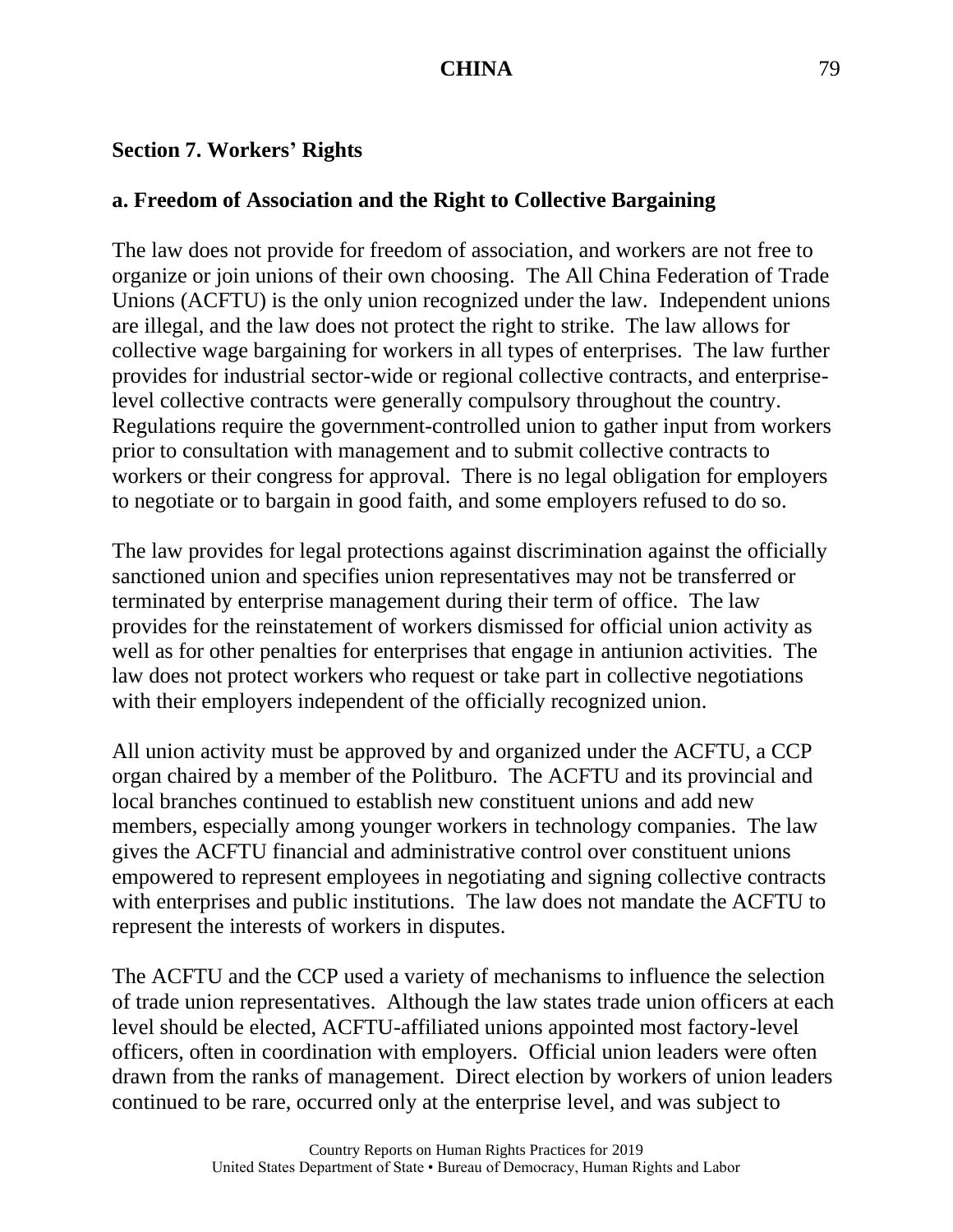#### **Section 7. Workers' Rights**

### **a. Freedom of Association and the Right to Collective Bargaining**

The law does not provide for freedom of association, and workers are not free to organize or join unions of their own choosing. The All China Federation of Trade Unions (ACFTU) is the only union recognized under the law. Independent unions are illegal, and the law does not protect the right to strike. The law allows for collective wage bargaining for workers in all types of enterprises. The law further provides for industrial sector-wide or regional collective contracts, and enterpriselevel collective contracts were generally compulsory throughout the country. Regulations require the government-controlled union to gather input from workers prior to consultation with management and to submit collective contracts to workers or their congress for approval. There is no legal obligation for employers to negotiate or to bargain in good faith, and some employers refused to do so.

The law provides for legal protections against discrimination against the officially sanctioned union and specifies union representatives may not be transferred or terminated by enterprise management during their term of office. The law provides for the reinstatement of workers dismissed for official union activity as well as for other penalties for enterprises that engage in antiunion activities. The law does not protect workers who request or take part in collective negotiations with their employers independent of the officially recognized union.

All union activity must be approved by and organized under the ACFTU, a CCP organ chaired by a member of the Politburo. The ACFTU and its provincial and local branches continued to establish new constituent unions and add new members, especially among younger workers in technology companies. The law gives the ACFTU financial and administrative control over constituent unions empowered to represent employees in negotiating and signing collective contracts with enterprises and public institutions. The law does not mandate the ACFTU to represent the interests of workers in disputes.

The ACFTU and the CCP used a variety of mechanisms to influence the selection of trade union representatives. Although the law states trade union officers at each level should be elected, ACFTU-affiliated unions appointed most factory-level officers, often in coordination with employers. Official union leaders were often drawn from the ranks of management. Direct election by workers of union leaders continued to be rare, occurred only at the enterprise level, and was subject to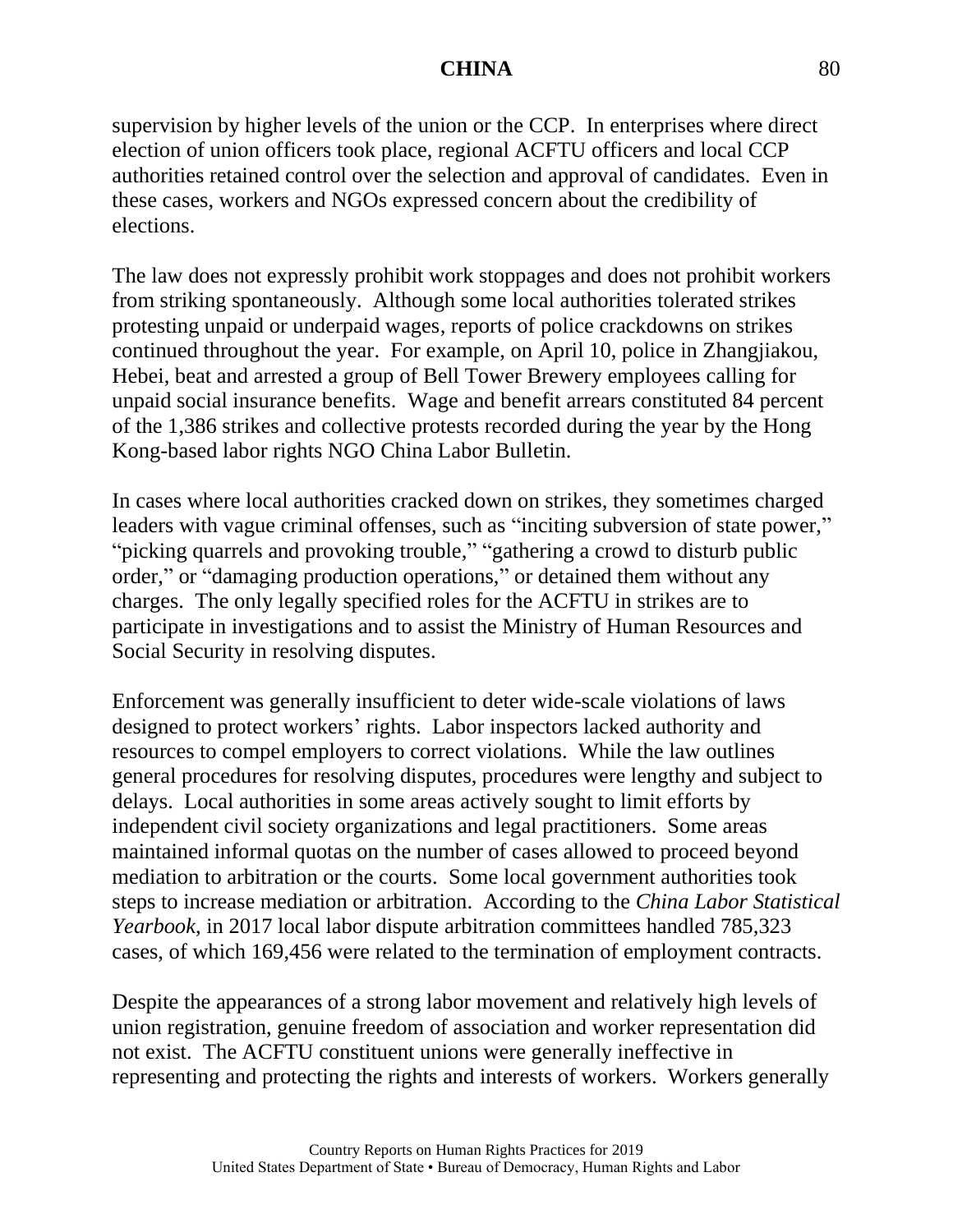supervision by higher levels of the union or the CCP. In enterprises where direct election of union officers took place, regional ACFTU officers and local CCP authorities retained control over the selection and approval of candidates. Even in these cases, workers and NGOs expressed concern about the credibility of elections.

The law does not expressly prohibit work stoppages and does not prohibit workers from striking spontaneously. Although some local authorities tolerated strikes protesting unpaid or underpaid wages, reports of police crackdowns on strikes continued throughout the year. For example, on April 10, police in Zhangjiakou, Hebei, beat and arrested a group of Bell Tower Brewery employees calling for unpaid social insurance benefits. Wage and benefit arrears constituted 84 percent of the 1,386 strikes and collective protests recorded during the year by the Hong Kong-based labor rights NGO China Labor Bulletin.

In cases where local authorities cracked down on strikes, they sometimes charged leaders with vague criminal offenses, such as "inciting subversion of state power," "picking quarrels and provoking trouble," "gathering a crowd to disturb public order," or "damaging production operations," or detained them without any charges. The only legally specified roles for the ACFTU in strikes are to participate in investigations and to assist the Ministry of Human Resources and Social Security in resolving disputes.

Enforcement was generally insufficient to deter wide-scale violations of laws designed to protect workers' rights. Labor inspectors lacked authority and resources to compel employers to correct violations. While the law outlines general procedures for resolving disputes, procedures were lengthy and subject to delays. Local authorities in some areas actively sought to limit efforts by independent civil society organizations and legal practitioners. Some areas maintained informal quotas on the number of cases allowed to proceed beyond mediation to arbitration or the courts. Some local government authorities took steps to increase mediation or arbitration. According to the *China Labor Statistical Yearbook*, in 2017 local labor dispute arbitration committees handled 785,323 cases, of which 169,456 were related to the termination of employment contracts.

Despite the appearances of a strong labor movement and relatively high levels of union registration, genuine freedom of association and worker representation did not exist. The ACFTU constituent unions were generally ineffective in representing and protecting the rights and interests of workers. Workers generally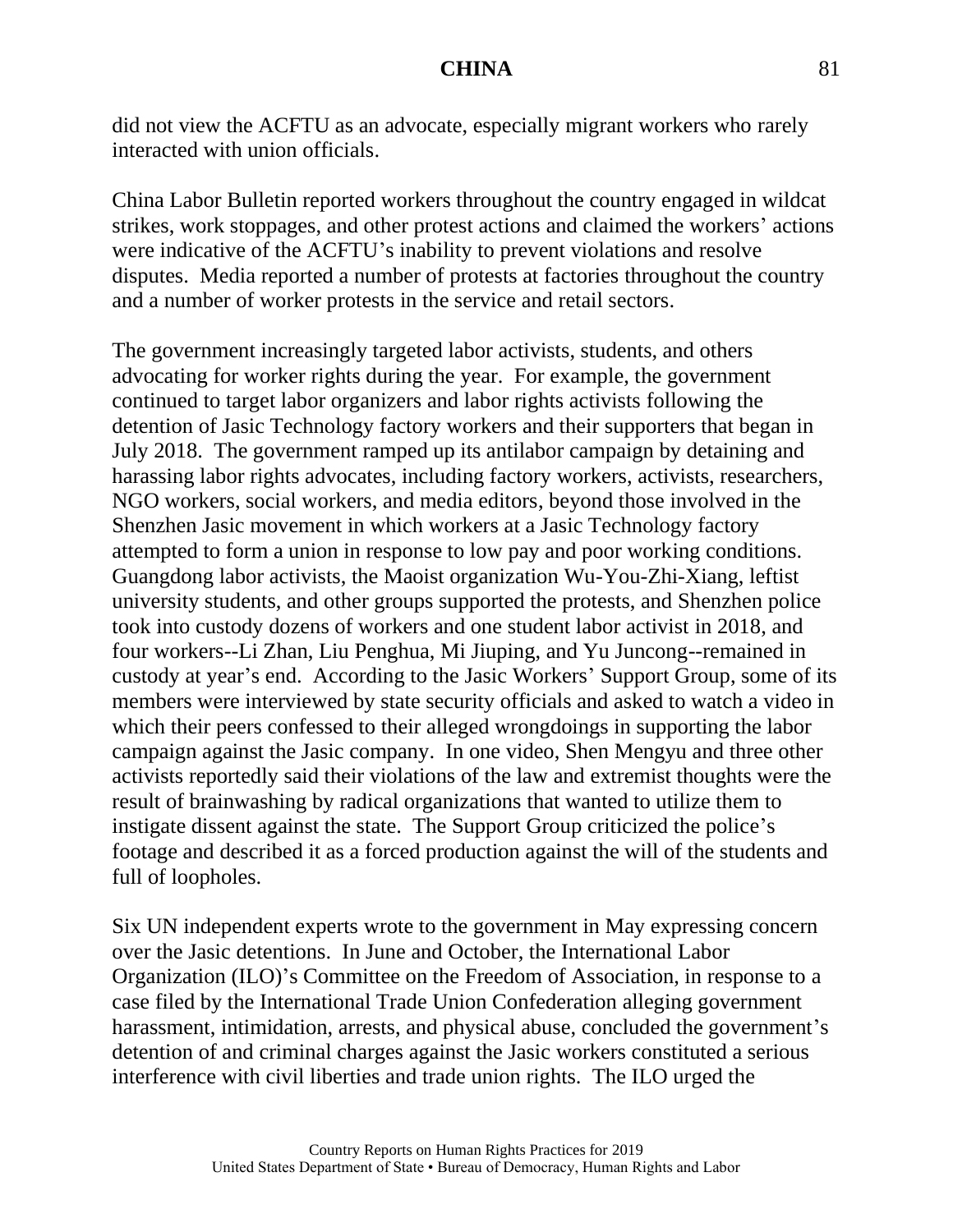did not view the ACFTU as an advocate, especially migrant workers who rarely interacted with union officials.

China Labor Bulletin reported workers throughout the country engaged in wildcat strikes, work stoppages, and other protest actions and claimed the workers' actions were indicative of the ACFTU's inability to prevent violations and resolve disputes. Media reported a number of protests at factories throughout the country and a number of worker protests in the service and retail sectors.

The government increasingly targeted labor activists, students, and others advocating for worker rights during the year. For example, the government continued to target labor organizers and labor rights activists following the detention of Jasic Technology factory workers and their supporters that began in July 2018. The government ramped up its antilabor campaign by detaining and harassing labor rights advocates, including factory workers, activists, researchers, NGO workers, social workers, and media editors, beyond those involved in the Shenzhen Jasic movement in which workers at a Jasic Technology factory attempted to form a union in response to low pay and poor working conditions. Guangdong labor activists, the Maoist organization Wu-You-Zhi-Xiang, leftist university students, and other groups supported the protests, and Shenzhen police took into custody dozens of workers and one student labor activist in 2018, and four workers--Li Zhan, Liu Penghua, Mi Jiuping, and Yu Juncong--remained in custody at year's end. According to the Jasic Workers' Support Group, some of its members were interviewed by state security officials and asked to watch a video in which their peers confessed to their alleged wrongdoings in supporting the labor campaign against the Jasic company. In one video, Shen Mengyu and three other activists reportedly said their violations of the law and extremist thoughts were the result of brainwashing by radical organizations that wanted to utilize them to instigate dissent against the state. The Support Group criticized the police's footage and described it as a forced production against the will of the students and full of loopholes.

Six UN independent experts wrote to the government in May expressing concern over the Jasic detentions. In June and October, the International Labor Organization (ILO)'s Committee on the Freedom of Association, in response to a case filed by the International Trade Union Confederation alleging government harassment, intimidation, arrests, and physical abuse, concluded the government's detention of and criminal charges against the Jasic workers constituted a serious interference with civil liberties and trade union rights. The ILO urged the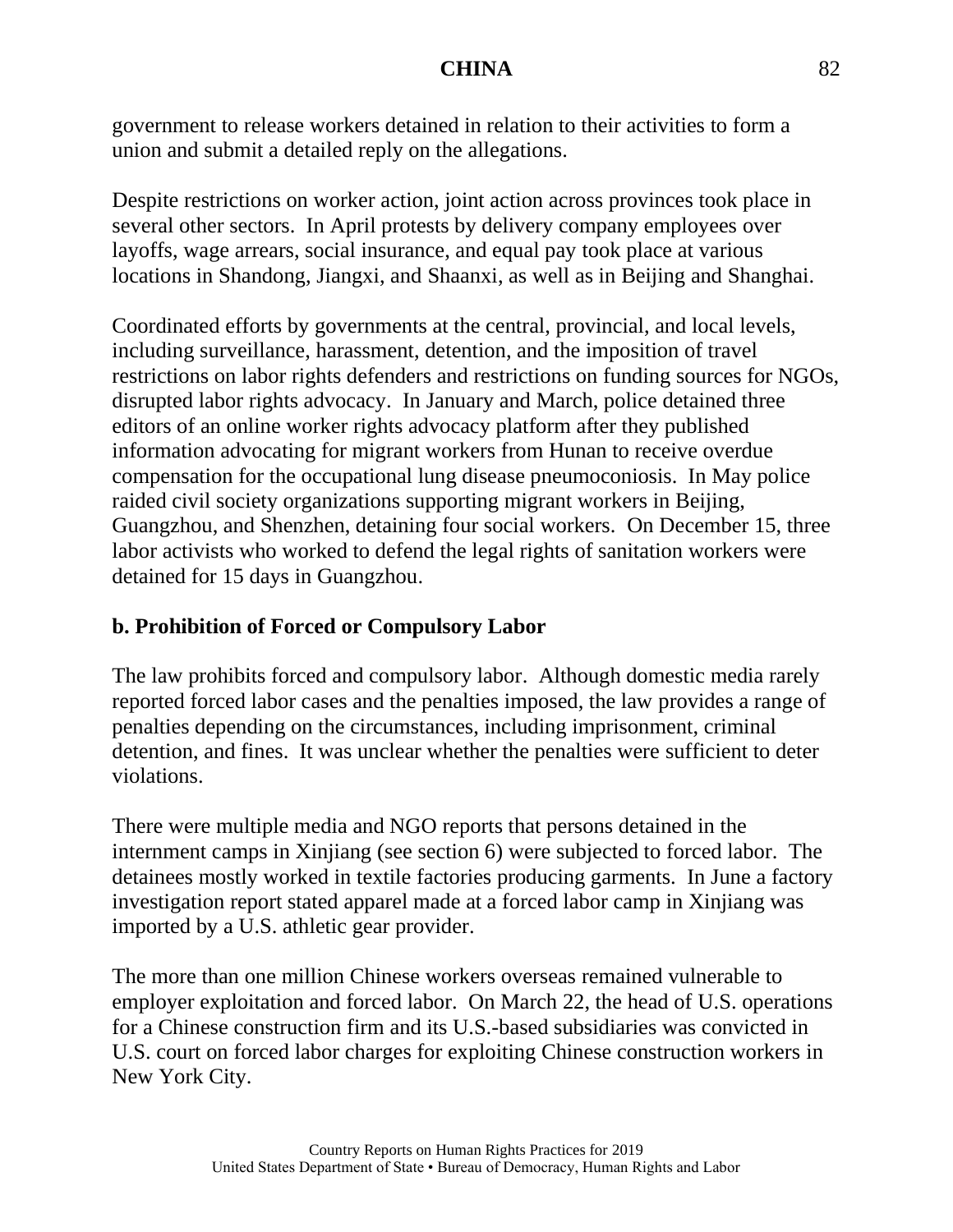government to release workers detained in relation to their activities to form a union and submit a detailed reply on the allegations.

Despite restrictions on worker action, joint action across provinces took place in several other sectors. In April protests by delivery company employees over layoffs, wage arrears, social insurance, and equal pay took place at various locations in Shandong, Jiangxi, and Shaanxi, as well as in Beijing and Shanghai.

Coordinated efforts by governments at the central, provincial, and local levels, including surveillance, harassment, detention, and the imposition of travel restrictions on labor rights defenders and restrictions on funding sources for NGOs, disrupted labor rights advocacy. In January and March, police detained three editors of an online worker rights advocacy platform after they published information advocating for migrant workers from Hunan to receive overdue compensation for the occupational lung disease pneumoconiosis. In May police raided civil society organizations supporting migrant workers in Beijing, Guangzhou, and Shenzhen, detaining four social workers. On December 15, three labor activists who worked to defend the legal rights of sanitation workers were detained for 15 days in Guangzhou.

# **b. Prohibition of Forced or Compulsory Labor**

The law prohibits forced and compulsory labor. Although domestic media rarely reported forced labor cases and the penalties imposed, the law provides a range of penalties depending on the circumstances, including imprisonment, criminal detention, and fines. It was unclear whether the penalties were sufficient to deter violations.

There were multiple media and NGO reports that persons detained in the internment camps in Xinjiang (see section 6) were subjected to forced labor. The detainees mostly worked in textile factories producing garments. In June a factory investigation report stated apparel made at a forced labor camp in Xinjiang was imported by a U.S. athletic gear provider.

The more than one million Chinese workers overseas remained vulnerable to employer exploitation and forced labor. On March 22, the head of U.S. operations for a Chinese construction firm and its U.S.-based subsidiaries was convicted in U.S. court on forced labor charges for exploiting Chinese construction workers in New York City.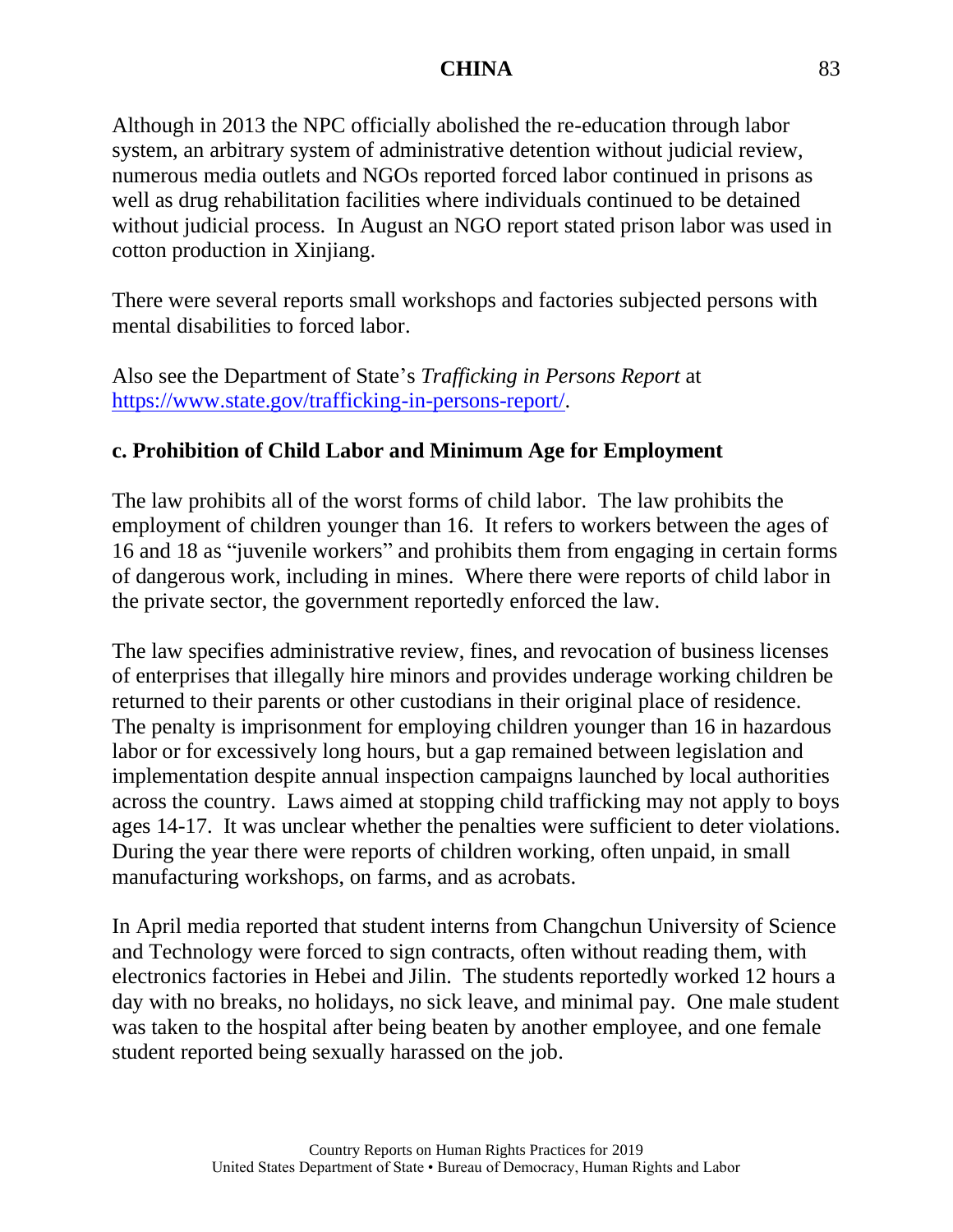Although in 2013 the NPC officially abolished the re-education through labor system, an arbitrary system of administrative detention without judicial review, numerous media outlets and NGOs reported forced labor continued in prisons as well as drug rehabilitation facilities where individuals continued to be detained without judicial process. In August an NGO report stated prison labor was used in cotton production in Xinjiang.

There were several reports small workshops and factories subjected persons with mental disabilities to forced labor.

Also see the Department of State's *Trafficking in Persons Report* at [https://www.state.gov/trafficking-in-persons-report/.](https://www.state.gov/trafficking-in-persons-report/)

# **c. Prohibition of Child Labor and Minimum Age for Employment**

The law prohibits all of the worst forms of child labor. The law prohibits the employment of children younger than 16. It refers to workers between the ages of 16 and 18 as "juvenile workers" and prohibits them from engaging in certain forms of dangerous work, including in mines. Where there were reports of child labor in the private sector, the government reportedly enforced the law.

The law specifies administrative review, fines, and revocation of business licenses of enterprises that illegally hire minors and provides underage working children be returned to their parents or other custodians in their original place of residence. The penalty is imprisonment for employing children younger than 16 in hazardous labor or for excessively long hours, but a gap remained between legislation and implementation despite annual inspection campaigns launched by local authorities across the country. Laws aimed at stopping child trafficking may not apply to boys ages 14-17. It was unclear whether the penalties were sufficient to deter violations. During the year there were reports of children working, often unpaid, in small manufacturing workshops, on farms, and as acrobats.

In April media reported that student interns from Changchun University of Science and Technology were forced to sign contracts, often without reading them, with electronics factories in Hebei and Jilin. The students reportedly worked 12 hours a day with no breaks, no holidays, no sick leave, and minimal pay. One male student was taken to the hospital after being beaten by another employee, and one female student reported being sexually harassed on the job.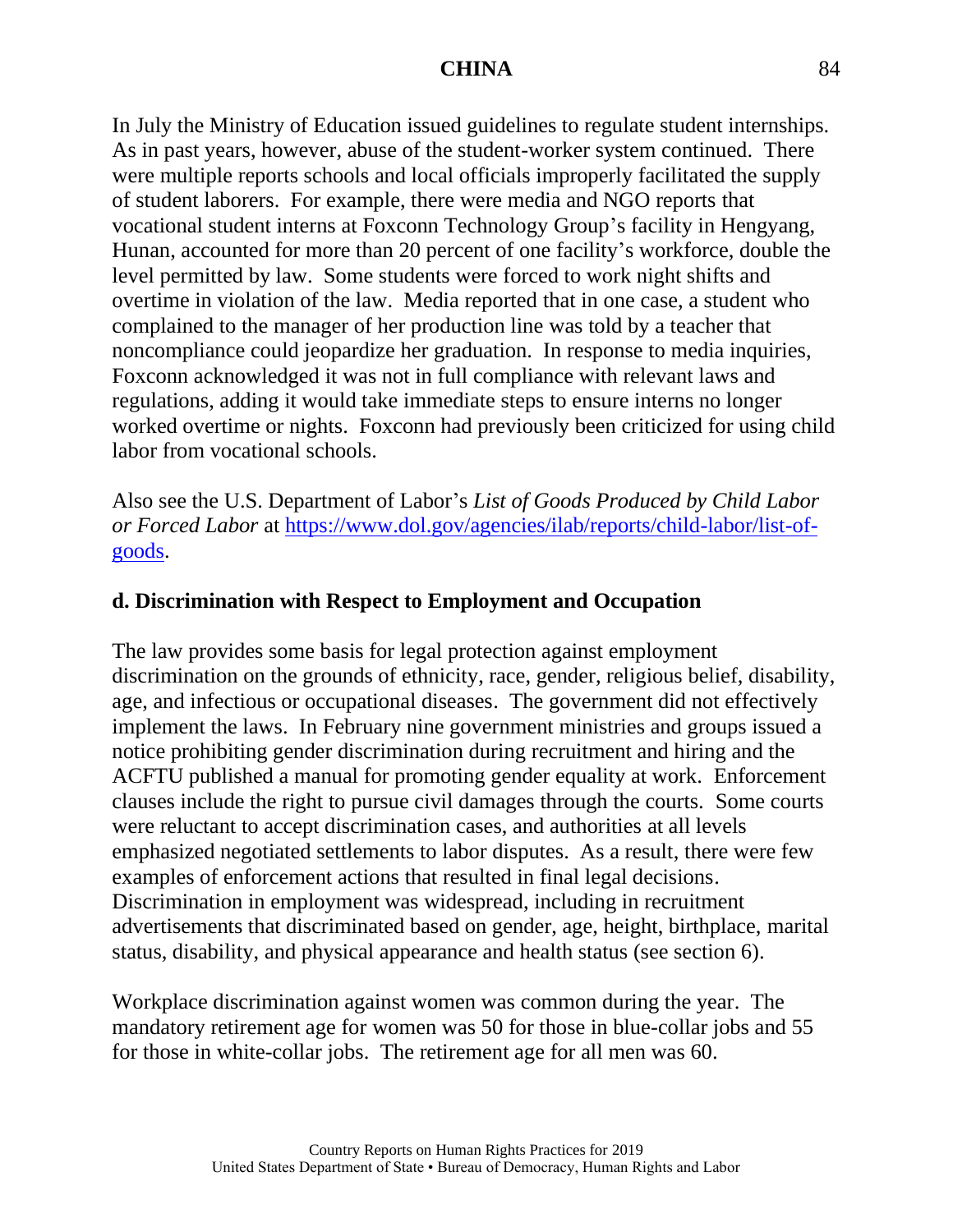In July the Ministry of Education issued guidelines to regulate student internships. As in past years, however, abuse of the student-worker system continued. There were multiple reports schools and local officials improperly facilitated the supply of student laborers. For example, there were media and NGO reports that vocational student interns at Foxconn Technology Group's facility in Hengyang, Hunan, accounted for more than 20 percent of one facility's workforce, double the level permitted by law. Some students were forced to work night shifts and overtime in violation of the law. Media reported that in one case, a student who complained to the manager of her production line was told by a teacher that noncompliance could jeopardize her graduation. In response to media inquiries, Foxconn acknowledged it was not in full compliance with relevant laws and regulations, adding it would take immediate steps to ensure interns no longer worked overtime or nights. Foxconn had previously been criticized for using child labor from vocational schools.

Also see the U.S. Department of Labor's *List of Goods Produced by Child Labor or Forced Labor* at [https://www.dol.gov/agencies/ilab/reports/child-labor/list-of](https://www.dol.gov/agencies/ilab/reports/child-labor/list-of-goods)[goods.](https://www.dol.gov/agencies/ilab/reports/child-labor/list-of-goods)

# **d. Discrimination with Respect to Employment and Occupation**

The law provides some basis for legal protection against employment discrimination on the grounds of ethnicity, race, gender, religious belief, disability, age, and infectious or occupational diseases. The government did not effectively implement the laws. In February nine government ministries and groups issued a notice prohibiting gender discrimination during recruitment and hiring and the ACFTU published a manual for promoting gender equality at work. Enforcement clauses include the right to pursue civil damages through the courts. Some courts were reluctant to accept discrimination cases, and authorities at all levels emphasized negotiated settlements to labor disputes. As a result, there were few examples of enforcement actions that resulted in final legal decisions. Discrimination in employment was widespread, including in recruitment advertisements that discriminated based on gender, age, height, birthplace, marital status, disability, and physical appearance and health status (see section 6).

Workplace discrimination against women was common during the year. The mandatory retirement age for women was 50 for those in blue-collar jobs and 55 for those in white-collar jobs. The retirement age for all men was 60.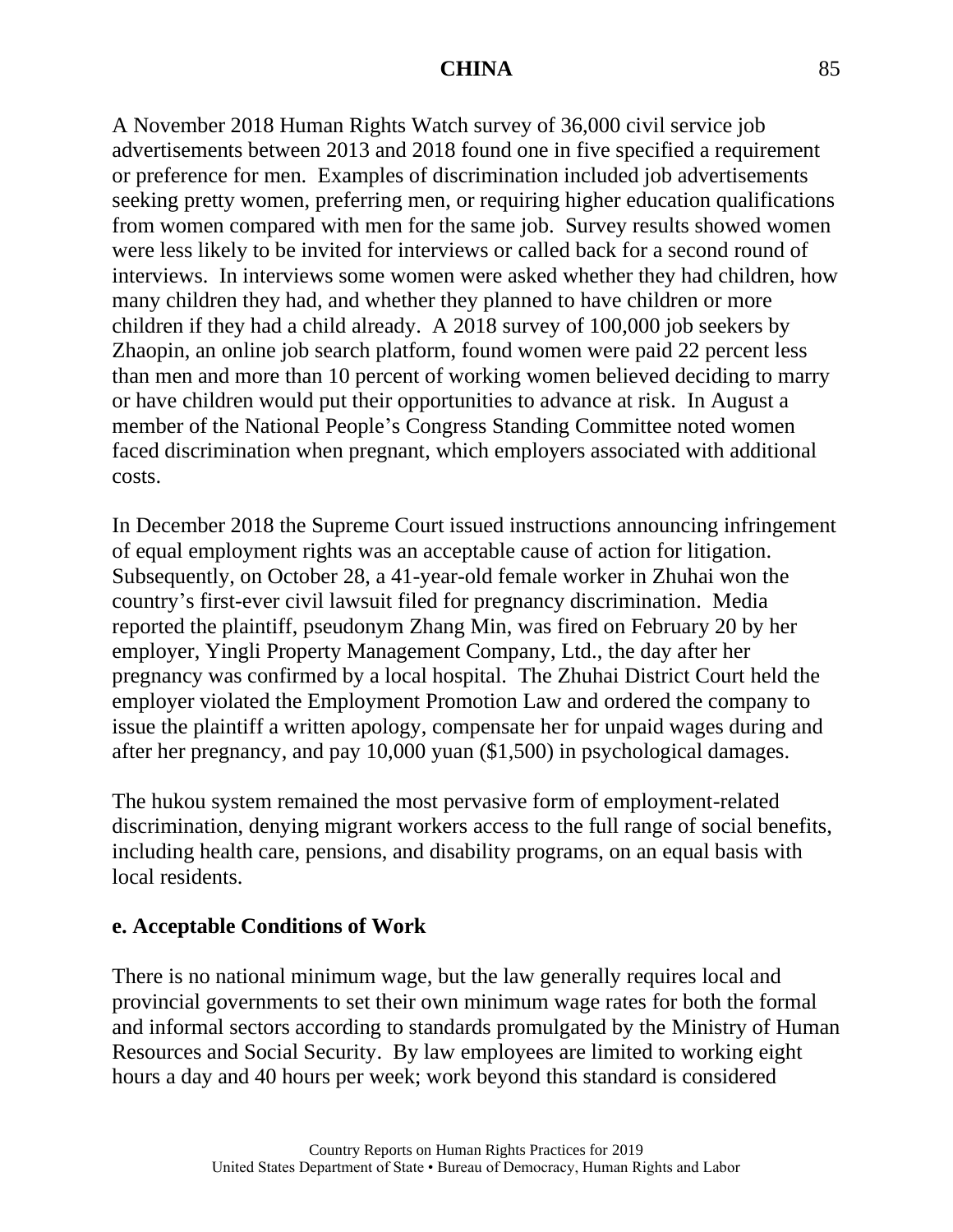A November 2018 Human Rights Watch survey of 36,000 civil service job advertisements between 2013 and 2018 found one in five specified a requirement or preference for men. Examples of discrimination included job advertisements seeking pretty women, preferring men, or requiring higher education qualifications from women compared with men for the same job. Survey results showed women were less likely to be invited for interviews or called back for a second round of interviews. In interviews some women were asked whether they had children, how many children they had, and whether they planned to have children or more children if they had a child already. A 2018 survey of 100,000 job seekers by Zhaopin, an online job search platform, found women were paid 22 percent less than men and more than 10 percent of working women believed deciding to marry or have children would put their opportunities to advance at risk. In August a member of the National People's Congress Standing Committee noted women faced discrimination when pregnant, which employers associated with additional costs.

In December 2018 the Supreme Court issued instructions announcing infringement of equal employment rights was an acceptable cause of action for litigation. Subsequently, on October 28, a 41-year-old female worker in Zhuhai won the country's first-ever civil lawsuit filed for pregnancy discrimination. Media reported the plaintiff, pseudonym Zhang Min, was fired on February 20 by her employer, Yingli Property Management Company, Ltd., the day after her pregnancy was confirmed by a local hospital. The Zhuhai District Court held the employer violated the Employment Promotion Law and ordered the company to issue the plaintiff a written apology, compensate her for unpaid wages during and after her pregnancy, and pay 10,000 yuan (\$1,500) in psychological damages.

The hukou system remained the most pervasive form of employment-related discrimination, denying migrant workers access to the full range of social benefits, including health care, pensions, and disability programs, on an equal basis with local residents.

#### **e. Acceptable Conditions of Work**

There is no national minimum wage, but the law generally requires local and provincial governments to set their own minimum wage rates for both the formal and informal sectors according to standards promulgated by the Ministry of Human Resources and Social Security. By law employees are limited to working eight hours a day and 40 hours per week; work beyond this standard is considered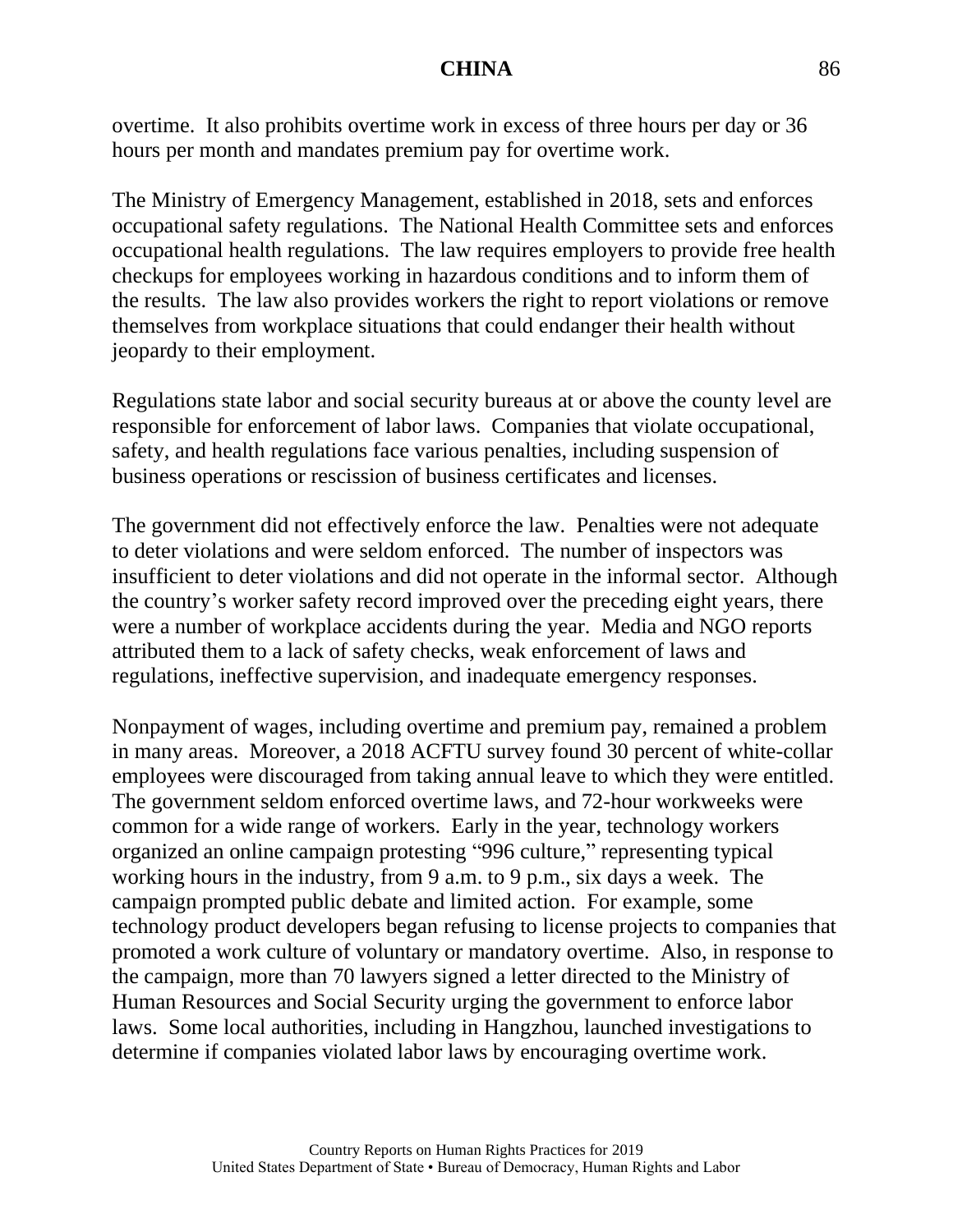overtime. It also prohibits overtime work in excess of three hours per day or 36 hours per month and mandates premium pay for overtime work.

The Ministry of Emergency Management, established in 2018, sets and enforces occupational safety regulations. The National Health Committee sets and enforces occupational health regulations. The law requires employers to provide free health checkups for employees working in hazardous conditions and to inform them of the results. The law also provides workers the right to report violations or remove themselves from workplace situations that could endanger their health without jeopardy to their employment.

Regulations state labor and social security bureaus at or above the county level are responsible for enforcement of labor laws. Companies that violate occupational, safety, and health regulations face various penalties, including suspension of business operations or rescission of business certificates and licenses.

The government did not effectively enforce the law. Penalties were not adequate to deter violations and were seldom enforced. The number of inspectors was insufficient to deter violations and did not operate in the informal sector. Although the country's worker safety record improved over the preceding eight years, there were a number of workplace accidents during the year. Media and NGO reports attributed them to a lack of safety checks, weak enforcement of laws and regulations, ineffective supervision, and inadequate emergency responses.

Nonpayment of wages, including overtime and premium pay, remained a problem in many areas. Moreover, a 2018 ACFTU survey found 30 percent of white-collar employees were discouraged from taking annual leave to which they were entitled. The government seldom enforced overtime laws, and 72-hour workweeks were common for a wide range of workers. Early in the year, technology workers organized an online campaign protesting "996 culture," representing typical working hours in the industry, from 9 a.m. to 9 p.m., six days a week. The campaign prompted public debate and limited action. For example, some technology product developers began refusing to license projects to companies that promoted a work culture of voluntary or mandatory overtime. Also, in response to the campaign, more than 70 lawyers signed a letter directed to the Ministry of Human Resources and Social Security urging the government to enforce labor laws. Some local authorities, including in Hangzhou, launched investigations to determine if companies violated labor laws by encouraging overtime work.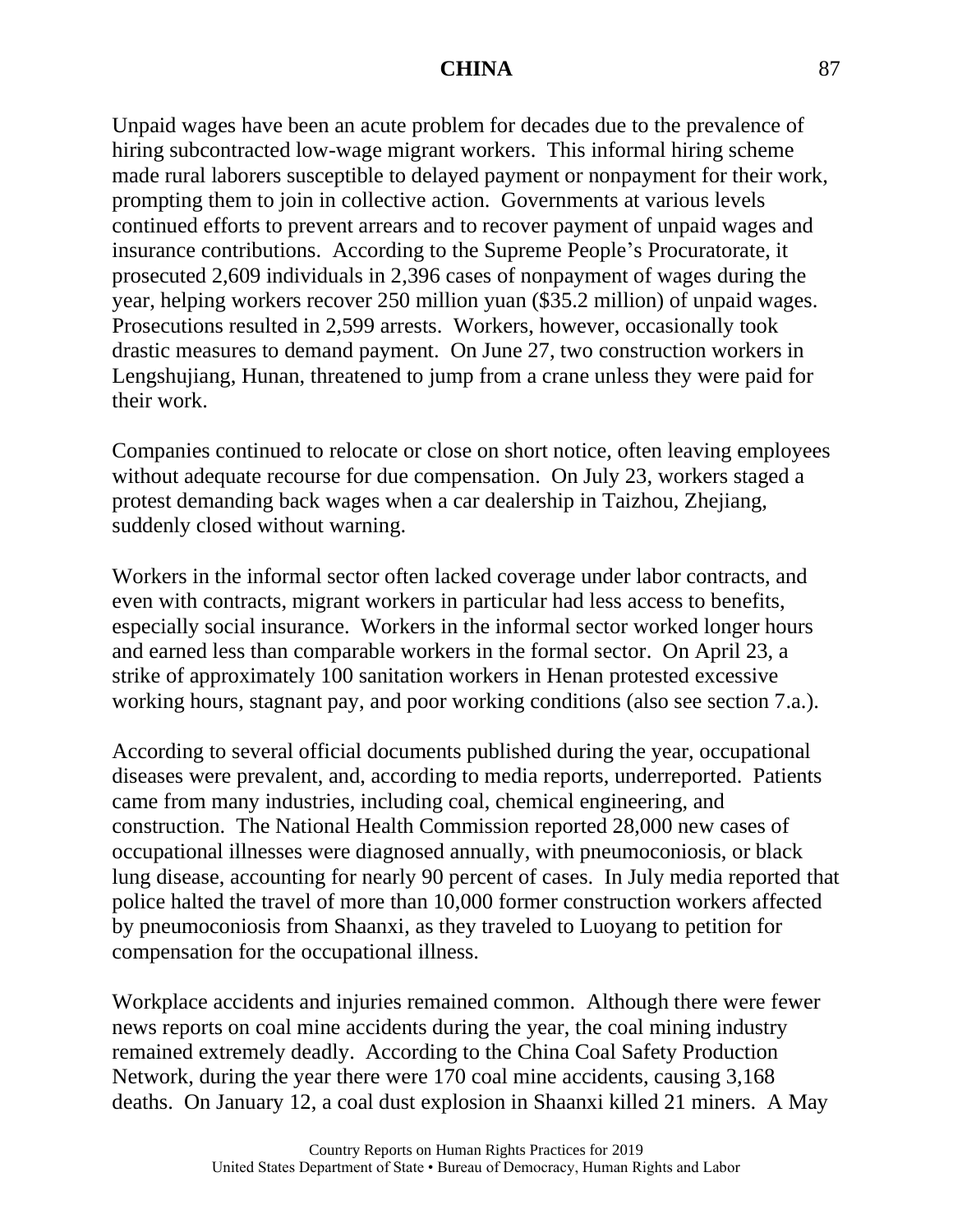Unpaid wages have been an acute problem for decades due to the prevalence of hiring subcontracted low-wage migrant workers. This informal hiring scheme made rural laborers susceptible to delayed payment or nonpayment for their work, prompting them to join in collective action. Governments at various levels continued efforts to prevent arrears and to recover payment of unpaid wages and insurance contributions. According to the Supreme People's Procuratorate, it prosecuted 2,609 individuals in 2,396 cases of nonpayment of wages during the year, helping workers recover 250 million yuan (\$35.2 million) of unpaid wages. Prosecutions resulted in 2,599 arrests. Workers, however, occasionally took drastic measures to demand payment. On June 27, two construction workers in Lengshujiang, Hunan, threatened to jump from a crane unless they were paid for their work.

Companies continued to relocate or close on short notice, often leaving employees without adequate recourse for due compensation. On July 23, workers staged a protest demanding back wages when a car dealership in Taizhou, Zhejiang, suddenly closed without warning.

Workers in the informal sector often lacked coverage under labor contracts, and even with contracts, migrant workers in particular had less access to benefits, especially social insurance. Workers in the informal sector worked longer hours and earned less than comparable workers in the formal sector. On April 23, a strike of approximately 100 sanitation workers in Henan protested excessive working hours, stagnant pay, and poor working conditions (also see section 7.a.).

According to several official documents published during the year, occupational diseases were prevalent, and, according to media reports, underreported. Patients came from many industries, including coal, chemical engineering, and construction. The National Health Commission reported 28,000 new cases of occupational illnesses were diagnosed annually, with pneumoconiosis, or black lung disease, accounting for nearly 90 percent of cases. In July media reported that police halted the travel of more than 10,000 former construction workers affected by pneumoconiosis from Shaanxi, as they traveled to Luoyang to petition for compensation for the occupational illness.

Workplace accidents and injuries remained common. Although there were fewer news reports on coal mine accidents during the year, the coal mining industry remained extremely deadly. According to the China Coal Safety Production Network, during the year there were 170 coal mine accidents, causing 3,168 deaths. On January 12, a coal dust explosion in Shaanxi killed 21 miners. A May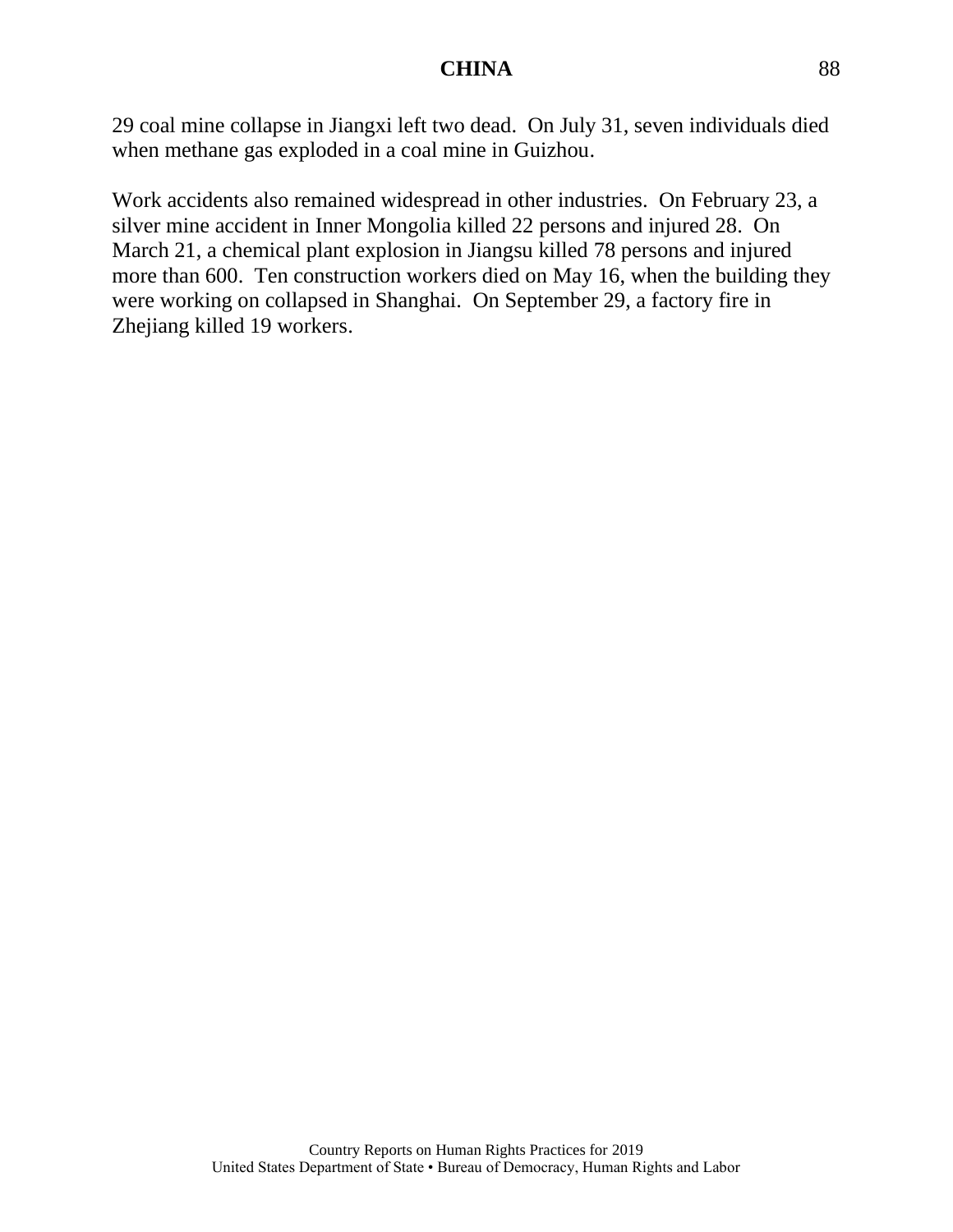29 coal mine collapse in Jiangxi left two dead. On July 31, seven individuals died when methane gas exploded in a coal mine in Guizhou.

Work accidents also remained widespread in other industries. On February 23, a silver mine accident in Inner Mongolia killed 22 persons and injured 28. On March 21, a chemical plant explosion in Jiangsu killed 78 persons and injured more than 600. Ten construction workers died on May 16, when the building they were working on collapsed in Shanghai. On September 29, a factory fire in Zhejiang killed 19 workers.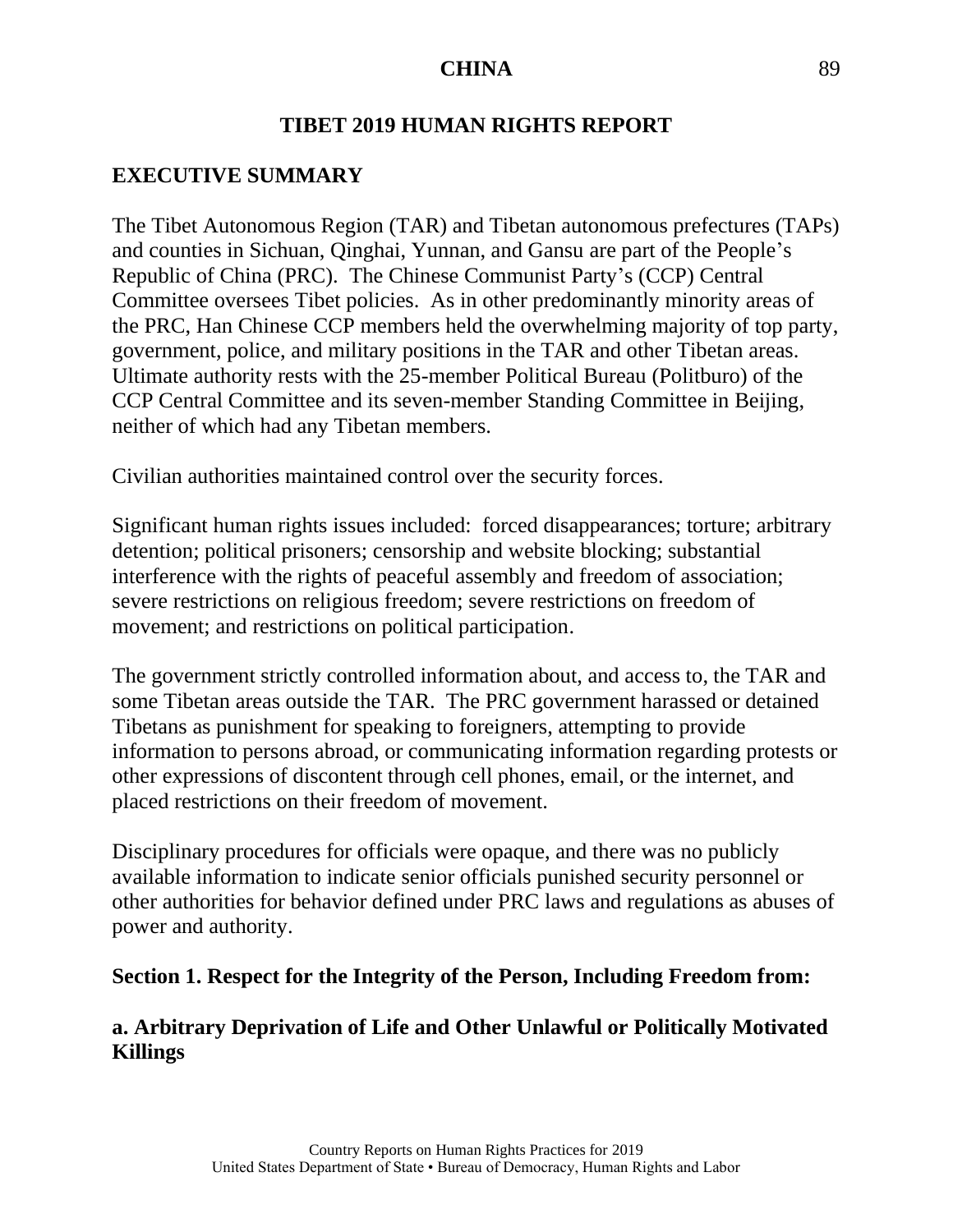#### **TIBET 2019 HUMAN RIGHTS REPORT**

#### **EXECUTIVE SUMMARY**

The Tibet Autonomous Region (TAR) and Tibetan autonomous prefectures (TAPs) and counties in Sichuan, Qinghai, Yunnan, and Gansu are part of the People's Republic of China (PRC). The Chinese Communist Party's (CCP) Central Committee oversees Tibet policies. As in other predominantly minority areas of the PRC, Han Chinese CCP members held the overwhelming majority of top party, government, police, and military positions in the TAR and other Tibetan areas. Ultimate authority rests with the 25-member Political Bureau (Politburo) of the CCP Central Committee and its seven-member Standing Committee in Beijing, neither of which had any Tibetan members.

Civilian authorities maintained control over the security forces.

Significant human rights issues included: forced disappearances; torture; arbitrary detention; political prisoners; censorship and website blocking; substantial interference with the rights of peaceful assembly and freedom of association; severe restrictions on religious freedom; severe restrictions on freedom of movement; and restrictions on political participation.

The government strictly controlled information about, and access to, the TAR and some Tibetan areas outside the TAR. The PRC government harassed or detained Tibetans as punishment for speaking to foreigners, attempting to provide information to persons abroad, or communicating information regarding protests or other expressions of discontent through cell phones, email, or the internet, and placed restrictions on their freedom of movement.

Disciplinary procedures for officials were opaque, and there was no publicly available information to indicate senior officials punished security personnel or other authorities for behavior defined under PRC laws and regulations as abuses of power and authority.

#### **Section 1. Respect for the Integrity of the Person, Including Freedom from:**

# **a. Arbitrary Deprivation of Life and Other Unlawful or Politically Motivated Killings**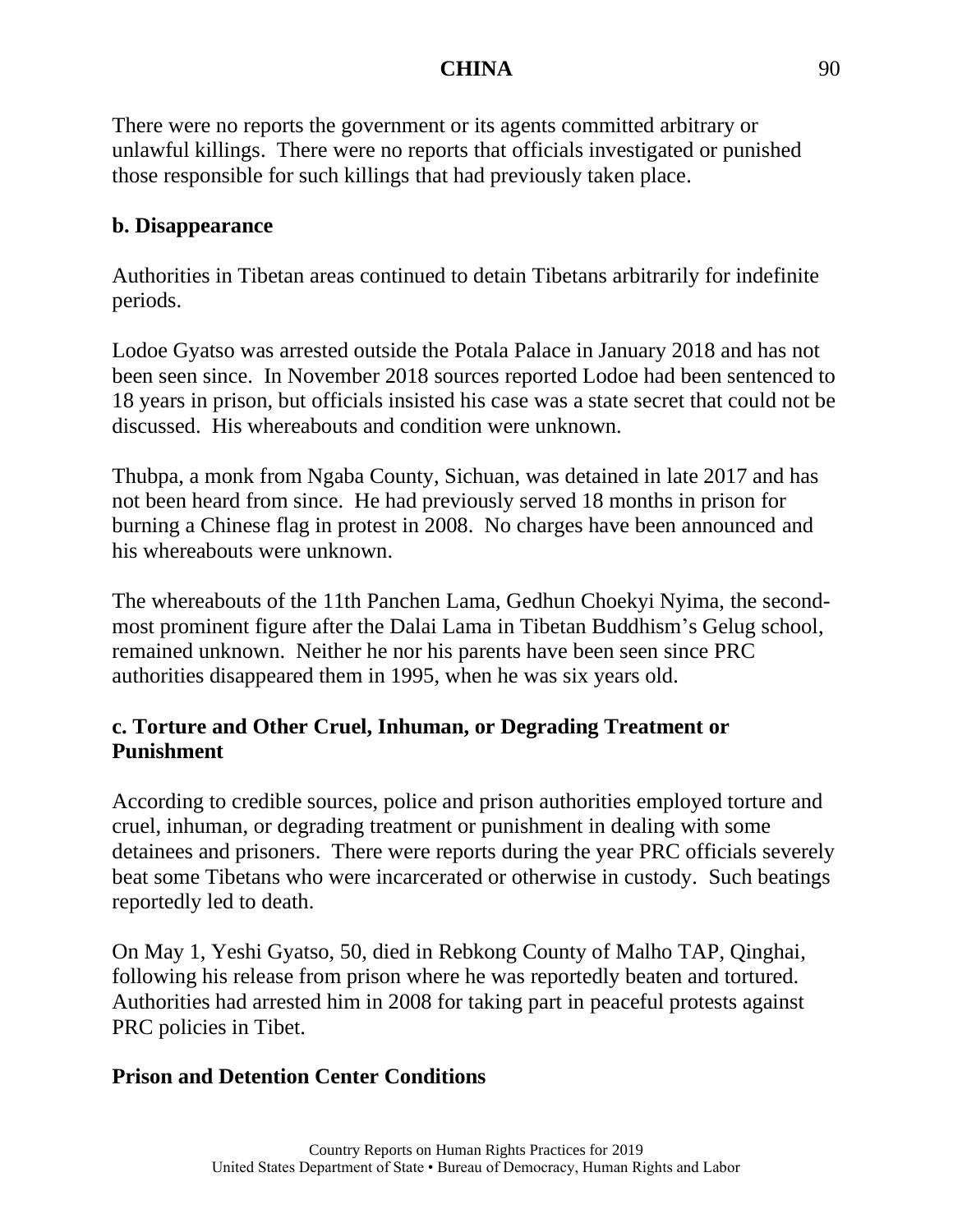There were no reports the government or its agents committed arbitrary or unlawful killings. There were no reports that officials investigated or punished those responsible for such killings that had previously taken place.

## **b. Disappearance**

Authorities in Tibetan areas continued to detain Tibetans arbitrarily for indefinite periods.

Lodoe Gyatso was arrested outside the Potala Palace in January 2018 and has not been seen since. In November 2018 sources reported Lodoe had been sentenced to 18 years in prison, but officials insisted his case was a state secret that could not be discussed. His whereabouts and condition were unknown.

Thubpa, a monk from Ngaba County, Sichuan, was detained in late 2017 and has not been heard from since. He had previously served 18 months in prison for burning a Chinese flag in protest in 2008. No charges have been announced and his whereabouts were unknown.

The whereabouts of the 11th Panchen Lama, Gedhun Choekyi Nyima, the secondmost prominent figure after the Dalai Lama in Tibetan Buddhism's Gelug school, remained unknown. Neither he nor his parents have been seen since PRC authorities disappeared them in 1995, when he was six years old.

# **c. Torture and Other Cruel, Inhuman, or Degrading Treatment or Punishment**

According to credible sources, police and prison authorities employed torture and cruel, inhuman, or degrading treatment or punishment in dealing with some detainees and prisoners. There were reports during the year PRC officials severely beat some Tibetans who were incarcerated or otherwise in custody. Such beatings reportedly led to death.

On May 1, Yeshi Gyatso, 50, died in Rebkong County of Malho TAP, Qinghai, following his release from prison where he was reportedly beaten and tortured. Authorities had arrested him in 2008 for taking part in peaceful protests against PRC policies in Tibet.

# **Prison and Detention Center Conditions**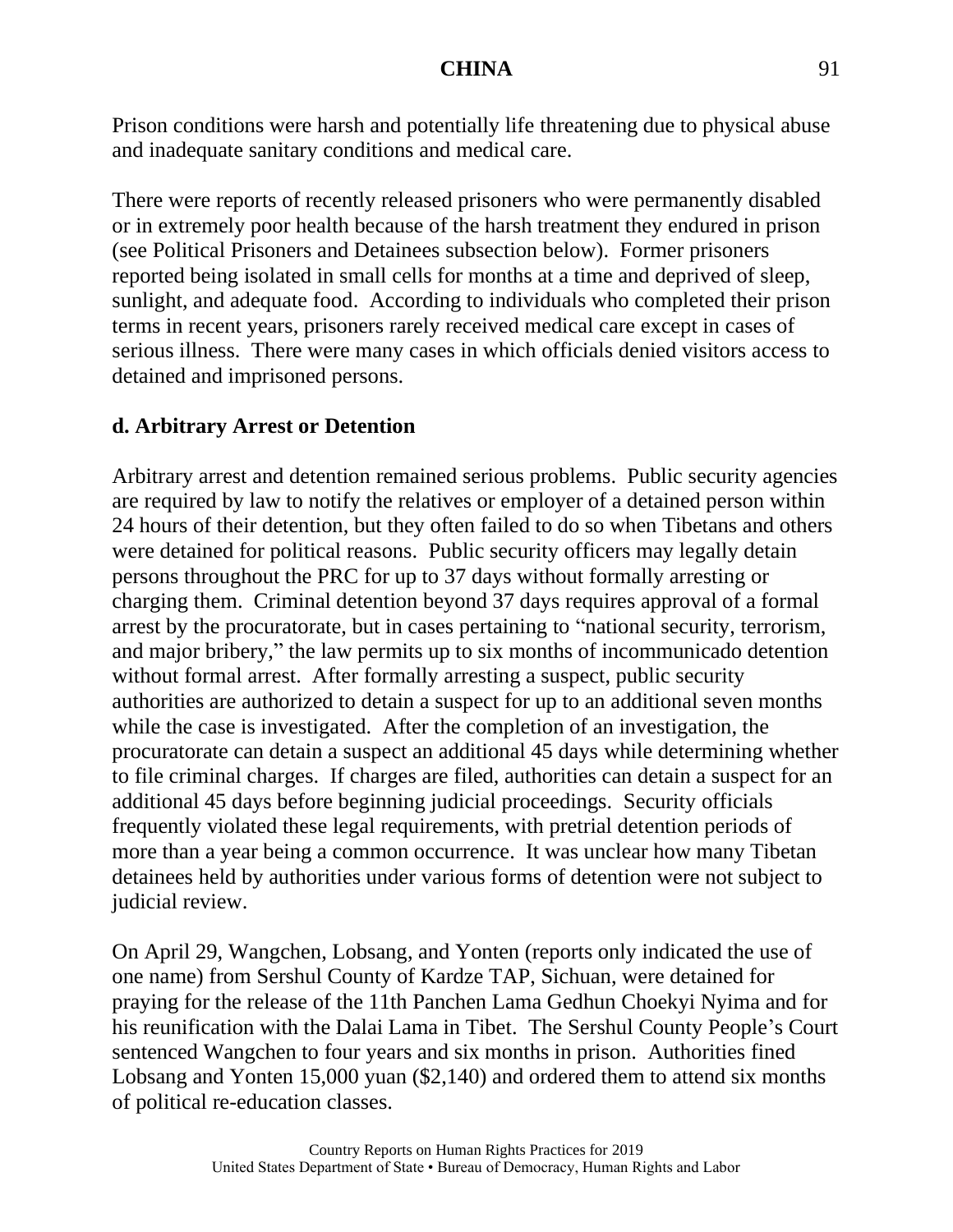Prison conditions were harsh and potentially life threatening due to physical abuse and inadequate sanitary conditions and medical care.

There were reports of recently released prisoners who were permanently disabled or in extremely poor health because of the harsh treatment they endured in prison (see Political Prisoners and Detainees subsection below). Former prisoners reported being isolated in small cells for months at a time and deprived of sleep, sunlight, and adequate food. According to individuals who completed their prison terms in recent years, prisoners rarely received medical care except in cases of serious illness. There were many cases in which officials denied visitors access to detained and imprisoned persons.

# **d. Arbitrary Arrest or Detention**

Arbitrary arrest and detention remained serious problems. Public security agencies are required by law to notify the relatives or employer of a detained person within 24 hours of their detention, but they often failed to do so when Tibetans and others were detained for political reasons. Public security officers may legally detain persons throughout the PRC for up to 37 days without formally arresting or charging them. Criminal detention beyond 37 days requires approval of a formal arrest by the procuratorate, but in cases pertaining to "national security, terrorism, and major bribery," the law permits up to six months of incommunicado detention without formal arrest. After formally arresting a suspect, public security authorities are authorized to detain a suspect for up to an additional seven months while the case is investigated. After the completion of an investigation, the procuratorate can detain a suspect an additional 45 days while determining whether to file criminal charges. If charges are filed, authorities can detain a suspect for an additional 45 days before beginning judicial proceedings. Security officials frequently violated these legal requirements, with pretrial detention periods of more than a year being a common occurrence. It was unclear how many Tibetan detainees held by authorities under various forms of detention were not subject to judicial review.

On April 29, Wangchen, Lobsang, and Yonten (reports only indicated the use of one name) from Sershul County of Kardze TAP, Sichuan, were detained for praying for the release of the 11th Panchen Lama Gedhun Choekyi Nyima and for his reunification with the Dalai Lama in Tibet. The Sershul County People's Court sentenced Wangchen to four years and six months in prison. Authorities fined Lobsang and Yonten 15,000 yuan (\$2,140) and ordered them to attend six months of political re-education classes.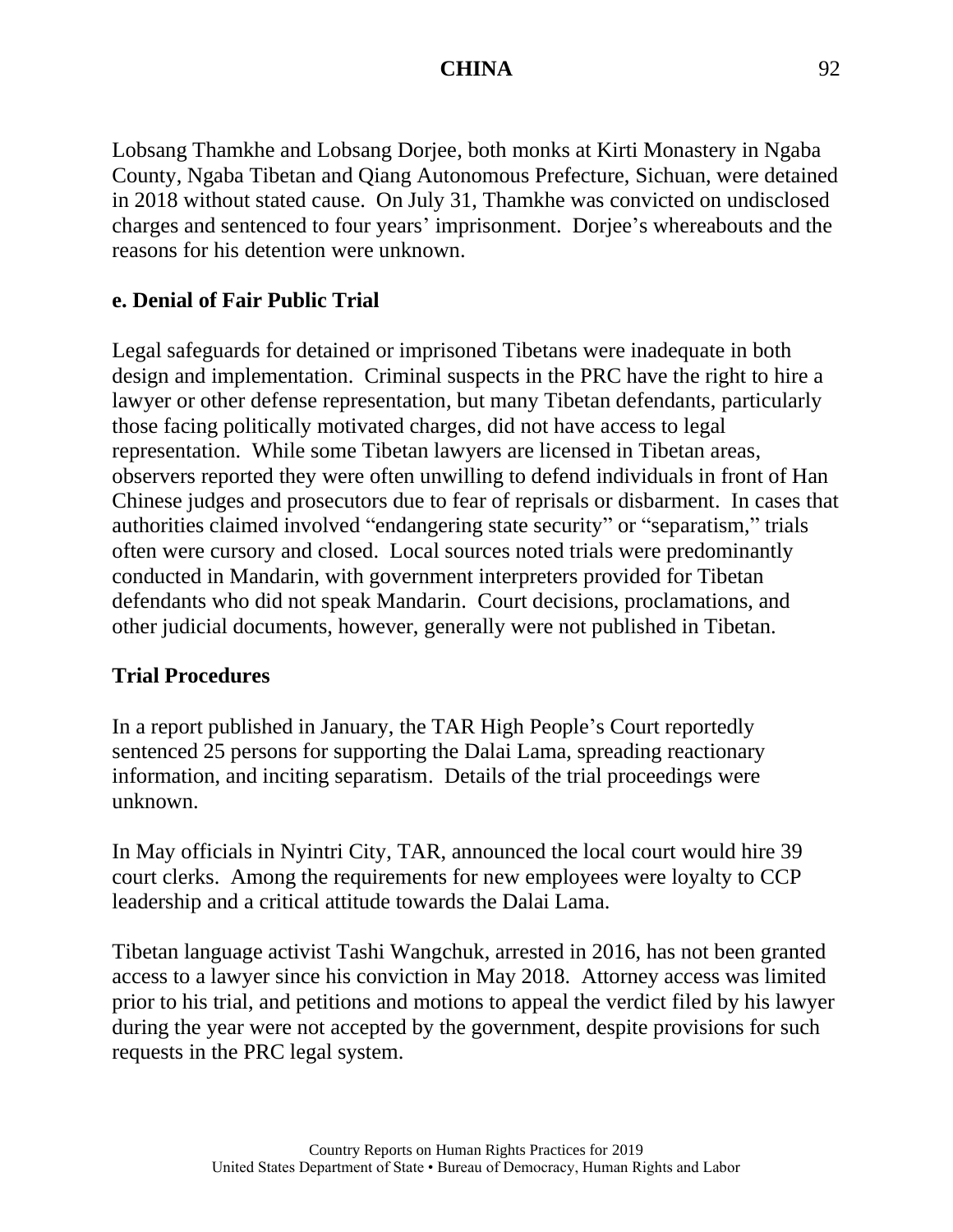Lobsang Thamkhe and Lobsang Dorjee, both monks at Kirti Monastery in Ngaba County, Ngaba Tibetan and Qiang Autonomous Prefecture, Sichuan, were detained in 2018 without stated cause. On July 31, Thamkhe was convicted on undisclosed charges and sentenced to four years' imprisonment. Dorjee's whereabouts and the reasons for his detention were unknown.

### **e. Denial of Fair Public Trial**

Legal safeguards for detained or imprisoned Tibetans were inadequate in both design and implementation. Criminal suspects in the PRC have the right to hire a lawyer or other defense representation, but many Tibetan defendants, particularly those facing politically motivated charges, did not have access to legal representation. While some Tibetan lawyers are licensed in Tibetan areas, observers reported they were often unwilling to defend individuals in front of Han Chinese judges and prosecutors due to fear of reprisals or disbarment. In cases that authorities claimed involved "endangering state security" or "separatism," trials often were cursory and closed. Local sources noted trials were predominantly conducted in Mandarin, with government interpreters provided for Tibetan defendants who did not speak Mandarin. Court decisions, proclamations, and other judicial documents, however, generally were not published in Tibetan.

#### **Trial Procedures**

In a report published in January, the TAR High People's Court reportedly sentenced 25 persons for supporting the Dalai Lama, spreading reactionary information, and inciting separatism. Details of the trial proceedings were unknown.

In May officials in Nyintri City, TAR, announced the local court would hire 39 court clerks. Among the requirements for new employees were loyalty to CCP leadership and a critical attitude towards the Dalai Lama.

Tibetan language activist Tashi Wangchuk, arrested in 2016, has not been granted access to a lawyer since his conviction in May 2018. Attorney access was limited prior to his trial, and petitions and motions to appeal the verdict filed by his lawyer during the year were not accepted by the government, despite provisions for such requests in the PRC legal system.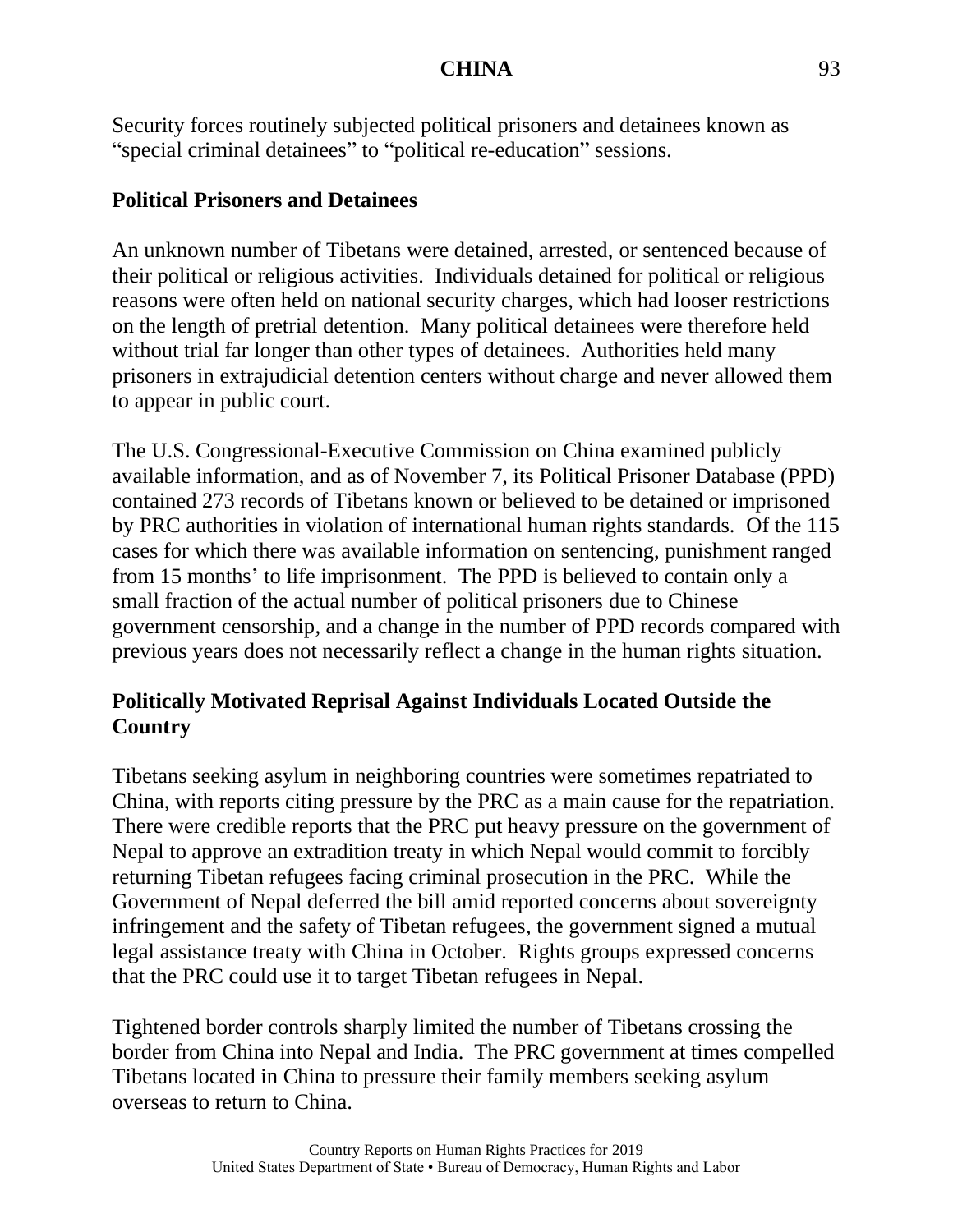Security forces routinely subjected political prisoners and detainees known as "special criminal detainees" to "political re-education" sessions.

### **Political Prisoners and Detainees**

An unknown number of Tibetans were detained, arrested, or sentenced because of their political or religious activities. Individuals detained for political or religious reasons were often held on national security charges, which had looser restrictions on the length of pretrial detention. Many political detainees were therefore held without trial far longer than other types of detainees. Authorities held many prisoners in extrajudicial detention centers without charge and never allowed them to appear in public court.

The U.S. Congressional-Executive Commission on China examined publicly available information, and as of November 7, its Political Prisoner Database (PPD) contained 273 records of Tibetans known or believed to be detained or imprisoned by PRC authorities in violation of international human rights standards. Of the 115 cases for which there was available information on sentencing, punishment ranged from 15 months' to life imprisonment. The PPD is believed to contain only a small fraction of the actual number of political prisoners due to Chinese government censorship, and a change in the number of PPD records compared with previous years does not necessarily reflect a change in the human rights situation.

# **Politically Motivated Reprisal Against Individuals Located Outside the Country**

Tibetans seeking asylum in neighboring countries were sometimes repatriated to China, with reports citing pressure by the PRC as a main cause for the repatriation. There were credible reports that the PRC put heavy pressure on the government of Nepal to approve an extradition treaty in which Nepal would commit to forcibly returning Tibetan refugees facing criminal prosecution in the PRC. While the Government of Nepal deferred the bill amid reported concerns about sovereignty infringement and the safety of Tibetan refugees, the government signed a mutual legal assistance treaty with China in October. Rights groups expressed concerns that the PRC could use it to target Tibetan refugees in Nepal.

Tightened border controls sharply limited the number of Tibetans crossing the border from China into Nepal and India. The PRC government at times compelled Tibetans located in China to pressure their family members seeking asylum overseas to return to China.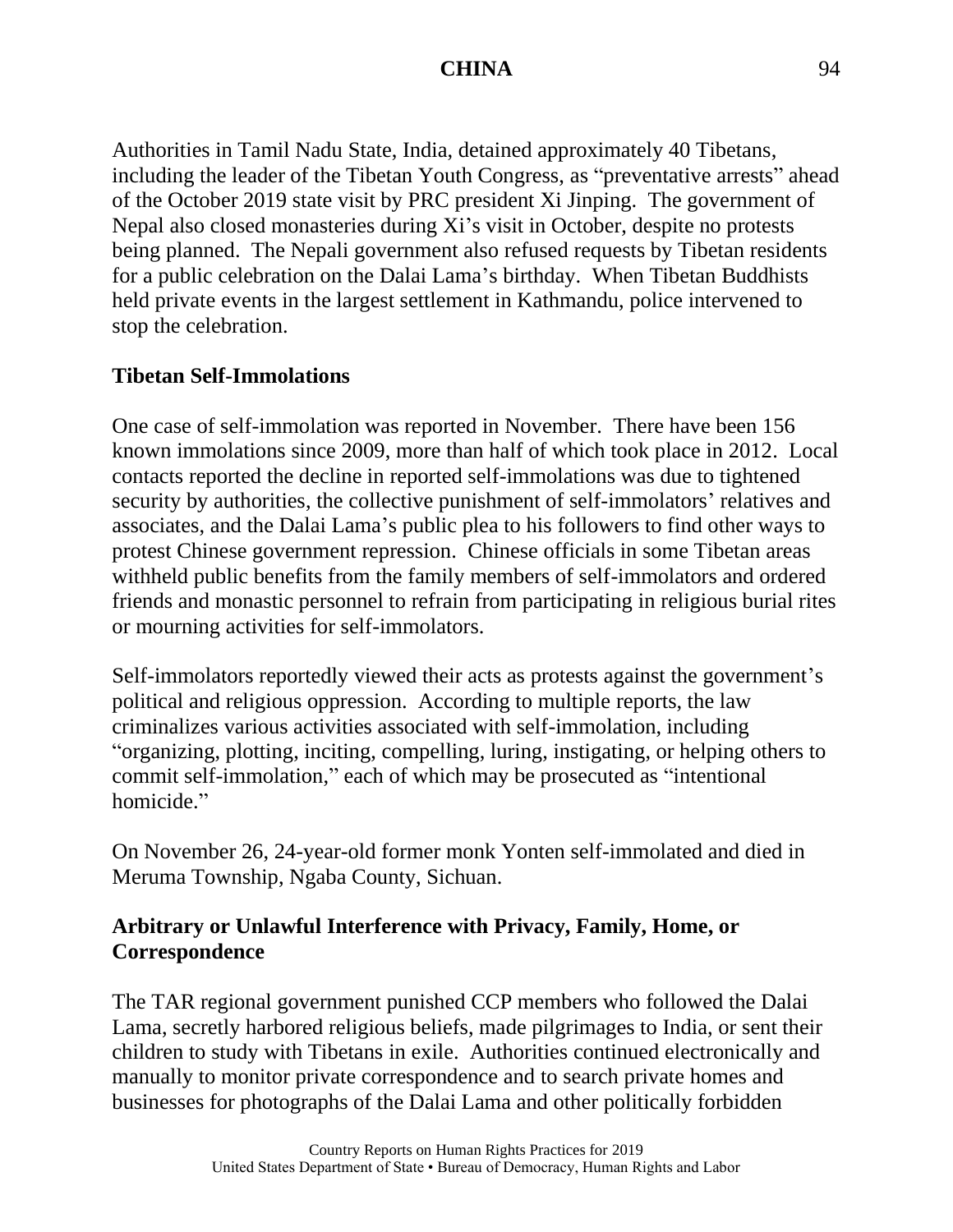Authorities in Tamil Nadu State, India, detained approximately 40 Tibetans, including the leader of the Tibetan Youth Congress, as "preventative arrests" ahead of the October 2019 state visit by PRC president Xi Jinping. The government of Nepal also closed monasteries during Xi's visit in October, despite no protests being planned. The Nepali government also refused requests by Tibetan residents for a public celebration on the Dalai Lama's birthday. When Tibetan Buddhists held private events in the largest settlement in Kathmandu, police intervened to stop the celebration.

# **Tibetan Self-Immolations**

One case of self-immolation was reported in November. There have been 156 known immolations since 2009, more than half of which took place in 2012. Local contacts reported the decline in reported self-immolations was due to tightened security by authorities, the collective punishment of self-immolators' relatives and associates, and the Dalai Lama's public plea to his followers to find other ways to protest Chinese government repression. Chinese officials in some Tibetan areas withheld public benefits from the family members of self-immolators and ordered friends and monastic personnel to refrain from participating in religious burial rites or mourning activities for self-immolators.

Self-immolators reportedly viewed their acts as protests against the government's political and religious oppression. According to multiple reports, the law criminalizes various activities associated with self-immolation, including "organizing, plotting, inciting, compelling, luring, instigating, or helping others to commit self-immolation," each of which may be prosecuted as "intentional homicide."

On November 26, 24-year-old former monk Yonten self-immolated and died in Meruma Township, Ngaba County, Sichuan.

# **Arbitrary or Unlawful Interference with Privacy, Family, Home, or Correspondence**

The TAR regional government punished CCP members who followed the Dalai Lama, secretly harbored religious beliefs, made pilgrimages to India, or sent their children to study with Tibetans in exile. Authorities continued electronically and manually to monitor private correspondence and to search private homes and businesses for photographs of the Dalai Lama and other politically forbidden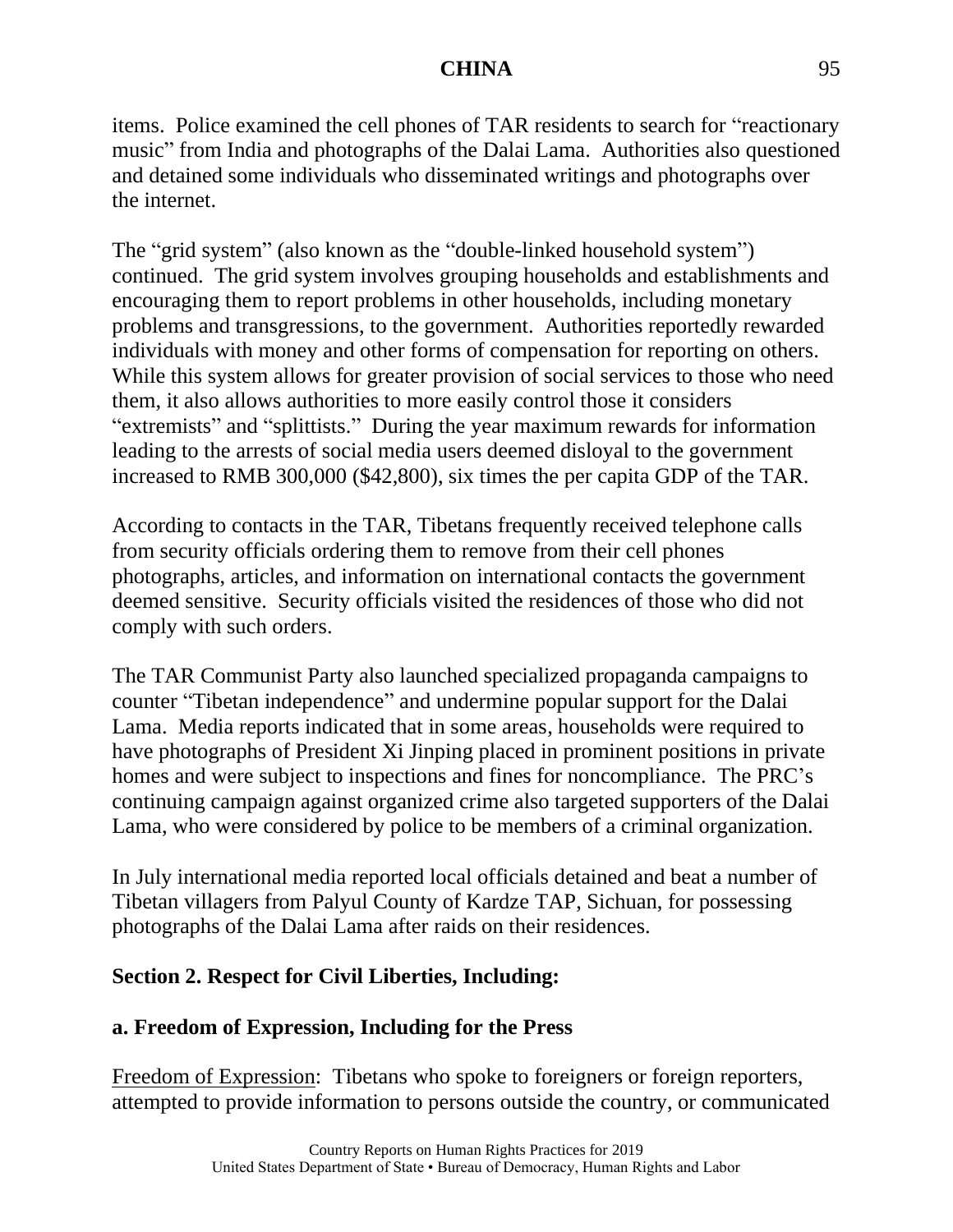items. Police examined the cell phones of TAR residents to search for "reactionary music" from India and photographs of the Dalai Lama. Authorities also questioned and detained some individuals who disseminated writings and photographs over the internet.

The "grid system" (also known as the "double-linked household system") continued. The grid system involves grouping households and establishments and encouraging them to report problems in other households, including monetary problems and transgressions, to the government. Authorities reportedly rewarded individuals with money and other forms of compensation for reporting on others. While this system allows for greater provision of social services to those who need them, it also allows authorities to more easily control those it considers "extremists" and "splittists." During the year maximum rewards for information leading to the arrests of social media users deemed disloyal to the government increased to RMB 300,000 (\$42,800), six times the per capita GDP of the TAR.

According to contacts in the TAR, Tibetans frequently received telephone calls from security officials ordering them to remove from their cell phones photographs, articles, and information on international contacts the government deemed sensitive. Security officials visited the residences of those who did not comply with such orders.

The TAR Communist Party also launched specialized propaganda campaigns to counter "Tibetan independence" and undermine popular support for the Dalai Lama. Media reports indicated that in some areas, households were required to have photographs of President Xi Jinping placed in prominent positions in private homes and were subject to inspections and fines for noncompliance. The PRC's continuing campaign against organized crime also targeted supporters of the Dalai Lama, who were considered by police to be members of a criminal organization.

In July international media reported local officials detained and beat a number of Tibetan villagers from Palyul County of Kardze TAP, Sichuan, for possessing photographs of the Dalai Lama after raids on their residences.

# **Section 2. Respect for Civil Liberties, Including:**

# **a. Freedom of Expression, Including for the Press**

Freedom of Expression: Tibetans who spoke to foreigners or foreign reporters, attempted to provide information to persons outside the country, or communicated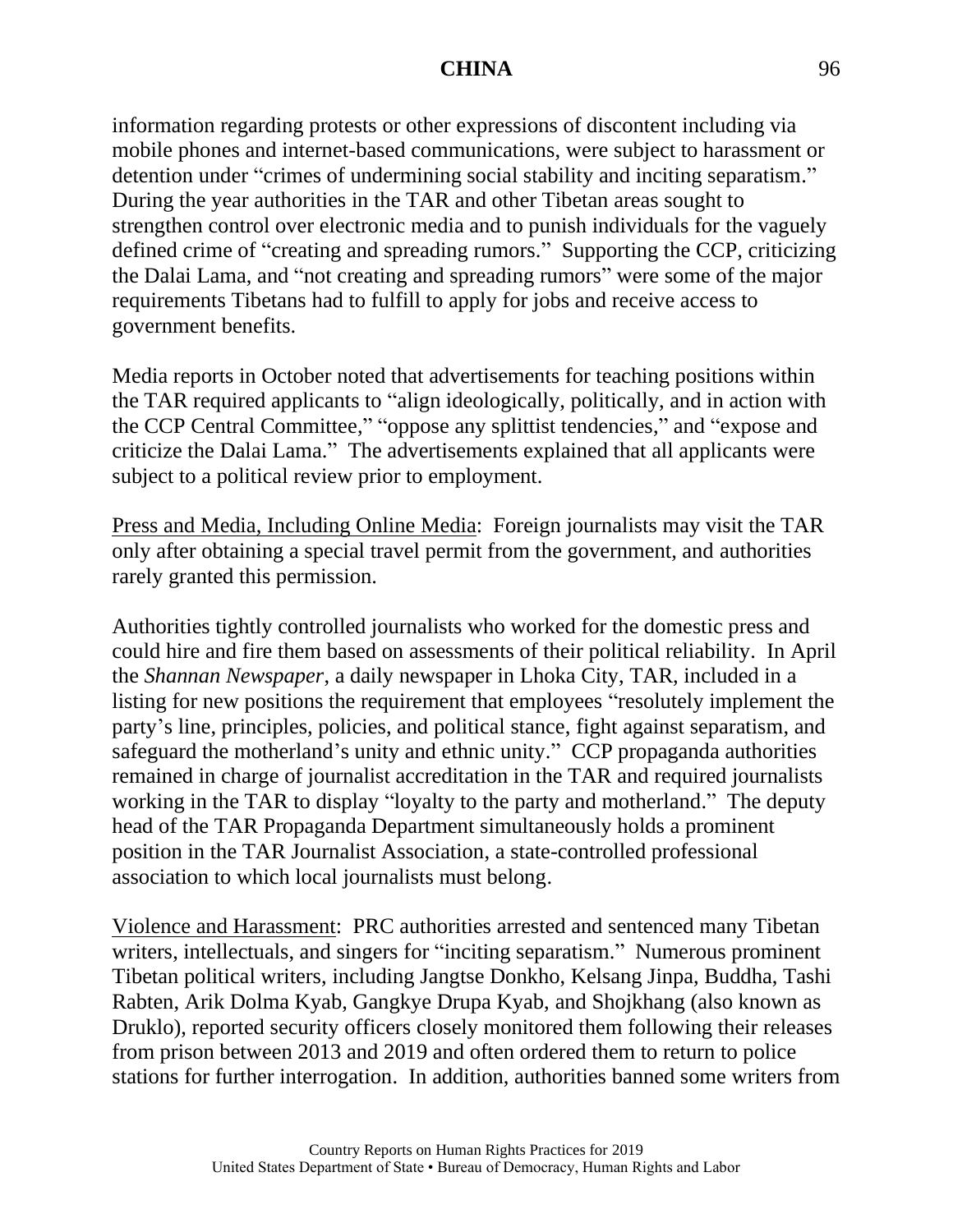information regarding protests or other expressions of discontent including via mobile phones and internet-based communications, were subject to harassment or detention under "crimes of undermining social stability and inciting separatism." During the year authorities in the TAR and other Tibetan areas sought to strengthen control over electronic media and to punish individuals for the vaguely defined crime of "creating and spreading rumors." Supporting the CCP, criticizing the Dalai Lama, and "not creating and spreading rumors" were some of the major requirements Tibetans had to fulfill to apply for jobs and receive access to government benefits.

Media reports in October noted that advertisements for teaching positions within the TAR required applicants to "align ideologically, politically, and in action with the CCP Central Committee," "oppose any splittist tendencies," and "expose and criticize the Dalai Lama." The advertisements explained that all applicants were subject to a political review prior to employment.

Press and Media, Including Online Media: Foreign journalists may visit the TAR only after obtaining a special travel permit from the government, and authorities rarely granted this permission.

Authorities tightly controlled journalists who worked for the domestic press and could hire and fire them based on assessments of their political reliability. In April the *Shannan Newspaper*, a daily newspaper in Lhoka City, TAR, included in a listing for new positions the requirement that employees "resolutely implement the party's line, principles, policies, and political stance, fight against separatism, and safeguard the motherland's unity and ethnic unity." CCP propaganda authorities remained in charge of journalist accreditation in the TAR and required journalists working in the TAR to display "loyalty to the party and motherland." The deputy head of the TAR Propaganda Department simultaneously holds a prominent position in the TAR Journalist Association, a state-controlled professional association to which local journalists must belong.

Violence and Harassment: PRC authorities arrested and sentenced many Tibetan writers, intellectuals, and singers for "inciting separatism." Numerous prominent Tibetan political writers, including Jangtse Donkho, Kelsang Jinpa, Buddha, Tashi Rabten, Arik Dolma Kyab, Gangkye Drupa Kyab, and Shojkhang (also known as Druklo), reported security officers closely monitored them following their releases from prison between 2013 and 2019 and often ordered them to return to police stations for further interrogation. In addition, authorities banned some writers from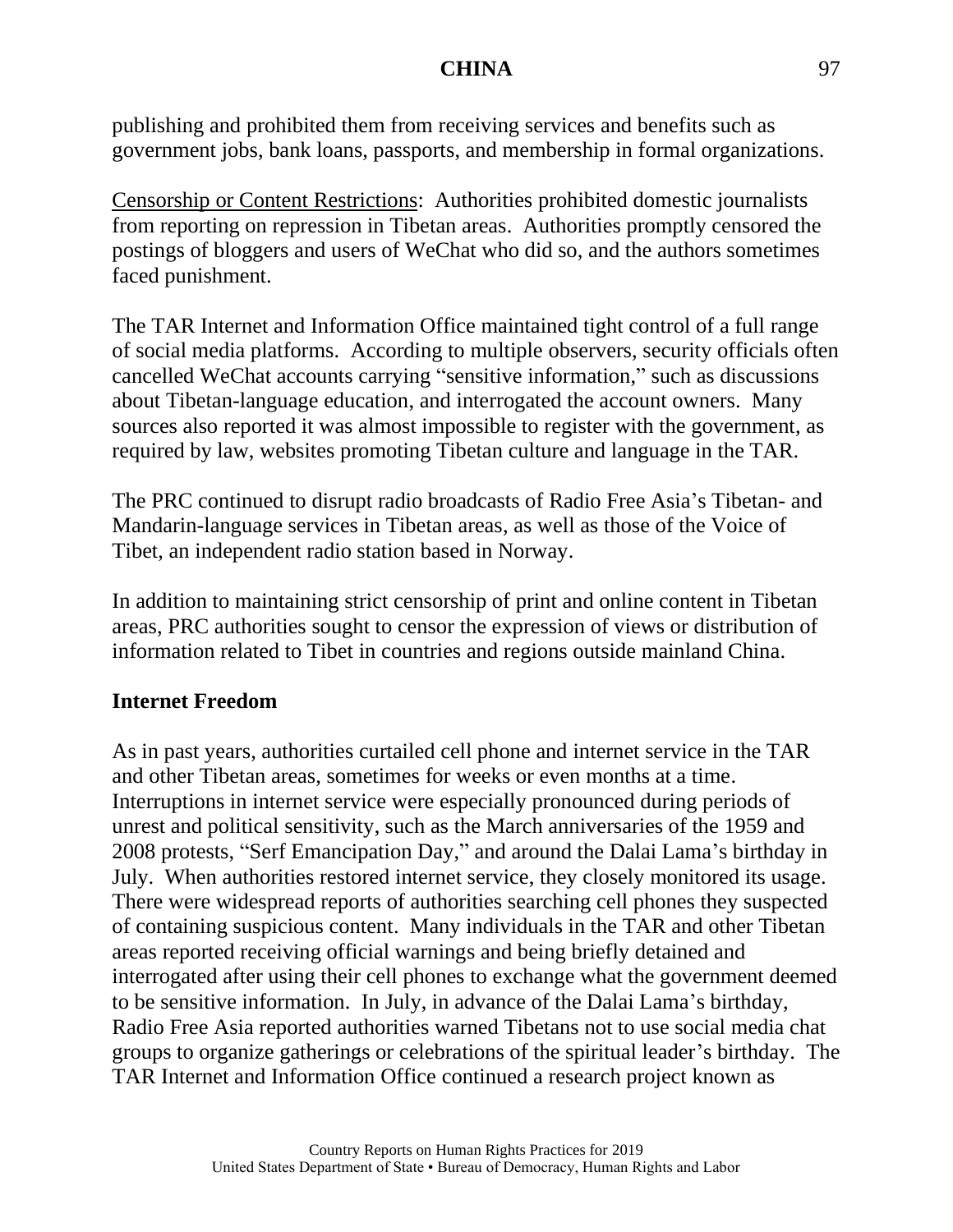publishing and prohibited them from receiving services and benefits such as government jobs, bank loans, passports, and membership in formal organizations.

Censorship or Content Restrictions: Authorities prohibited domestic journalists from reporting on repression in Tibetan areas. Authorities promptly censored the postings of bloggers and users of WeChat who did so, and the authors sometimes faced punishment.

The TAR Internet and Information Office maintained tight control of a full range of social media platforms. According to multiple observers, security officials often cancelled WeChat accounts carrying "sensitive information," such as discussions about Tibetan-language education, and interrogated the account owners. Many sources also reported it was almost impossible to register with the government, as required by law, websites promoting Tibetan culture and language in the TAR.

The PRC continued to disrupt radio broadcasts of Radio Free Asia's Tibetan- and Mandarin-language services in Tibetan areas, as well as those of the Voice of Tibet, an independent radio station based in Norway.

In addition to maintaining strict censorship of print and online content in Tibetan areas, PRC authorities sought to censor the expression of views or distribution of information related to Tibet in countries and regions outside mainland China.

# **Internet Freedom**

As in past years, authorities curtailed cell phone and internet service in the TAR and other Tibetan areas, sometimes for weeks or even months at a time. Interruptions in internet service were especially pronounced during periods of unrest and political sensitivity, such as the March anniversaries of the 1959 and 2008 protests, "Serf Emancipation Day," and around the Dalai Lama's birthday in July. When authorities restored internet service, they closely monitored its usage. There were widespread reports of authorities searching cell phones they suspected of containing suspicious content. Many individuals in the TAR and other Tibetan areas reported receiving official warnings and being briefly detained and interrogated after using their cell phones to exchange what the government deemed to be sensitive information. In July, in advance of the Dalai Lama's birthday, Radio Free Asia reported authorities warned Tibetans not to use social media chat groups to organize gatherings or celebrations of the spiritual leader's birthday. The TAR Internet and Information Office continued a research project known as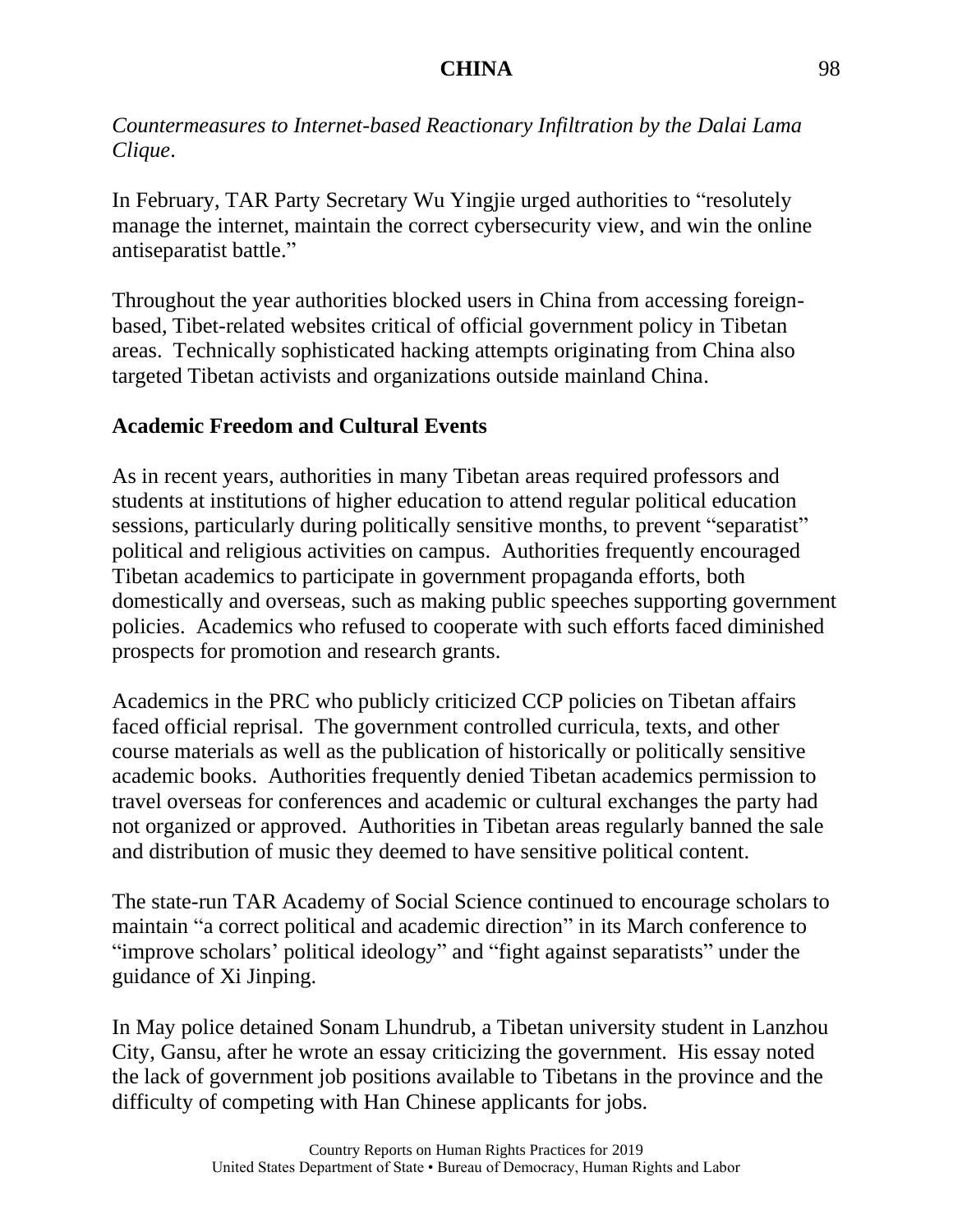*Countermeasures to Internet-based Reactionary Infiltration by the Dalai Lama Clique*.

In February, TAR Party Secretary Wu Yingjie urged authorities to "resolutely manage the internet, maintain the correct cybersecurity view, and win the online antiseparatist battle."

Throughout the year authorities blocked users in China from accessing foreignbased, Tibet-related websites critical of official government policy in Tibetan areas. Technically sophisticated hacking attempts originating from China also targeted Tibetan activists and organizations outside mainland China.

# **Academic Freedom and Cultural Events**

As in recent years, authorities in many Tibetan areas required professors and students at institutions of higher education to attend regular political education sessions, particularly during politically sensitive months, to prevent "separatist" political and religious activities on campus. Authorities frequently encouraged Tibetan academics to participate in government propaganda efforts, both domestically and overseas, such as making public speeches supporting government policies. Academics who refused to cooperate with such efforts faced diminished prospects for promotion and research grants.

Academics in the PRC who publicly criticized CCP policies on Tibetan affairs faced official reprisal. The government controlled curricula, texts, and other course materials as well as the publication of historically or politically sensitive academic books. Authorities frequently denied Tibetan academics permission to travel overseas for conferences and academic or cultural exchanges the party had not organized or approved. Authorities in Tibetan areas regularly banned the sale and distribution of music they deemed to have sensitive political content.

The state-run TAR Academy of Social Science continued to encourage scholars to maintain "a correct political and academic direction" in its March conference to "improve scholars' political ideology" and "fight against separatists" under the guidance of Xi Jinping.

In May police detained Sonam Lhundrub, a Tibetan university student in Lanzhou City, Gansu, after he wrote an essay criticizing the government. His essay noted the lack of government job positions available to Tibetans in the province and the difficulty of competing with Han Chinese applicants for jobs.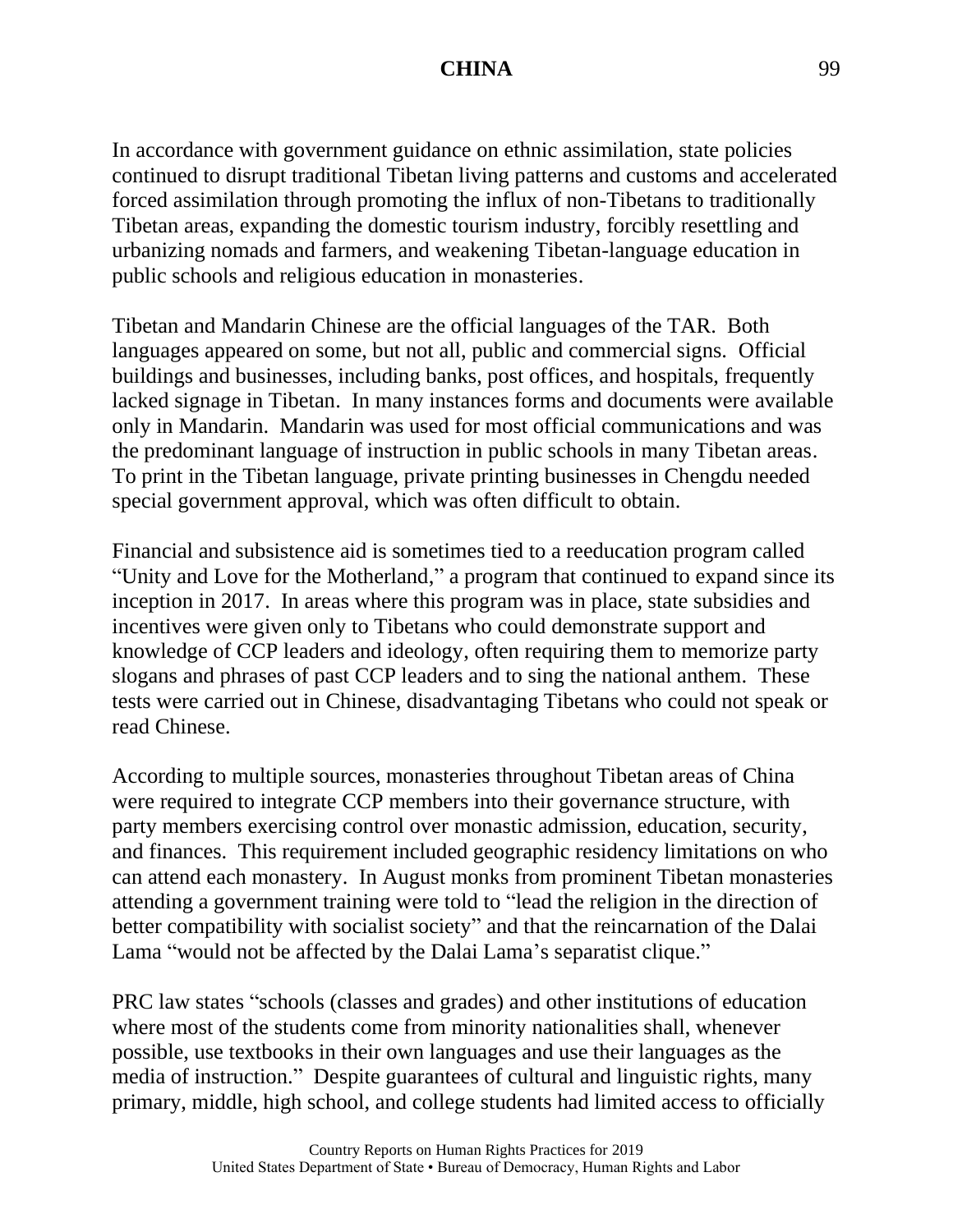In accordance with government guidance on ethnic assimilation, state policies continued to disrupt traditional Tibetan living patterns and customs and accelerated forced assimilation through promoting the influx of non-Tibetans to traditionally Tibetan areas, expanding the domestic tourism industry, forcibly resettling and urbanizing nomads and farmers, and weakening Tibetan-language education in public schools and religious education in monasteries.

Tibetan and Mandarin Chinese are the official languages of the TAR. Both languages appeared on some, but not all, public and commercial signs. Official buildings and businesses, including banks, post offices, and hospitals, frequently lacked signage in Tibetan. In many instances forms and documents were available only in Mandarin. Mandarin was used for most official communications and was the predominant language of instruction in public schools in many Tibetan areas. To print in the Tibetan language, private printing businesses in Chengdu needed special government approval, which was often difficult to obtain.

Financial and subsistence aid is sometimes tied to a reeducation program called "Unity and Love for the Motherland," a program that continued to expand since its inception in 2017. In areas where this program was in place, state subsidies and incentives were given only to Tibetans who could demonstrate support and knowledge of CCP leaders and ideology, often requiring them to memorize party slogans and phrases of past CCP leaders and to sing the national anthem. These tests were carried out in Chinese, disadvantaging Tibetans who could not speak or read Chinese.

According to multiple sources, monasteries throughout Tibetan areas of China were required to integrate CCP members into their governance structure, with party members exercising control over monastic admission, education, security, and finances. This requirement included geographic residency limitations on who can attend each monastery. In August monks from prominent Tibetan monasteries attending a government training were told to "lead the religion in the direction of better compatibility with socialist society" and that the reincarnation of the Dalai Lama "would not be affected by the Dalai Lama's separatist clique."

PRC law states "schools (classes and grades) and other institutions of education where most of the students come from minority nationalities shall, whenever possible, use textbooks in their own languages and use their languages as the media of instruction." Despite guarantees of cultural and linguistic rights, many primary, middle, high school, and college students had limited access to officially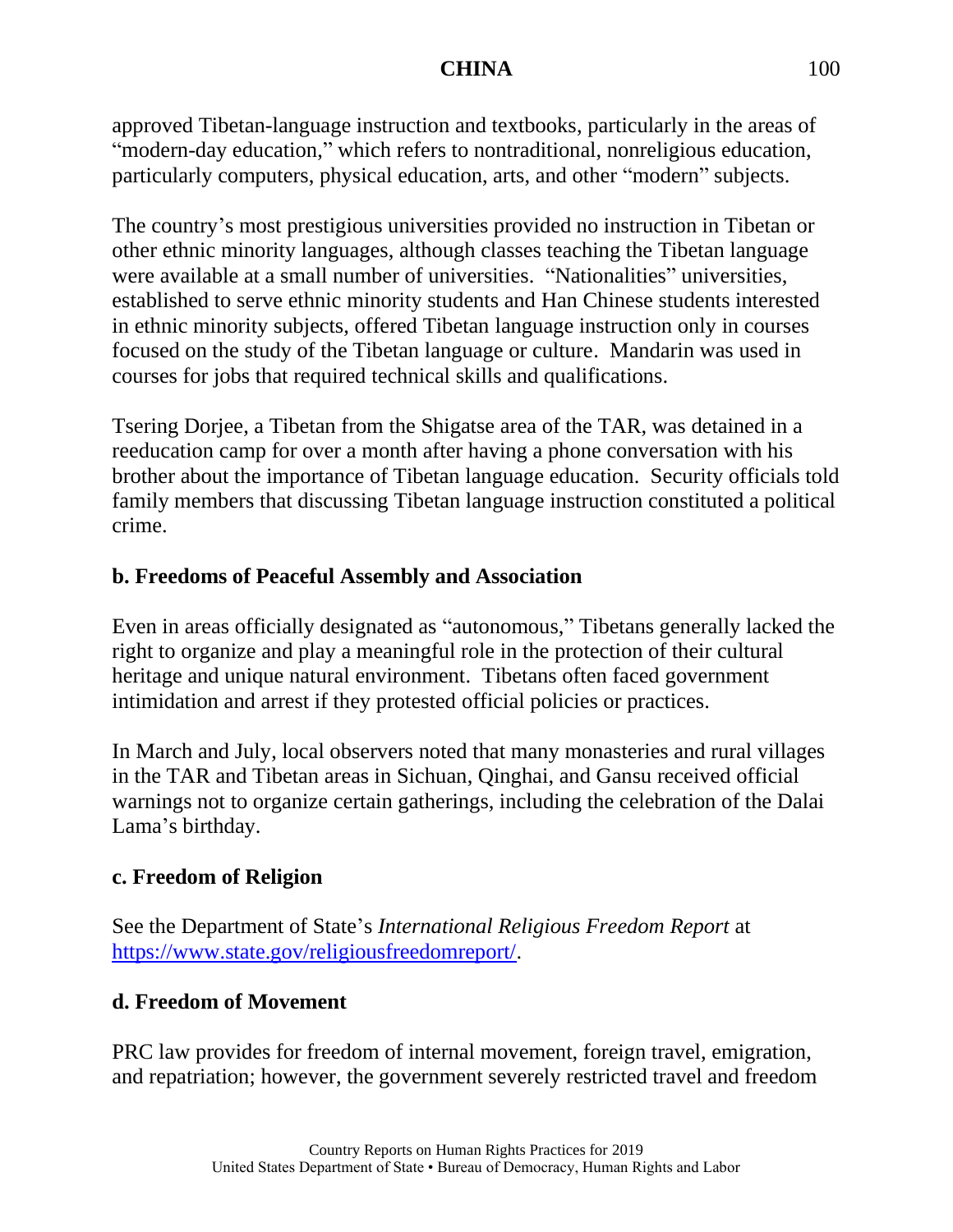approved Tibetan-language instruction and textbooks, particularly in the areas of "modern-day education," which refers to nontraditional, nonreligious education, particularly computers, physical education, arts, and other "modern" subjects.

The country's most prestigious universities provided no instruction in Tibetan or other ethnic minority languages, although classes teaching the Tibetan language were available at a small number of universities. "Nationalities" universities, established to serve ethnic minority students and Han Chinese students interested in ethnic minority subjects, offered Tibetan language instruction only in courses focused on the study of the Tibetan language or culture. Mandarin was used in courses for jobs that required technical skills and qualifications.

Tsering Dorjee, a Tibetan from the Shigatse area of the TAR, was detained in a reeducation camp for over a month after having a phone conversation with his brother about the importance of Tibetan language education. Security officials told family members that discussing Tibetan language instruction constituted a political crime.

# **b. Freedoms of Peaceful Assembly and Association**

Even in areas officially designated as "autonomous," Tibetans generally lacked the right to organize and play a meaningful role in the protection of their cultural heritage and unique natural environment. Tibetans often faced government intimidation and arrest if they protested official policies or practices.

In March and July, local observers noted that many monasteries and rural villages in the TAR and Tibetan areas in Sichuan, Qinghai, and Gansu received official warnings not to organize certain gatherings, including the celebration of the Dalai Lama's birthday.

# **c. Freedom of Religion**

See the Department of State's *International Religious Freedom Report* at [https://www.state.gov/religiousfreedomreport/.](https://www.state.gov/religiousfreedomreport/)

# **d. Freedom of Movement**

PRC law provides for freedom of internal movement, foreign travel, emigration, and repatriation; however, the government severely restricted travel and freedom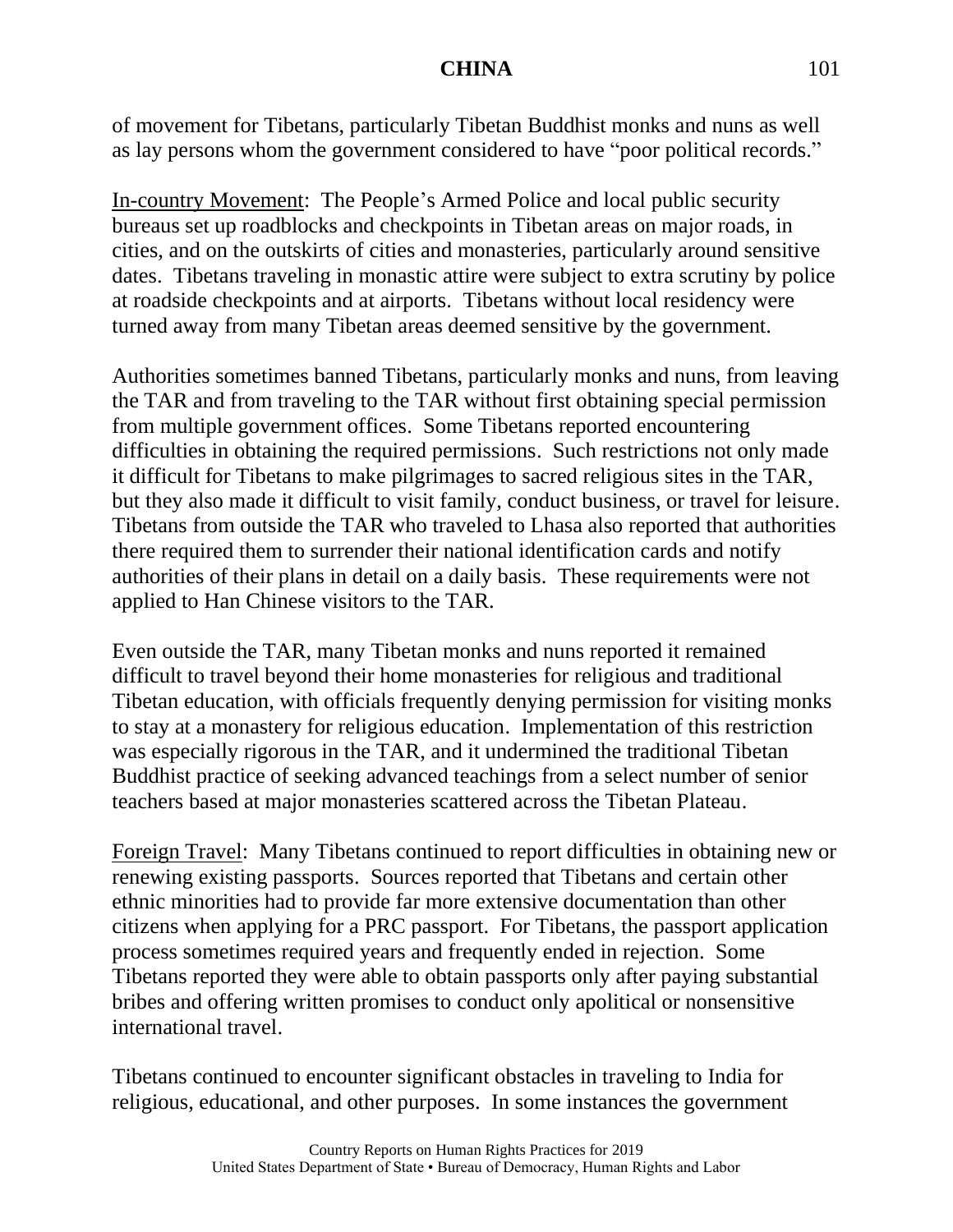of movement for Tibetans, particularly Tibetan Buddhist monks and nuns as well as lay persons whom the government considered to have "poor political records."

In-country Movement: The People's Armed Police and local public security bureaus set up roadblocks and checkpoints in Tibetan areas on major roads, in cities, and on the outskirts of cities and monasteries, particularly around sensitive dates. Tibetans traveling in monastic attire were subject to extra scrutiny by police at roadside checkpoints and at airports. Tibetans without local residency were turned away from many Tibetan areas deemed sensitive by the government.

Authorities sometimes banned Tibetans, particularly monks and nuns, from leaving the TAR and from traveling to the TAR without first obtaining special permission from multiple government offices. Some Tibetans reported encountering difficulties in obtaining the required permissions. Such restrictions not only made it difficult for Tibetans to make pilgrimages to sacred religious sites in the TAR, but they also made it difficult to visit family, conduct business, or travel for leisure. Tibetans from outside the TAR who traveled to Lhasa also reported that authorities there required them to surrender their national identification cards and notify authorities of their plans in detail on a daily basis. These requirements were not applied to Han Chinese visitors to the TAR.

Even outside the TAR, many Tibetan monks and nuns reported it remained difficult to travel beyond their home monasteries for religious and traditional Tibetan education, with officials frequently denying permission for visiting monks to stay at a monastery for religious education. Implementation of this restriction was especially rigorous in the TAR, and it undermined the traditional Tibetan Buddhist practice of seeking advanced teachings from a select number of senior teachers based at major monasteries scattered across the Tibetan Plateau.

Foreign Travel: Many Tibetans continued to report difficulties in obtaining new or renewing existing passports. Sources reported that Tibetans and certain other ethnic minorities had to provide far more extensive documentation than other citizens when applying for a PRC passport. For Tibetans, the passport application process sometimes required years and frequently ended in rejection. Some Tibetans reported they were able to obtain passports only after paying substantial bribes and offering written promises to conduct only apolitical or nonsensitive international travel.

Tibetans continued to encounter significant obstacles in traveling to India for religious, educational, and other purposes. In some instances the government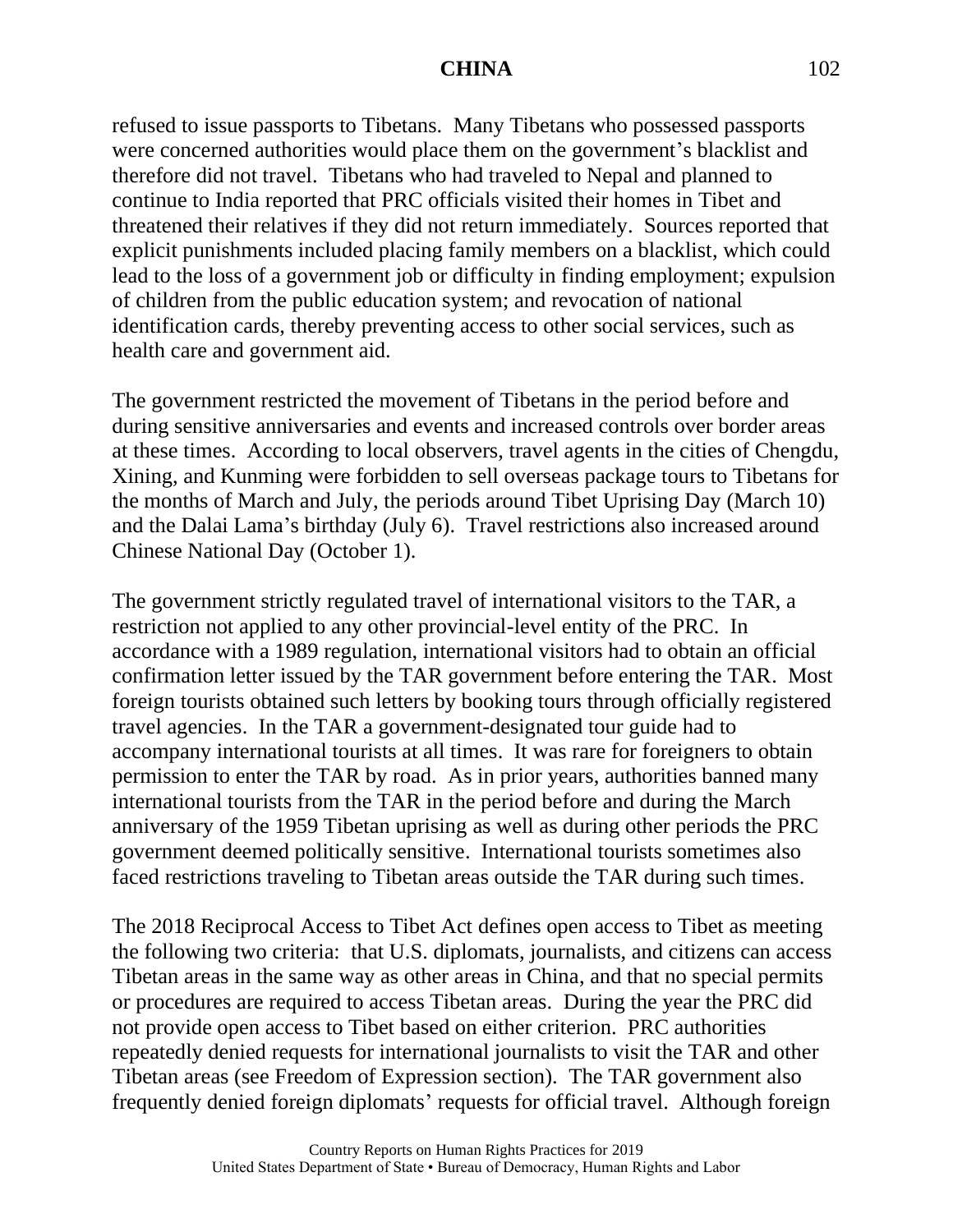refused to issue passports to Tibetans. Many Tibetans who possessed passports were concerned authorities would place them on the government's blacklist and therefore did not travel. Tibetans who had traveled to Nepal and planned to continue to India reported that PRC officials visited their homes in Tibet and threatened their relatives if they did not return immediately. Sources reported that explicit punishments included placing family members on a blacklist, which could lead to the loss of a government job or difficulty in finding employment; expulsion of children from the public education system; and revocation of national identification cards, thereby preventing access to other social services, such as health care and government aid.

The government restricted the movement of Tibetans in the period before and during sensitive anniversaries and events and increased controls over border areas at these times. According to local observers, travel agents in the cities of Chengdu, Xining, and Kunming were forbidden to sell overseas package tours to Tibetans for the months of March and July, the periods around Tibet Uprising Day (March 10) and the Dalai Lama's birthday (July 6). Travel restrictions also increased around Chinese National Day (October 1).

The government strictly regulated travel of international visitors to the TAR, a restriction not applied to any other provincial-level entity of the PRC. In accordance with a 1989 regulation, international visitors had to obtain an official confirmation letter issued by the TAR government before entering the TAR. Most foreign tourists obtained such letters by booking tours through officially registered travel agencies. In the TAR a government-designated tour guide had to accompany international tourists at all times. It was rare for foreigners to obtain permission to enter the TAR by road. As in prior years, authorities banned many international tourists from the TAR in the period before and during the March anniversary of the 1959 Tibetan uprising as well as during other periods the PRC government deemed politically sensitive. International tourists sometimes also faced restrictions traveling to Tibetan areas outside the TAR during such times.

The 2018 Reciprocal Access to Tibet Act defines open access to Tibet as meeting the following two criteria: that U.S. diplomats, journalists, and citizens can access Tibetan areas in the same way as other areas in China, and that no special permits or procedures are required to access Tibetan areas. During the year the PRC did not provide open access to Tibet based on either criterion. PRC authorities repeatedly denied requests for international journalists to visit the TAR and other Tibetan areas (see Freedom of Expression section). The TAR government also frequently denied foreign diplomats' requests for official travel. Although foreign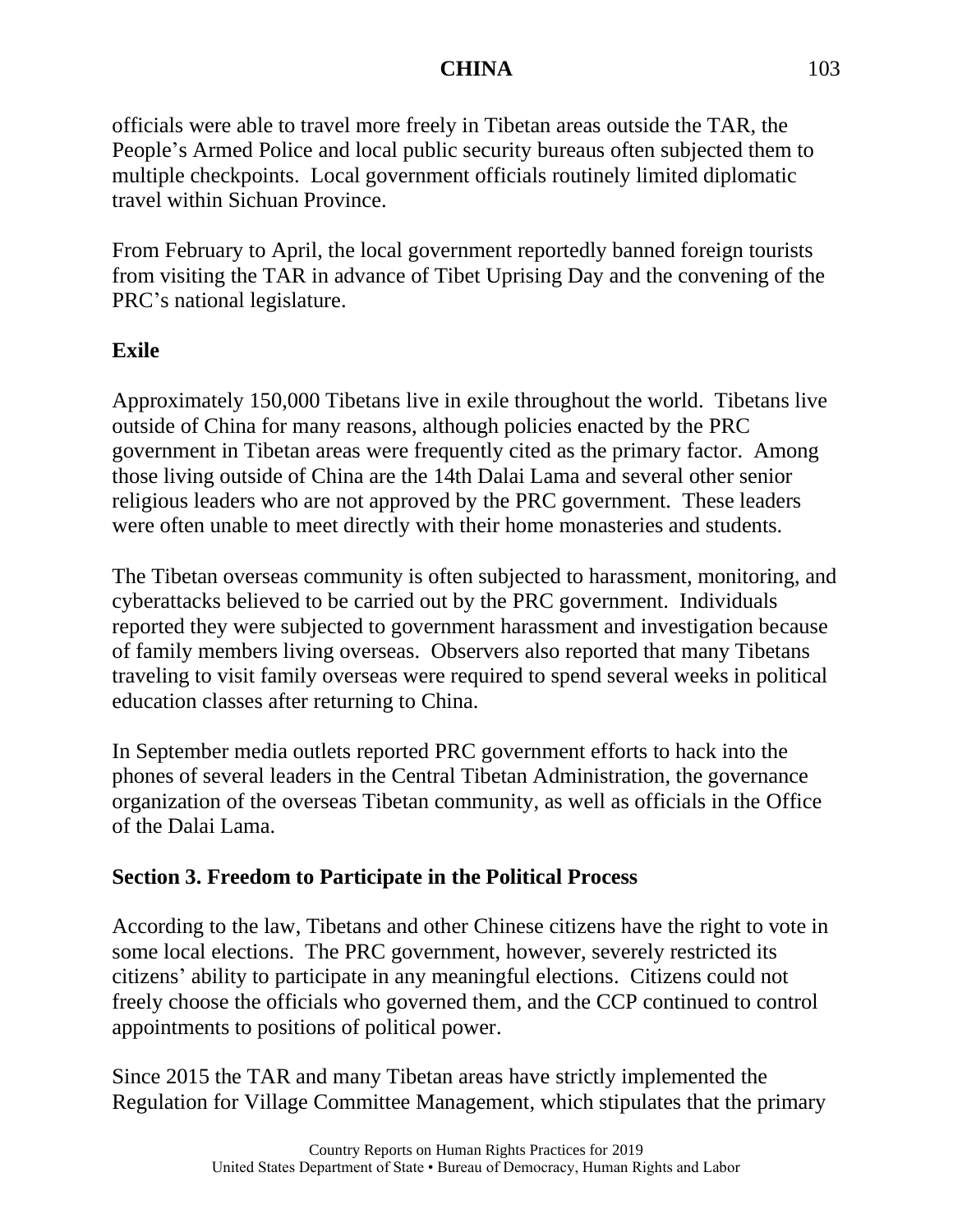officials were able to travel more freely in Tibetan areas outside the TAR, the People's Armed Police and local public security bureaus often subjected them to multiple checkpoints. Local government officials routinely limited diplomatic travel within Sichuan Province.

From February to April, the local government reportedly banned foreign tourists from visiting the TAR in advance of Tibet Uprising Day and the convening of the PRC's national legislature.

## **Exile**

Approximately 150,000 Tibetans live in exile throughout the world. Tibetans live outside of China for many reasons, although policies enacted by the PRC government in Tibetan areas were frequently cited as the primary factor. Among those living outside of China are the 14th Dalai Lama and several other senior religious leaders who are not approved by the PRC government. These leaders were often unable to meet directly with their home monasteries and students.

The Tibetan overseas community is often subjected to harassment, monitoring, and cyberattacks believed to be carried out by the PRC government. Individuals reported they were subjected to government harassment and investigation because of family members living overseas. Observers also reported that many Tibetans traveling to visit family overseas were required to spend several weeks in political education classes after returning to China.

In September media outlets reported PRC government efforts to hack into the phones of several leaders in the Central Tibetan Administration, the governance organization of the overseas Tibetan community, as well as officials in the Office of the Dalai Lama.

# **Section 3. Freedom to Participate in the Political Process**

According to the law, Tibetans and other Chinese citizens have the right to vote in some local elections. The PRC government, however, severely restricted its citizens' ability to participate in any meaningful elections. Citizens could not freely choose the officials who governed them, and the CCP continued to control appointments to positions of political power.

Since 2015 the TAR and many Tibetan areas have strictly implemented the Regulation for Village Committee Management, which stipulates that the primary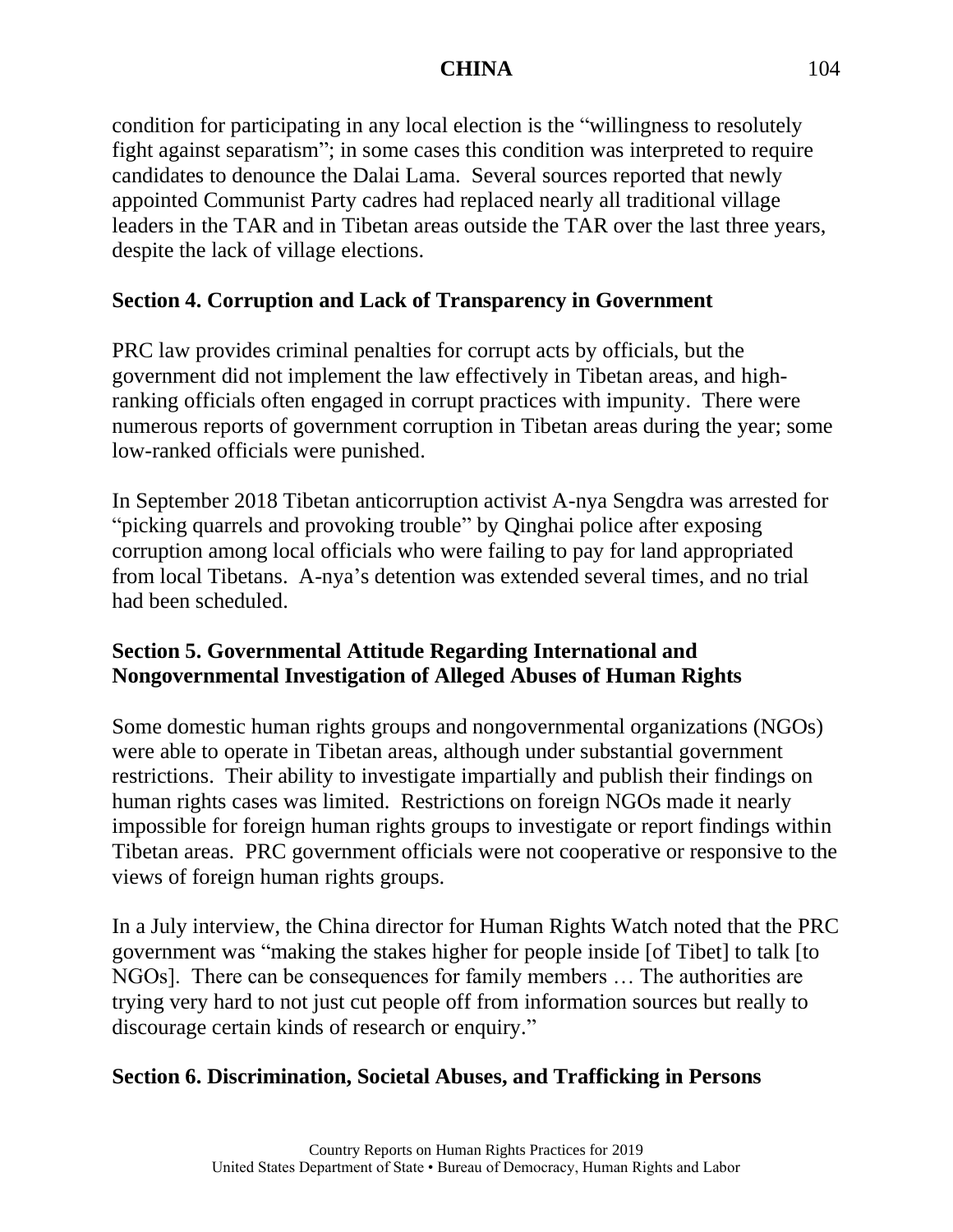condition for participating in any local election is the "willingness to resolutely fight against separatism"; in some cases this condition was interpreted to require candidates to denounce the Dalai Lama. Several sources reported that newly appointed Communist Party cadres had replaced nearly all traditional village leaders in the TAR and in Tibetan areas outside the TAR over the last three years, despite the lack of village elections.

# **Section 4. Corruption and Lack of Transparency in Government**

PRC law provides criminal penalties for corrupt acts by officials, but the government did not implement the law effectively in Tibetan areas, and highranking officials often engaged in corrupt practices with impunity. There were numerous reports of government corruption in Tibetan areas during the year; some low-ranked officials were punished.

In September 2018 Tibetan anticorruption activist A-nya Sengdra was arrested for "picking quarrels and provoking trouble" by Qinghai police after exposing corruption among local officials who were failing to pay for land appropriated from local Tibetans. A-nya's detention was extended several times, and no trial had been scheduled.

# **Section 5. Governmental Attitude Regarding International and Nongovernmental Investigation of Alleged Abuses of Human Rights**

Some domestic human rights groups and nongovernmental organizations (NGOs) were able to operate in Tibetan areas, although under substantial government restrictions. Their ability to investigate impartially and publish their findings on human rights cases was limited. Restrictions on foreign NGOs made it nearly impossible for foreign human rights groups to investigate or report findings within Tibetan areas. PRC government officials were not cooperative or responsive to the views of foreign human rights groups.

In a July interview, the China director for Human Rights Watch noted that the PRC government was "making the stakes higher for people inside [of Tibet] to talk [to NGOs]. There can be consequences for family members … The authorities are trying very hard to not just cut people off from information sources but really to discourage certain kinds of research or enquiry."

# **Section 6. Discrimination, Societal Abuses, and Trafficking in Persons**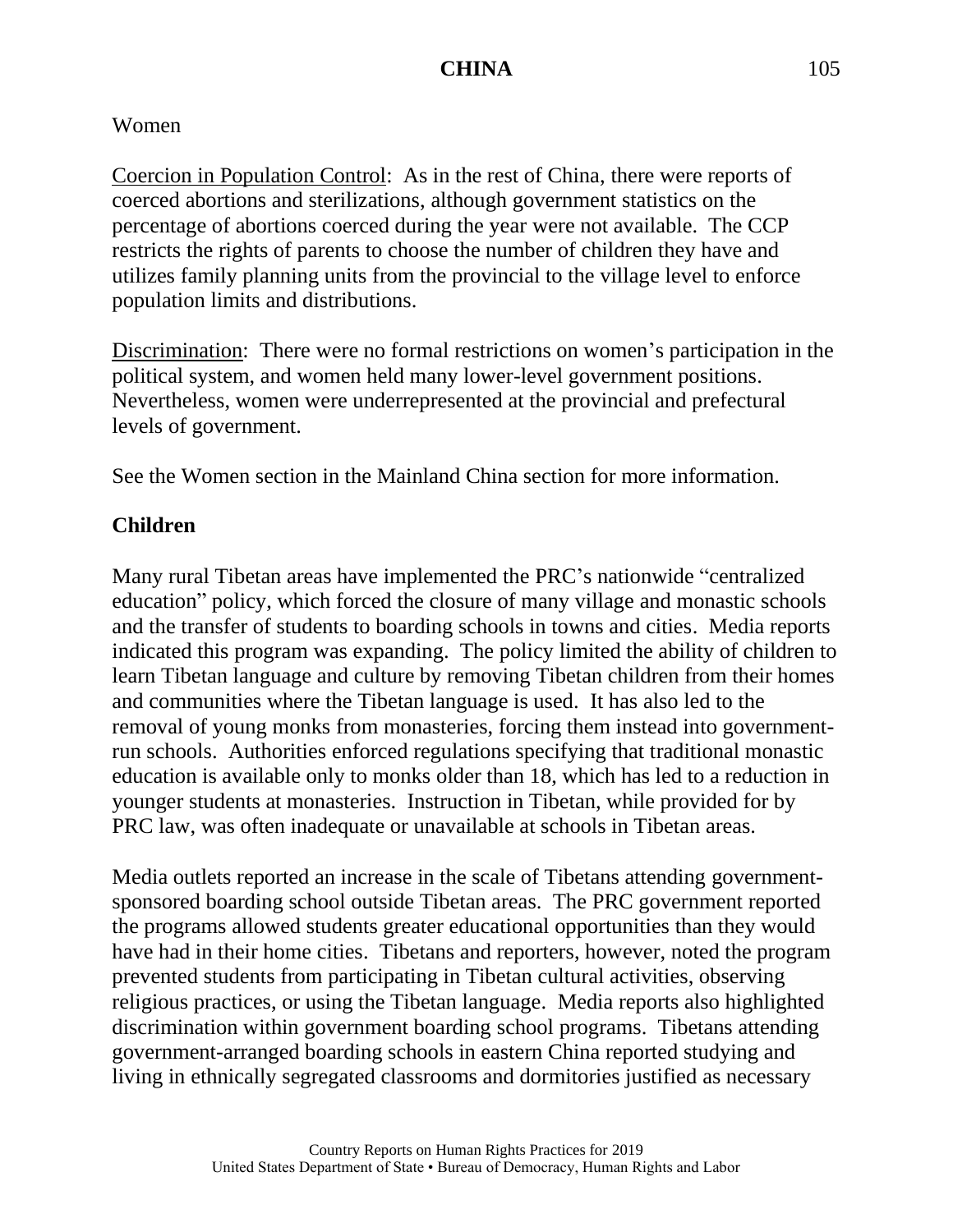# Women

Coercion in Population Control: As in the rest of China, there were reports of coerced abortions and sterilizations, although government statistics on the percentage of abortions coerced during the year were not available. The CCP restricts the rights of parents to choose the number of children they have and utilizes family planning units from the provincial to the village level to enforce population limits and distributions.

Discrimination: There were no formal restrictions on women's participation in the political system, and women held many lower-level government positions. Nevertheless, women were underrepresented at the provincial and prefectural levels of government.

See the Women section in the Mainland China section for more information.

# **Children**

Many rural Tibetan areas have implemented the PRC's nationwide "centralized education" policy, which forced the closure of many village and monastic schools and the transfer of students to boarding schools in towns and cities. Media reports indicated this program was expanding. The policy limited the ability of children to learn Tibetan language and culture by removing Tibetan children from their homes and communities where the Tibetan language is used. It has also led to the removal of young monks from monasteries, forcing them instead into governmentrun schools. Authorities enforced regulations specifying that traditional monastic education is available only to monks older than 18, which has led to a reduction in younger students at monasteries. Instruction in Tibetan, while provided for by PRC law, was often inadequate or unavailable at schools in Tibetan areas.

Media outlets reported an increase in the scale of Tibetans attending governmentsponsored boarding school outside Tibetan areas. The PRC government reported the programs allowed students greater educational opportunities than they would have had in their home cities. Tibetans and reporters, however, noted the program prevented students from participating in Tibetan cultural activities, observing religious practices, or using the Tibetan language. Media reports also highlighted discrimination within government boarding school programs. Tibetans attending government-arranged boarding schools in eastern China reported studying and living in ethnically segregated classrooms and dormitories justified as necessary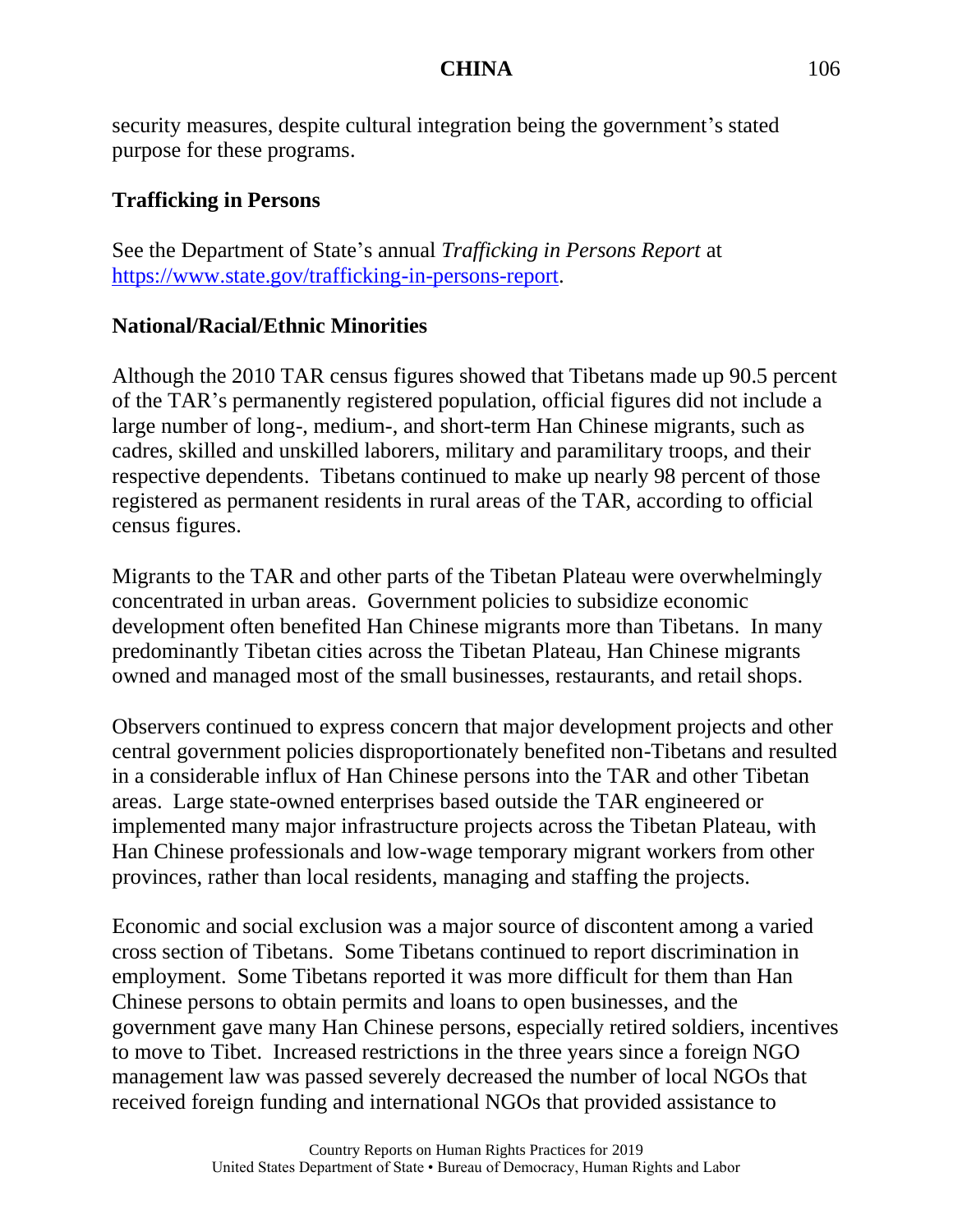security measures, despite cultural integration being the government's stated purpose for these programs.

# **Trafficking in Persons**

See the Department of State's annual *Trafficking in Persons Report* at [https://www.state.gov/trafficking-in-persons-report.](https://www.state.gov/trafficking-in-persons-report/)

# **National/Racial/Ethnic Minorities**

Although the 2010 TAR census figures showed that Tibetans made up 90.5 percent of the TAR's permanently registered population, official figures did not include a large number of long-, medium-, and short-term Han Chinese migrants, such as cadres, skilled and unskilled laborers, military and paramilitary troops, and their respective dependents. Tibetans continued to make up nearly 98 percent of those registered as permanent residents in rural areas of the TAR, according to official census figures.

Migrants to the TAR and other parts of the Tibetan Plateau were overwhelmingly concentrated in urban areas. Government policies to subsidize economic development often benefited Han Chinese migrants more than Tibetans. In many predominantly Tibetan cities across the Tibetan Plateau, Han Chinese migrants owned and managed most of the small businesses, restaurants, and retail shops.

Observers continued to express concern that major development projects and other central government policies disproportionately benefited non-Tibetans and resulted in a considerable influx of Han Chinese persons into the TAR and other Tibetan areas. Large state-owned enterprises based outside the TAR engineered or implemented many major infrastructure projects across the Tibetan Plateau, with Han Chinese professionals and low-wage temporary migrant workers from other provinces, rather than local residents, managing and staffing the projects.

Economic and social exclusion was a major source of discontent among a varied cross section of Tibetans. Some Tibetans continued to report discrimination in employment. Some Tibetans reported it was more difficult for them than Han Chinese persons to obtain permits and loans to open businesses, and the government gave many Han Chinese persons, especially retired soldiers, incentives to move to Tibet. Increased restrictions in the three years since a foreign NGO management law was passed severely decreased the number of local NGOs that received foreign funding and international NGOs that provided assistance to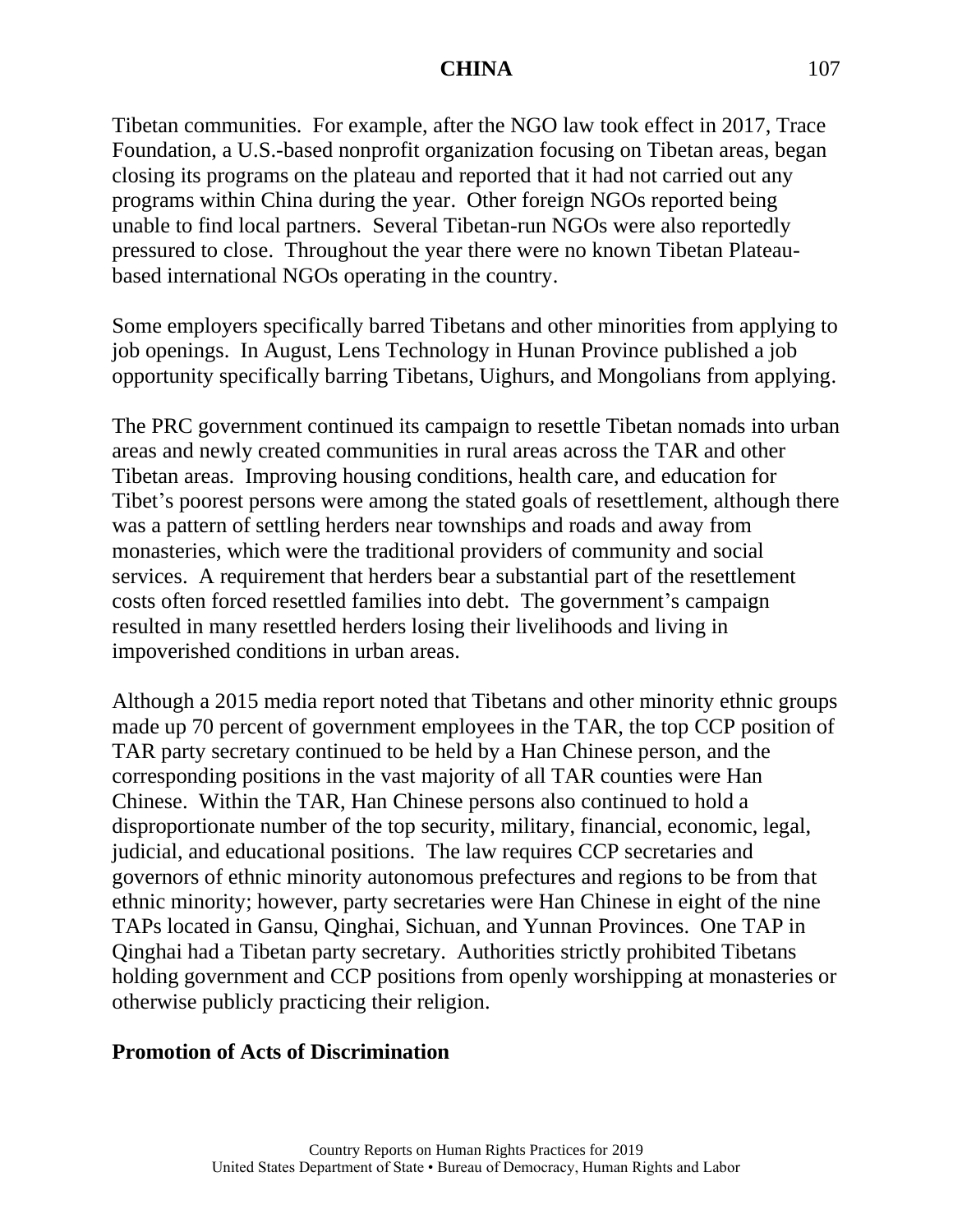Tibetan communities. For example, after the NGO law took effect in 2017, Trace Foundation, a U.S.-based nonprofit organization focusing on Tibetan areas, began closing its programs on the plateau and reported that it had not carried out any programs within China during the year. Other foreign NGOs reported being unable to find local partners. Several Tibetan-run NGOs were also reportedly pressured to close. Throughout the year there were no known Tibetan Plateaubased international NGOs operating in the country.

Some employers specifically barred Tibetans and other minorities from applying to job openings. In August, Lens Technology in Hunan Province published a job opportunity specifically barring Tibetans, Uighurs, and Mongolians from applying.

The PRC government continued its campaign to resettle Tibetan nomads into urban areas and newly created communities in rural areas across the TAR and other Tibetan areas. Improving housing conditions, health care, and education for Tibet's poorest persons were among the stated goals of resettlement, although there was a pattern of settling herders near townships and roads and away from monasteries, which were the traditional providers of community and social services. A requirement that herders bear a substantial part of the resettlement costs often forced resettled families into debt. The government's campaign resulted in many resettled herders losing their livelihoods and living in impoverished conditions in urban areas.

Although a 2015 media report noted that Tibetans and other minority ethnic groups made up 70 percent of government employees in the TAR, the top CCP position of TAR party secretary continued to be held by a Han Chinese person, and the corresponding positions in the vast majority of all TAR counties were Han Chinese. Within the TAR, Han Chinese persons also continued to hold a disproportionate number of the top security, military, financial, economic, legal, judicial, and educational positions. The law requires CCP secretaries and governors of ethnic minority autonomous prefectures and regions to be from that ethnic minority; however, party secretaries were Han Chinese in eight of the nine TAPs located in Gansu, Qinghai, Sichuan, and Yunnan Provinces. One TAP in Qinghai had a Tibetan party secretary. Authorities strictly prohibited Tibetans holding government and CCP positions from openly worshipping at monasteries or otherwise publicly practicing their religion.

#### **Promotion of Acts of Discrimination**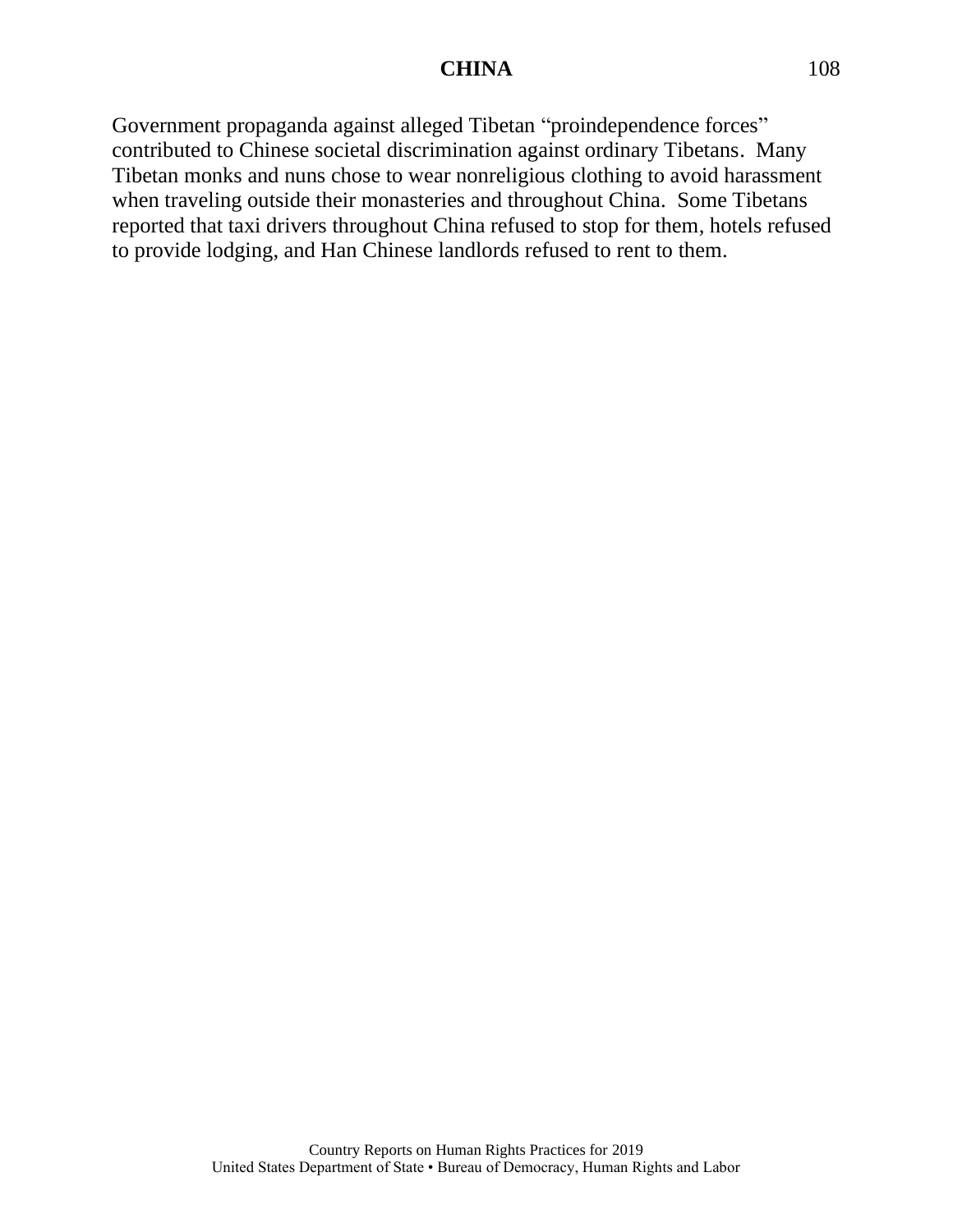Government propaganda against alleged Tibetan "proindependence forces" contributed to Chinese societal discrimination against ordinary Tibetans. Many Tibetan monks and nuns chose to wear nonreligious clothing to avoid harassment when traveling outside their monasteries and throughout China. Some Tibetans reported that taxi drivers throughout China refused to stop for them, hotels refused to provide lodging, and Han Chinese landlords refused to rent to them.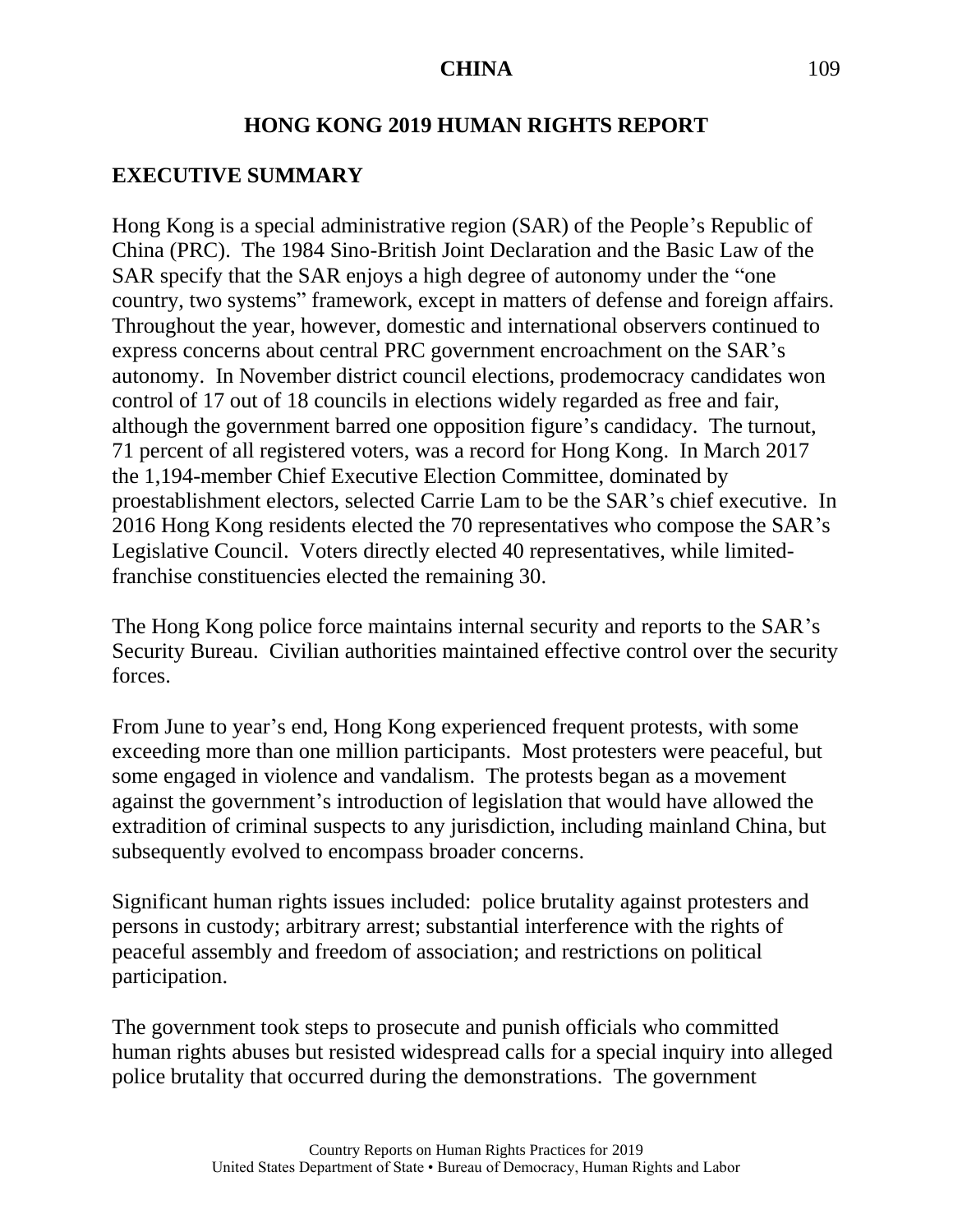#### **HONG KONG 2019 HUMAN RIGHTS REPORT**

#### **EXECUTIVE SUMMARY**

Hong Kong is a special administrative region (SAR) of the People's Republic of China (PRC). The 1984 Sino-British Joint Declaration and the Basic Law of the SAR specify that the SAR enjoys a high degree of autonomy under the "one country, two systems" framework, except in matters of defense and foreign affairs. Throughout the year, however, domestic and international observers continued to express concerns about central PRC government encroachment on the SAR's autonomy. In November district council elections, prodemocracy candidates won control of 17 out of 18 councils in elections widely regarded as free and fair, although the government barred one opposition figure's candidacy. The turnout, 71 percent of all registered voters, was a record for Hong Kong. In March 2017 the 1,194-member Chief Executive Election Committee, dominated by proestablishment electors, selected Carrie Lam to be the SAR's chief executive. In 2016 Hong Kong residents elected the 70 representatives who compose the SAR's Legislative Council. Voters directly elected 40 representatives, while limitedfranchise constituencies elected the remaining 30.

The Hong Kong police force maintains internal security and reports to the SAR's Security Bureau. Civilian authorities maintained effective control over the security forces.

From June to year's end, Hong Kong experienced frequent protests, with some exceeding more than one million participants. Most protesters were peaceful, but some engaged in violence and vandalism. The protests began as a movement against the government's introduction of legislation that would have allowed the extradition of criminal suspects to any jurisdiction, including mainland China, but subsequently evolved to encompass broader concerns.

Significant human rights issues included: police brutality against protesters and persons in custody; arbitrary arrest; substantial interference with the rights of peaceful assembly and freedom of association; and restrictions on political participation.

The government took steps to prosecute and punish officials who committed human rights abuses but resisted widespread calls for a special inquiry into alleged police brutality that occurred during the demonstrations. The government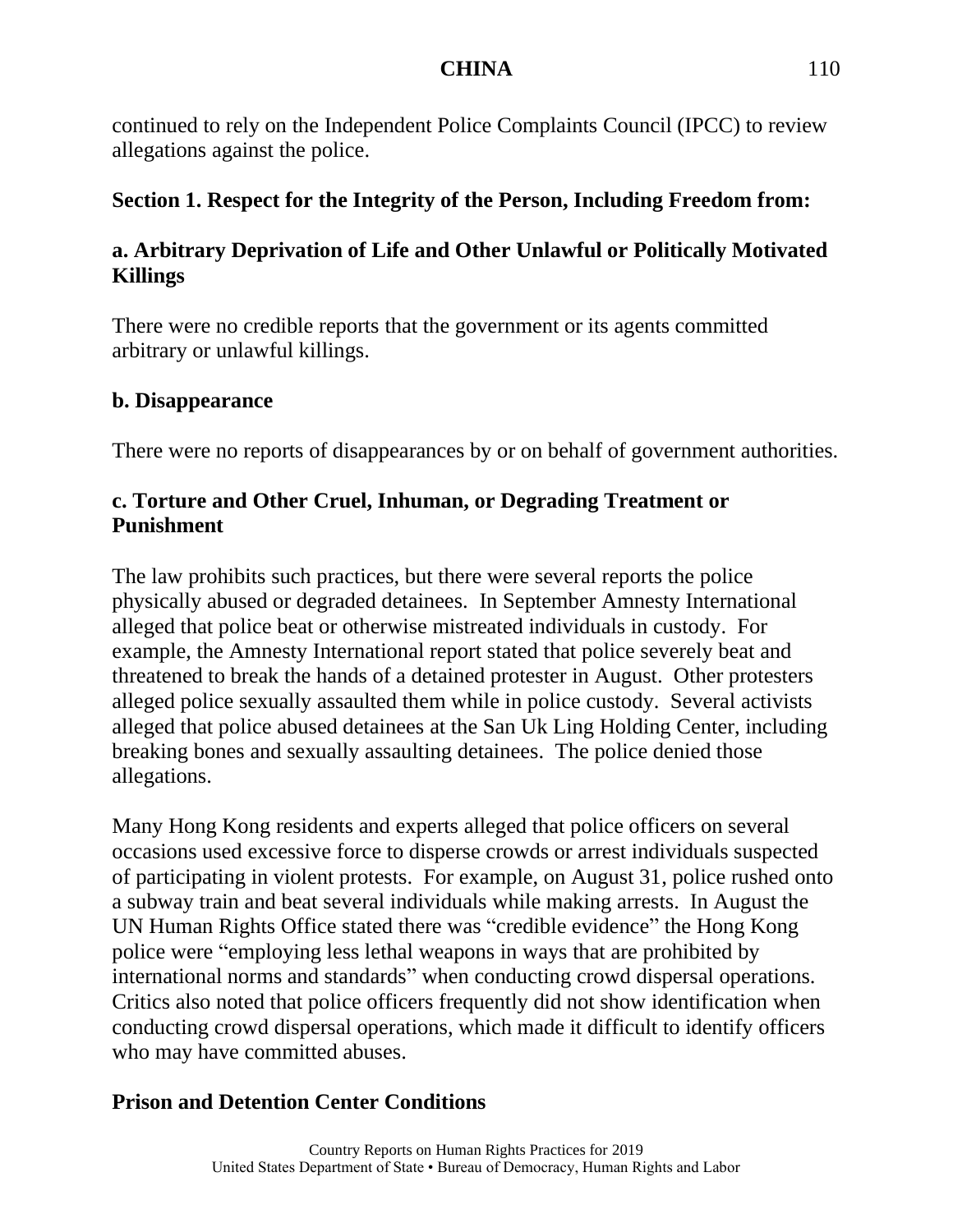continued to rely on the Independent Police Complaints Council (IPCC) to review allegations against the police.

# **Section 1. Respect for the Integrity of the Person, Including Freedom from:**

# **a. Arbitrary Deprivation of Life and Other Unlawful or Politically Motivated Killings**

There were no credible reports that the government or its agents committed arbitrary or unlawful killings.

#### **b. Disappearance**

There were no reports of disappearances by or on behalf of government authorities.

## **c. Torture and Other Cruel, Inhuman, or Degrading Treatment or Punishment**

The law prohibits such practices, but there were several reports the police physically abused or degraded detainees. In September Amnesty International alleged that police beat or otherwise mistreated individuals in custody. For example, the Amnesty International report stated that police severely beat and threatened to break the hands of a detained protester in August. Other protesters alleged police sexually assaulted them while in police custody. Several activists alleged that police abused detainees at the San Uk Ling Holding Center, including breaking bones and sexually assaulting detainees. The police denied those allegations.

Many Hong Kong residents and experts alleged that police officers on several occasions used excessive force to disperse crowds or arrest individuals suspected of participating in violent protests. For example, on August 31, police rushed onto a subway train and beat several individuals while making arrests. In August the UN Human Rights Office stated there was "credible evidence" the Hong Kong police were "employing less lethal weapons in ways that are prohibited by international norms and standards" when conducting crowd dispersal operations. Critics also noted that police officers frequently did not show identification when conducting crowd dispersal operations, which made it difficult to identify officers who may have committed abuses.

# **Prison and Detention Center Conditions**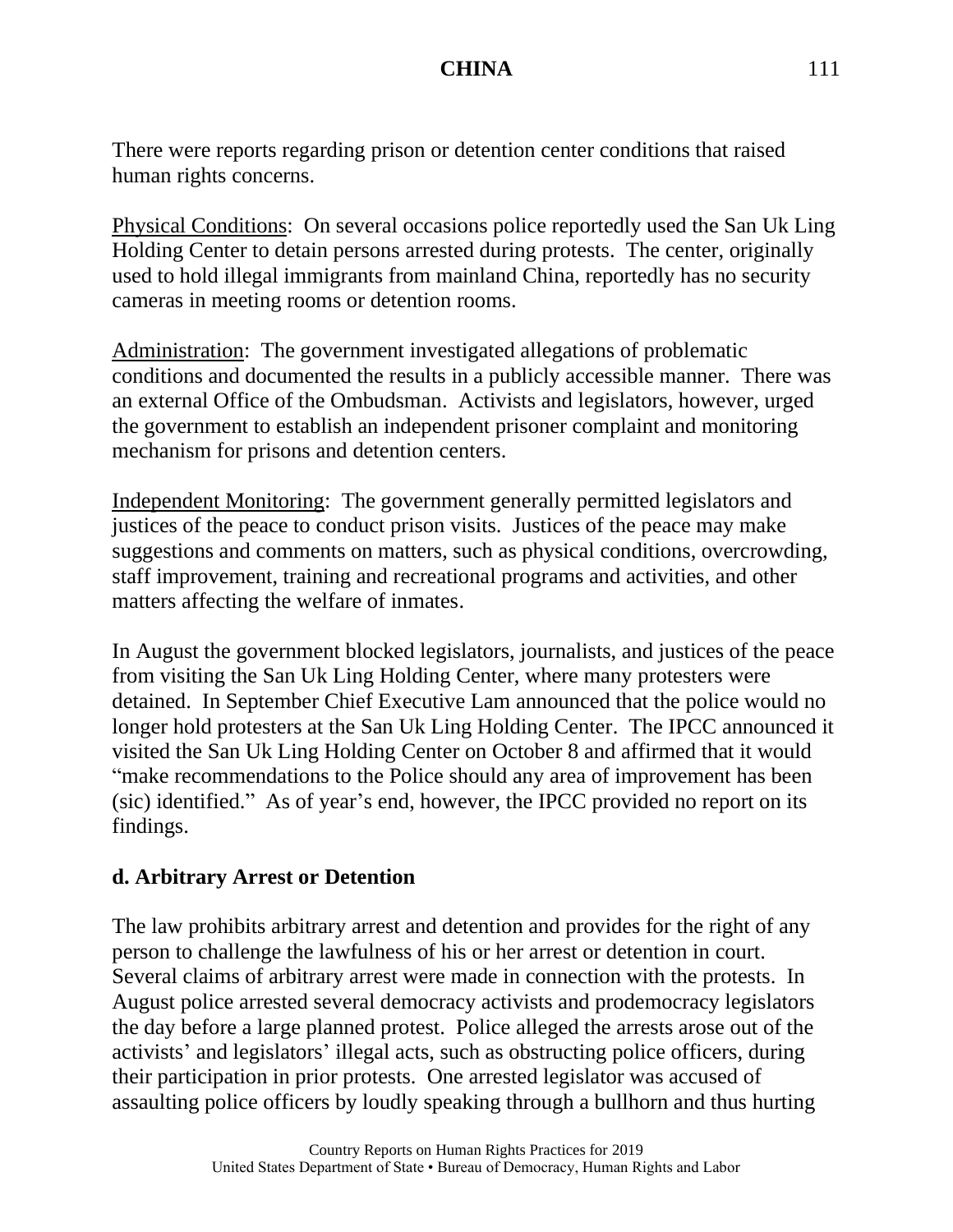There were reports regarding prison or detention center conditions that raised human rights concerns.

Physical Conditions: On several occasions police reportedly used the San Uk Ling Holding Center to detain persons arrested during protests. The center, originally used to hold illegal immigrants from mainland China, reportedly has no security cameras in meeting rooms or detention rooms.

Administration: The government investigated allegations of problematic conditions and documented the results in a publicly accessible manner. There was an external Office of the Ombudsman. Activists and legislators, however, urged the government to establish an independent prisoner complaint and monitoring mechanism for prisons and detention centers.

Independent Monitoring: The government generally permitted legislators and justices of the peace to conduct prison visits. Justices of the peace may make suggestions and comments on matters, such as physical conditions, overcrowding, staff improvement, training and recreational programs and activities, and other matters affecting the welfare of inmates.

In August the government blocked legislators, journalists, and justices of the peace from visiting the San Uk Ling Holding Center, where many protesters were detained. In September Chief Executive Lam announced that the police would no longer hold protesters at the San Uk Ling Holding Center. The IPCC announced it visited the San Uk Ling Holding Center on October 8 and affirmed that it would "make recommendations to the Police should any area of improvement has been (sic) identified." As of year's end, however, the IPCC provided no report on its findings.

#### **d. Arbitrary Arrest or Detention**

The law prohibits arbitrary arrest and detention and provides for the right of any person to challenge the lawfulness of his or her arrest or detention in court. Several claims of arbitrary arrest were made in connection with the protests. In August police arrested several democracy activists and prodemocracy legislators the day before a large planned protest. Police alleged the arrests arose out of the activists' and legislators' illegal acts, such as obstructing police officers, during their participation in prior protests. One arrested legislator was accused of assaulting police officers by loudly speaking through a bullhorn and thus hurting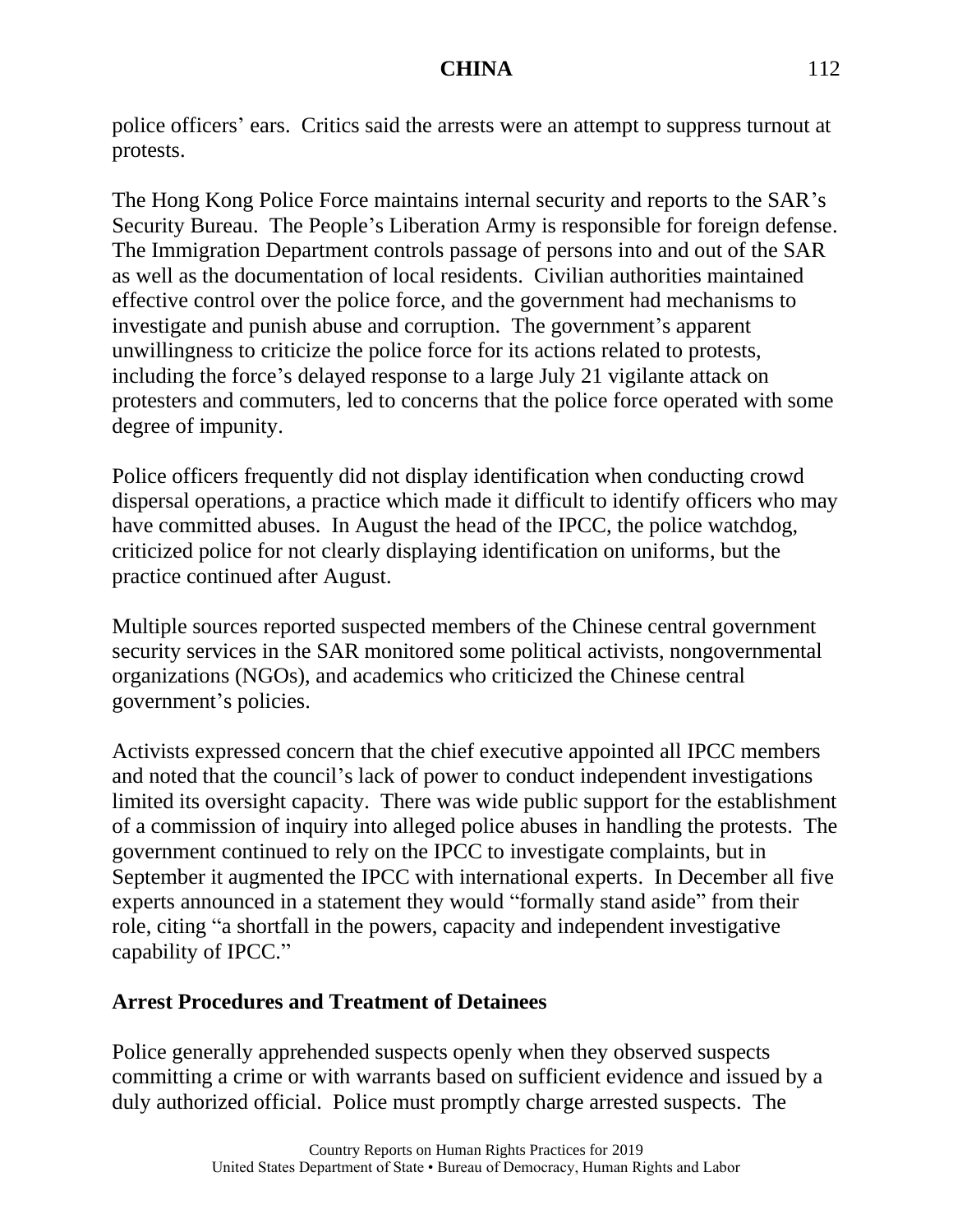police officers' ears. Critics said the arrests were an attempt to suppress turnout at protests.

The Hong Kong Police Force maintains internal security and reports to the SAR's Security Bureau. The People's Liberation Army is responsible for foreign defense. The Immigration Department controls passage of persons into and out of the SAR as well as the documentation of local residents. Civilian authorities maintained effective control over the police force, and the government had mechanisms to investigate and punish abuse and corruption. The government's apparent unwillingness to criticize the police force for its actions related to protests, including the force's delayed response to a large July 21 vigilante attack on protesters and commuters, led to concerns that the police force operated with some degree of impunity.

Police officers frequently did not display identification when conducting crowd dispersal operations, a practice which made it difficult to identify officers who may have committed abuses. In August the head of the IPCC, the police watchdog, criticized police for not clearly displaying identification on uniforms, but the practice continued after August.

Multiple sources reported suspected members of the Chinese central government security services in the SAR monitored some political activists, nongovernmental organizations (NGOs), and academics who criticized the Chinese central government's policies.

Activists expressed concern that the chief executive appointed all IPCC members and noted that the council's lack of power to conduct independent investigations limited its oversight capacity. There was wide public support for the establishment of a commission of inquiry into alleged police abuses in handling the protests. The government continued to rely on the IPCC to investigate complaints, but in September it augmented the IPCC with international experts. In December all five experts announced in a statement they would "formally stand aside" from their role, citing "a shortfall in the powers, capacity and independent investigative capability of IPCC."

#### **Arrest Procedures and Treatment of Detainees**

Police generally apprehended suspects openly when they observed suspects committing a crime or with warrants based on sufficient evidence and issued by a duly authorized official. Police must promptly charge arrested suspects. The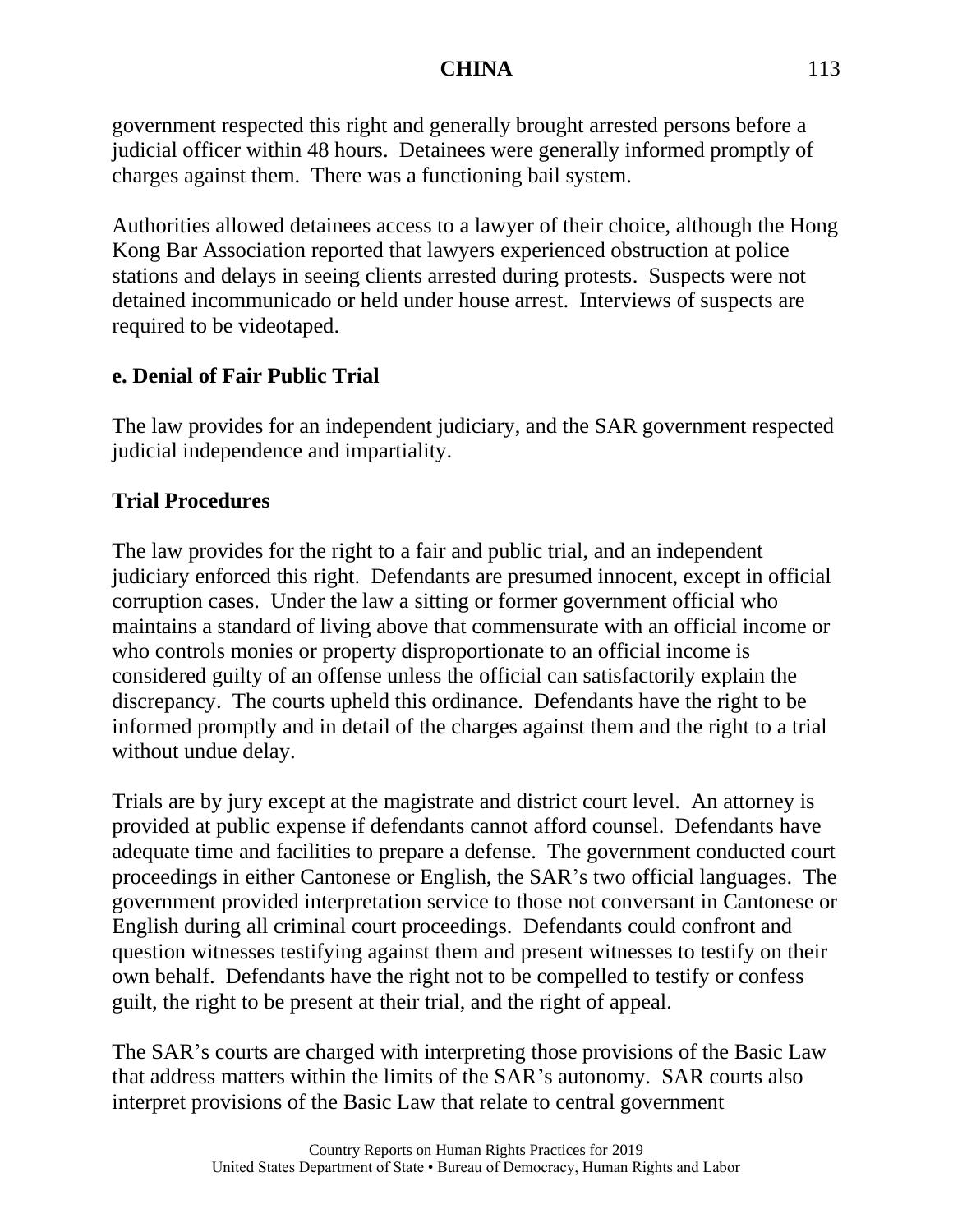government respected this right and generally brought arrested persons before a judicial officer within 48 hours. Detainees were generally informed promptly of charges against them. There was a functioning bail system.

Authorities allowed detainees access to a lawyer of their choice, although the Hong Kong Bar Association reported that lawyers experienced obstruction at police stations and delays in seeing clients arrested during protests. Suspects were not detained incommunicado or held under house arrest. Interviews of suspects are required to be videotaped.

## **e. Denial of Fair Public Trial**

The law provides for an independent judiciary, and the SAR government respected judicial independence and impartiality.

## **Trial Procedures**

The law provides for the right to a fair and public trial, and an independent judiciary enforced this right. Defendants are presumed innocent, except in official corruption cases. Under the law a sitting or former government official who maintains a standard of living above that commensurate with an official income or who controls monies or property disproportionate to an official income is considered guilty of an offense unless the official can satisfactorily explain the discrepancy. The courts upheld this ordinance. Defendants have the right to be informed promptly and in detail of the charges against them and the right to a trial without undue delay.

Trials are by jury except at the magistrate and district court level. An attorney is provided at public expense if defendants cannot afford counsel. Defendants have adequate time and facilities to prepare a defense. The government conducted court proceedings in either Cantonese or English, the SAR's two official languages. The government provided interpretation service to those not conversant in Cantonese or English during all criminal court proceedings. Defendants could confront and question witnesses testifying against them and present witnesses to testify on their own behalf. Defendants have the right not to be compelled to testify or confess guilt, the right to be present at their trial, and the right of appeal.

The SAR's courts are charged with interpreting those provisions of the Basic Law that address matters within the limits of the SAR's autonomy. SAR courts also interpret provisions of the Basic Law that relate to central government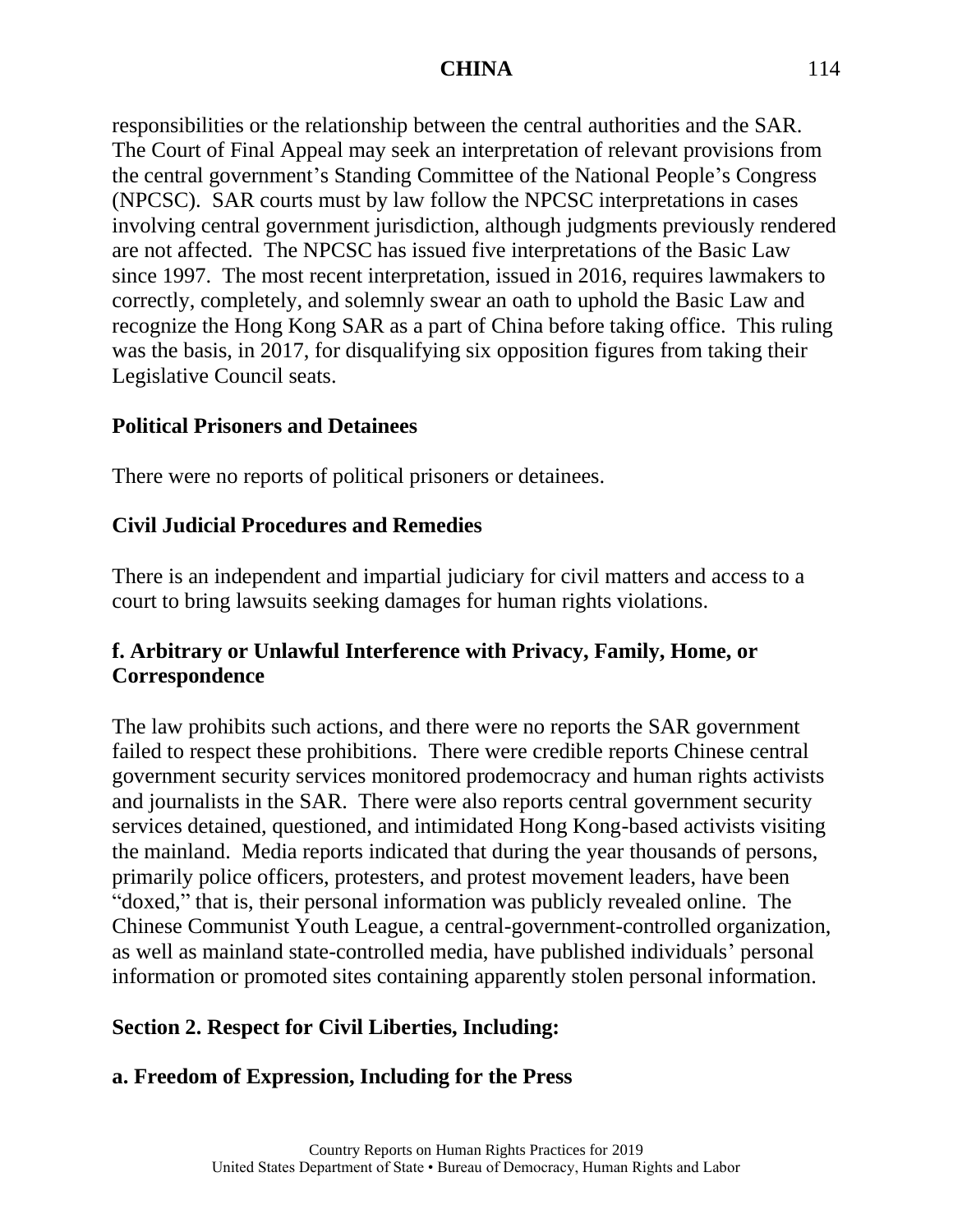responsibilities or the relationship between the central authorities and the SAR. The Court of Final Appeal may seek an interpretation of relevant provisions from the central government's Standing Committee of the National People's Congress (NPCSC). SAR courts must by law follow the NPCSC interpretations in cases involving central government jurisdiction, although judgments previously rendered are not affected. The NPCSC has issued five interpretations of the Basic Law since 1997. The most recent interpretation, issued in 2016, requires lawmakers to correctly, completely, and solemnly swear an oath to uphold the Basic Law and recognize the Hong Kong SAR as a part of China before taking office. This ruling was the basis, in 2017, for disqualifying six opposition figures from taking their Legislative Council seats.

#### **Political Prisoners and Detainees**

There were no reports of political prisoners or detainees.

## **Civil Judicial Procedures and Remedies**

There is an independent and impartial judiciary for civil matters and access to a court to bring lawsuits seeking damages for human rights violations.

## **f. Arbitrary or Unlawful Interference with Privacy, Family, Home, or Correspondence**

The law prohibits such actions, and there were no reports the SAR government failed to respect these prohibitions. There were credible reports Chinese central government security services monitored prodemocracy and human rights activists and journalists in the SAR. There were also reports central government security services detained, questioned, and intimidated Hong Kong-based activists visiting the mainland. Media reports indicated that during the year thousands of persons, primarily police officers, protesters, and protest movement leaders, have been "doxed," that is, their personal information was publicly revealed online. The Chinese Communist Youth League, a central-government-controlled organization, as well as mainland state-controlled media, have published individuals' personal information or promoted sites containing apparently stolen personal information.

## **Section 2. Respect for Civil Liberties, Including:**

## **a. Freedom of Expression, Including for the Press**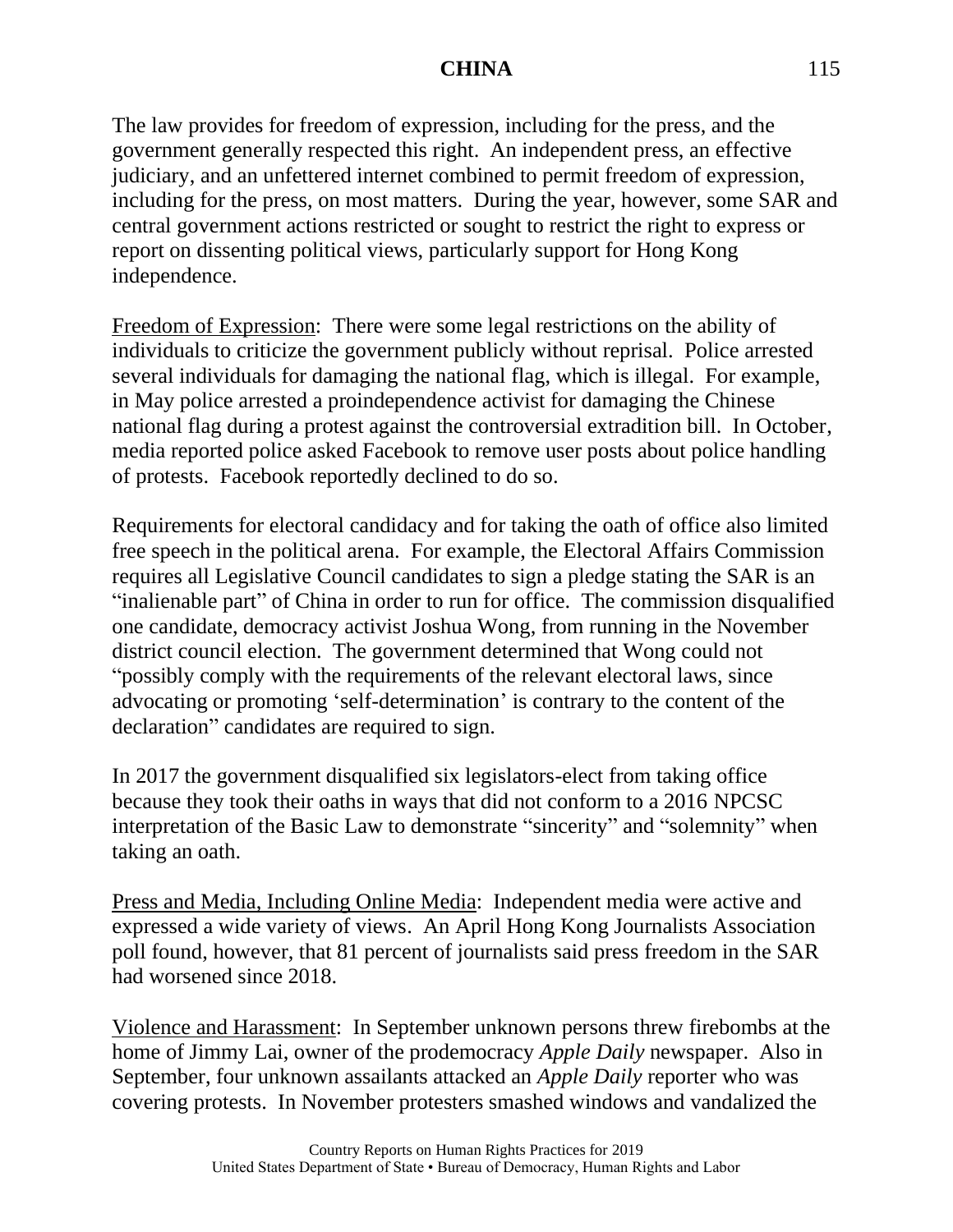The law provides for freedom of expression, including for the press, and the government generally respected this right. An independent press, an effective judiciary, and an unfettered internet combined to permit freedom of expression, including for the press, on most matters. During the year, however, some SAR and central government actions restricted or sought to restrict the right to express or report on dissenting political views, particularly support for Hong Kong independence.

Freedom of Expression: There were some legal restrictions on the ability of individuals to criticize the government publicly without reprisal. Police arrested several individuals for damaging the national flag, which is illegal. For example, in May police arrested a proindependence activist for damaging the Chinese national flag during a protest against the controversial extradition bill. In October, media reported police asked Facebook to remove user posts about police handling of protests. Facebook reportedly declined to do so.

Requirements for electoral candidacy and for taking the oath of office also limited free speech in the political arena. For example, the Electoral Affairs Commission requires all Legislative Council candidates to sign a pledge stating the SAR is an "inalienable part" of China in order to run for office. The commission disqualified one candidate, democracy activist Joshua Wong, from running in the November district council election. The government determined that Wong could not "possibly comply with the requirements of the relevant electoral laws, since advocating or promoting 'self-determination' is contrary to the content of the declaration" candidates are required to sign.

In 2017 the government disqualified six legislators-elect from taking office because they took their oaths in ways that did not conform to a 2016 NPCSC interpretation of the Basic Law to demonstrate "sincerity" and "solemnity" when taking an oath.

Press and Media, Including Online Media: Independent media were active and expressed a wide variety of views. An April Hong Kong Journalists Association poll found, however, that 81 percent of journalists said press freedom in the SAR had worsened since 2018.

Violence and Harassment: In September unknown persons threw firebombs at the home of Jimmy Lai, owner of the prodemocracy *Apple Daily* newspaper. Also in September, four unknown assailants attacked an *Apple Daily* reporter who was covering protests. In November protesters smashed windows and vandalized the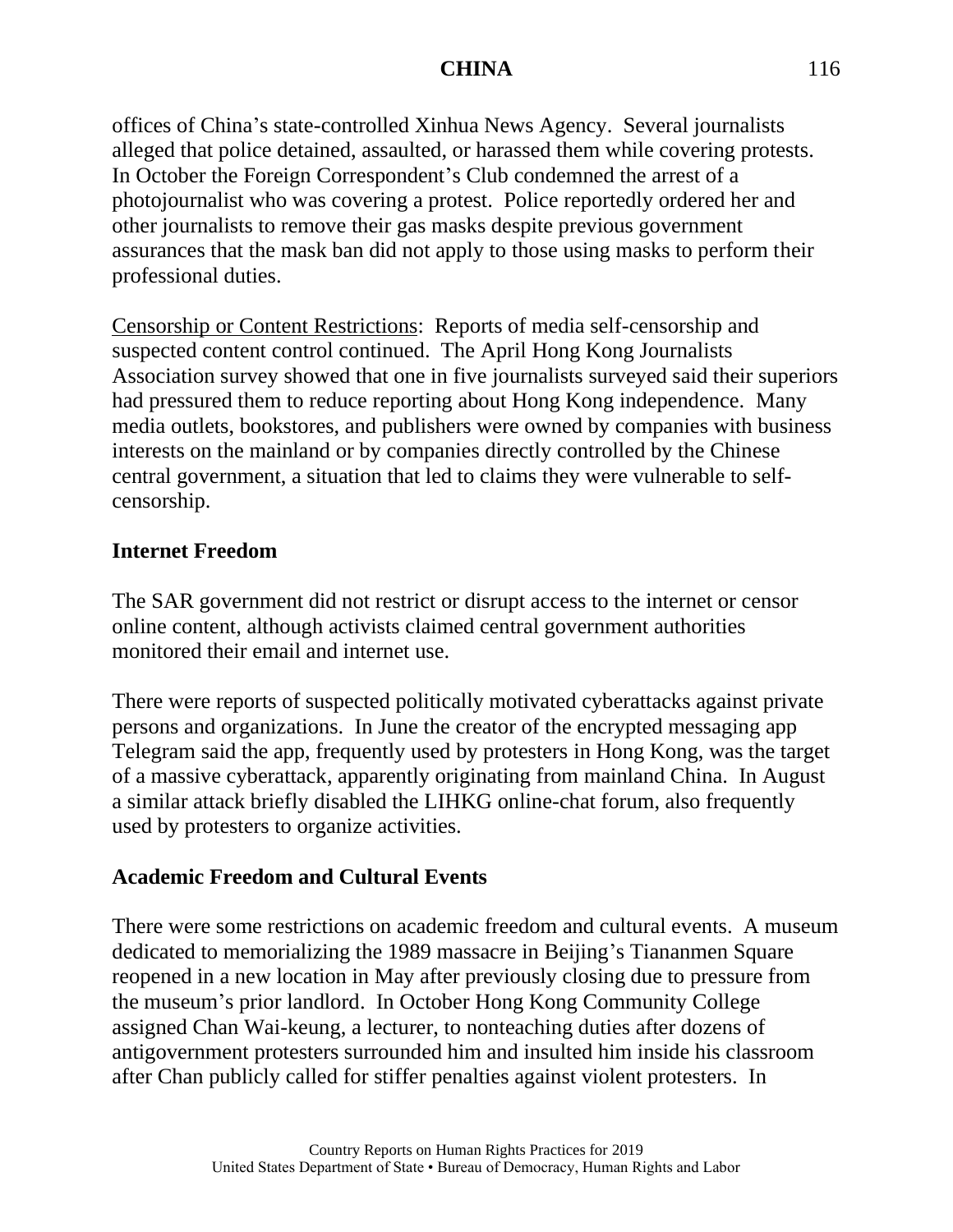offices of China's state-controlled Xinhua News Agency. Several journalists alleged that police detained, assaulted, or harassed them while covering protests. In October the Foreign Correspondent's Club condemned the arrest of a photojournalist who was covering a protest. Police reportedly ordered her and other journalists to remove their gas masks despite previous government assurances that the mask ban did not apply to those using masks to perform their professional duties.

Censorship or Content Restrictions: Reports of media self-censorship and suspected content control continued. The April Hong Kong Journalists Association survey showed that one in five journalists surveyed said their superiors had pressured them to reduce reporting about Hong Kong independence. Many media outlets, bookstores, and publishers were owned by companies with business interests on the mainland or by companies directly controlled by the Chinese central government, a situation that led to claims they were vulnerable to selfcensorship.

#### **Internet Freedom**

The SAR government did not restrict or disrupt access to the internet or censor online content, although activists claimed central government authorities monitored their email and internet use.

There were reports of suspected politically motivated cyberattacks against private persons and organizations. In June the creator of the encrypted messaging app Telegram said the app, frequently used by protesters in Hong Kong, was the target of a massive cyberattack, apparently originating from mainland China. In August a similar attack briefly disabled the LIHKG online-chat forum, also frequently used by protesters to organize activities.

## **Academic Freedom and Cultural Events**

There were some restrictions on academic freedom and cultural events. A museum dedicated to memorializing the 1989 massacre in Beijing's Tiananmen Square reopened in a new location in May after previously closing due to pressure from the museum's prior landlord. In October Hong Kong Community College assigned Chan Wai-keung, a lecturer, to nonteaching duties after dozens of antigovernment protesters surrounded him and insulted him inside his classroom after Chan publicly called for stiffer penalties against violent protesters. In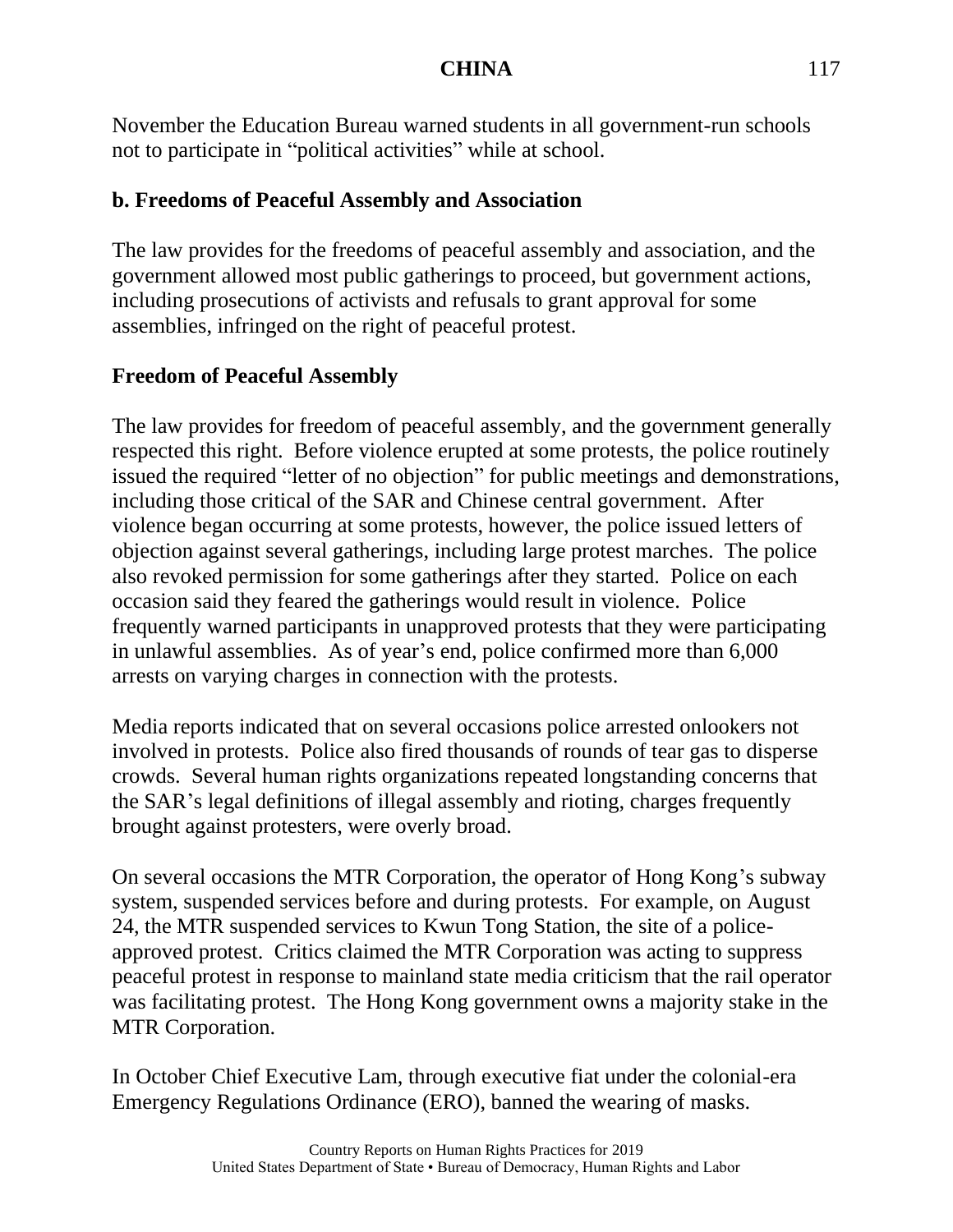November the Education Bureau warned students in all government-run schools not to participate in "political activities" while at school.

## **b. Freedoms of Peaceful Assembly and Association**

The law provides for the freedoms of peaceful assembly and association, and the government allowed most public gatherings to proceed, but government actions, including prosecutions of activists and refusals to grant approval for some assemblies, infringed on the right of peaceful protest.

## **Freedom of Peaceful Assembly**

The law provides for freedom of peaceful assembly, and the government generally respected this right. Before violence erupted at some protests, the police routinely issued the required "letter of no objection" for public meetings and demonstrations, including those critical of the SAR and Chinese central government. After violence began occurring at some protests, however, the police issued letters of objection against several gatherings, including large protest marches. The police also revoked permission for some gatherings after they started. Police on each occasion said they feared the gatherings would result in violence. Police frequently warned participants in unapproved protests that they were participating in unlawful assemblies. As of year's end, police confirmed more than 6,000 arrests on varying charges in connection with the protests.

Media reports indicated that on several occasions police arrested onlookers not involved in protests. Police also fired thousands of rounds of tear gas to disperse crowds. Several human rights organizations repeated longstanding concerns that the SAR's legal definitions of illegal assembly and rioting, charges frequently brought against protesters, were overly broad.

On several occasions the MTR Corporation, the operator of Hong Kong's subway system, suspended services before and during protests. For example, on August 24, the MTR suspended services to Kwun Tong Station, the site of a policeapproved protest. Critics claimed the MTR Corporation was acting to suppress peaceful protest in response to mainland state media criticism that the rail operator was facilitating protest. The Hong Kong government owns a majority stake in the MTR Corporation.

In October Chief Executive Lam, through executive fiat under the colonial-era Emergency Regulations Ordinance (ERO), banned the wearing of masks.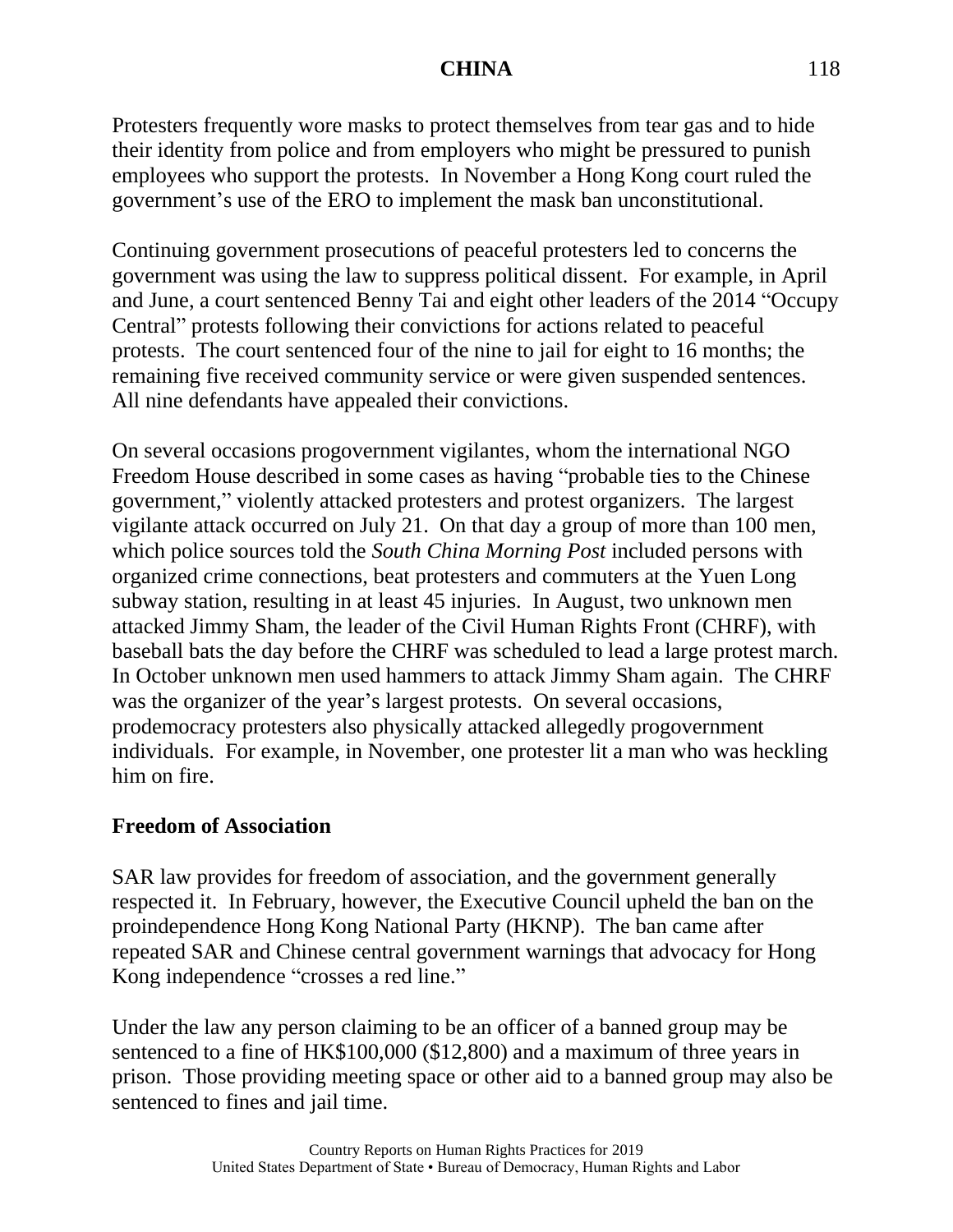Protesters frequently wore masks to protect themselves from tear gas and to hide their identity from police and from employers who might be pressured to punish employees who support the protests. In November a Hong Kong court ruled the government's use of the ERO to implement the mask ban unconstitutional.

Continuing government prosecutions of peaceful protesters led to concerns the government was using the law to suppress political dissent. For example, in April and June, a court sentenced Benny Tai and eight other leaders of the 2014 "Occupy Central" protests following their convictions for actions related to peaceful protests. The court sentenced four of the nine to jail for eight to 16 months; the remaining five received community service or were given suspended sentences. All nine defendants have appealed their convictions.

On several occasions progovernment vigilantes, whom the international NGO Freedom House described in some cases as having "probable ties to the Chinese government," violently attacked protesters and protest organizers. The largest vigilante attack occurred on July 21. On that day a group of more than 100 men, which police sources told the *South China Morning Post* included persons with organized crime connections, beat protesters and commuters at the Yuen Long subway station, resulting in at least 45 injuries. In August, two unknown men attacked Jimmy Sham, the leader of the Civil Human Rights Front (CHRF), with baseball bats the day before the CHRF was scheduled to lead a large protest march. In October unknown men used hammers to attack Jimmy Sham again. The CHRF was the organizer of the year's largest protests. On several occasions, prodemocracy protesters also physically attacked allegedly progovernment individuals. For example, in November, one protester lit a man who was heckling him on fire.

#### **Freedom of Association**

SAR law provides for freedom of association, and the government generally respected it. In February, however, the Executive Council upheld the ban on the proindependence Hong Kong National Party (HKNP). The ban came after repeated SAR and Chinese central government warnings that advocacy for Hong Kong independence "crosses a red line."

Under the law any person claiming to be an officer of a banned group may be sentenced to a fine of HK\$100,000 (\$12,800) and a maximum of three years in prison. Those providing meeting space or other aid to a banned group may also be sentenced to fines and jail time.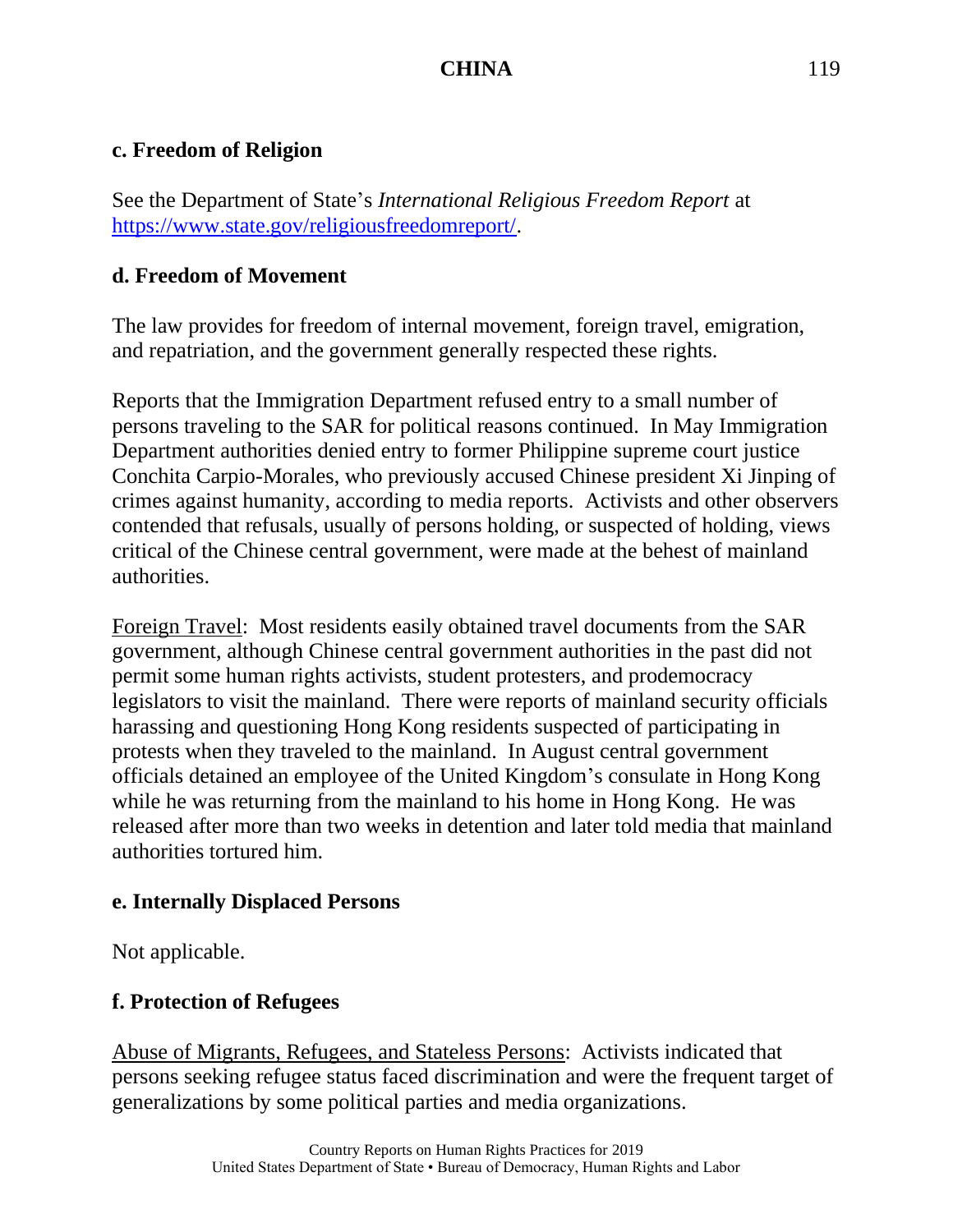#### **c. Freedom of Religion**

See the Department of State's *International Religious Freedom Report* at [https://www.state.gov/religiousfreedomreport/.](https://www.state.gov/religiousfreedomreport/)

#### **d. Freedom of Movement**

The law provides for freedom of internal movement, foreign travel, emigration, and repatriation, and the government generally respected these rights.

Reports that the Immigration Department refused entry to a small number of persons traveling to the SAR for political reasons continued. In May Immigration Department authorities denied entry to former Philippine supreme court justice Conchita Carpio-Morales, who previously accused Chinese president Xi Jinping of crimes against humanity, according to media reports. Activists and other observers contended that refusals, usually of persons holding, or suspected of holding, views critical of the Chinese central government, were made at the behest of mainland authorities.

Foreign Travel: Most residents easily obtained travel documents from the SAR government, although Chinese central government authorities in the past did not permit some human rights activists, student protesters, and prodemocracy legislators to visit the mainland. There were reports of mainland security officials harassing and questioning Hong Kong residents suspected of participating in protests when they traveled to the mainland. In August central government officials detained an employee of the United Kingdom's consulate in Hong Kong while he was returning from the mainland to his home in Hong Kong. He was released after more than two weeks in detention and later told media that mainland authorities tortured him.

## **e. Internally Displaced Persons**

Not applicable.

## **f. Protection of Refugees**

Abuse of Migrants, Refugees, and Stateless Persons: Activists indicated that persons seeking refugee status faced discrimination and were the frequent target of generalizations by some political parties and media organizations.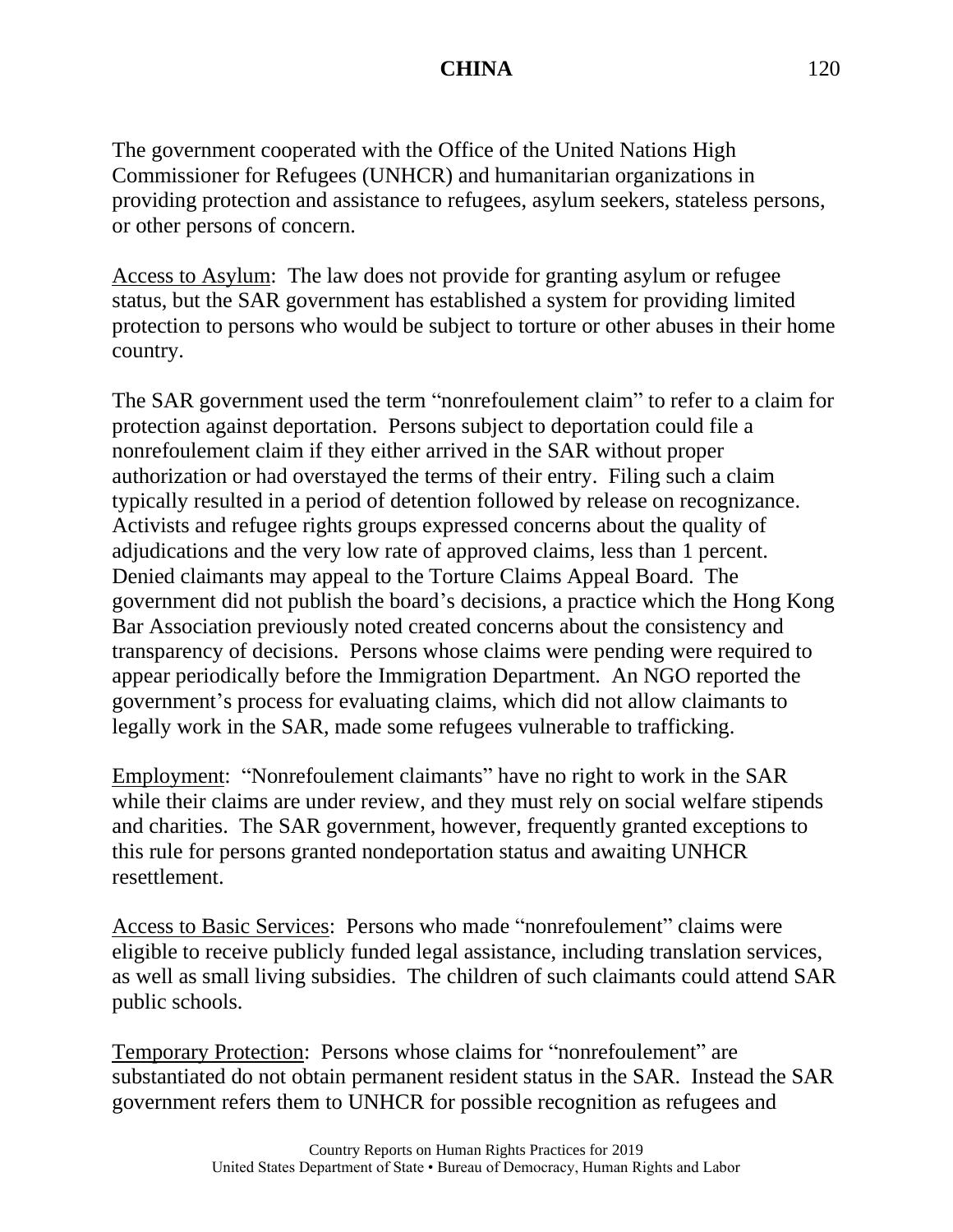The government cooperated with the Office of the United Nations High Commissioner for Refugees (UNHCR) and humanitarian organizations in providing protection and assistance to refugees, asylum seekers, stateless persons, or other persons of concern.

Access to Asylum: The law does not provide for granting asylum or refugee status, but the SAR government has established a system for providing limited protection to persons who would be subject to torture or other abuses in their home country.

The SAR government used the term "nonrefoulement claim" to refer to a claim for protection against deportation. Persons subject to deportation could file a nonrefoulement claim if they either arrived in the SAR without proper authorization or had overstayed the terms of their entry. Filing such a claim typically resulted in a period of detention followed by release on recognizance. Activists and refugee rights groups expressed concerns about the quality of adjudications and the very low rate of approved claims, less than 1 percent. Denied claimants may appeal to the Torture Claims Appeal Board. The government did not publish the board's decisions, a practice which the Hong Kong Bar Association previously noted created concerns about the consistency and transparency of decisions. Persons whose claims were pending were required to appear periodically before the Immigration Department. An NGO reported the government's process for evaluating claims, which did not allow claimants to legally work in the SAR, made some refugees vulnerable to trafficking.

Employment: "Nonrefoulement claimants" have no right to work in the SAR while their claims are under review, and they must rely on social welfare stipends and charities. The SAR government, however, frequently granted exceptions to this rule for persons granted nondeportation status and awaiting UNHCR resettlement.

Access to Basic Services: Persons who made "nonrefoulement" claims were eligible to receive publicly funded legal assistance, including translation services, as well as small living subsidies. The children of such claimants could attend SAR public schools.

Temporary Protection: Persons whose claims for "nonrefoulement" are substantiated do not obtain permanent resident status in the SAR. Instead the SAR government refers them to UNHCR for possible recognition as refugees and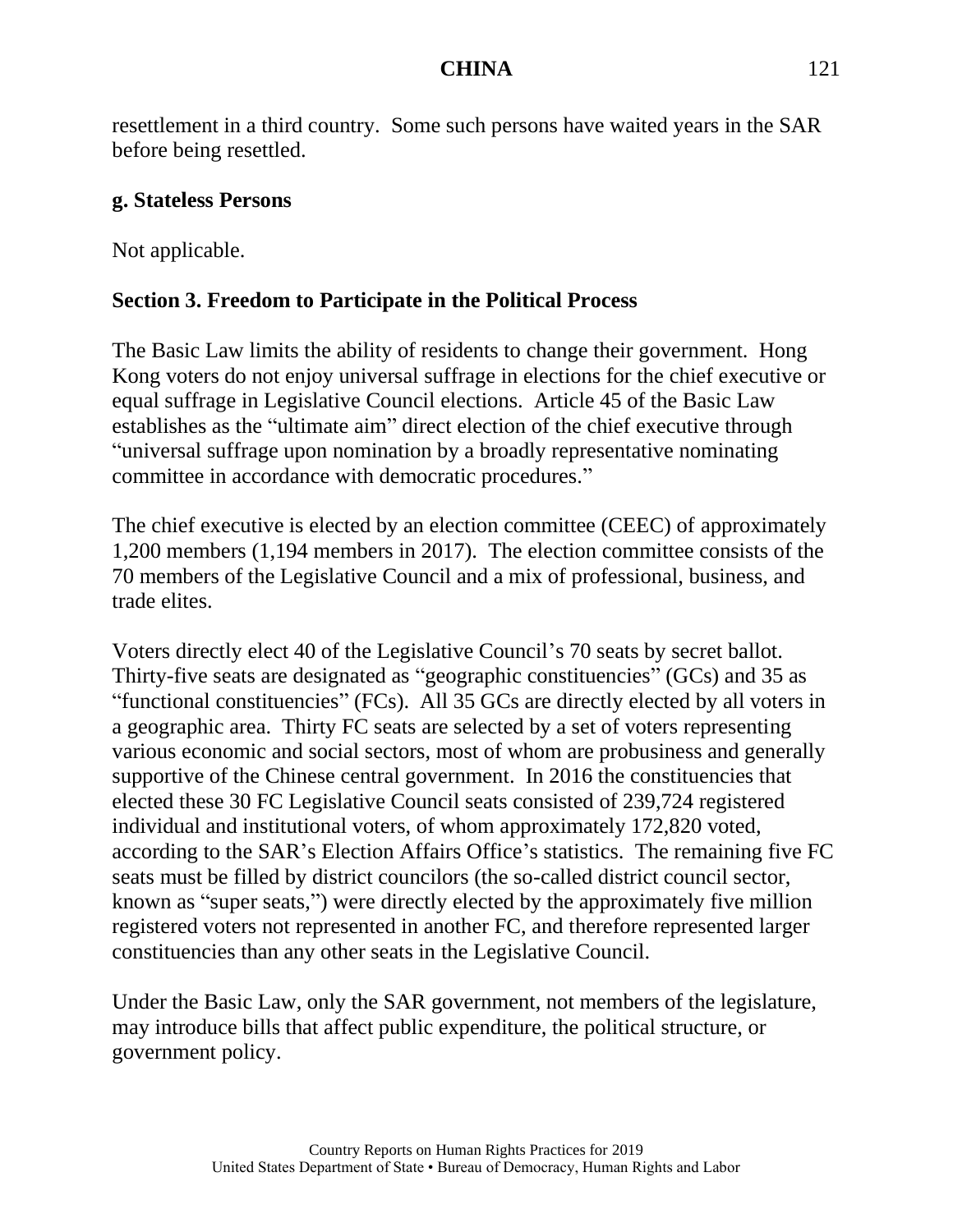resettlement in a third country. Some such persons have waited years in the SAR before being resettled.

#### **g. Stateless Persons**

Not applicable.

# **Section 3. Freedom to Participate in the Political Process**

The Basic Law limits the ability of residents to change their government. Hong Kong voters do not enjoy universal suffrage in elections for the chief executive or equal suffrage in Legislative Council elections. Article 45 of the Basic Law establishes as the "ultimate aim" direct election of the chief executive through "universal suffrage upon nomination by a broadly representative nominating committee in accordance with democratic procedures."

The chief executive is elected by an election committee (CEEC) of approximately 1,200 members (1,194 members in 2017). The election committee consists of the 70 members of the Legislative Council and a mix of professional, business, and trade elites.

Voters directly elect 40 of the Legislative Council's 70 seats by secret ballot. Thirty-five seats are designated as "geographic constituencies" (GCs) and 35 as "functional constituencies" (FCs). All 35 GCs are directly elected by all voters in a geographic area. Thirty FC seats are selected by a set of voters representing various economic and social sectors, most of whom are probusiness and generally supportive of the Chinese central government. In 2016 the constituencies that elected these 30 FC Legislative Council seats consisted of 239,724 registered individual and institutional voters, of whom approximately 172,820 voted, according to the SAR's Election Affairs Office's statistics. The remaining five FC seats must be filled by district councilors (the so-called district council sector, known as "super seats,") were directly elected by the approximately five million registered voters not represented in another FC, and therefore represented larger constituencies than any other seats in the Legislative Council.

Under the Basic Law, only the SAR government, not members of the legislature, may introduce bills that affect public expenditure, the political structure, or government policy.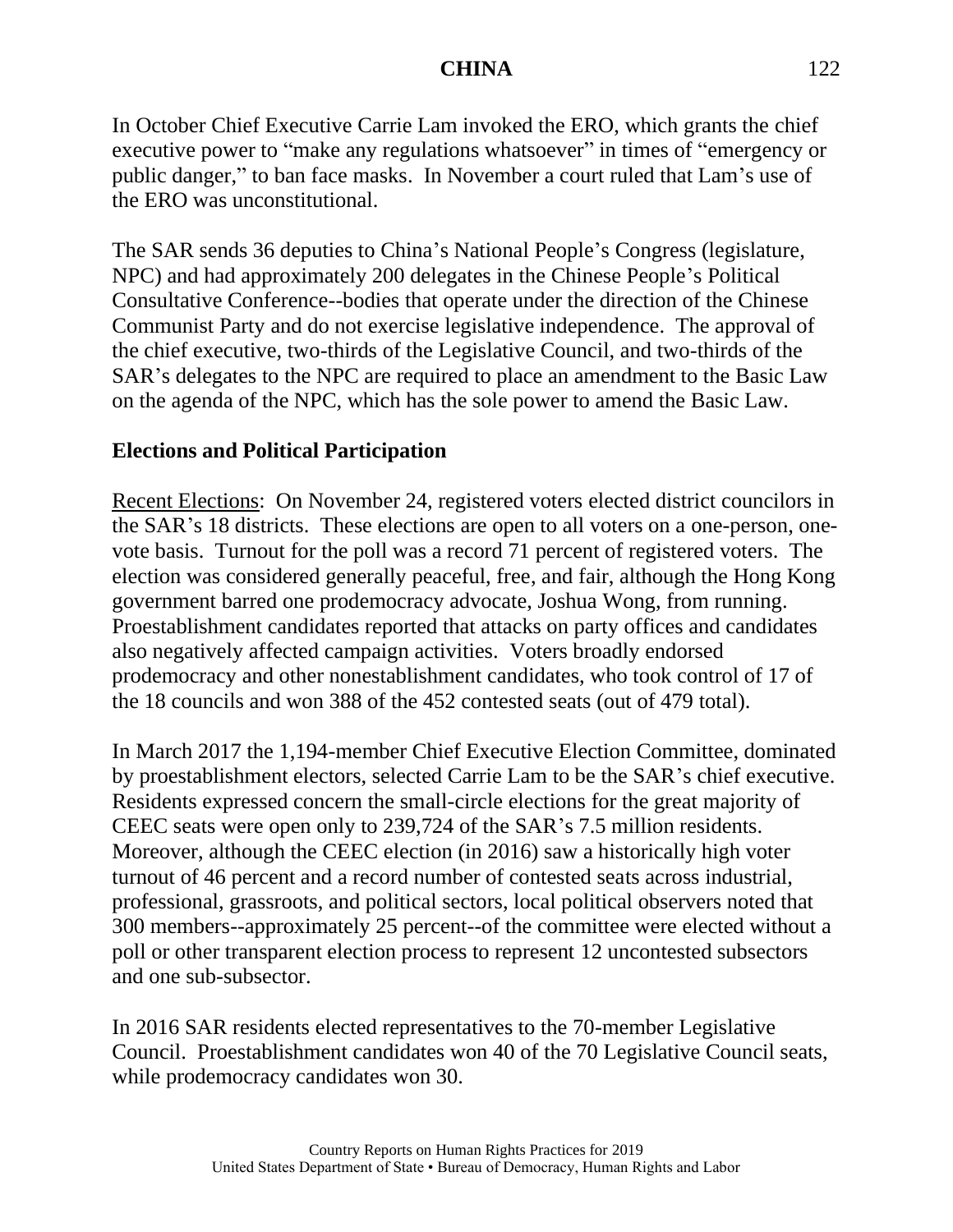In October Chief Executive Carrie Lam invoked the ERO, which grants the chief executive power to "make any regulations whatsoever" in times of "emergency or public danger," to ban face masks. In November a court ruled that Lam's use of the ERO was unconstitutional.

The SAR sends 36 deputies to China's National People's Congress (legislature, NPC) and had approximately 200 delegates in the Chinese People's Political Consultative Conference--bodies that operate under the direction of the Chinese Communist Party and do not exercise legislative independence. The approval of the chief executive, two-thirds of the Legislative Council, and two-thirds of the SAR's delegates to the NPC are required to place an amendment to the Basic Law on the agenda of the NPC, which has the sole power to amend the Basic Law.

## **Elections and Political Participation**

Recent Elections: On November 24, registered voters elected district councilors in the SAR's 18 districts. These elections are open to all voters on a one-person, onevote basis. Turnout for the poll was a record 71 percent of registered voters. The election was considered generally peaceful, free, and fair, although the Hong Kong government barred one prodemocracy advocate, Joshua Wong, from running. Proestablishment candidates reported that attacks on party offices and candidates also negatively affected campaign activities. Voters broadly endorsed prodemocracy and other nonestablishment candidates, who took control of 17 of the 18 councils and won 388 of the 452 contested seats (out of 479 total).

In March 2017 the 1,194-member Chief Executive Election Committee, dominated by proestablishment electors, selected Carrie Lam to be the SAR's chief executive. Residents expressed concern the small-circle elections for the great majority of CEEC seats were open only to 239,724 of the SAR's 7.5 million residents. Moreover, although the CEEC election (in 2016) saw a historically high voter turnout of 46 percent and a record number of contested seats across industrial, professional, grassroots, and political sectors, local political observers noted that 300 members--approximately 25 percent--of the committee were elected without a poll or other transparent election process to represent 12 uncontested subsectors and one sub-subsector.

In 2016 SAR residents elected representatives to the 70-member Legislative Council. Proestablishment candidates won 40 of the 70 Legislative Council seats, while prodemocracy candidates won 30.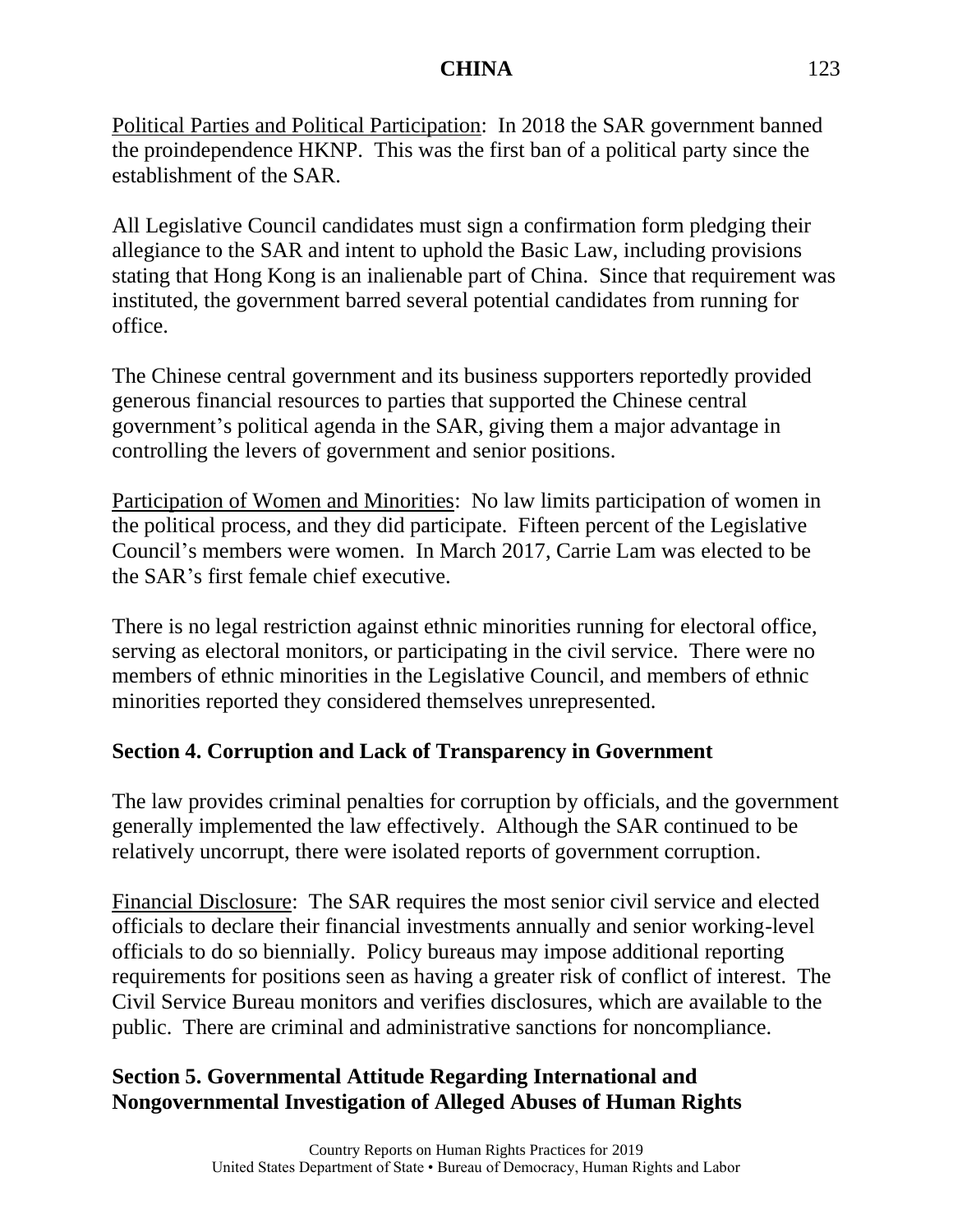Political Parties and Political Participation: In 2018 the SAR government banned the proindependence HKNP. This was the first ban of a political party since the establishment of the SAR.

All Legislative Council candidates must sign a confirmation form pledging their allegiance to the SAR and intent to uphold the Basic Law, including provisions stating that Hong Kong is an inalienable part of China. Since that requirement was instituted, the government barred several potential candidates from running for office.

The Chinese central government and its business supporters reportedly provided generous financial resources to parties that supported the Chinese central government's political agenda in the SAR, giving them a major advantage in controlling the levers of government and senior positions.

Participation of Women and Minorities: No law limits participation of women in the political process, and they did participate. Fifteen percent of the Legislative Council's members were women. In March 2017, Carrie Lam was elected to be the SAR's first female chief executive.

There is no legal restriction against ethnic minorities running for electoral office, serving as electoral monitors, or participating in the civil service. There were no members of ethnic minorities in the Legislative Council, and members of ethnic minorities reported they considered themselves unrepresented.

## **Section 4. Corruption and Lack of Transparency in Government**

The law provides criminal penalties for corruption by officials, and the government generally implemented the law effectively. Although the SAR continued to be relatively uncorrupt, there were isolated reports of government corruption.

Financial Disclosure: The SAR requires the most senior civil service and elected officials to declare their financial investments annually and senior working-level officials to do so biennially. Policy bureaus may impose additional reporting requirements for positions seen as having a greater risk of conflict of interest. The Civil Service Bureau monitors and verifies disclosures, which are available to the public. There are criminal and administrative sanctions for noncompliance.

# **Section 5. Governmental Attitude Regarding International and Nongovernmental Investigation of Alleged Abuses of Human Rights**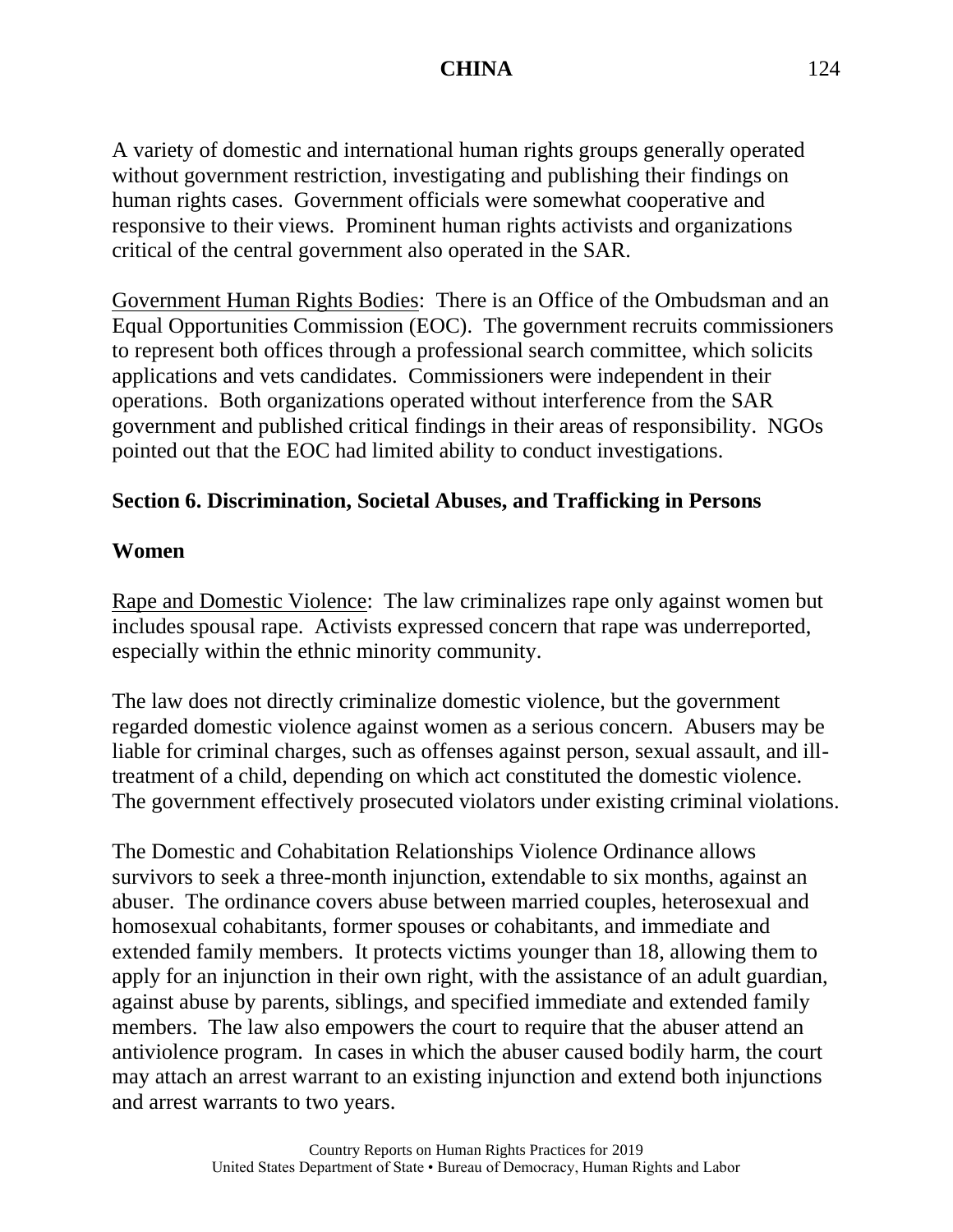A variety of domestic and international human rights groups generally operated without government restriction, investigating and publishing their findings on human rights cases. Government officials were somewhat cooperative and responsive to their views. Prominent human rights activists and organizations critical of the central government also operated in the SAR.

Government Human Rights Bodies: There is an Office of the Ombudsman and an Equal Opportunities Commission (EOC). The government recruits commissioners to represent both offices through a professional search committee, which solicits applications and vets candidates. Commissioners were independent in their operations. Both organizations operated without interference from the SAR government and published critical findings in their areas of responsibility. NGOs pointed out that the EOC had limited ability to conduct investigations.

## **Section 6. Discrimination, Societal Abuses, and Trafficking in Persons**

#### **Women**

Rape and Domestic Violence: The law criminalizes rape only against women but includes spousal rape. Activists expressed concern that rape was underreported, especially within the ethnic minority community.

The law does not directly criminalize domestic violence, but the government regarded domestic violence against women as a serious concern. Abusers may be liable for criminal charges, such as offenses against person, sexual assault, and illtreatment of a child, depending on which act constituted the domestic violence. The government effectively prosecuted violators under existing criminal violations.

The Domestic and Cohabitation Relationships Violence Ordinance allows survivors to seek a three-month injunction, extendable to six months, against an abuser. The ordinance covers abuse between married couples, heterosexual and homosexual cohabitants, former spouses or cohabitants, and immediate and extended family members. It protects victims younger than 18, allowing them to apply for an injunction in their own right, with the assistance of an adult guardian, against abuse by parents, siblings, and specified immediate and extended family members. The law also empowers the court to require that the abuser attend an antiviolence program. In cases in which the abuser caused bodily harm, the court may attach an arrest warrant to an existing injunction and extend both injunctions and arrest warrants to two years.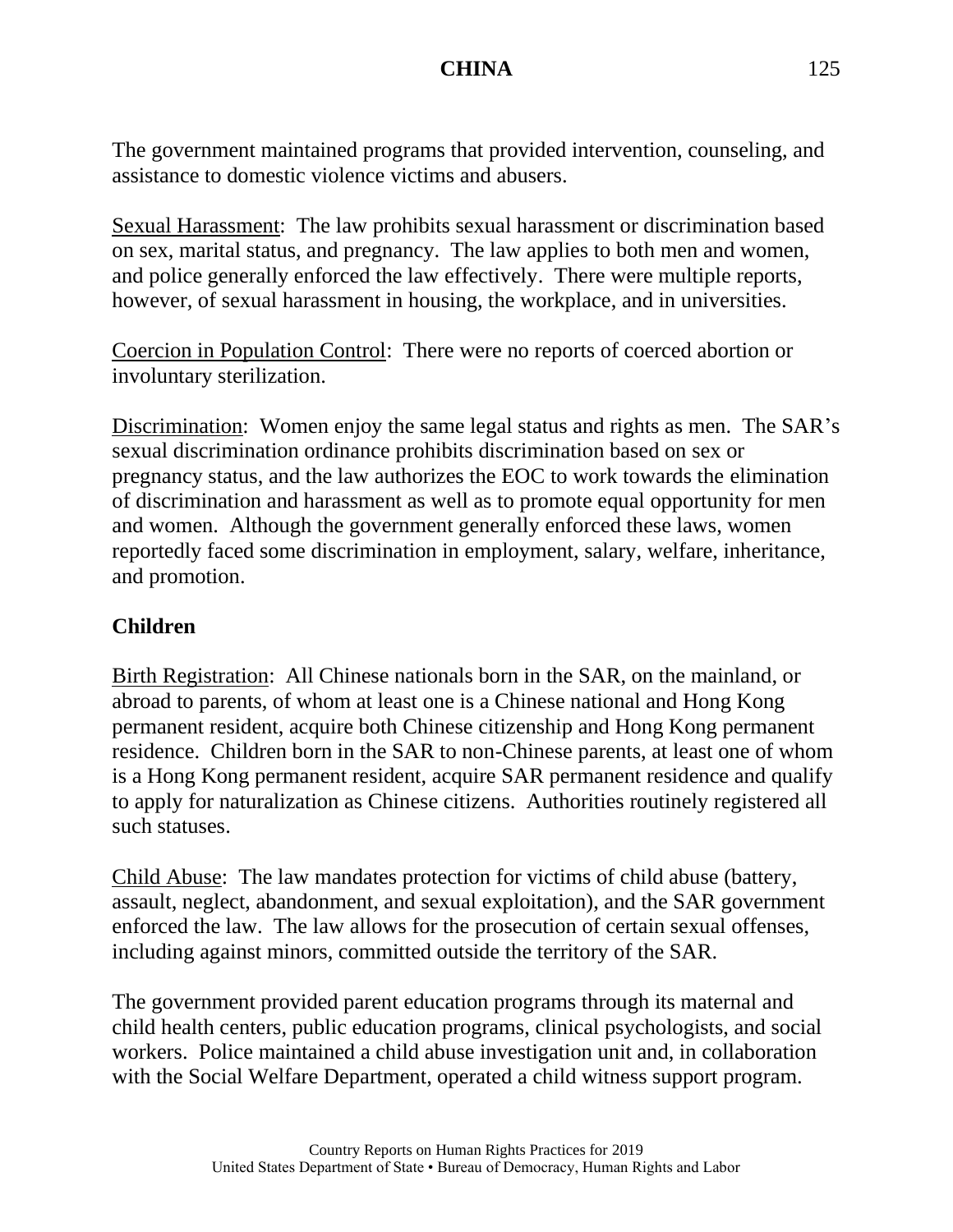The government maintained programs that provided intervention, counseling, and assistance to domestic violence victims and abusers.

Sexual Harassment: The law prohibits sexual harassment or discrimination based on sex, marital status, and pregnancy. The law applies to both men and women, and police generally enforced the law effectively. There were multiple reports, however, of sexual harassment in housing, the workplace, and in universities.

Coercion in Population Control: There were no reports of coerced abortion or involuntary sterilization.

Discrimination: Women enjoy the same legal status and rights as men. The SAR's sexual discrimination ordinance prohibits discrimination based on sex or pregnancy status, and the law authorizes the EOC to work towards the elimination of discrimination and harassment as well as to promote equal opportunity for men and women. Although the government generally enforced these laws, women reportedly faced some discrimination in employment, salary, welfare, inheritance, and promotion.

### **Children**

Birth Registration: All Chinese nationals born in the SAR, on the mainland, or abroad to parents, of whom at least one is a Chinese national and Hong Kong permanent resident, acquire both Chinese citizenship and Hong Kong permanent residence. Children born in the SAR to non-Chinese parents, at least one of whom is a Hong Kong permanent resident, acquire SAR permanent residence and qualify to apply for naturalization as Chinese citizens. Authorities routinely registered all such statuses.

Child Abuse: The law mandates protection for victims of child abuse (battery, assault, neglect, abandonment, and sexual exploitation), and the SAR government enforced the law. The law allows for the prosecution of certain sexual offenses, including against minors, committed outside the territory of the SAR.

The government provided parent education programs through its maternal and child health centers, public education programs, clinical psychologists, and social workers. Police maintained a child abuse investigation unit and, in collaboration with the Social Welfare Department, operated a child witness support program.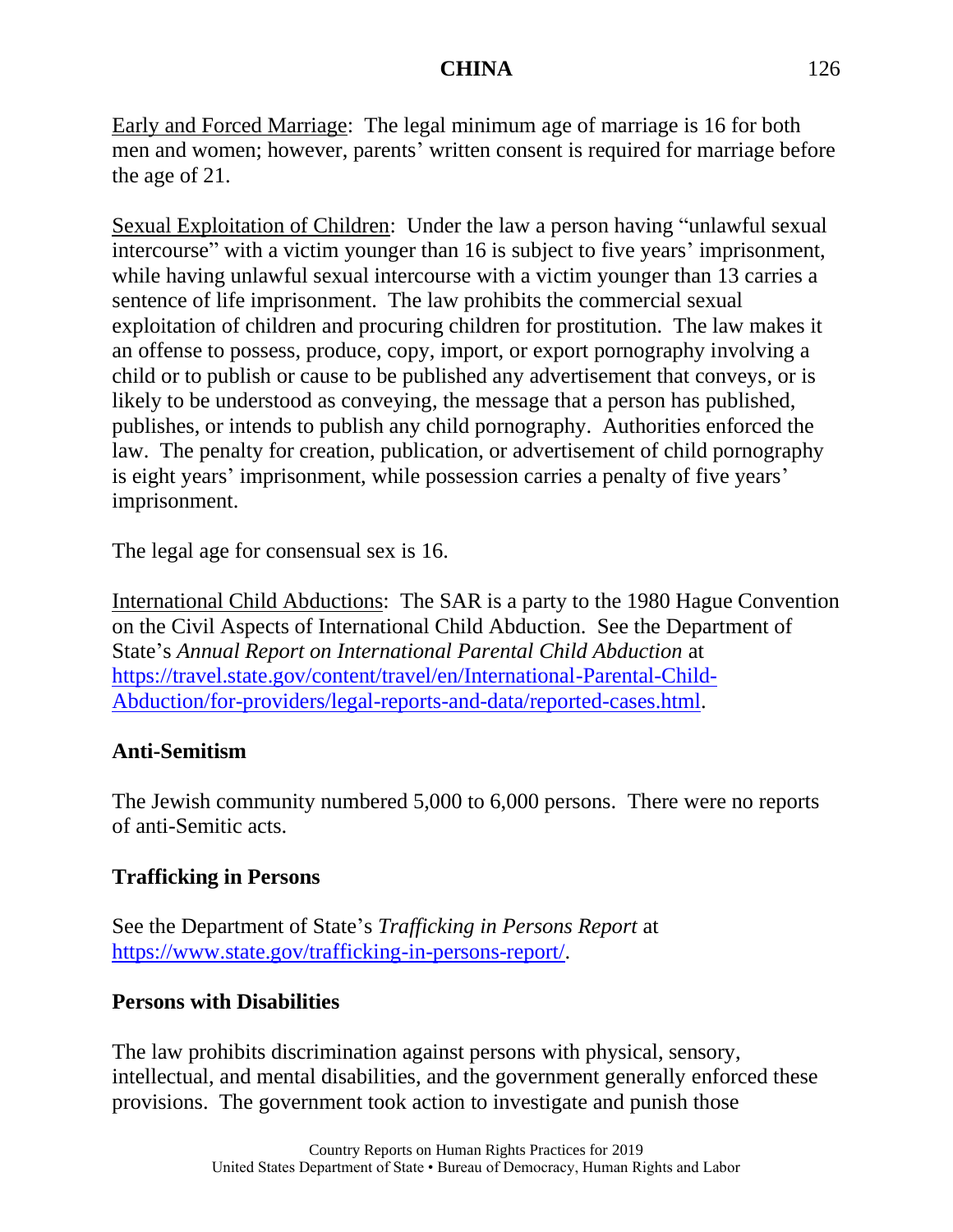Early and Forced Marriage: The legal minimum age of marriage is 16 for both men and women; however, parents' written consent is required for marriage before the age of 21.

Sexual Exploitation of Children: Under the law a person having "unlawful sexual intercourse" with a victim younger than 16 is subject to five years' imprisonment, while having unlawful sexual intercourse with a victim younger than 13 carries a sentence of life imprisonment. The law prohibits the commercial sexual exploitation of children and procuring children for prostitution. The law makes it an offense to possess, produce, copy, import, or export pornography involving a child or to publish or cause to be published any advertisement that conveys, or is likely to be understood as conveying, the message that a person has published, publishes, or intends to publish any child pornography. Authorities enforced the law. The penalty for creation, publication, or advertisement of child pornography is eight years' imprisonment, while possession carries a penalty of five years' imprisonment.

The legal age for consensual sex is 16.

International Child Abductions: The SAR is a party to the 1980 Hague Convention on the Civil Aspects of International Child Abduction. See the Department of State's *Annual Report on International Parental Child Abduction* at [https://travel.state.gov/content/travel/en/International-Parental-Child-](https://travel.state.gov/content/travel/en/International-Parental-Child-Abduction/for-providers/legal-reports-and-data/reported-cases.html)[Abduction/for-providers/legal-reports-and-data/reported-cases.html.](https://travel.state.gov/content/travel/en/International-Parental-Child-Abduction/for-providers/legal-reports-and-data/reported-cases.html)

## **Anti-Semitism**

The Jewish community numbered 5,000 to 6,000 persons. There were no reports of anti-Semitic acts.

## **Trafficking in Persons**

See the Department of State's *Trafficking in Persons Report* at [https://www.state.gov/trafficking-in-persons-report/.](https://www.state.gov/trafficking-in-persons-report/)

#### **Persons with Disabilities**

The law prohibits discrimination against persons with physical, sensory, intellectual, and mental disabilities, and the government generally enforced these provisions. The government took action to investigate and punish those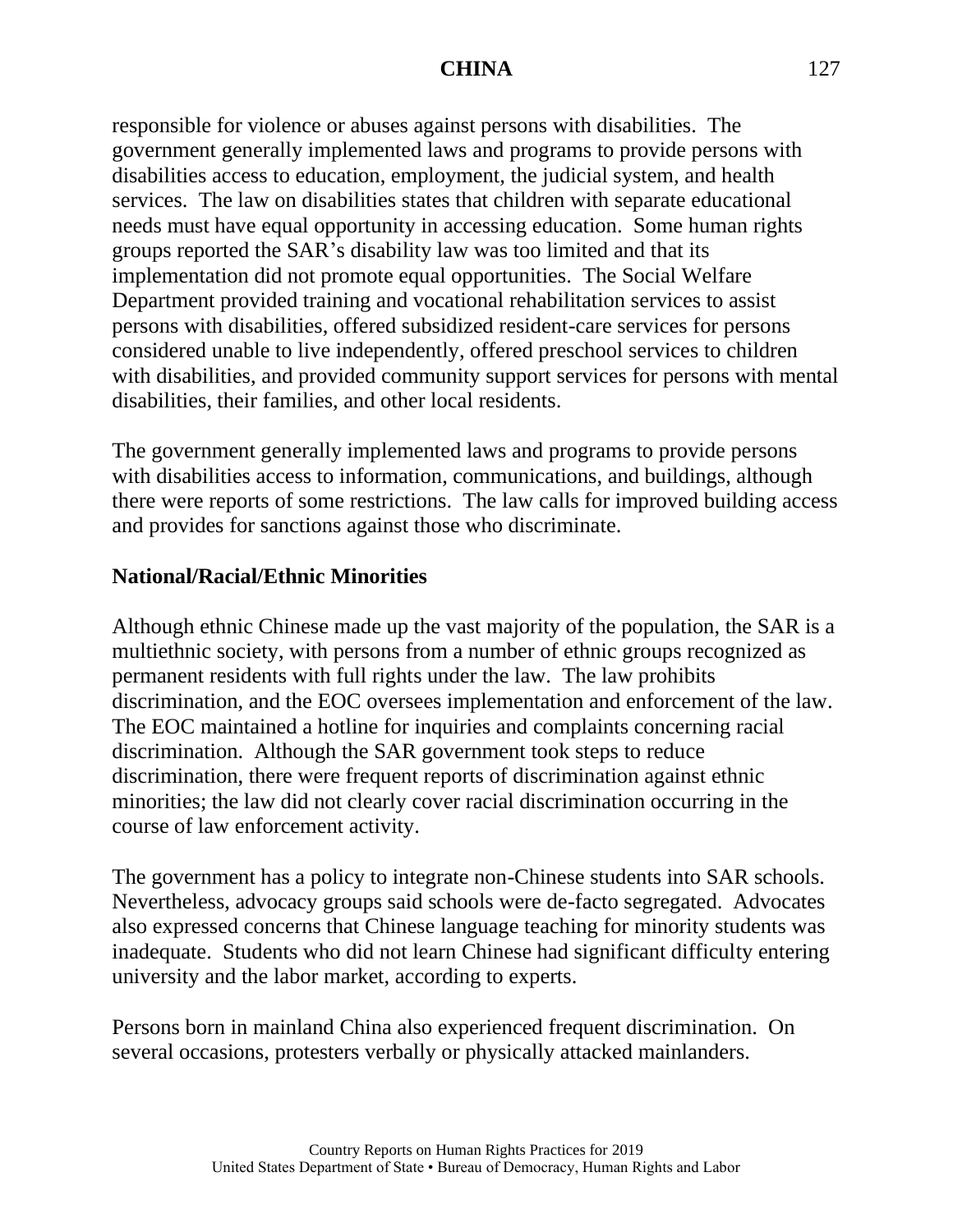responsible for violence or abuses against persons with disabilities. The government generally implemented laws and programs to provide persons with disabilities access to education, employment, the judicial system, and health services. The law on disabilities states that children with separate educational needs must have equal opportunity in accessing education. Some human rights groups reported the SAR's disability law was too limited and that its implementation did not promote equal opportunities. The Social Welfare Department provided training and vocational rehabilitation services to assist persons with disabilities, offered subsidized resident-care services for persons considered unable to live independently, offered preschool services to children with disabilities, and provided community support services for persons with mental disabilities, their families, and other local residents.

The government generally implemented laws and programs to provide persons with disabilities access to information, communications, and buildings, although there were reports of some restrictions. The law calls for improved building access and provides for sanctions against those who discriminate.

#### **National/Racial/Ethnic Minorities**

Although ethnic Chinese made up the vast majority of the population, the SAR is a multiethnic society, with persons from a number of ethnic groups recognized as permanent residents with full rights under the law. The law prohibits discrimination, and the EOC oversees implementation and enforcement of the law. The EOC maintained a hotline for inquiries and complaints concerning racial discrimination. Although the SAR government took steps to reduce discrimination, there were frequent reports of discrimination against ethnic minorities; the law did not clearly cover racial discrimination occurring in the course of law enforcement activity.

The government has a policy to integrate non-Chinese students into SAR schools. Nevertheless, advocacy groups said schools were de-facto segregated. Advocates also expressed concerns that Chinese language teaching for minority students was inadequate. Students who did not learn Chinese had significant difficulty entering university and the labor market, according to experts.

Persons born in mainland China also experienced frequent discrimination. On several occasions, protesters verbally or physically attacked mainlanders.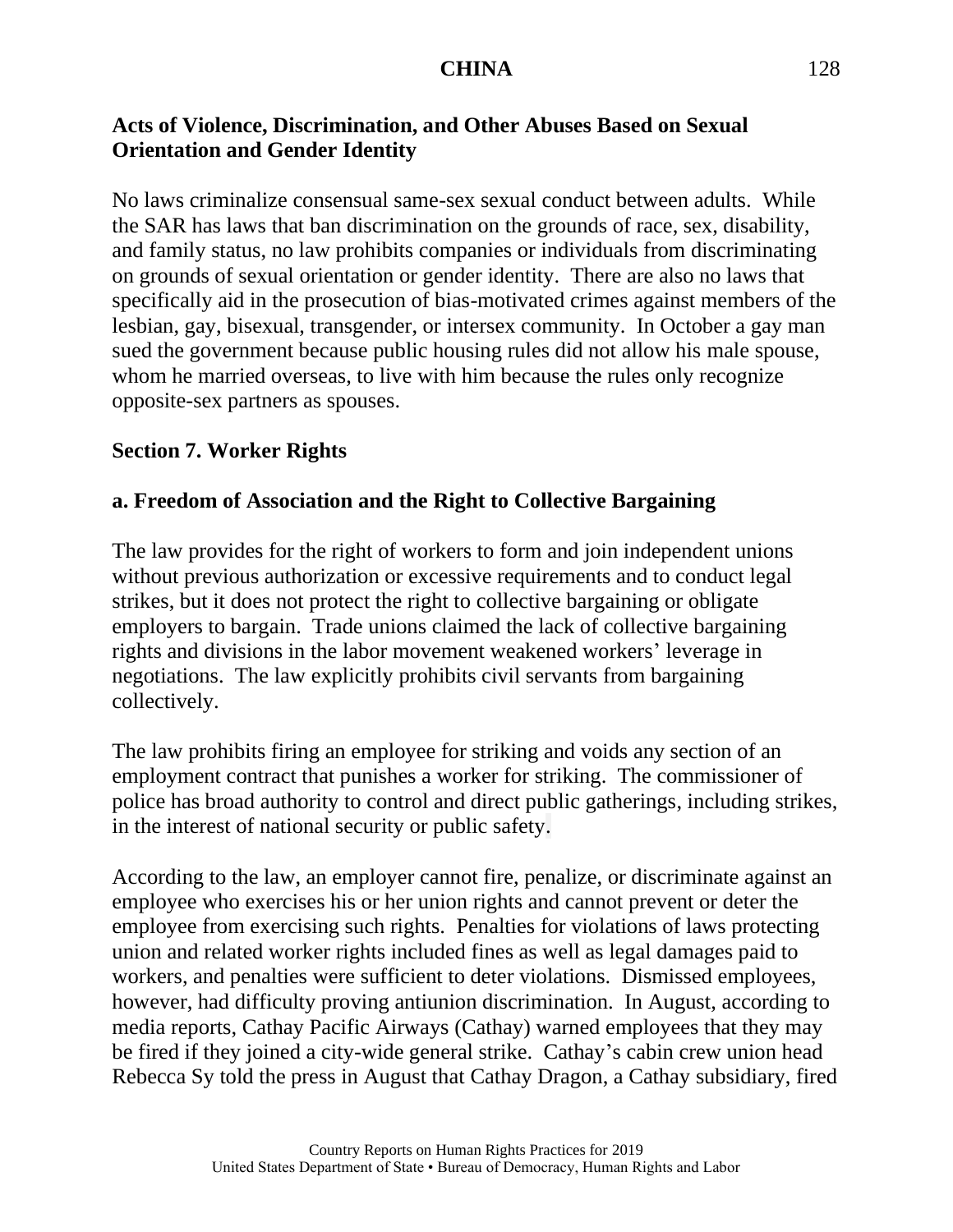# **Acts of Violence, Discrimination, and Other Abuses Based on Sexual Orientation and Gender Identity**

No laws criminalize consensual same-sex sexual conduct between adults. While the SAR has laws that ban discrimination on the grounds of race, sex, disability, and family status, no law prohibits companies or individuals from discriminating on grounds of sexual orientation or gender identity. There are also no laws that specifically aid in the prosecution of bias-motivated crimes against members of the lesbian, gay, bisexual, transgender, or intersex community. In October a gay man sued the government because public housing rules did not allow his male spouse, whom he married overseas, to live with him because the rules only recognize opposite-sex partners as spouses.

#### **Section 7. Worker Rights**

#### **a. Freedom of Association and the Right to Collective Bargaining**

The law provides for the right of workers to form and join independent unions without previous authorization or excessive requirements and to conduct legal strikes, but it does not protect the right to collective bargaining or obligate employers to bargain. Trade unions claimed the lack of collective bargaining rights and divisions in the labor movement weakened workers' leverage in negotiations. The law explicitly prohibits civil servants from bargaining collectively.

The law prohibits firing an employee for striking and voids any section of an employment contract that punishes a worker for striking. The commissioner of police has broad authority to control and direct public gatherings, including strikes, in the interest of national security or public safety.

According to the law, an employer cannot fire, penalize, or discriminate against an employee who exercises his or her union rights and cannot prevent or deter the employee from exercising such rights. Penalties for violations of laws protecting union and related worker rights included fines as well as legal damages paid to workers, and penalties were sufficient to deter violations. Dismissed employees, however, had difficulty proving antiunion discrimination. In August, according to media reports, Cathay Pacific Airways (Cathay) warned employees that they may be fired if they joined a city-wide general strike. Cathay's cabin crew union head Rebecca Sy told the press in August that Cathay Dragon, a Cathay subsidiary, fired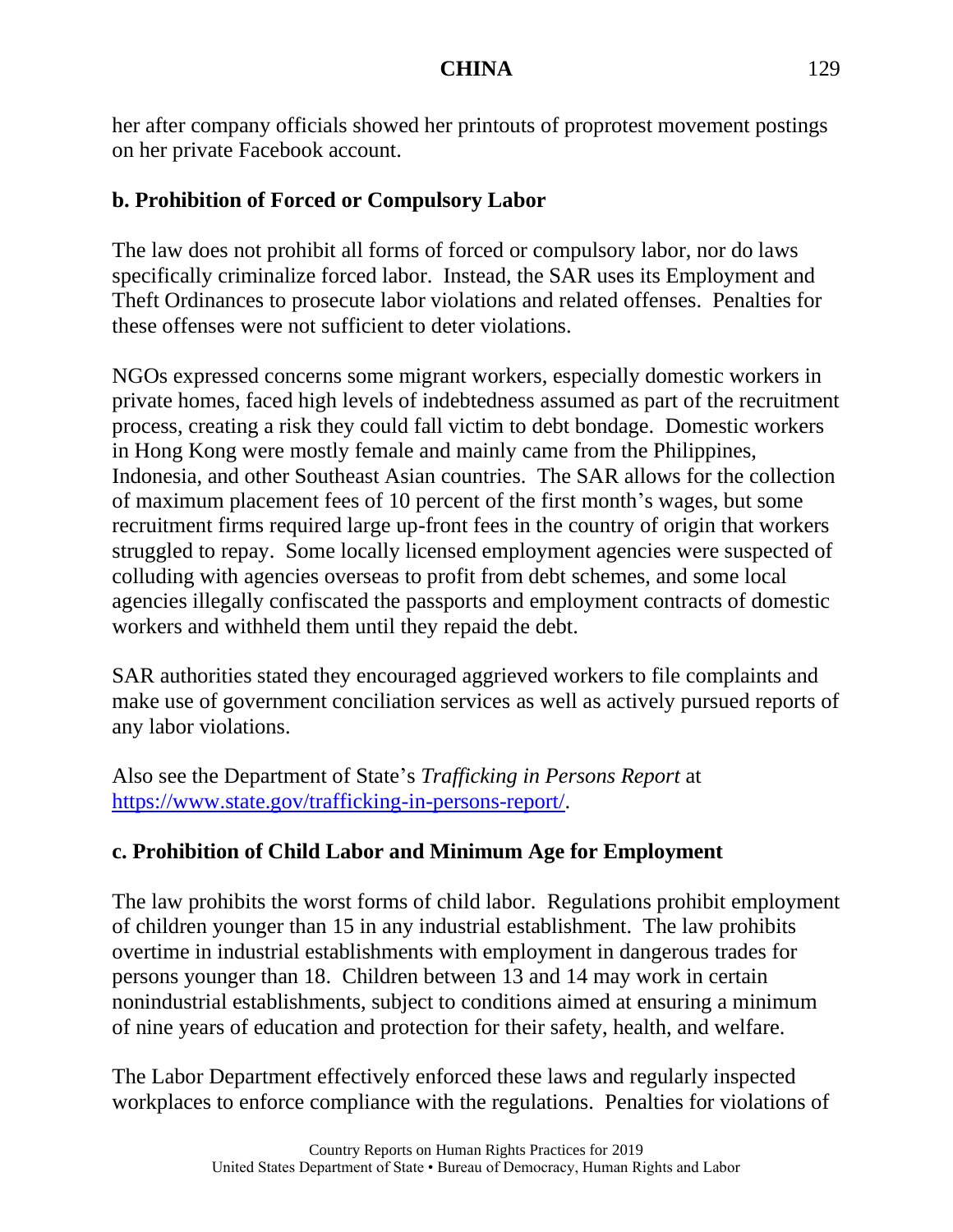her after company officials showed her printouts of proprotest movement postings on her private Facebook account.

## **b. Prohibition of Forced or Compulsory Labor**

The law does not prohibit all forms of forced or compulsory labor, nor do laws specifically criminalize forced labor. Instead, the SAR uses its Employment and Theft Ordinances to prosecute labor violations and related offenses. Penalties for these offenses were not sufficient to deter violations.

NGOs expressed concerns some migrant workers, especially domestic workers in private homes, faced high levels of indebtedness assumed as part of the recruitment process, creating a risk they could fall victim to debt bondage. Domestic workers in Hong Kong were mostly female and mainly came from the Philippines, Indonesia, and other Southeast Asian countries. The SAR allows for the collection of maximum placement fees of 10 percent of the first month's wages, but some recruitment firms required large up-front fees in the country of origin that workers struggled to repay. Some locally licensed employment agencies were suspected of colluding with agencies overseas to profit from debt schemes, and some local agencies illegally confiscated the passports and employment contracts of domestic workers and withheld them until they repaid the debt.

SAR authorities stated they encouraged aggrieved workers to file complaints and make use of government conciliation services as well as actively pursued reports of any labor violations.

Also see the Department of State's *Trafficking in Persons Report* at [https://www.state.gov/trafficking-in-persons-report/.](https://www.state.gov/trafficking-in-persons-report/)

# **c. Prohibition of Child Labor and Minimum Age for Employment**

The law prohibits the worst forms of child labor. Regulations prohibit employment of children younger than 15 in any industrial establishment. The law prohibits overtime in industrial establishments with employment in dangerous trades for persons younger than 18. Children between 13 and 14 may work in certain nonindustrial establishments, subject to conditions aimed at ensuring a minimum of nine years of education and protection for their safety, health, and welfare.

The Labor Department effectively enforced these laws and regularly inspected workplaces to enforce compliance with the regulations. Penalties for violations of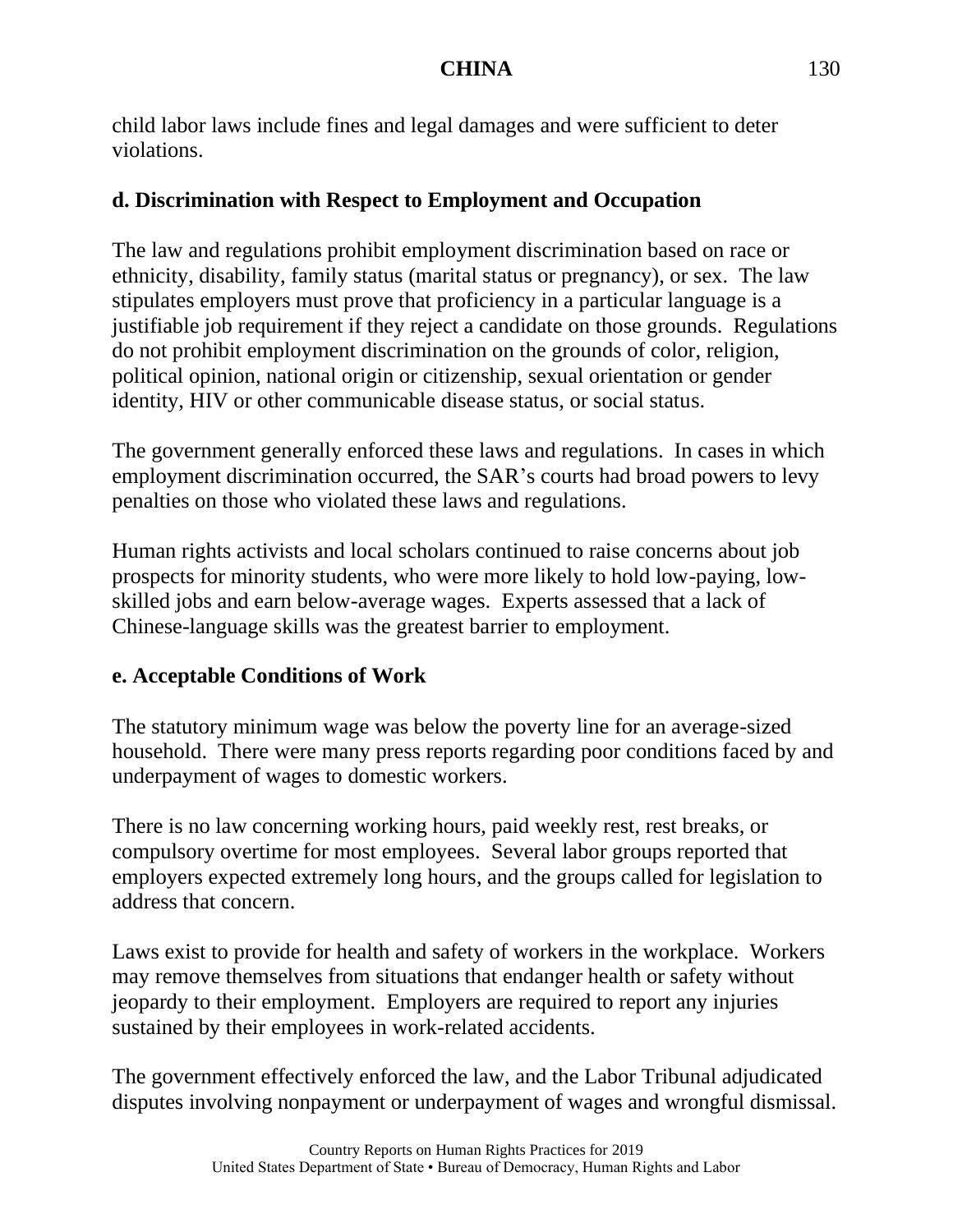child labor laws include fines and legal damages and were sufficient to deter violations.

#### **d. Discrimination with Respect to Employment and Occupation**

The law and regulations prohibit employment discrimination based on race or ethnicity, disability, family status (marital status or pregnancy), or sex. The law stipulates employers must prove that proficiency in a particular language is a justifiable job requirement if they reject a candidate on those grounds. Regulations do not prohibit employment discrimination on the grounds of color, religion, political opinion, national origin or citizenship, sexual orientation or gender identity, HIV or other communicable disease status, or social status.

The government generally enforced these laws and regulations. In cases in which employment discrimination occurred, the SAR's courts had broad powers to levy penalties on those who violated these laws and regulations.

Human rights activists and local scholars continued to raise concerns about job prospects for minority students, who were more likely to hold low-paying, lowskilled jobs and earn below-average wages. Experts assessed that a lack of Chinese-language skills was the greatest barrier to employment.

## **e. Acceptable Conditions of Work**

The statutory minimum wage was below the poverty line for an average-sized household. There were many press reports regarding poor conditions faced by and underpayment of wages to domestic workers.

There is no law concerning working hours, paid weekly rest, rest breaks, or compulsory overtime for most employees. Several labor groups reported that employers expected extremely long hours, and the groups called for legislation to address that concern.

Laws exist to provide for health and safety of workers in the workplace. Workers may remove themselves from situations that endanger health or safety without jeopardy to their employment. Employers are required to report any injuries sustained by their employees in work-related accidents.

The government effectively enforced the law, and the Labor Tribunal adjudicated disputes involving nonpayment or underpayment of wages and wrongful dismissal.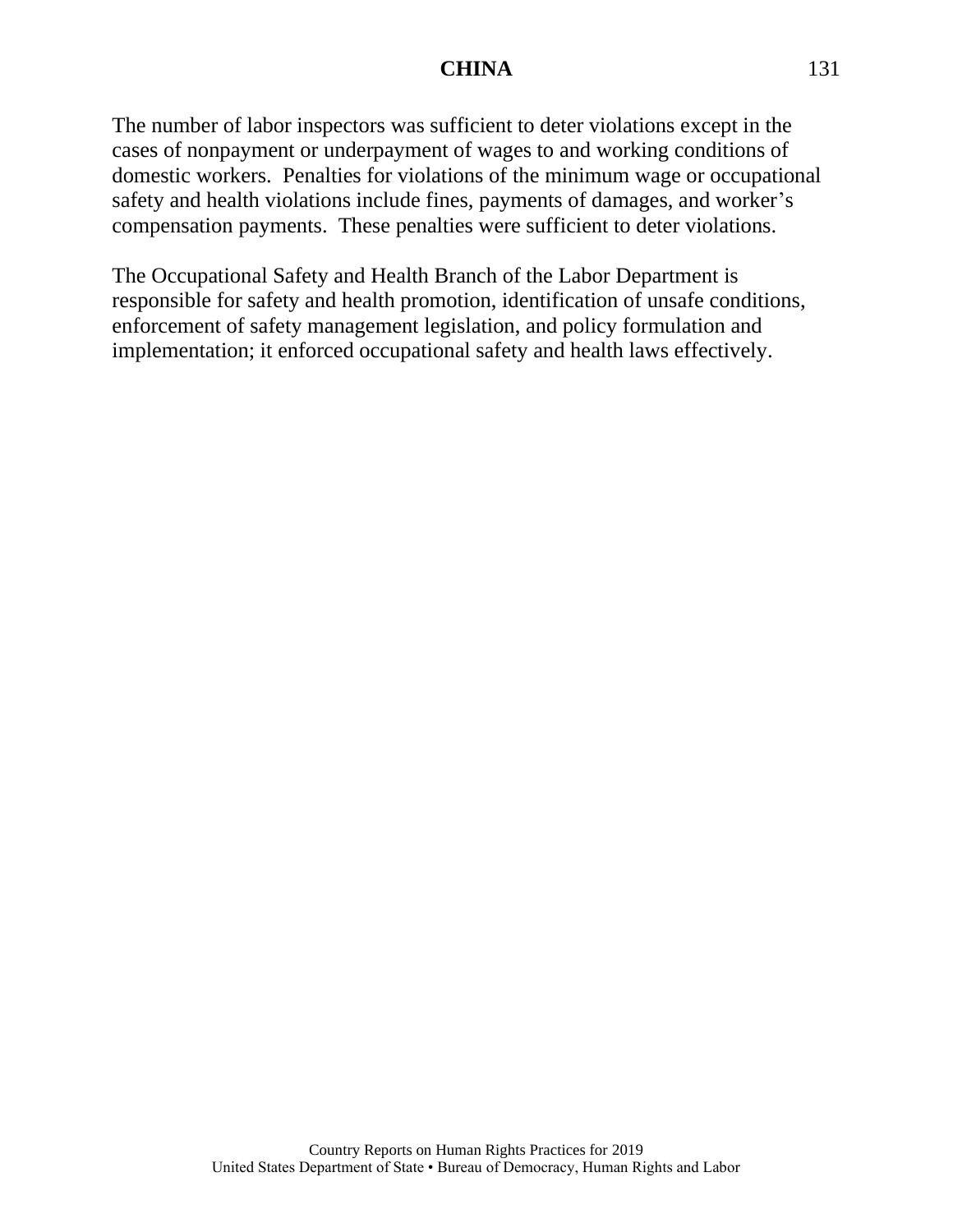The number of labor inspectors was sufficient to deter violations except in the cases of nonpayment or underpayment of wages to and working conditions of domestic workers. Penalties for violations of the minimum wage or occupational safety and health violations include fines, payments of damages, and worker's compensation payments. These penalties were sufficient to deter violations.

The Occupational Safety and Health Branch of the Labor Department is responsible for safety and health promotion, identification of unsafe conditions, enforcement of safety management legislation, and policy formulation and implementation; it enforced occupational safety and health laws effectively.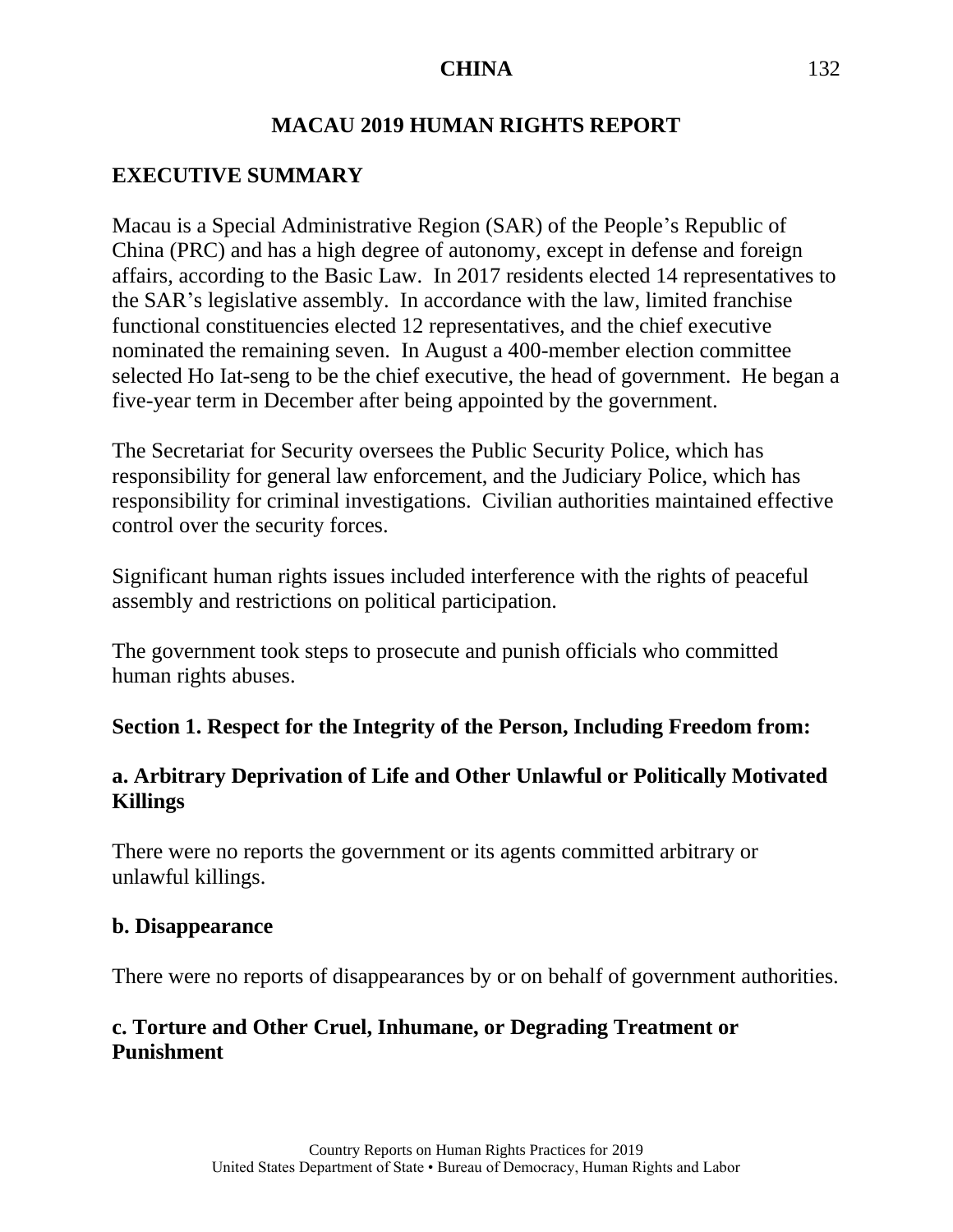# **MACAU 2019 HUMAN RIGHTS REPORT**

# **EXECUTIVE SUMMARY**

Macau is a Special Administrative Region (SAR) of the People's Republic of China (PRC) and has a high degree of autonomy, except in defense and foreign affairs, according to the Basic Law. In 2017 residents elected 14 representatives to the SAR's legislative assembly. In accordance with the law, limited franchise functional constituencies elected 12 representatives, and the chief executive nominated the remaining seven. In August a 400-member election committee selected Ho Iat-seng to be the chief executive, the head of government. He began a five-year term in December after being appointed by the government.

The Secretariat for Security oversees the Public Security Police, which has responsibility for general law enforcement, and the Judiciary Police, which has responsibility for criminal investigations. Civilian authorities maintained effective control over the security forces.

Significant human rights issues included interference with the rights of peaceful assembly and restrictions on political participation.

The government took steps to prosecute and punish officials who committed human rights abuses.

#### **Section 1. Respect for the Integrity of the Person, Including Freedom from:**

#### **a. Arbitrary Deprivation of Life and Other Unlawful or Politically Motivated Killings**

There were no reports the government or its agents committed arbitrary or unlawful killings.

#### **b. Disappearance**

There were no reports of disappearances by or on behalf of government authorities.

# **c. Torture and Other Cruel, Inhumane, or Degrading Treatment or Punishment**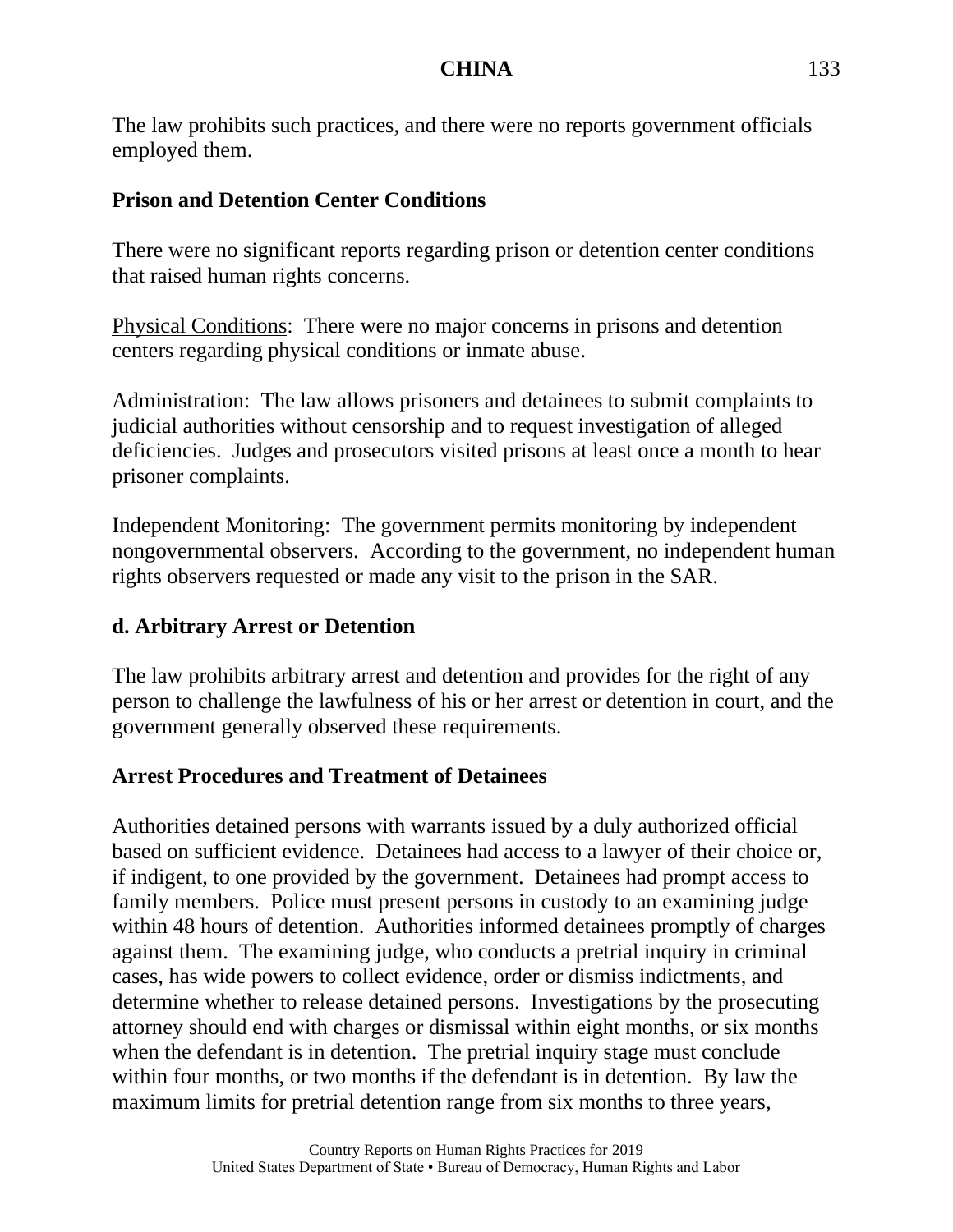The law prohibits such practices, and there were no reports government officials employed them.

### **Prison and Detention Center Conditions**

There were no significant reports regarding prison or detention center conditions that raised human rights concerns.

Physical Conditions: There were no major concerns in prisons and detention centers regarding physical conditions or inmate abuse.

Administration: The law allows prisoners and detainees to submit complaints to judicial authorities without censorship and to request investigation of alleged deficiencies. Judges and prosecutors visited prisons at least once a month to hear prisoner complaints.

Independent Monitoring: The government permits monitoring by independent nongovernmental observers. According to the government, no independent human rights observers requested or made any visit to the prison in the SAR.

## **d. Arbitrary Arrest or Detention**

The law prohibits arbitrary arrest and detention and provides for the right of any person to challenge the lawfulness of his or her arrest or detention in court, and the government generally observed these requirements.

# **Arrest Procedures and Treatment of Detainees**

Authorities detained persons with warrants issued by a duly authorized official based on sufficient evidence. Detainees had access to a lawyer of their choice or, if indigent, to one provided by the government. Detainees had prompt access to family members. Police must present persons in custody to an examining judge within 48 hours of detention. Authorities informed detainees promptly of charges against them. The examining judge, who conducts a pretrial inquiry in criminal cases, has wide powers to collect evidence, order or dismiss indictments, and determine whether to release detained persons. Investigations by the prosecuting attorney should end with charges or dismissal within eight months, or six months when the defendant is in detention. The pretrial inquiry stage must conclude within four months, or two months if the defendant is in detention. By law the maximum limits for pretrial detention range from six months to three years,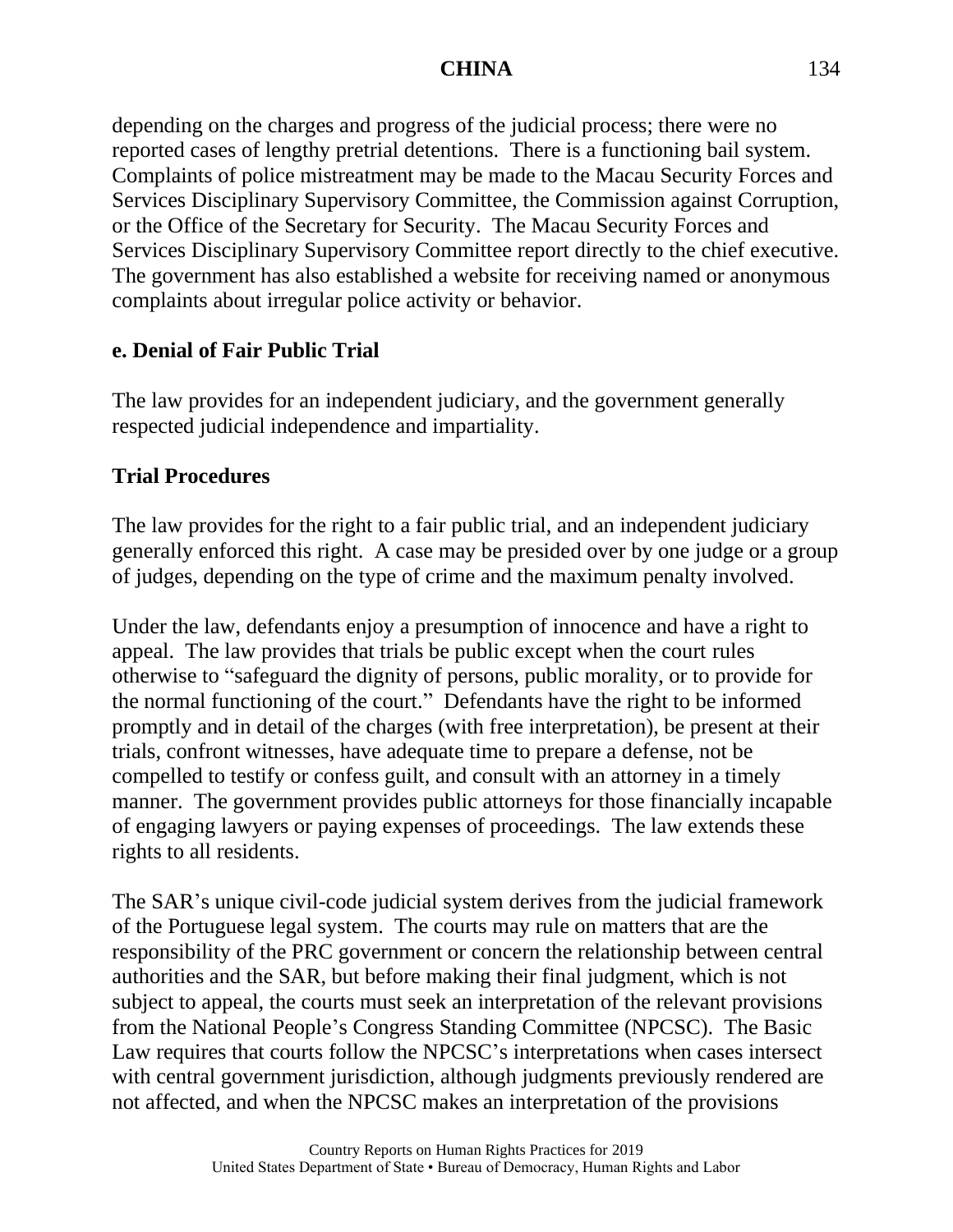depending on the charges and progress of the judicial process; there were no reported cases of lengthy pretrial detentions. There is a functioning bail system. Complaints of police mistreatment may be made to the Macau Security Forces and Services Disciplinary Supervisory Committee, the Commission against Corruption, or the Office of the Secretary for Security. The Macau Security Forces and Services Disciplinary Supervisory Committee report directly to the chief executive. The government has also established a website for receiving named or anonymous complaints about irregular police activity or behavior.

#### **e. Denial of Fair Public Trial**

The law provides for an independent judiciary, and the government generally respected judicial independence and impartiality.

## **Trial Procedures**

The law provides for the right to a fair public trial, and an independent judiciary generally enforced this right. A case may be presided over by one judge or a group of judges, depending on the type of crime and the maximum penalty involved.

Under the law, defendants enjoy a presumption of innocence and have a right to appeal. The law provides that trials be public except when the court rules otherwise to "safeguard the dignity of persons, public morality, or to provide for the normal functioning of the court." Defendants have the right to be informed promptly and in detail of the charges (with free interpretation), be present at their trials, confront witnesses, have adequate time to prepare a defense, not be compelled to testify or confess guilt, and consult with an attorney in a timely manner. The government provides public attorneys for those financially incapable of engaging lawyers or paying expenses of proceedings. The law extends these rights to all residents.

The SAR's unique civil-code judicial system derives from the judicial framework of the Portuguese legal system. The courts may rule on matters that are the responsibility of the PRC government or concern the relationship between central authorities and the SAR, but before making their final judgment, which is not subject to appeal, the courts must seek an interpretation of the relevant provisions from the National People's Congress Standing Committee (NPCSC). The Basic Law requires that courts follow the NPCSC's interpretations when cases intersect with central government jurisdiction, although judgments previously rendered are not affected, and when the NPCSC makes an interpretation of the provisions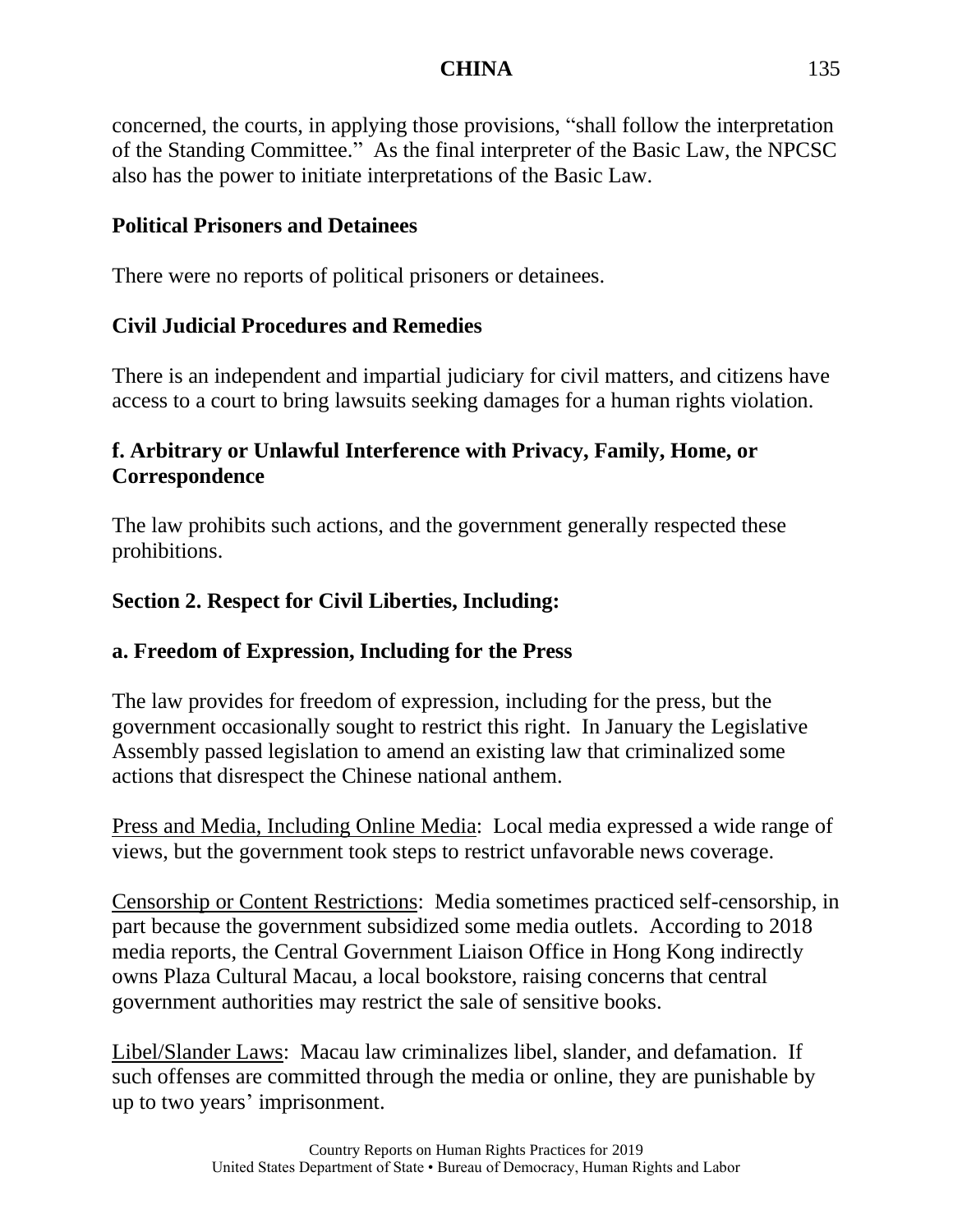concerned, the courts, in applying those provisions, "shall follow the interpretation of the Standing Committee." As the final interpreter of the Basic Law, the NPCSC also has the power to initiate interpretations of the Basic Law.

# **Political Prisoners and Detainees**

There were no reports of political prisoners or detainees.

# **Civil Judicial Procedures and Remedies**

There is an independent and impartial judiciary for civil matters, and citizens have access to a court to bring lawsuits seeking damages for a human rights violation.

# **f. Arbitrary or Unlawful Interference with Privacy, Family, Home, or Correspondence**

The law prohibits such actions, and the government generally respected these prohibitions.

# **Section 2. Respect for Civil Liberties, Including:**

# **a. Freedom of Expression, Including for the Press**

The law provides for freedom of expression, including for the press, but the government occasionally sought to restrict this right. In January the Legislative Assembly passed legislation to amend an existing law that criminalized some actions that disrespect the Chinese national anthem.

Press and Media, Including Online Media: Local media expressed a wide range of views, but the government took steps to restrict unfavorable news coverage.

Censorship or Content Restrictions: Media sometimes practiced self-censorship, in part because the government subsidized some media outlets. According to 2018 media reports, the Central Government Liaison Office in Hong Kong indirectly owns Plaza Cultural Macau, a local bookstore, raising concerns that central government authorities may restrict the sale of sensitive books.

Libel/Slander Laws: Macau law criminalizes libel, slander, and defamation. If such offenses are committed through the media or online, they are punishable by up to two years' imprisonment.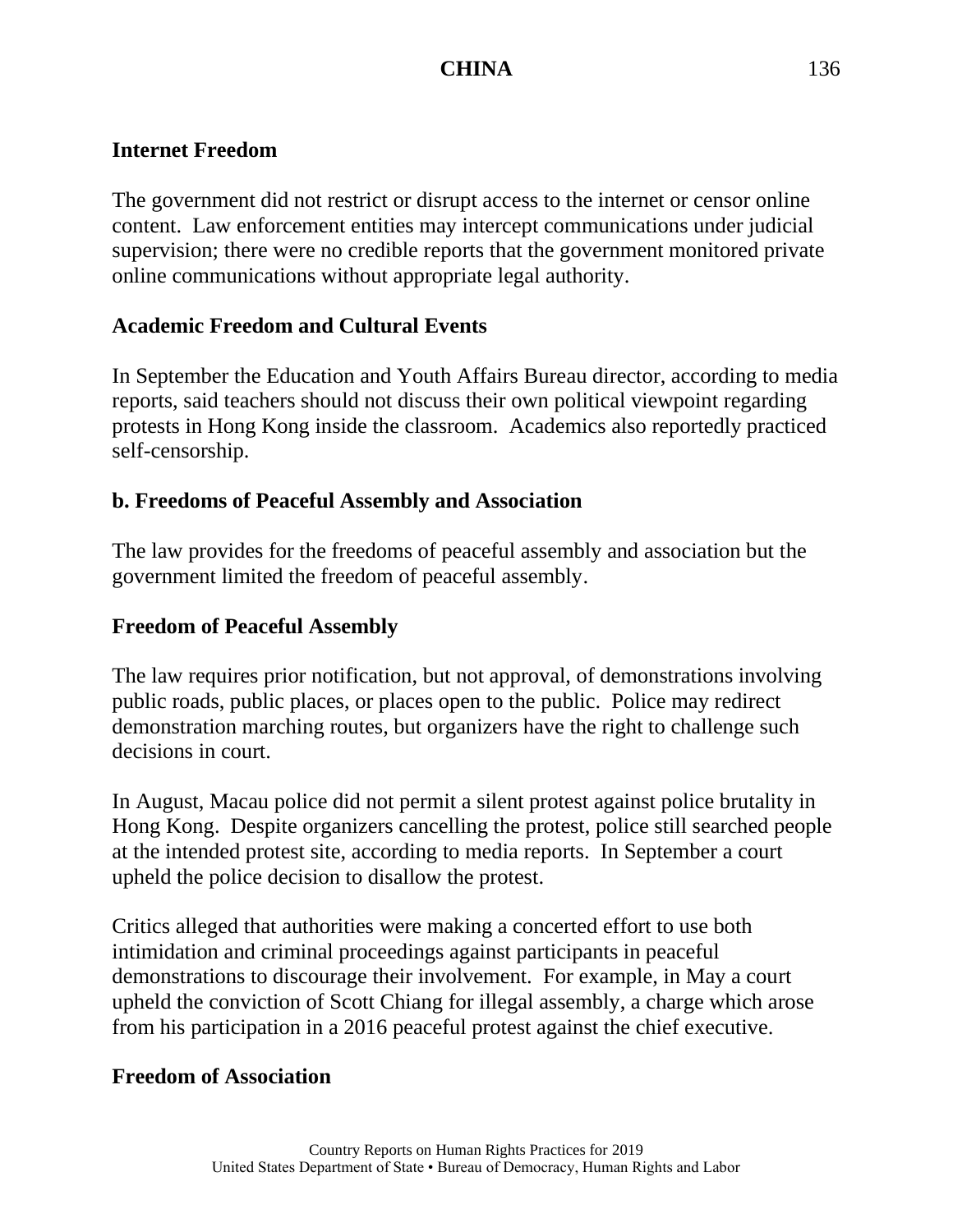# **Internet Freedom**

The government did not restrict or disrupt access to the internet or censor online content. Law enforcement entities may intercept communications under judicial supervision; there were no credible reports that the government monitored private online communications without appropriate legal authority.

## **Academic Freedom and Cultural Events**

In September the Education and Youth Affairs Bureau director, according to media reports, said teachers should not discuss their own political viewpoint regarding protests in Hong Kong inside the classroom. Academics also reportedly practiced self-censorship.

## **b. Freedoms of Peaceful Assembly and Association**

The law provides for the freedoms of peaceful assembly and association but the government limited the freedom of peaceful assembly.

## **Freedom of Peaceful Assembly**

The law requires prior notification, but not approval, of demonstrations involving public roads, public places, or places open to the public. Police may redirect demonstration marching routes, but organizers have the right to challenge such decisions in court.

In August, Macau police did not permit a silent protest against police brutality in Hong Kong. Despite organizers cancelling the protest, police still searched people at the intended protest site, according to media reports. In September a court upheld the police decision to disallow the protest.

Critics alleged that authorities were making a concerted effort to use both intimidation and criminal proceedings against participants in peaceful demonstrations to discourage their involvement. For example, in May a court upheld the conviction of Scott Chiang for illegal assembly, a charge which arose from his participation in a 2016 peaceful protest against the chief executive.

# **Freedom of Association**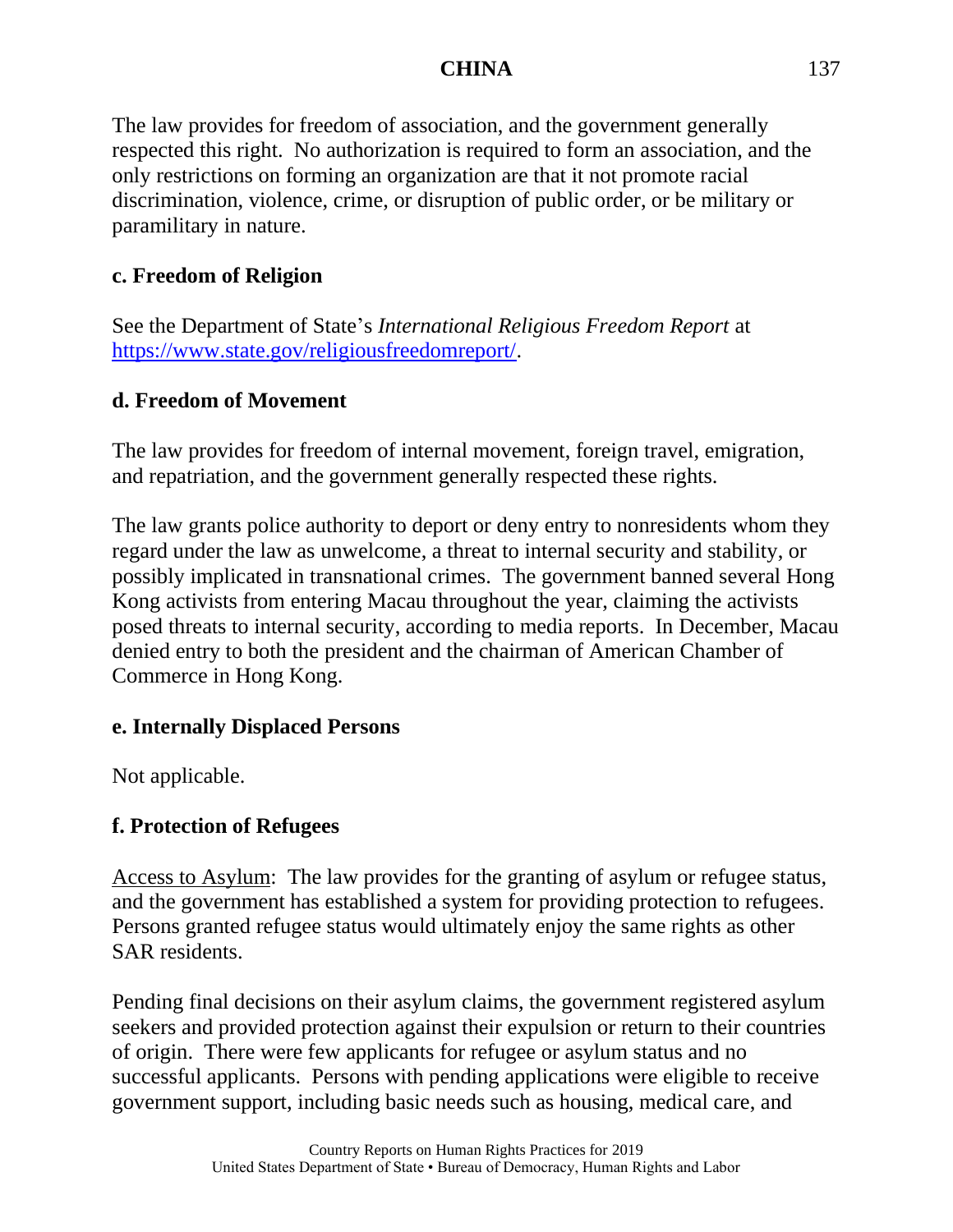The law provides for freedom of association, and the government generally respected this right. No authorization is required to form an association, and the only restrictions on forming an organization are that it not promote racial discrimination, violence, crime, or disruption of public order, or be military or paramilitary in nature.

# **c. Freedom of Religion**

See the Department of State's *International Religious Freedom Report* at [https://www.state.gov/religiousfreedomreport/.](https://www.state.gov/religiousfreedomreport/)

## **d. Freedom of Movement**

The law provides for freedom of internal movement, foreign travel, emigration, and repatriation, and the government generally respected these rights.

The law grants police authority to deport or deny entry to nonresidents whom they regard under the law as unwelcome, a threat to internal security and stability, or possibly implicated in transnational crimes. The government banned several Hong Kong activists from entering Macau throughout the year, claiming the activists posed threats to internal security, according to media reports. In December, Macau denied entry to both the president and the chairman of American Chamber of Commerce in Hong Kong.

## **e. Internally Displaced Persons**

Not applicable.

## **f. Protection of Refugees**

Access to Asylum: The law provides for the granting of asylum or refugee status, and the government has established a system for providing protection to refugees. Persons granted refugee status would ultimately enjoy the same rights as other SAR residents.

Pending final decisions on their asylum claims, the government registered asylum seekers and provided protection against their expulsion or return to their countries of origin. There were few applicants for refugee or asylum status and no successful applicants. Persons with pending applications were eligible to receive government support, including basic needs such as housing, medical care, and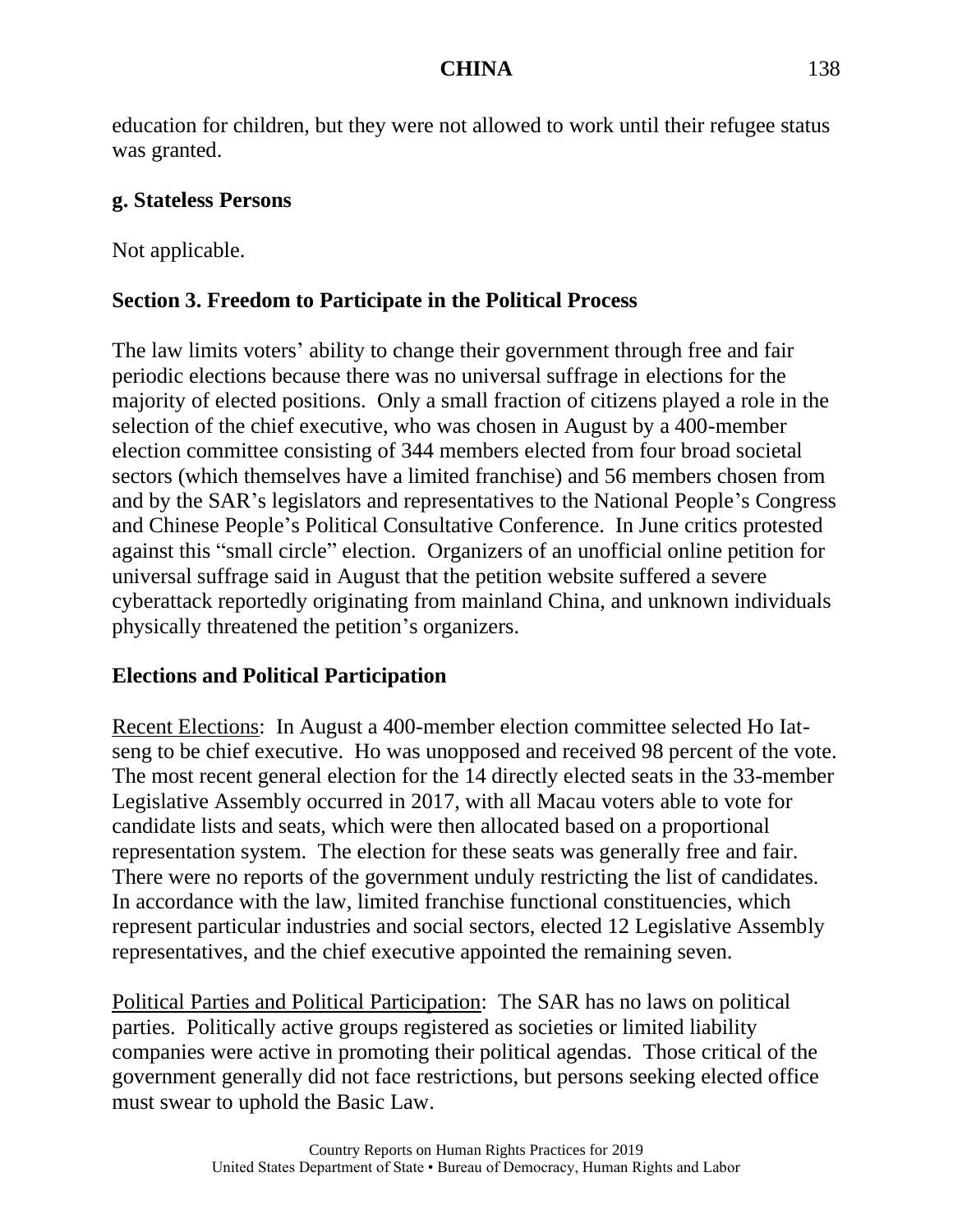education for children, but they were not allowed to work until their refugee status was granted.

#### **g. Stateless Persons**

Not applicable.

# **Section 3. Freedom to Participate in the Political Process**

The law limits voters' ability to change their government through free and fair periodic elections because there was no universal suffrage in elections for the majority of elected positions. Only a small fraction of citizens played a role in the selection of the chief executive, who was chosen in August by a 400-member election committee consisting of 344 members elected from four broad societal sectors (which themselves have a limited franchise) and 56 members chosen from and by the SAR's legislators and representatives to the National People's Congress and Chinese People's Political Consultative Conference. In June critics protested against this "small circle" election. Organizers of an unofficial online petition for universal suffrage said in August that the petition website suffered a severe cyberattack reportedly originating from mainland China, and unknown individuals physically threatened the petition's organizers.

## **Elections and Political Participation**

Recent Elections: In August a 400-member election committee selected Ho Iatseng to be chief executive. Ho was unopposed and received 98 percent of the vote. The most recent general election for the 14 directly elected seats in the 33-member Legislative Assembly occurred in 2017, with all Macau voters able to vote for candidate lists and seats, which were then allocated based on a proportional representation system. The election for these seats was generally free and fair. There were no reports of the government unduly restricting the list of candidates. In accordance with the law, limited franchise functional constituencies, which represent particular industries and social sectors, elected 12 Legislative Assembly representatives, and the chief executive appointed the remaining seven.

Political Parties and Political Participation: The SAR has no laws on political parties. Politically active groups registered as societies or limited liability companies were active in promoting their political agendas. Those critical of the government generally did not face restrictions, but persons seeking elected office must swear to uphold the Basic Law.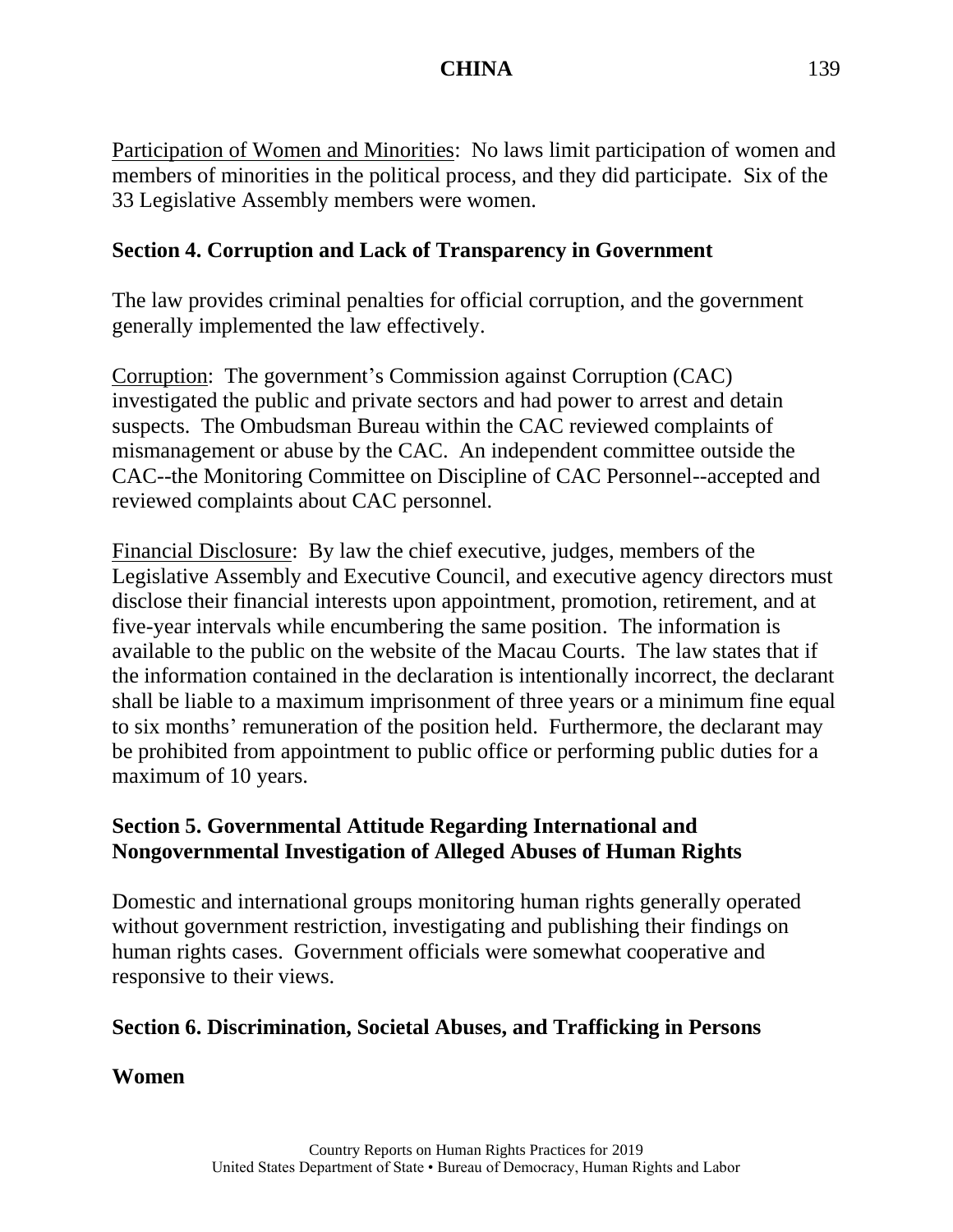Participation of Women and Minorities: No laws limit participation of women and members of minorities in the political process, and they did participate. Six of the 33 Legislative Assembly members were women.

# **Section 4. Corruption and Lack of Transparency in Government**

The law provides criminal penalties for official corruption, and the government generally implemented the law effectively.

Corruption: The government's Commission against Corruption (CAC) investigated the public and private sectors and had power to arrest and detain suspects. The Ombudsman Bureau within the CAC reviewed complaints of mismanagement or abuse by the CAC. An independent committee outside the CAC--the Monitoring Committee on Discipline of CAC Personnel--accepted and reviewed complaints about CAC personnel.

Financial Disclosure: By law the chief executive, judges, members of the Legislative Assembly and Executive Council, and executive agency directors must disclose their financial interests upon appointment, promotion, retirement, and at five-year intervals while encumbering the same position. The information is available to the public on the website of the Macau Courts. The law states that if the information contained in the declaration is intentionally incorrect, the declarant shall be liable to a maximum imprisonment of three years or a minimum fine equal to six months' remuneration of the position held. Furthermore, the declarant may be prohibited from appointment to public office or performing public duties for a maximum of 10 years.

## **Section 5. Governmental Attitude Regarding International and Nongovernmental Investigation of Alleged Abuses of Human Rights**

Domestic and international groups monitoring human rights generally operated without government restriction, investigating and publishing their findings on human rights cases. Government officials were somewhat cooperative and responsive to their views.

## **Section 6. Discrimination, Societal Abuses, and Trafficking in Persons**

**Women**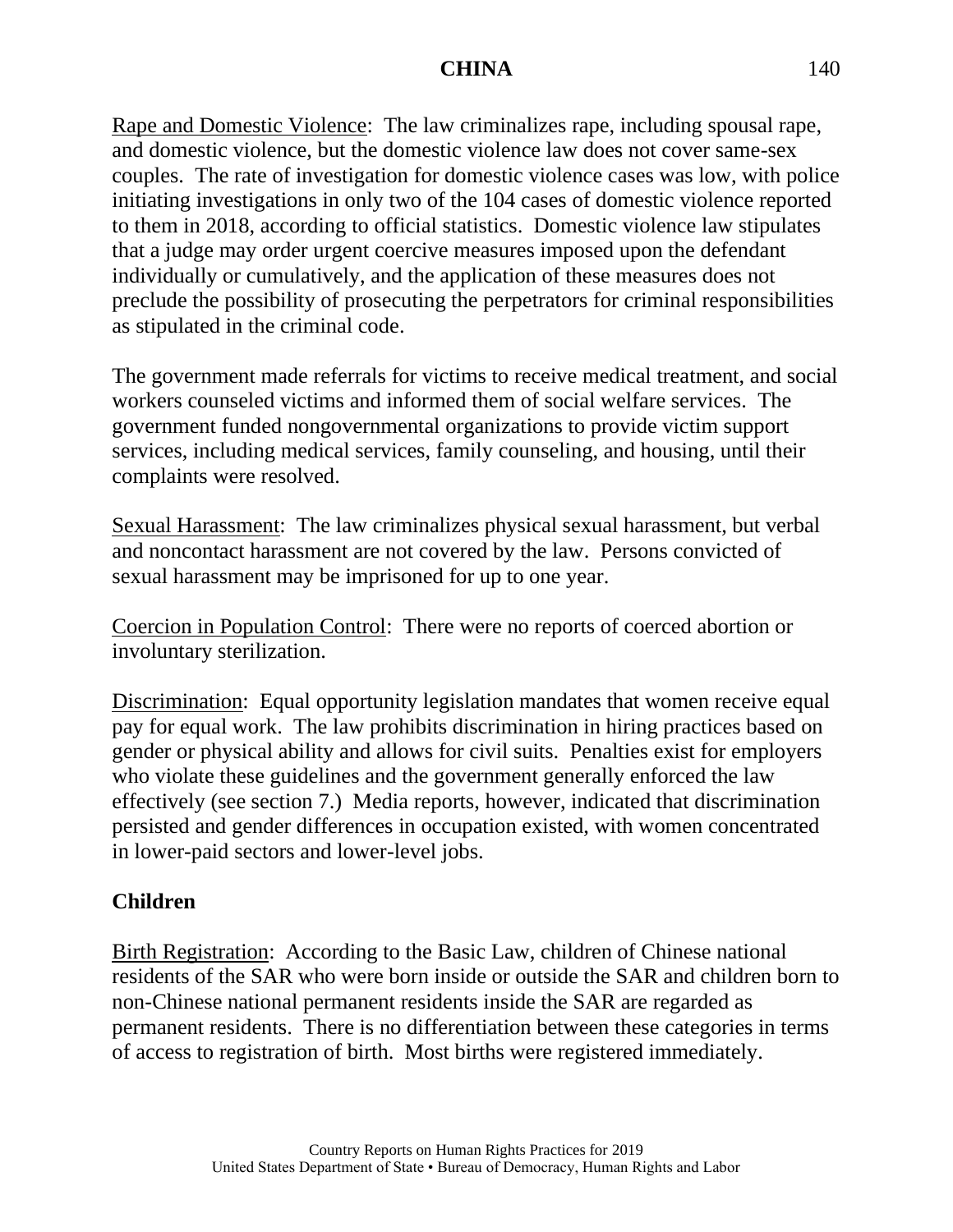Rape and Domestic Violence: The law criminalizes rape, including spousal rape, and domestic violence, but the domestic violence law does not cover same-sex couples. The rate of investigation for domestic violence cases was low, with police initiating investigations in only two of the 104 cases of domestic violence reported to them in 2018, according to official statistics. Domestic violence law stipulates that a judge may order urgent coercive measures imposed upon the defendant individually or cumulatively, and the application of these measures does not preclude the possibility of prosecuting the perpetrators for criminal responsibilities as stipulated in the criminal code.

The government made referrals for victims to receive medical treatment, and social workers counseled victims and informed them of social welfare services. The government funded nongovernmental organizations to provide victim support services, including medical services, family counseling, and housing, until their complaints were resolved.

Sexual Harassment: The law criminalizes physical sexual harassment, but verbal and noncontact harassment are not covered by the law. Persons convicted of sexual harassment may be imprisoned for up to one year.

Coercion in Population Control: There were no reports of coerced abortion or involuntary sterilization.

Discrimination: Equal opportunity legislation mandates that women receive equal pay for equal work. The law prohibits discrimination in hiring practices based on gender or physical ability and allows for civil suits. Penalties exist for employers who violate these guidelines and the government generally enforced the law effectively (see section 7.) Media reports, however, indicated that discrimination persisted and gender differences in occupation existed, with women concentrated in lower-paid sectors and lower-level jobs.

## **Children**

Birth Registration: According to the Basic Law, children of Chinese national residents of the SAR who were born inside or outside the SAR and children born to non-Chinese national permanent residents inside the SAR are regarded as permanent residents. There is no differentiation between these categories in terms of access to registration of birth. Most births were registered immediately.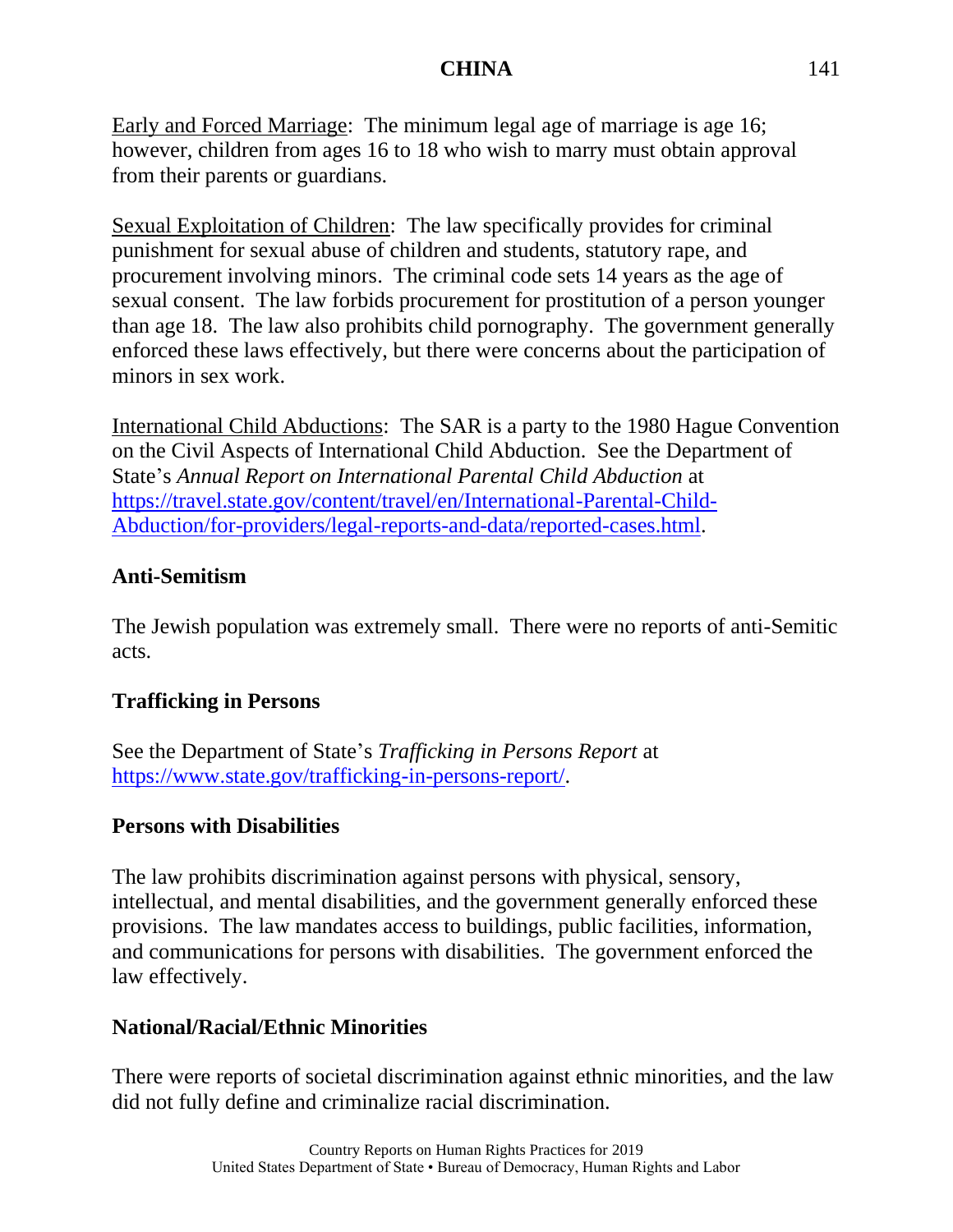Early and Forced Marriage: The minimum legal age of marriage is age 16; however, children from ages 16 to 18 who wish to marry must obtain approval from their parents or guardians.

Sexual Exploitation of Children: The law specifically provides for criminal punishment for sexual abuse of children and students, statutory rape, and procurement involving minors. The criminal code sets 14 years as the age of sexual consent. The law forbids procurement for prostitution of a person younger than age 18. The law also prohibits child pornography. The government generally enforced these laws effectively, but there were concerns about the participation of minors in sex work.

International Child Abductions: The SAR is a party to the 1980 Hague Convention on the Civil Aspects of International Child Abduction. See the Department of State's *Annual Report on International Parental Child Abduction* at [https://travel.state.gov/content/travel/en/International-Parental-Child-](https://travel.state.gov/content/travel/en/International-Parental-Child-Abduction/for-providers/legal-reports-and-data/reported-cases.html)[Abduction/for-providers/legal-reports-and-data/reported-cases.html.](https://travel.state.gov/content/travel/en/International-Parental-Child-Abduction/for-providers/legal-reports-and-data/reported-cases.html)

#### **Anti-Semitism**

The Jewish population was extremely small. There were no reports of anti-Semitic acts.

## **Trafficking in Persons**

See the Department of State's *Trafficking in Persons Report* at [https://www.state.gov/trafficking-in-persons-report/.](https://www.state.gov/trafficking-in-persons-report/)

#### **Persons with Disabilities**

The law prohibits discrimination against persons with physical, sensory, intellectual, and mental disabilities, and the government generally enforced these provisions. The law mandates access to buildings, public facilities, information, and communications for persons with disabilities. The government enforced the law effectively.

#### **National/Racial/Ethnic Minorities**

There were reports of societal discrimination against ethnic minorities, and the law did not fully define and criminalize racial discrimination.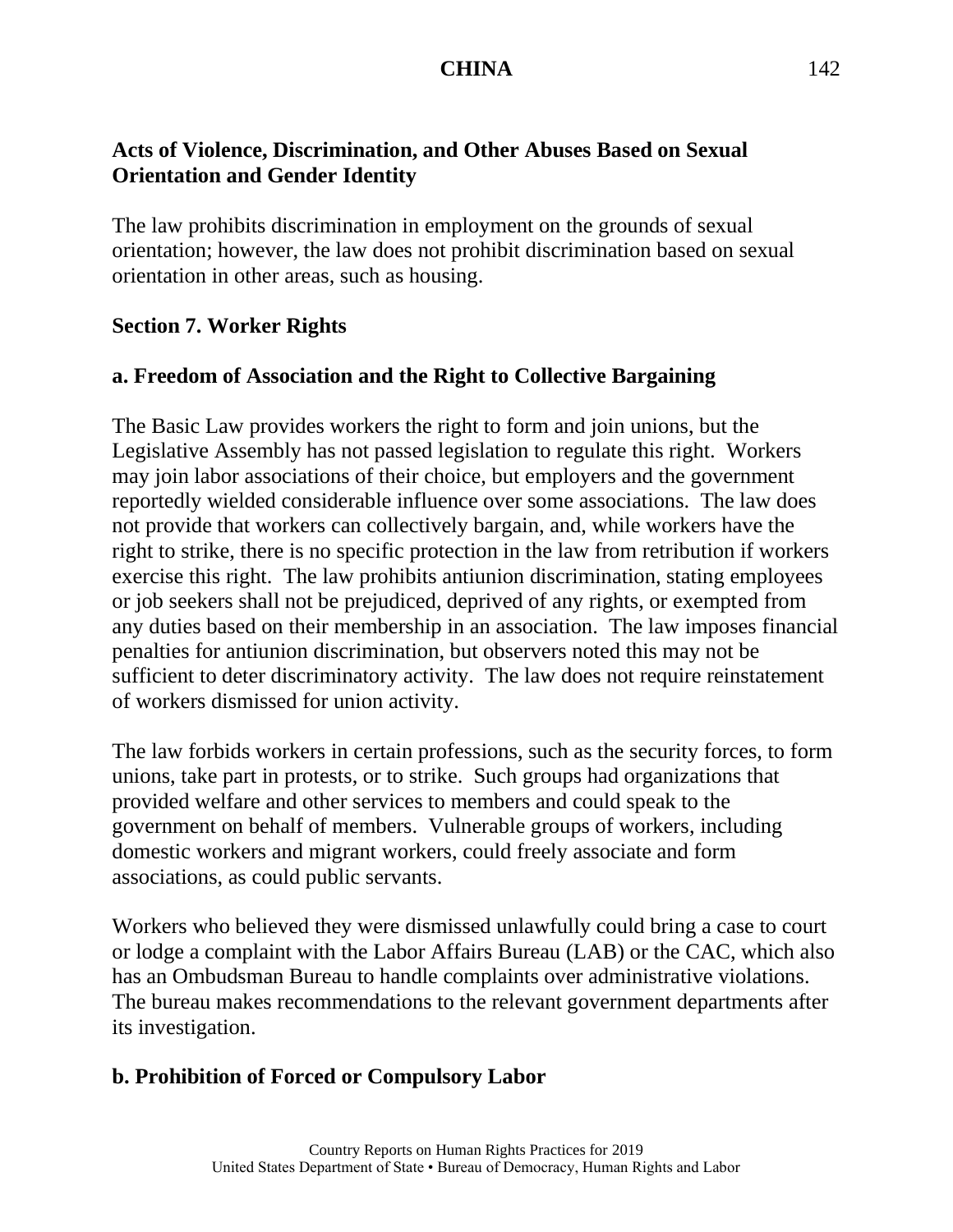## **Acts of Violence, Discrimination, and Other Abuses Based on Sexual Orientation and Gender Identity**

The law prohibits discrimination in employment on the grounds of sexual orientation; however, the law does not prohibit discrimination based on sexual orientation in other areas, such as housing.

#### **Section 7. Worker Rights**

## **a. Freedom of Association and the Right to Collective Bargaining**

The Basic Law provides workers the right to form and join unions, but the Legislative Assembly has not passed legislation to regulate this right. Workers may join labor associations of their choice, but employers and the government reportedly wielded considerable influence over some associations. The law does not provide that workers can collectively bargain, and, while workers have the right to strike, there is no specific protection in the law from retribution if workers exercise this right. The law prohibits antiunion discrimination, stating employees or job seekers shall not be prejudiced, deprived of any rights, or exempted from any duties based on their membership in an association. The law imposes financial penalties for antiunion discrimination, but observers noted this may not be sufficient to deter discriminatory activity. The law does not require reinstatement of workers dismissed for union activity.

The law forbids workers in certain professions, such as the security forces, to form unions, take part in protests, or to strike. Such groups had organizations that provided welfare and other services to members and could speak to the government on behalf of members. Vulnerable groups of workers, including domestic workers and migrant workers, could freely associate and form associations, as could public servants.

Workers who believed they were dismissed unlawfully could bring a case to court or lodge a complaint with the Labor Affairs Bureau (LAB) or the CAC, which also has an Ombudsman Bureau to handle complaints over administrative violations. The bureau makes recommendations to the relevant government departments after its investigation.

## **b. Prohibition of Forced or Compulsory Labor**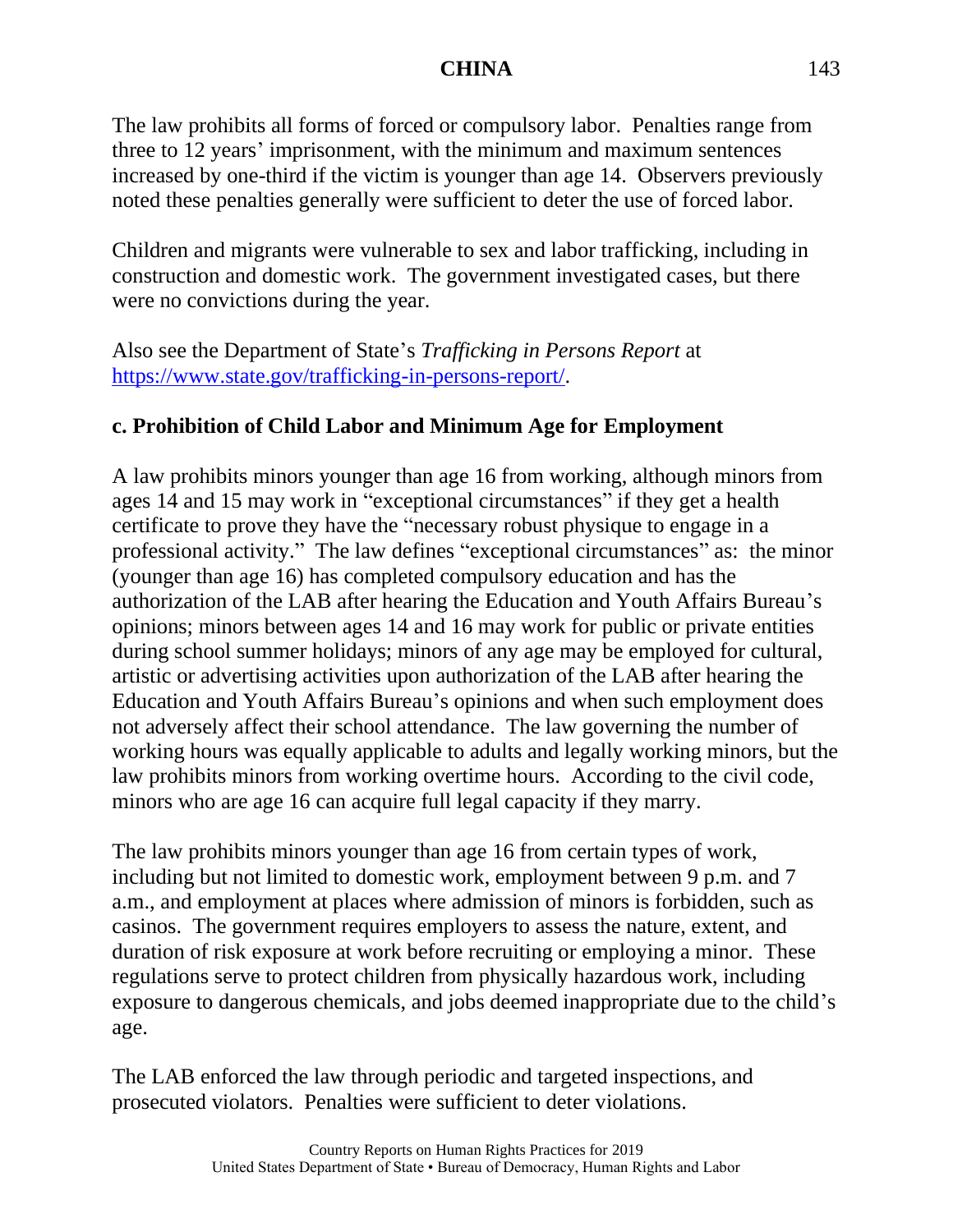The law prohibits all forms of forced or compulsory labor. Penalties range from three to 12 years' imprisonment, with the minimum and maximum sentences increased by one-third if the victim is younger than age 14. Observers previously noted these penalties generally were sufficient to deter the use of forced labor.

Children and migrants were vulnerable to sex and labor trafficking, including in construction and domestic work. The government investigated cases, but there were no convictions during the year.

Also see the Department of State's *Trafficking in Persons Report* at [https://www.state.gov/trafficking-in-persons-report/.](https://www.state.gov/trafficking-in-persons-report/)

## **c. Prohibition of Child Labor and Minimum Age for Employment**

A law prohibits minors younger than age 16 from working, although minors from ages 14 and 15 may work in "exceptional circumstances" if they get a health certificate to prove they have the "necessary robust physique to engage in a professional activity." The law defines "exceptional circumstances" as: the minor (younger than age 16) has completed compulsory education and has the authorization of the LAB after hearing the Education and Youth Affairs Bureau's opinions; minors between ages 14 and 16 may work for public or private entities during school summer holidays; minors of any age may be employed for cultural, artistic or advertising activities upon authorization of the LAB after hearing the Education and Youth Affairs Bureau's opinions and when such employment does not adversely affect their school attendance. The law governing the number of working hours was equally applicable to adults and legally working minors, but the law prohibits minors from working overtime hours. According to the civil code, minors who are age 16 can acquire full legal capacity if they marry.

The law prohibits minors younger than age 16 from certain types of work, including but not limited to domestic work, employment between 9 p.m. and 7 a.m., and employment at places where admission of minors is forbidden, such as casinos. The government requires employers to assess the nature, extent, and duration of risk exposure at work before recruiting or employing a minor. These regulations serve to protect children from physically hazardous work, including exposure to dangerous chemicals, and jobs deemed inappropriate due to the child's age.

The LAB enforced the law through periodic and targeted inspections, and prosecuted violators. Penalties were sufficient to deter violations.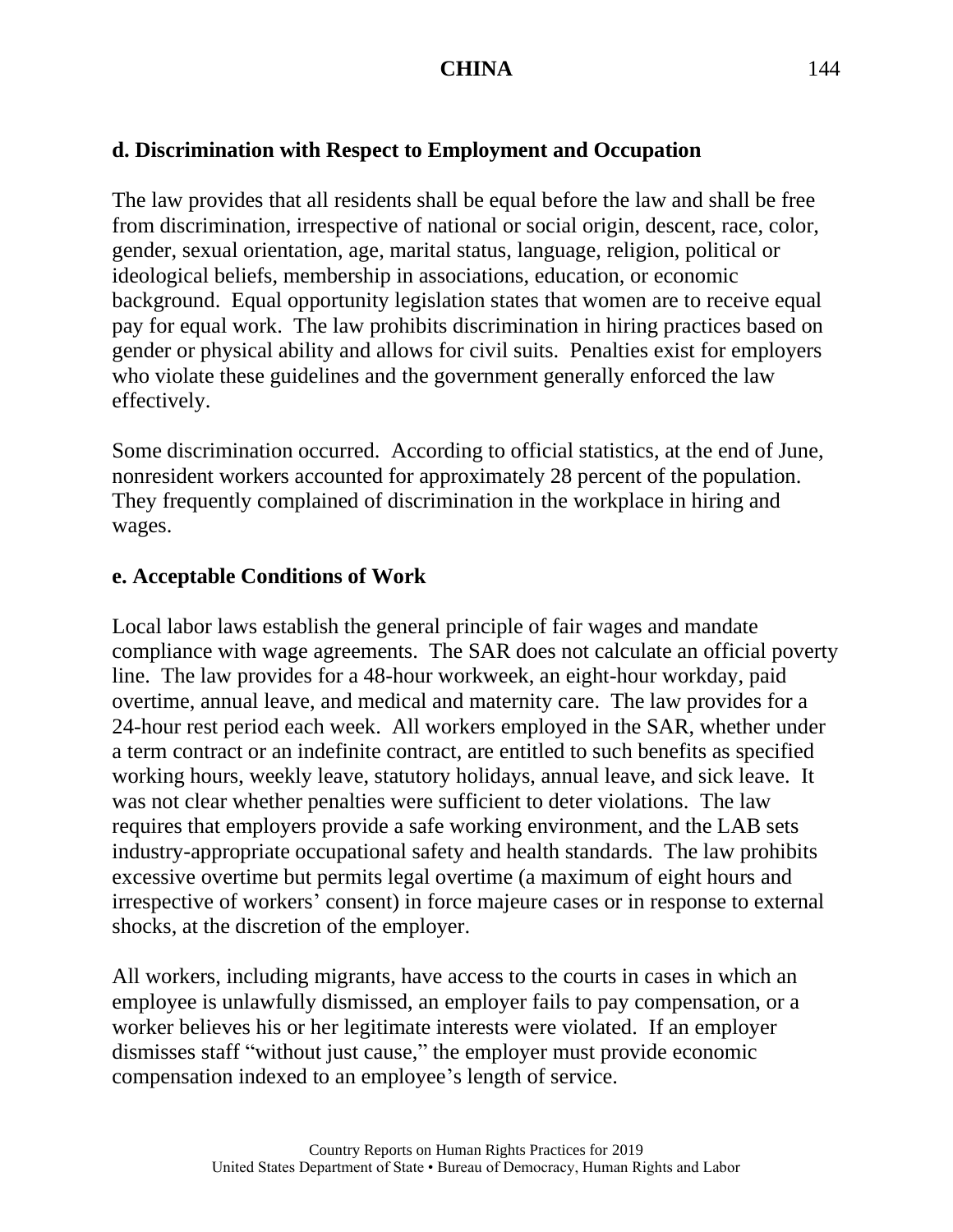# **d. Discrimination with Respect to Employment and Occupation**

The law provides that all residents shall be equal before the law and shall be free from discrimination, irrespective of national or social origin, descent, race, color, gender, sexual orientation, age, marital status, language, religion, political or ideological beliefs, membership in associations, education, or economic background. Equal opportunity legislation states that women are to receive equal pay for equal work. The law prohibits discrimination in hiring practices based on gender or physical ability and allows for civil suits. Penalties exist for employers who violate these guidelines and the government generally enforced the law effectively.

Some discrimination occurred. According to official statistics, at the end of June, nonresident workers accounted for approximately 28 percent of the population. They frequently complained of discrimination in the workplace in hiring and wages.

# **e. Acceptable Conditions of Work**

Local labor laws establish the general principle of fair wages and mandate compliance with wage agreements. The SAR does not calculate an official poverty line. The law provides for a 48-hour workweek, an eight-hour workday, paid overtime, annual leave, and medical and maternity care. The law provides for a 24-hour rest period each week. All workers employed in the SAR, whether under a term contract or an indefinite contract, are entitled to such benefits as specified working hours, weekly leave, statutory holidays, annual leave, and sick leave. It was not clear whether penalties were sufficient to deter violations. The law requires that employers provide a safe working environment, and the LAB sets industry-appropriate occupational safety and health standards. The law prohibits excessive overtime but permits legal overtime (a maximum of eight hours and irrespective of workers' consent) in force majeure cases or in response to external shocks, at the discretion of the employer.

All workers, including migrants, have access to the courts in cases in which an employee is unlawfully dismissed, an employer fails to pay compensation, or a worker believes his or her legitimate interests were violated. If an employer dismisses staff "without just cause," the employer must provide economic compensation indexed to an employee's length of service.